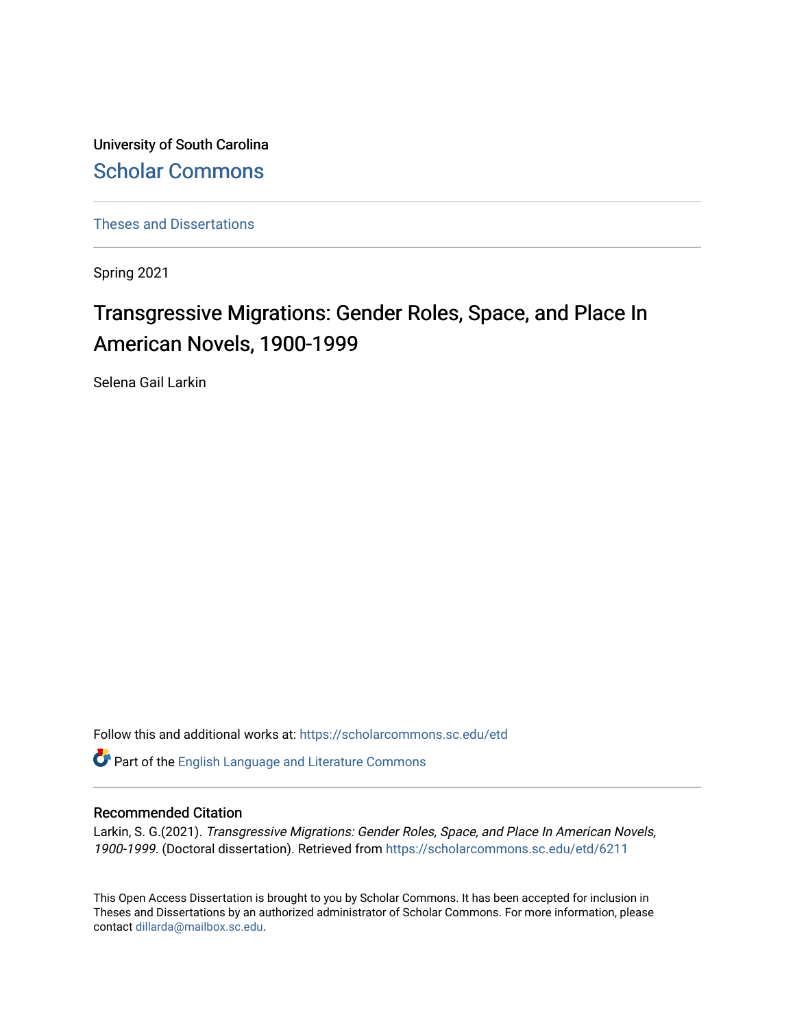University of South Carolina [Scholar Commons](https://scholarcommons.sc.edu/) 

[Theses and Dissertations](https://scholarcommons.sc.edu/etd)

Spring 2021

# Transgressive Migrations: Gender Roles, Space, and Place In American Novels, 1900-1999

Selena Gail Larkin

Follow this and additional works at: [https://scholarcommons.sc.edu/etd](https://scholarcommons.sc.edu/etd?utm_source=scholarcommons.sc.edu%2Fetd%2F6211&utm_medium=PDF&utm_campaign=PDFCoverPages)

Part of the [English Language and Literature Commons](http://network.bepress.com/hgg/discipline/455?utm_source=scholarcommons.sc.edu%2Fetd%2F6211&utm_medium=PDF&utm_campaign=PDFCoverPages)

# Recommended Citation

Larkin, S. G.(2021). Transgressive Migrations: Gender Roles, Space, and Place In American Novels, 1900-1999. (Doctoral dissertation). Retrieved from [https://scholarcommons.sc.edu/etd/6211](https://scholarcommons.sc.edu/etd/6211?utm_source=scholarcommons.sc.edu%2Fetd%2F6211&utm_medium=PDF&utm_campaign=PDFCoverPages)

This Open Access Dissertation is brought to you by Scholar Commons. It has been accepted for inclusion in Theses and Dissertations by an authorized administrator of Scholar Commons. For more information, please contact [dillarda@mailbox.sc.edu.](mailto:dillarda@mailbox.sc.edu)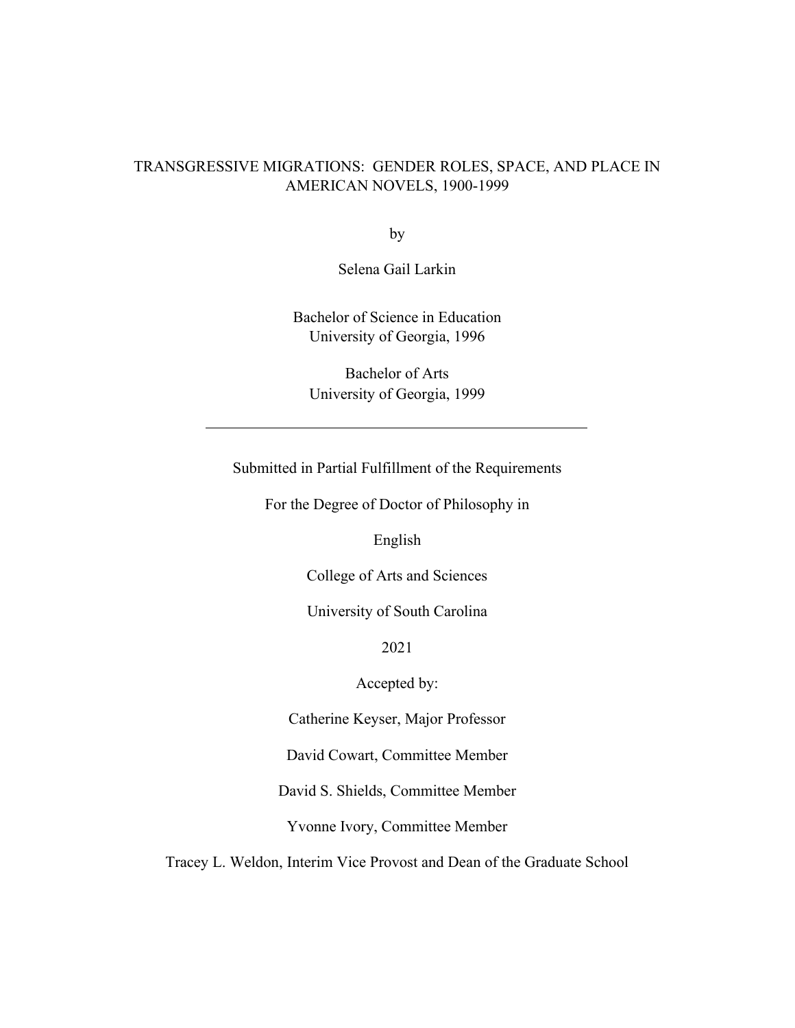# TRANSGRESSIVE MIGRATIONS: GENDER ROLES, SPACE, AND PLACE IN AMERICAN NOVELS, 1900-1999

by

Selena Gail Larkin

Bachelor of Science in Education University of Georgia, 1996

Bachelor of Arts University of Georgia, 1999

Submitted in Partial Fulfillment of the Requirements

For the Degree of Doctor of Philosophy in

English

College of Arts and Sciences

University of South Carolina

2021

Accepted by:

Catherine Keyser, Major Professor

David Cowart, Committee Member

David S. Shields, Committee Member

Yvonne Ivory, Committee Member

Tracey L. Weldon, Interim Vice Provost and Dean of the Graduate School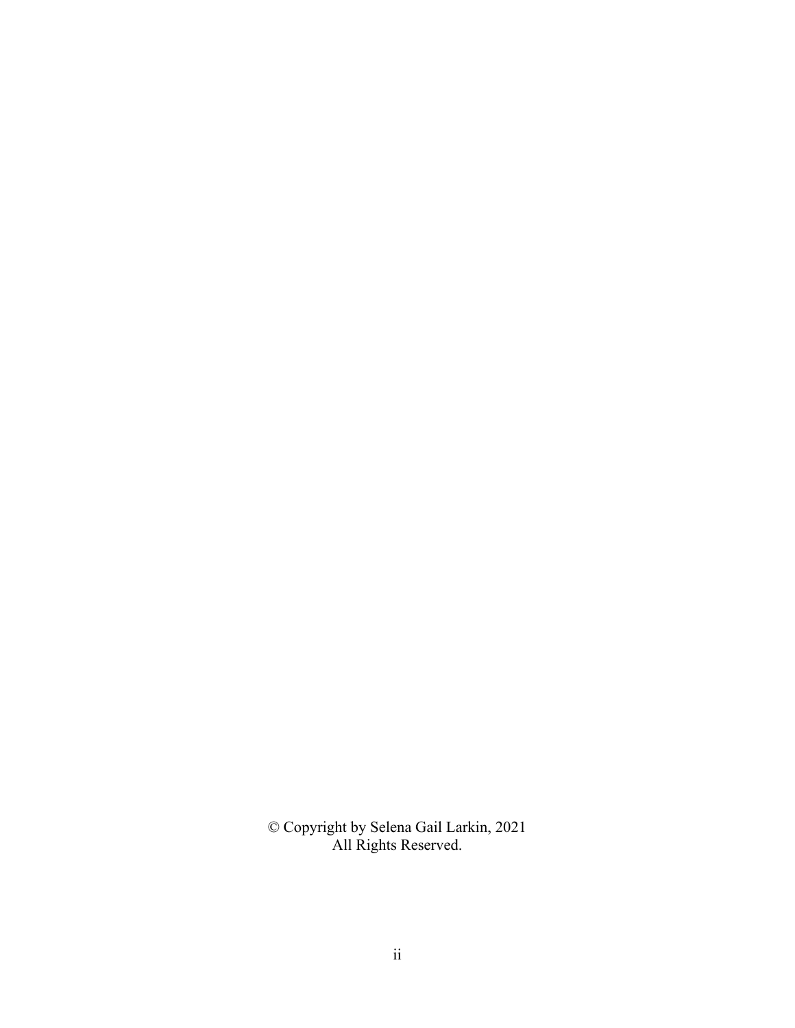© Copyright by Selena Gail Larkin, 2021 All Rights Reserved.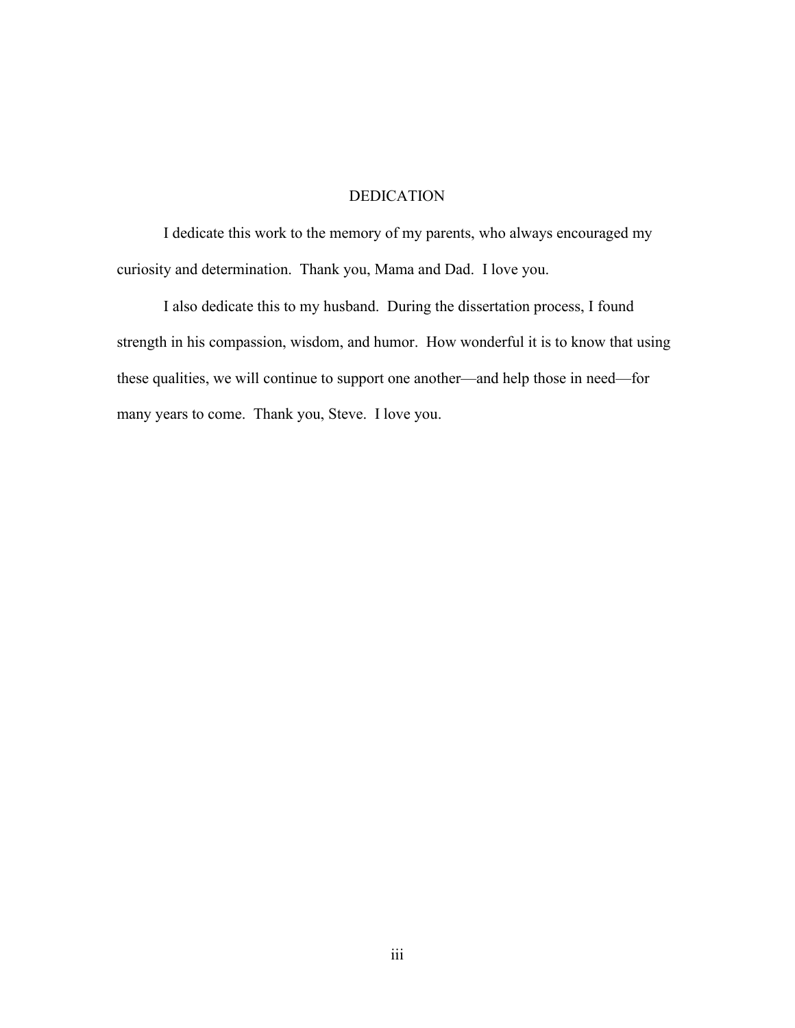# DEDICATION

I dedicate this work to the memory of my parents, who always encouraged my curiosity and determination. Thank you, Mama and Dad. I love you.

I also dedicate this to my husband. During the dissertation process, I found strength in his compassion, wisdom, and humor. How wonderful it is to know that using these qualities, we will continue to support one another—and help those in need—for many years to come. Thank you, Steve. I love you.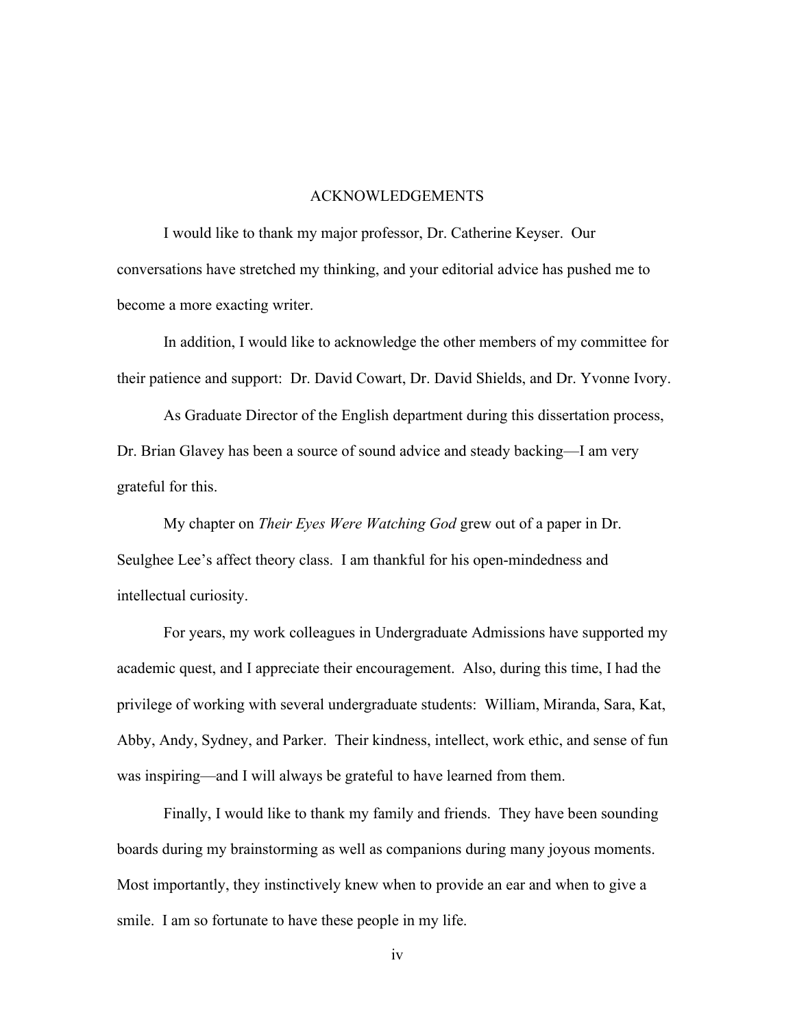#### ACKNOWLEDGEMENTS

I would like to thank my major professor, Dr. Catherine Keyser. Our conversations have stretched my thinking, and your editorial advice has pushed me to become a more exacting writer.

In addition, I would like to acknowledge the other members of my committee for their patience and support: Dr. David Cowart, Dr. David Shields, and Dr. Yvonne Ivory.

As Graduate Director of the English department during this dissertation process, Dr. Brian Glavey has been a source of sound advice and steady backing—I am very grateful for this.

My chapter on *Their Eyes Were Watching God* grew out of a paper in Dr. Seulghee Lee's affect theory class. I am thankful for his open-mindedness and intellectual curiosity.

For years, my work colleagues in Undergraduate Admissions have supported my academic quest, and I appreciate their encouragement. Also, during this time, I had the privilege of working with several undergraduate students: William, Miranda, Sara, Kat, Abby, Andy, Sydney, and Parker. Their kindness, intellect, work ethic, and sense of fun was inspiring—and I will always be grateful to have learned from them.

Finally, I would like to thank my family and friends. They have been sounding boards during my brainstorming as well as companions during many joyous moments. Most importantly, they instinctively knew when to provide an ear and when to give a smile. I am so fortunate to have these people in my life.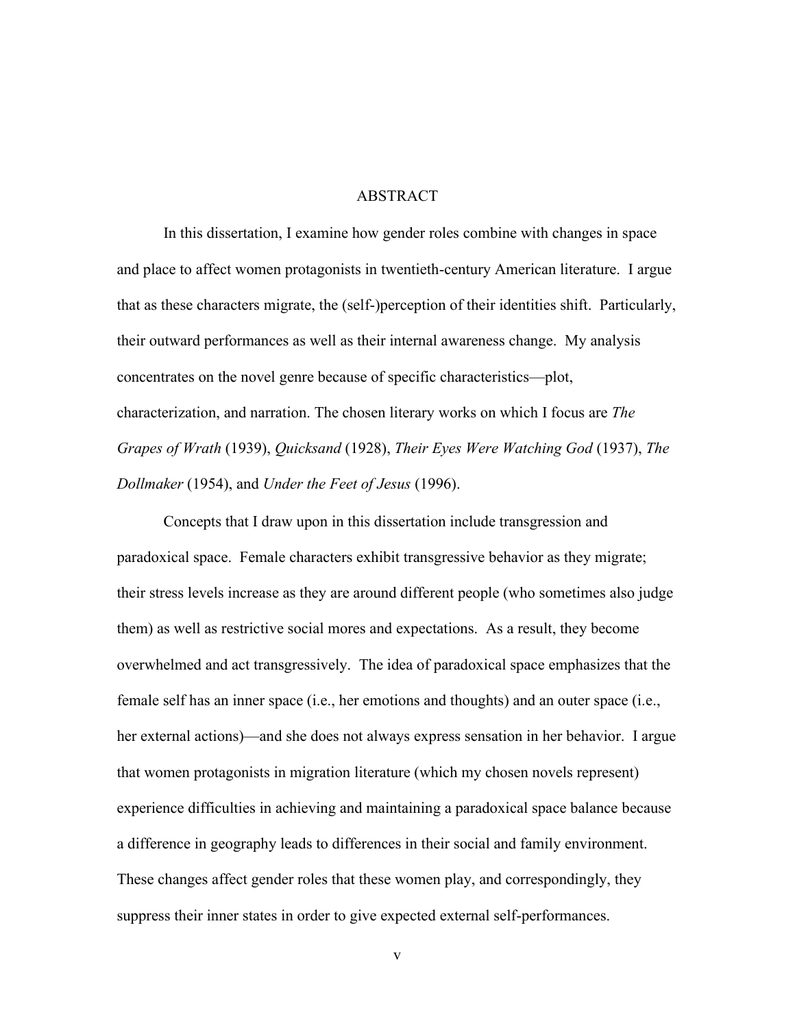#### ABSTRACT

In this dissertation, I examine how gender roles combine with changes in space and place to affect women protagonists in twentieth-century American literature. I argue that as these characters migrate, the (self-)perception of their identities shift. Particularly, their outward performances as well as their internal awareness change. My analysis concentrates on the novel genre because of specific characteristics—plot, characterization, and narration. The chosen literary works on which I focus are *The Grapes of Wrath* (1939), *Quicksand* (1928), *Their Eyes Were Watching God* (1937), *The Dollmaker* (1954), and *Under the Feet of Jesus* (1996).

Concepts that I draw upon in this dissertation include transgression and paradoxical space. Female characters exhibit transgressive behavior as they migrate; their stress levels increase as they are around different people (who sometimes also judge them) as well as restrictive social mores and expectations. As a result, they become overwhelmed and act transgressively. The idea of paradoxical space emphasizes that the female self has an inner space (i.e., her emotions and thoughts) and an outer space (i.e., her external actions)—and she does not always express sensation in her behavior. I argue that women protagonists in migration literature (which my chosen novels represent) experience difficulties in achieving and maintaining a paradoxical space balance because a difference in geography leads to differences in their social and family environment. These changes affect gender roles that these women play, and correspondingly, they suppress their inner states in order to give expected external self-performances.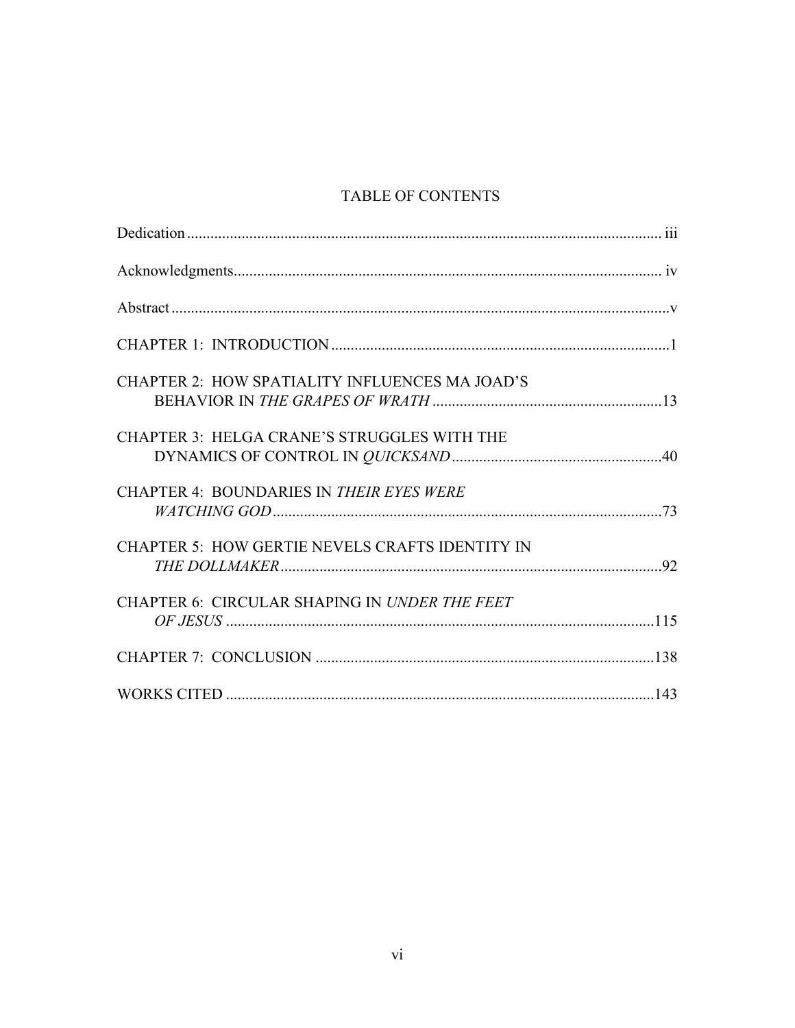# TABLE OF CONTENTS

| CHAPTER 2: HOW SPATIALITY INFLUENCES MA JOAD'S         |  |
|--------------------------------------------------------|--|
| CHAPTER 3: HELGA CRANE'S STRUGGLES WITH THE            |  |
| <b>CHAPTER 4: BOUNDARIES IN THEIR EYES WERE</b>        |  |
| <b>CHAPTER 5: HOW GERTIE NEVELS CRAFTS IDENTITY IN</b> |  |
| CHAPTER 6: CIRCULAR SHAPING IN UNDER THE FEET          |  |
|                                                        |  |
|                                                        |  |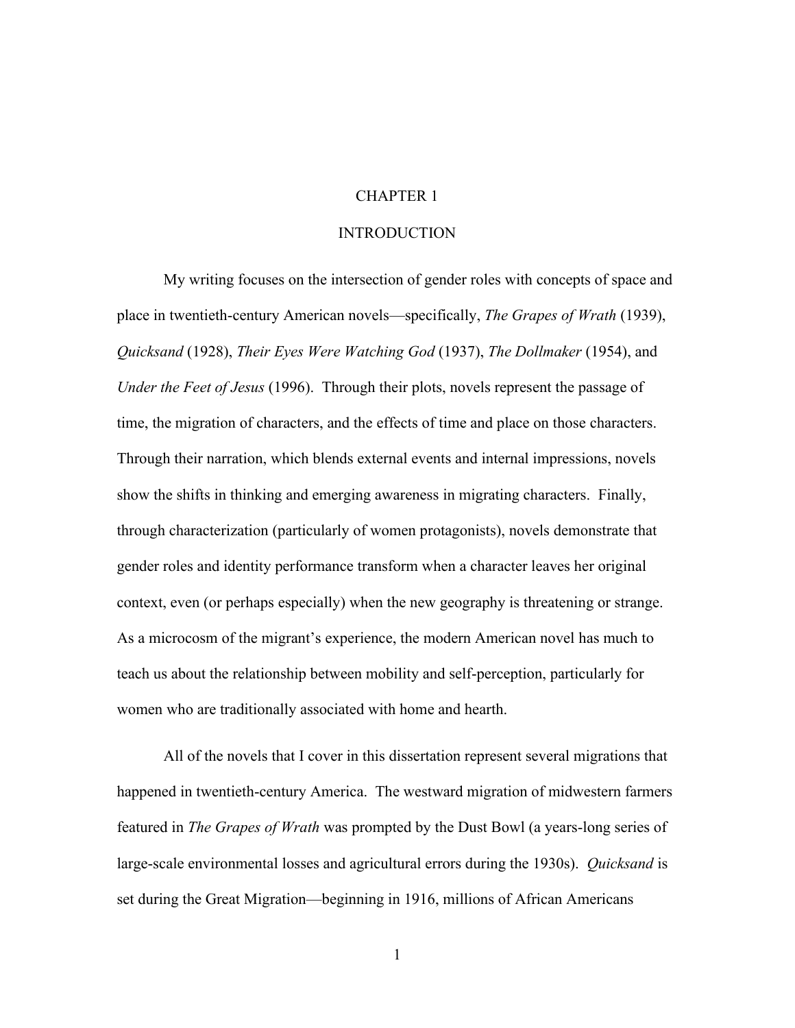# CHAPTER 1

#### INTRODUCTION

My writing focuses on the intersection of gender roles with concepts of space and place in twentieth-century American novels—specifically, *The Grapes of Wrath* (1939), *Quicksand* (1928), *Their Eyes Were Watching God* (1937), *The Dollmaker* (1954), and *Under the Feet of Jesus* (1996). Through their plots, novels represent the passage of time, the migration of characters, and the effects of time and place on those characters. Through their narration, which blends external events and internal impressions, novels show the shifts in thinking and emerging awareness in migrating characters. Finally, through characterization (particularly of women protagonists), novels demonstrate that gender roles and identity performance transform when a character leaves her original context, even (or perhaps especially) when the new geography is threatening or strange. As a microcosm of the migrant's experience, the modern American novel has much to teach us about the relationship between mobility and self-perception, particularly for women who are traditionally associated with home and hearth.

All of the novels that I cover in this dissertation represent several migrations that happened in twentieth-century America. The westward migration of midwestern farmers featured in *The Grapes of Wrath* was prompted by the Dust Bowl (a years-long series of large-scale environmental losses and agricultural errors during the 1930s). *Quicksand* is set during the Great Migration—beginning in 1916, millions of African Americans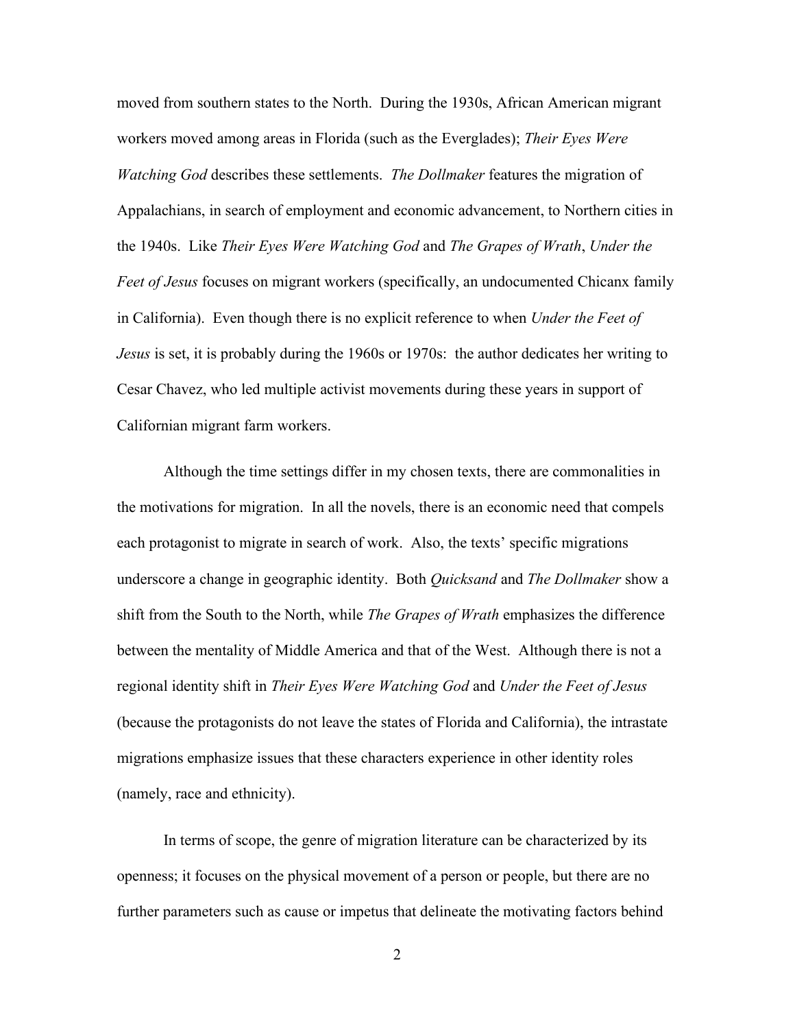moved from southern states to the North. During the 1930s, African American migrant workers moved among areas in Florida (such as the Everglades); *Their Eyes Were Watching God* describes these settlements. *The Dollmaker* features the migration of Appalachians, in search of employment and economic advancement, to Northern cities in the 1940s. Like *Their Eyes Were Watching God* and *The Grapes of Wrath*, *Under the Feet of Jesus* focuses on migrant workers (specifically, an undocumented Chicanx family in California). Even though there is no explicit reference to when *Under the Feet of Jesus* is set, it is probably during the 1960s or 1970s: the author dedicates her writing to Cesar Chavez, who led multiple activist movements during these years in support of Californian migrant farm workers.

Although the time settings differ in my chosen texts, there are commonalities in the motivations for migration. In all the novels, there is an economic need that compels each protagonist to migrate in search of work. Also, the texts' specific migrations underscore a change in geographic identity. Both *Quicksand* and *The Dollmaker* show a shift from the South to the North, while *The Grapes of Wrath* emphasizes the difference between the mentality of Middle America and that of the West. Although there is not a regional identity shift in *Their Eyes Were Watching God* and *Under the Feet of Jesus* (because the protagonists do not leave the states of Florida and California), the intrastate migrations emphasize issues that these characters experience in other identity roles (namely, race and ethnicity).

In terms of scope, the genre of migration literature can be characterized by its openness; it focuses on the physical movement of a person or people, but there are no further parameters such as cause or impetus that delineate the motivating factors behind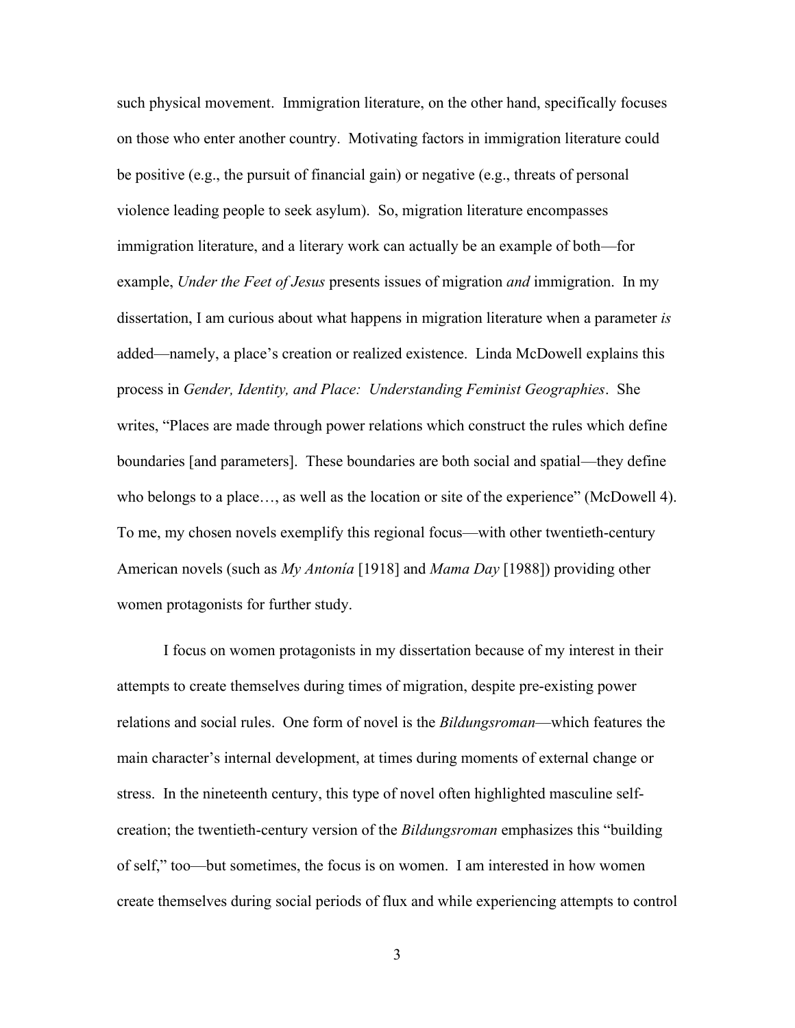such physical movement. Immigration literature, on the other hand, specifically focuses on those who enter another country. Motivating factors in immigration literature could be positive (e.g., the pursuit of financial gain) or negative (e.g., threats of personal violence leading people to seek asylum). So, migration literature encompasses immigration literature, and a literary work can actually be an example of both—for example, *Under the Feet of Jesus* presents issues of migration *and* immigration. In my dissertation, I am curious about what happens in migration literature when a parameter *is* added—namely, a place's creation or realized existence. Linda McDowell explains this process in *Gender, Identity, and Place: Understanding Feminist Geographies*. She writes, "Places are made through power relations which construct the rules which define boundaries [and parameters]. These boundaries are both social and spatial—they define who belongs to a place…, as well as the location or site of the experience" (McDowell 4). To me, my chosen novels exemplify this regional focus—with other twentieth-century American novels (such as *My Antonía* [1918] and *Mama Day* [1988]) providing other women protagonists for further study.

I focus on women protagonists in my dissertation because of my interest in their attempts to create themselves during times of migration, despite pre-existing power relations and social rules. One form of novel is the *Bildungsroman*—which features the main character's internal development, at times during moments of external change or stress. In the nineteenth century, this type of novel often highlighted masculine selfcreation; the twentieth-century version of the *Bildungsroman* emphasizes this "building of self," too—but sometimes, the focus is on women. I am interested in how women create themselves during social periods of flux and while experiencing attempts to control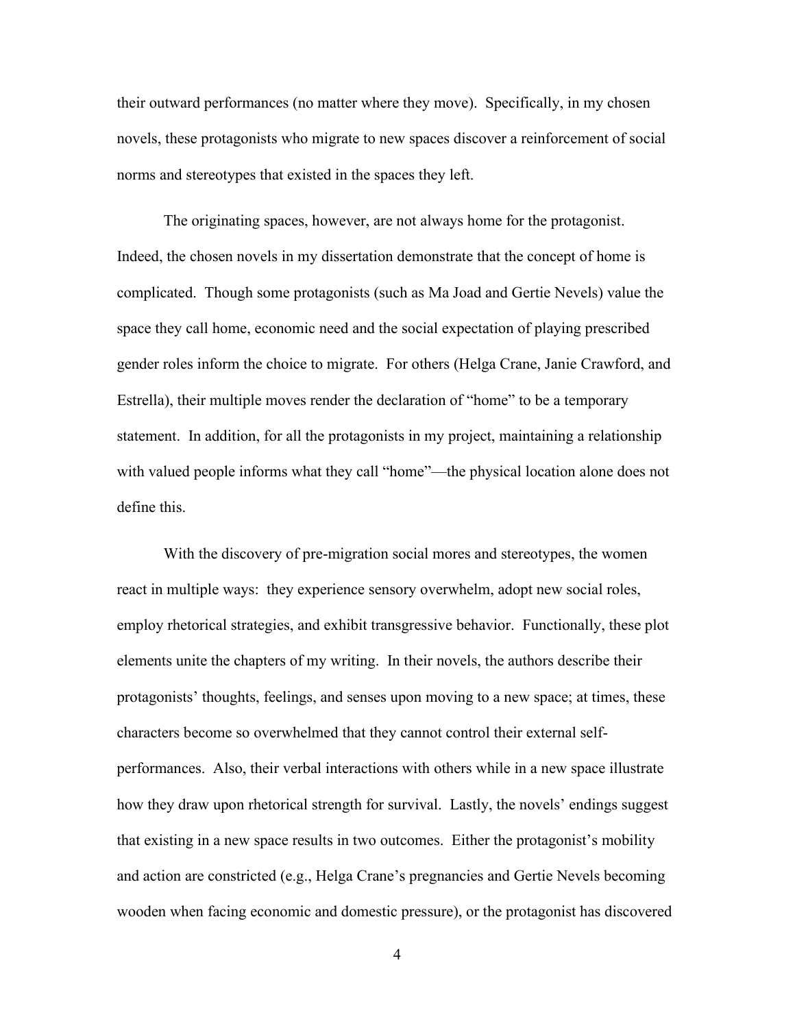their outward performances (no matter where they move). Specifically, in my chosen novels, these protagonists who migrate to new spaces discover a reinforcement of social norms and stereotypes that existed in the spaces they left.

The originating spaces, however, are not always home for the protagonist. Indeed, the chosen novels in my dissertation demonstrate that the concept of home is complicated. Though some protagonists (such as Ma Joad and Gertie Nevels) value the space they call home, economic need and the social expectation of playing prescribed gender roles inform the choice to migrate. For others (Helga Crane, Janie Crawford, and Estrella), their multiple moves render the declaration of "home" to be a temporary statement. In addition, for all the protagonists in my project, maintaining a relationship with valued people informs what they call "home"—the physical location alone does not define this.

With the discovery of pre-migration social mores and stereotypes, the women react in multiple ways: they experience sensory overwhelm, adopt new social roles, employ rhetorical strategies, and exhibit transgressive behavior. Functionally, these plot elements unite the chapters of my writing. In their novels, the authors describe their protagonists' thoughts, feelings, and senses upon moving to a new space; at times, these characters become so overwhelmed that they cannot control their external selfperformances. Also, their verbal interactions with others while in a new space illustrate how they draw upon rhetorical strength for survival. Lastly, the novels' endings suggest that existing in a new space results in two outcomes. Either the protagonist's mobility and action are constricted (e.g., Helga Crane's pregnancies and Gertie Nevels becoming wooden when facing economic and domestic pressure), or the protagonist has discovered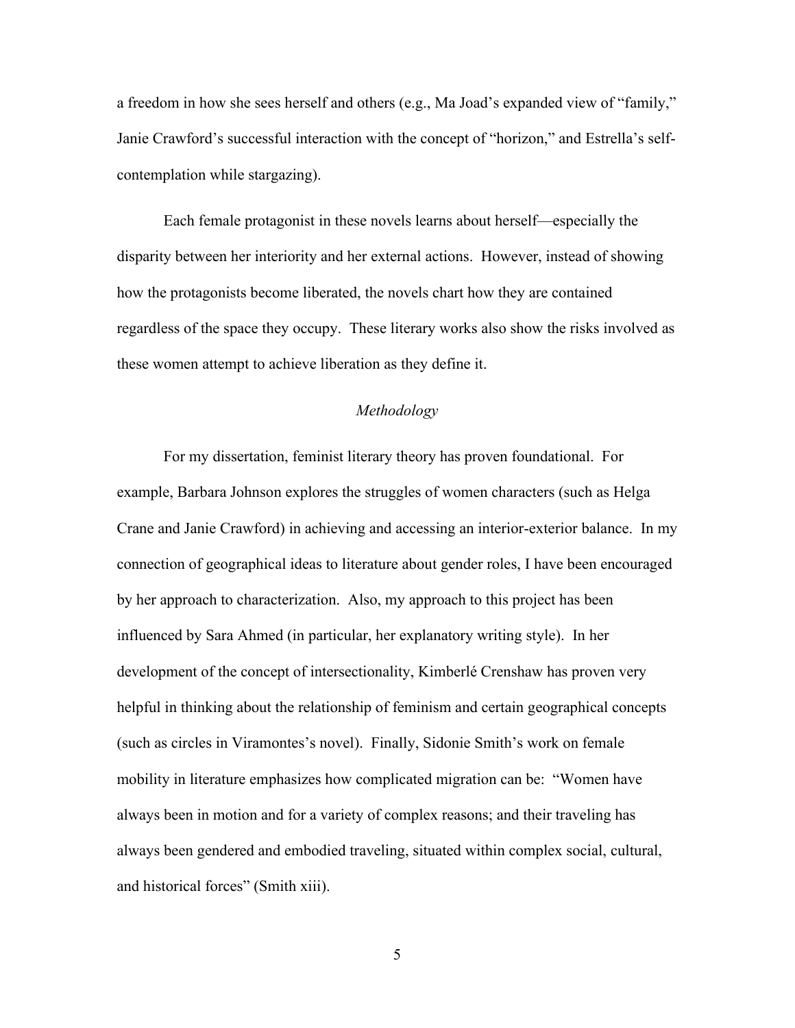a freedom in how she sees herself and others (e.g., Ma Joad's expanded view of "family," Janie Crawford's successful interaction with the concept of "horizon," and Estrella's selfcontemplation while stargazing).

Each female protagonist in these novels learns about herself—especially the disparity between her interiority and her external actions. However, instead of showing how the protagonists become liberated, the novels chart how they are contained regardless of the space they occupy. These literary works also show the risks involved as these women attempt to achieve liberation as they define it.

# *Methodology*

For my dissertation, feminist literary theory has proven foundational. For example, Barbara Johnson explores the struggles of women characters (such as Helga Crane and Janie Crawford) in achieving and accessing an interior-exterior balance. In my connection of geographical ideas to literature about gender roles, I have been encouraged by her approach to characterization. Also, my approach to this project has been influenced by Sara Ahmed (in particular, her explanatory writing style). In her development of the concept of intersectionality, Kimberlé Crenshaw has proven very helpful in thinking about the relationship of feminism and certain geographical concepts (such as circles in Viramontes's novel). Finally, Sidonie Smith's work on female mobility in literature emphasizes how complicated migration can be: "Women have always been in motion and for a variety of complex reasons; and their traveling has always been gendered and embodied traveling, situated within complex social, cultural, and historical forces" (Smith xiii).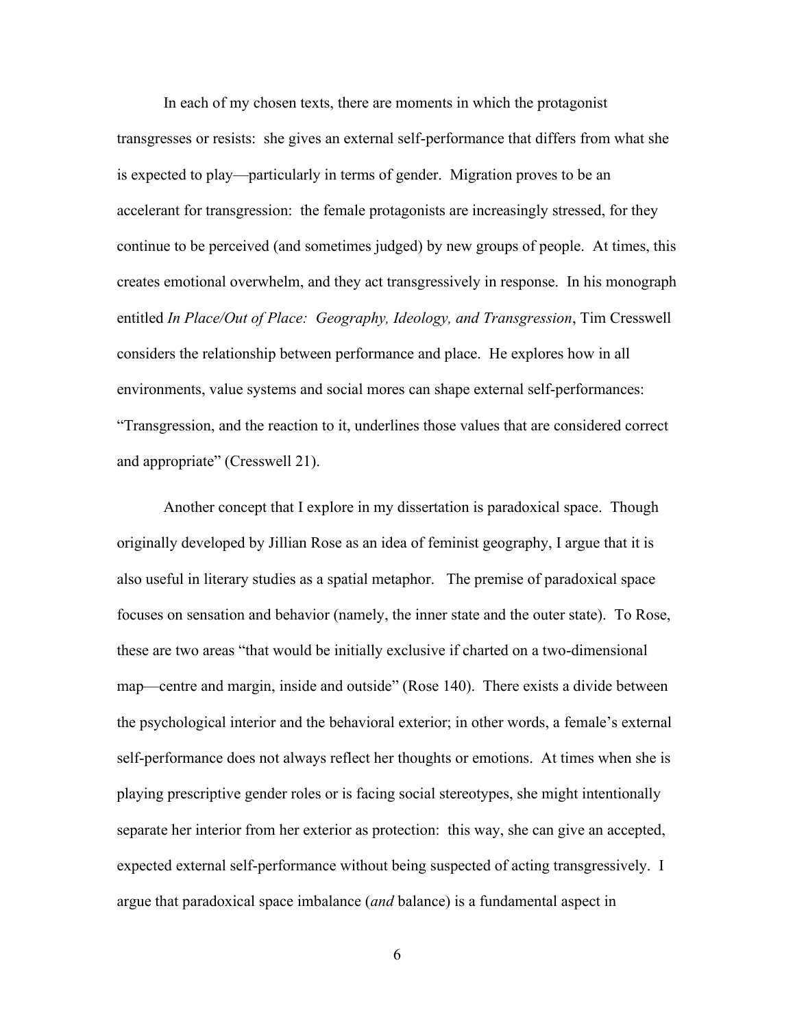In each of my chosen texts, there are moments in which the protagonist transgresses or resists: she gives an external self-performance that differs from what she is expected to play—particularly in terms of gender. Migration proves to be an accelerant for transgression: the female protagonists are increasingly stressed, for they continue to be perceived (and sometimes judged) by new groups of people. At times, this creates emotional overwhelm, and they act transgressively in response. In his monograph entitled *In Place/Out of Place: Geography, Ideology, and Transgression*, Tim Cresswell considers the relationship between performance and place. He explores how in all environments, value systems and social mores can shape external self-performances: "Transgression, and the reaction to it, underlines those values that are considered correct and appropriate" (Cresswell 21).

Another concept that I explore in my dissertation is paradoxical space. Though originally developed by Jillian Rose as an idea of feminist geography, I argue that it is also useful in literary studies as a spatial metaphor. The premise of paradoxical space focuses on sensation and behavior (namely, the inner state and the outer state). To Rose, these are two areas "that would be initially exclusive if charted on a two-dimensional map—centre and margin, inside and outside" (Rose 140). There exists a divide between the psychological interior and the behavioral exterior; in other words, a female's external self-performance does not always reflect her thoughts or emotions. At times when she is playing prescriptive gender roles or is facing social stereotypes, she might intentionally separate her interior from her exterior as protection: this way, she can give an accepted, expected external self-performance without being suspected of acting transgressively. I argue that paradoxical space imbalance (*and* balance) is a fundamental aspect in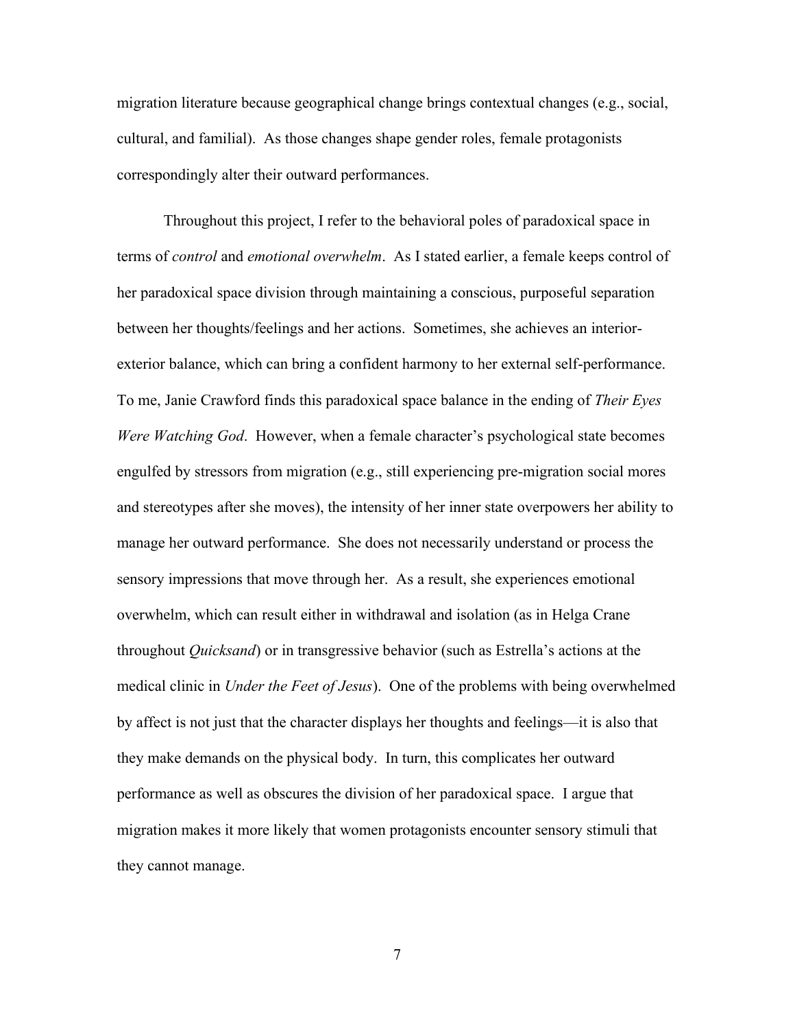migration literature because geographical change brings contextual changes (e.g., social, cultural, and familial). As those changes shape gender roles, female protagonists correspondingly alter their outward performances.

Throughout this project, I refer to the behavioral poles of paradoxical space in terms of *control* and *emotional overwhelm*. As I stated earlier, a female keeps control of her paradoxical space division through maintaining a conscious, purposeful separation between her thoughts/feelings and her actions. Sometimes, she achieves an interiorexterior balance, which can bring a confident harmony to her external self-performance. To me, Janie Crawford finds this paradoxical space balance in the ending of *Their Eyes Were Watching God*. However, when a female character's psychological state becomes engulfed by stressors from migration (e.g., still experiencing pre-migration social mores and stereotypes after she moves), the intensity of her inner state overpowers her ability to manage her outward performance. She does not necessarily understand or process the sensory impressions that move through her. As a result, she experiences emotional overwhelm, which can result either in withdrawal and isolation (as in Helga Crane throughout *Quicksand*) or in transgressive behavior (such as Estrella's actions at the medical clinic in *Under the Feet of Jesus*). One of the problems with being overwhelmed by affect is not just that the character displays her thoughts and feelings—it is also that they make demands on the physical body. In turn, this complicates her outward performance as well as obscures the division of her paradoxical space. I argue that migration makes it more likely that women protagonists encounter sensory stimuli that they cannot manage.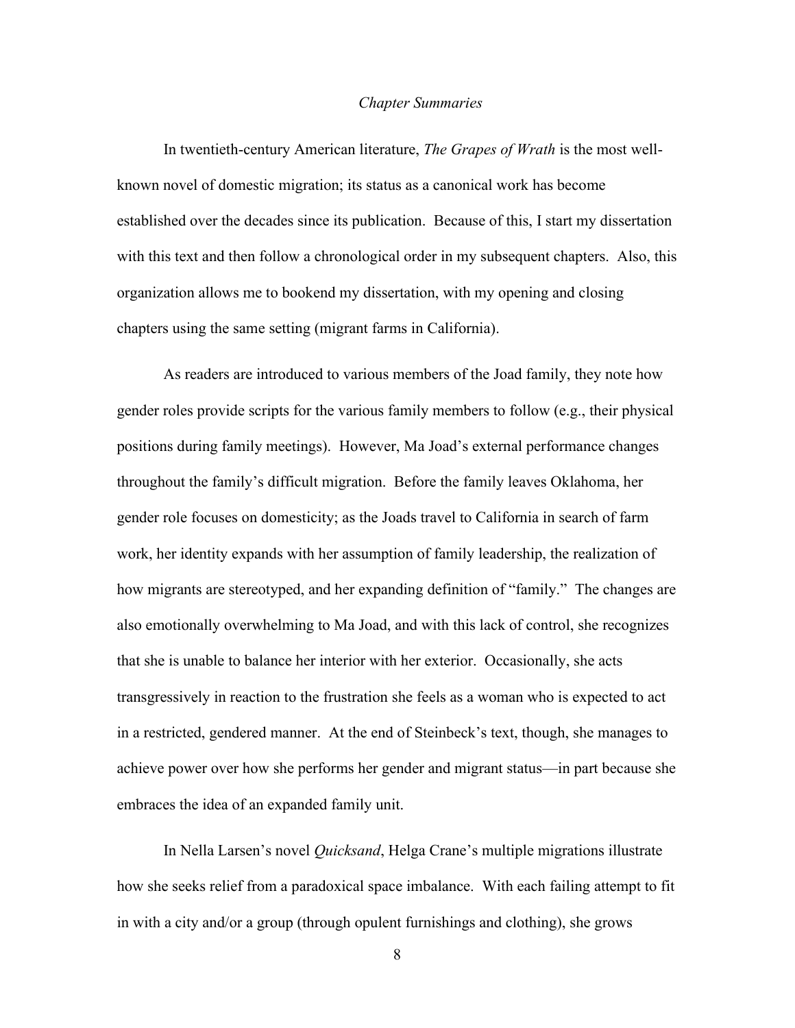#### *Chapter Summaries*

In twentieth-century American literature, *The Grapes of Wrath* is the most wellknown novel of domestic migration; its status as a canonical work has become established over the decades since its publication. Because of this, I start my dissertation with this text and then follow a chronological order in my subsequent chapters. Also, this organization allows me to bookend my dissertation, with my opening and closing chapters using the same setting (migrant farms in California).

As readers are introduced to various members of the Joad family, they note how gender roles provide scripts for the various family members to follow (e.g., their physical positions during family meetings). However, Ma Joad's external performance changes throughout the family's difficult migration. Before the family leaves Oklahoma, her gender role focuses on domesticity; as the Joads travel to California in search of farm work, her identity expands with her assumption of family leadership, the realization of how migrants are stereotyped, and her expanding definition of "family." The changes are also emotionally overwhelming to Ma Joad, and with this lack of control, she recognizes that she is unable to balance her interior with her exterior. Occasionally, she acts transgressively in reaction to the frustration she feels as a woman who is expected to act in a restricted, gendered manner. At the end of Steinbeck's text, though, she manages to achieve power over how she performs her gender and migrant status—in part because she embraces the idea of an expanded family unit.

In Nella Larsen's novel *Quicksand*, Helga Crane's multiple migrations illustrate how she seeks relief from a paradoxical space imbalance. With each failing attempt to fit in with a city and/or a group (through opulent furnishings and clothing), she grows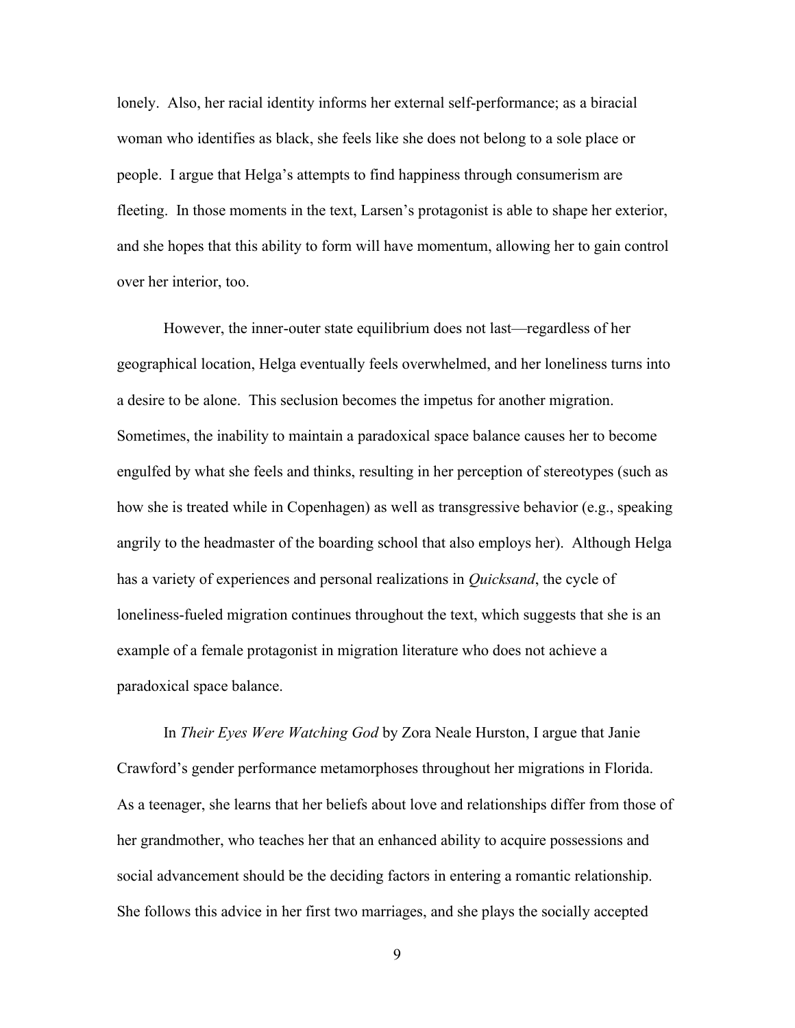lonely. Also, her racial identity informs her external self-performance; as a biracial woman who identifies as black, she feels like she does not belong to a sole place or people. I argue that Helga's attempts to find happiness through consumerism are fleeting. In those moments in the text, Larsen's protagonist is able to shape her exterior, and she hopes that this ability to form will have momentum, allowing her to gain control over her interior, too.

However, the inner-outer state equilibrium does not last—regardless of her geographical location, Helga eventually feels overwhelmed, and her loneliness turns into a desire to be alone. This seclusion becomes the impetus for another migration. Sometimes, the inability to maintain a paradoxical space balance causes her to become engulfed by what she feels and thinks, resulting in her perception of stereotypes (such as how she is treated while in Copenhagen) as well as transgressive behavior (e.g., speaking angrily to the headmaster of the boarding school that also employs her). Although Helga has a variety of experiences and personal realizations in *Quicksand*, the cycle of loneliness-fueled migration continues throughout the text, which suggests that she is an example of a female protagonist in migration literature who does not achieve a paradoxical space balance.

In *Their Eyes Were Watching God* by Zora Neale Hurston, I argue that Janie Crawford's gender performance metamorphoses throughout her migrations in Florida. As a teenager, she learns that her beliefs about love and relationships differ from those of her grandmother, who teaches her that an enhanced ability to acquire possessions and social advancement should be the deciding factors in entering a romantic relationship. She follows this advice in her first two marriages, and she plays the socially accepted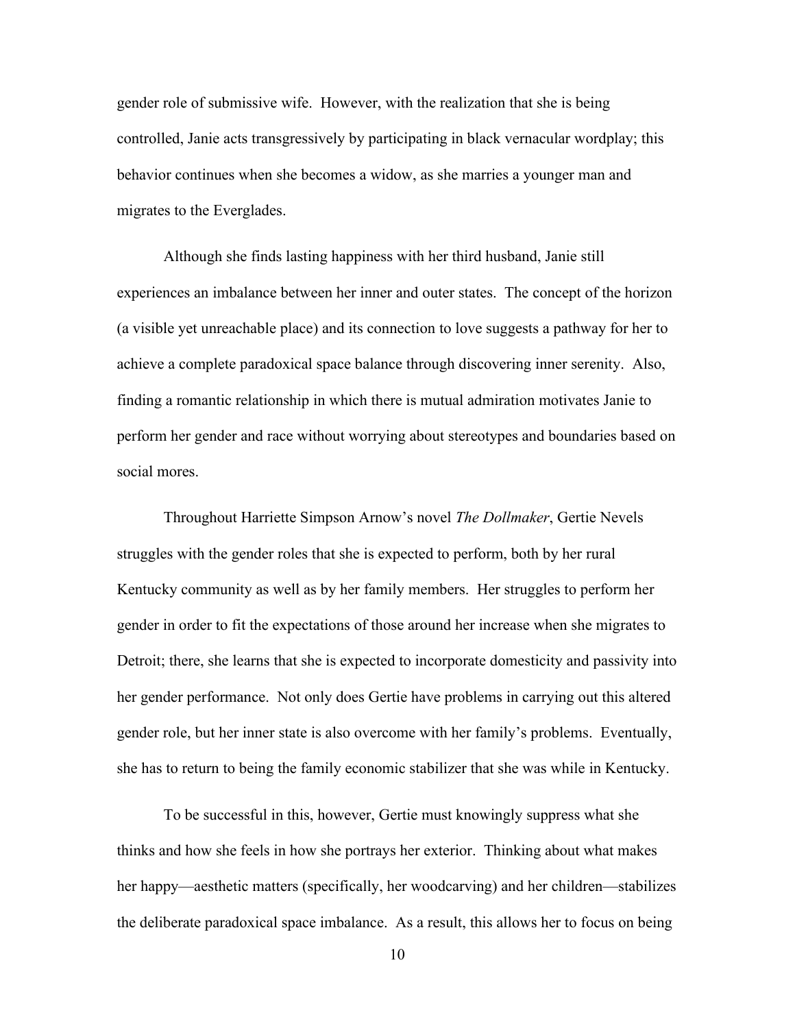gender role of submissive wife. However, with the realization that she is being controlled, Janie acts transgressively by participating in black vernacular wordplay; this behavior continues when she becomes a widow, as she marries a younger man and migrates to the Everglades.

Although she finds lasting happiness with her third husband, Janie still experiences an imbalance between her inner and outer states. The concept of the horizon (a visible yet unreachable place) and its connection to love suggests a pathway for her to achieve a complete paradoxical space balance through discovering inner serenity. Also, finding a romantic relationship in which there is mutual admiration motivates Janie to perform her gender and race without worrying about stereotypes and boundaries based on social mores.

Throughout Harriette Simpson Arnow's novel *The Dollmaker*, Gertie Nevels struggles with the gender roles that she is expected to perform, both by her rural Kentucky community as well as by her family members. Her struggles to perform her gender in order to fit the expectations of those around her increase when she migrates to Detroit; there, she learns that she is expected to incorporate domesticity and passivity into her gender performance. Not only does Gertie have problems in carrying out this altered gender role, but her inner state is also overcome with her family's problems. Eventually, she has to return to being the family economic stabilizer that she was while in Kentucky.

To be successful in this, however, Gertie must knowingly suppress what she thinks and how she feels in how she portrays her exterior. Thinking about what makes her happy—aesthetic matters (specifically, her woodcarving) and her children—stabilizes the deliberate paradoxical space imbalance. As a result, this allows her to focus on being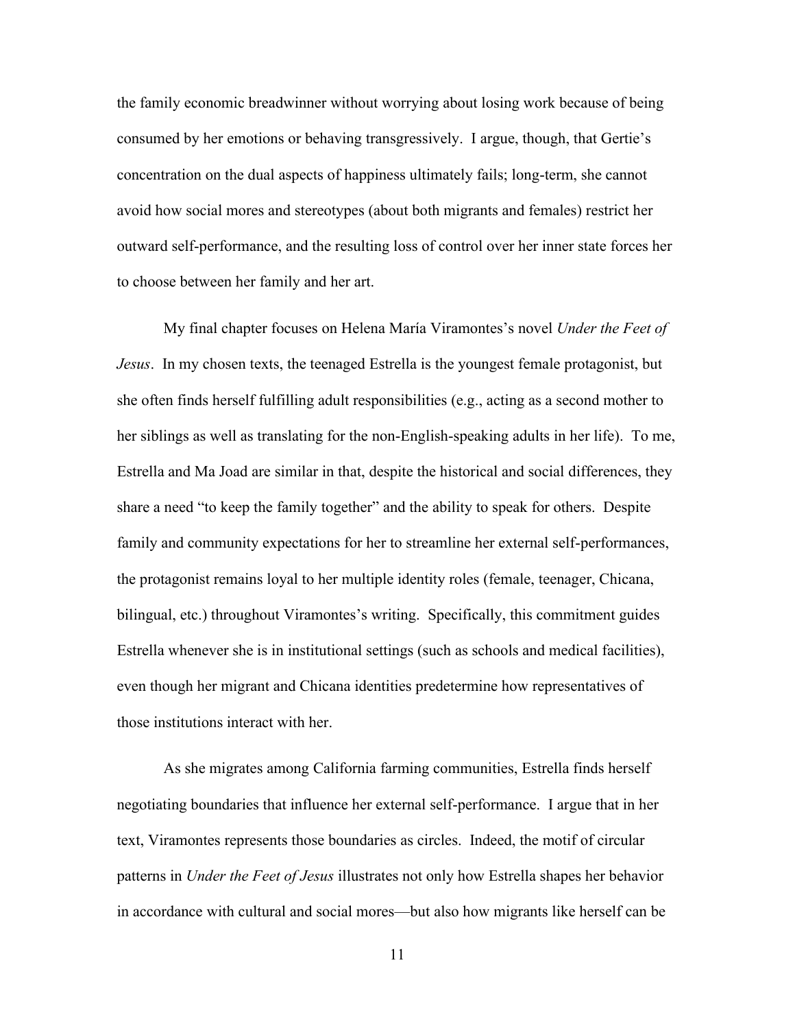the family economic breadwinner without worrying about losing work because of being consumed by her emotions or behaving transgressively. I argue, though, that Gertie's concentration on the dual aspects of happiness ultimately fails; long-term, she cannot avoid how social mores and stereotypes (about both migrants and females) restrict her outward self-performance, and the resulting loss of control over her inner state forces her to choose between her family and her art.

My final chapter focuses on Helena María Viramontes's novel *Under the Feet of Jesus*. In my chosen texts, the teenaged Estrella is the youngest female protagonist, but she often finds herself fulfilling adult responsibilities (e.g., acting as a second mother to her siblings as well as translating for the non-English-speaking adults in her life). To me, Estrella and Ma Joad are similar in that, despite the historical and social differences, they share a need "to keep the family together" and the ability to speak for others. Despite family and community expectations for her to streamline her external self-performances, the protagonist remains loyal to her multiple identity roles (female, teenager, Chicana, bilingual, etc.) throughout Viramontes's writing. Specifically, this commitment guides Estrella whenever she is in institutional settings (such as schools and medical facilities), even though her migrant and Chicana identities predetermine how representatives of those institutions interact with her.

As she migrates among California farming communities, Estrella finds herself negotiating boundaries that influence her external self-performance. I argue that in her text, Viramontes represents those boundaries as circles. Indeed, the motif of circular patterns in *Under the Feet of Jesus* illustrates not only how Estrella shapes her behavior in accordance with cultural and social mores—but also how migrants like herself can be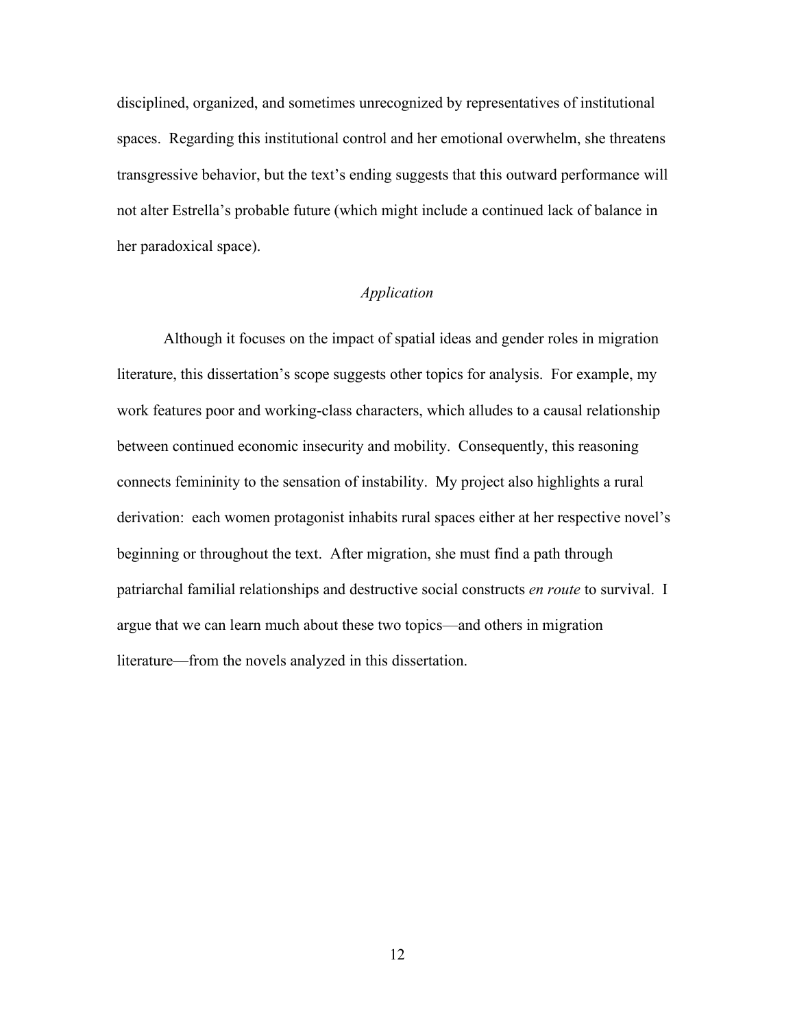disciplined, organized, and sometimes unrecognized by representatives of institutional spaces. Regarding this institutional control and her emotional overwhelm, she threatens transgressive behavior, but the text's ending suggests that this outward performance will not alter Estrella's probable future (which might include a continued lack of balance in her paradoxical space).

# *Application*

Although it focuses on the impact of spatial ideas and gender roles in migration literature, this dissertation's scope suggests other topics for analysis. For example, my work features poor and working-class characters, which alludes to a causal relationship between continued economic insecurity and mobility. Consequently, this reasoning connects femininity to the sensation of instability. My project also highlights a rural derivation: each women protagonist inhabits rural spaces either at her respective novel's beginning or throughout the text. After migration, she must find a path through patriarchal familial relationships and destructive social constructs *en route* to survival. I argue that we can learn much about these two topics—and others in migration literature—from the novels analyzed in this dissertation.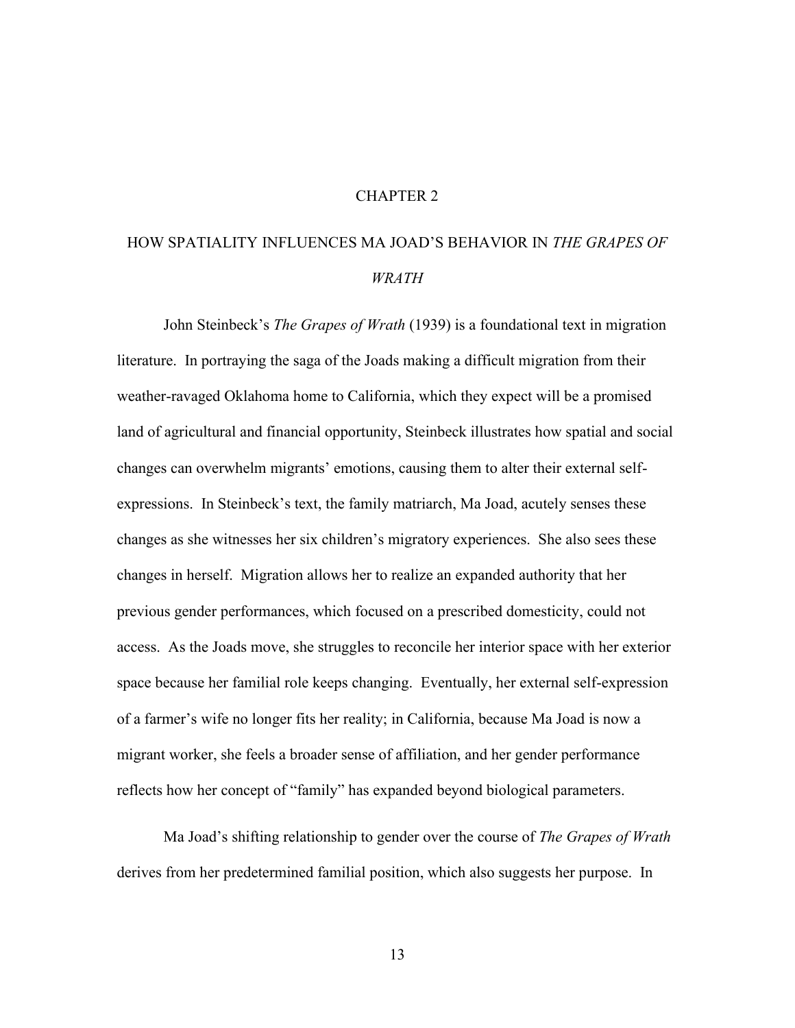## CHAPTER 2

# HOW SPATIALITY INFLUENCES MA JOAD'S BEHAVIOR IN *THE GRAPES OF WRATH*

John Steinbeck's *The Grapes of Wrath* (1939) is a foundational text in migration literature. In portraying the saga of the Joads making a difficult migration from their weather-ravaged Oklahoma home to California, which they expect will be a promised land of agricultural and financial opportunity, Steinbeck illustrates how spatial and social changes can overwhelm migrants' emotions, causing them to alter their external selfexpressions. In Steinbeck's text, the family matriarch, Ma Joad, acutely senses these changes as she witnesses her six children's migratory experiences. She also sees these changes in herself. Migration allows her to realize an expanded authority that her previous gender performances, which focused on a prescribed domesticity, could not access. As the Joads move, she struggles to reconcile her interior space with her exterior space because her familial role keeps changing. Eventually, her external self-expression of a farmer's wife no longer fits her reality; in California, because Ma Joad is now a migrant worker, she feels a broader sense of affiliation, and her gender performance reflects how her concept of "family" has expanded beyond biological parameters.

Ma Joad's shifting relationship to gender over the course of *The Grapes of Wrath* derives from her predetermined familial position, which also suggests her purpose. In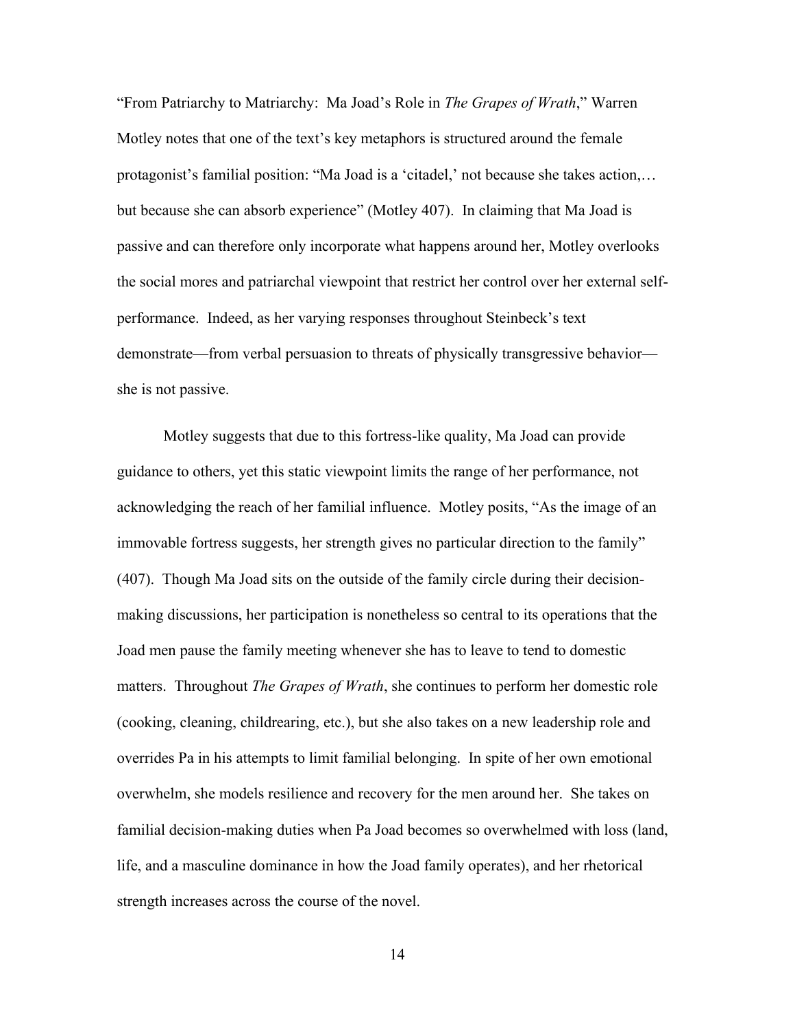"From Patriarchy to Matriarchy: Ma Joad's Role in *The Grapes of Wrath*," Warren Motley notes that one of the text's key metaphors is structured around the female protagonist's familial position: "Ma Joad is a 'citadel,' not because she takes action,… but because she can absorb experience" (Motley 407). In claiming that Ma Joad is passive and can therefore only incorporate what happens around her, Motley overlooks the social mores and patriarchal viewpoint that restrict her control over her external selfperformance. Indeed, as her varying responses throughout Steinbeck's text demonstrate—from verbal persuasion to threats of physically transgressive behavior she is not passive.

Motley suggests that due to this fortress-like quality, Ma Joad can provide guidance to others, yet this static viewpoint limits the range of her performance, not acknowledging the reach of her familial influence. Motley posits, "As the image of an immovable fortress suggests, her strength gives no particular direction to the family" (407). Though Ma Joad sits on the outside of the family circle during their decisionmaking discussions, her participation is nonetheless so central to its operations that the Joad men pause the family meeting whenever she has to leave to tend to domestic matters. Throughout *The Grapes of Wrath*, she continues to perform her domestic role (cooking, cleaning, childrearing, etc.), but she also takes on a new leadership role and overrides Pa in his attempts to limit familial belonging. In spite of her own emotional overwhelm, she models resilience and recovery for the men around her. She takes on familial decision-making duties when Pa Joad becomes so overwhelmed with loss (land, life, and a masculine dominance in how the Joad family operates), and her rhetorical strength increases across the course of the novel.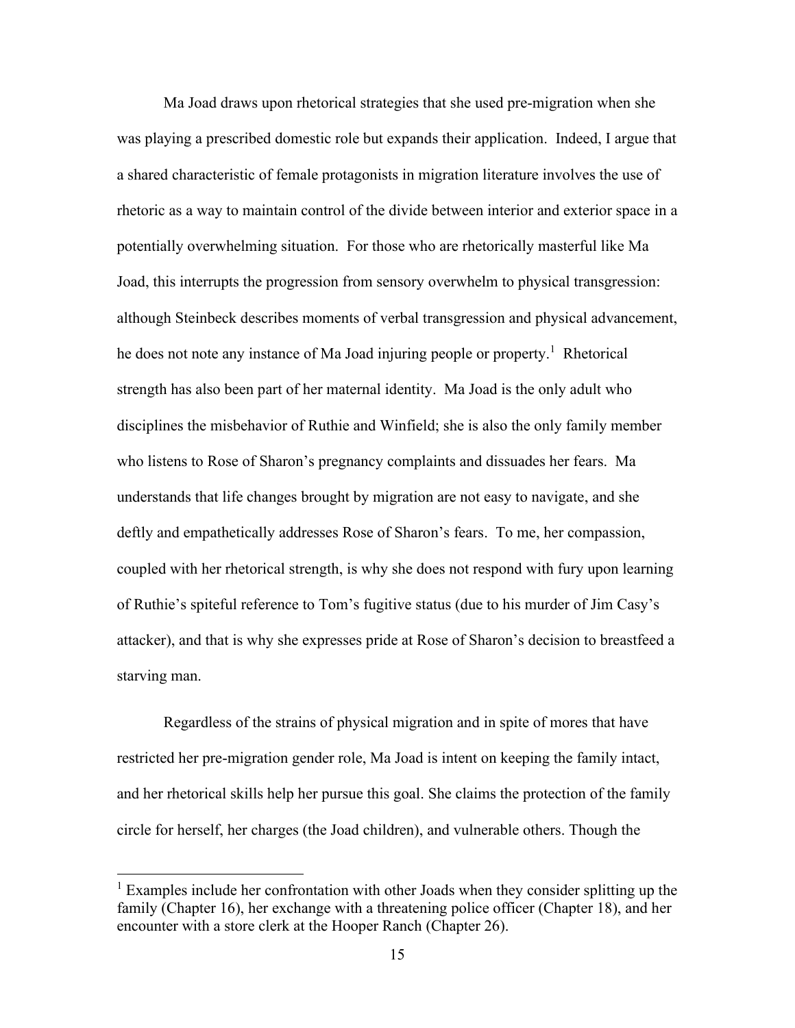Ma Joad draws upon rhetorical strategies that she used pre-migration when she was playing a prescribed domestic role but expands their application. Indeed, I argue that a shared characteristic of female protagonists in migration literature involves the use of rhetoric as a way to maintain control of the divide between interior and exterior space in a potentially overwhelming situation. For those who are rhetorically masterful like Ma Joad, this interrupts the progression from sensory overwhelm to physical transgression: although Steinbeck describes moments of verbal transgression and physical advancement, he does not note any instance of Ma Joad injuring people or property.<sup>1</sup> Rhetorical strength has also been part of her maternal identity. Ma Joad is the only adult who disciplines the misbehavior of Ruthie and Winfield; she is also the only family member who listens to Rose of Sharon's pregnancy complaints and dissuades her fears. Ma understands that life changes brought by migration are not easy to navigate, and she deftly and empathetically addresses Rose of Sharon's fears. To me, her compassion, coupled with her rhetorical strength, is why she does not respond with fury upon learning of Ruthie's spiteful reference to Tom's fugitive status (due to his murder of Jim Casy's attacker), and that is why she expresses pride at Rose of Sharon's decision to breastfeed a starving man.

Regardless of the strains of physical migration and in spite of mores that have restricted her pre-migration gender role, Ma Joad is intent on keeping the family intact, and her rhetorical skills help her pursue this goal. She claims the protection of the family circle for herself, her charges (the Joad children), and vulnerable others. Though the

 $1$  Examples include her confrontation with other Joads when they consider splitting up the family (Chapter 16), her exchange with a threatening police officer (Chapter 18), and her encounter with a store clerk at the Hooper Ranch (Chapter 26).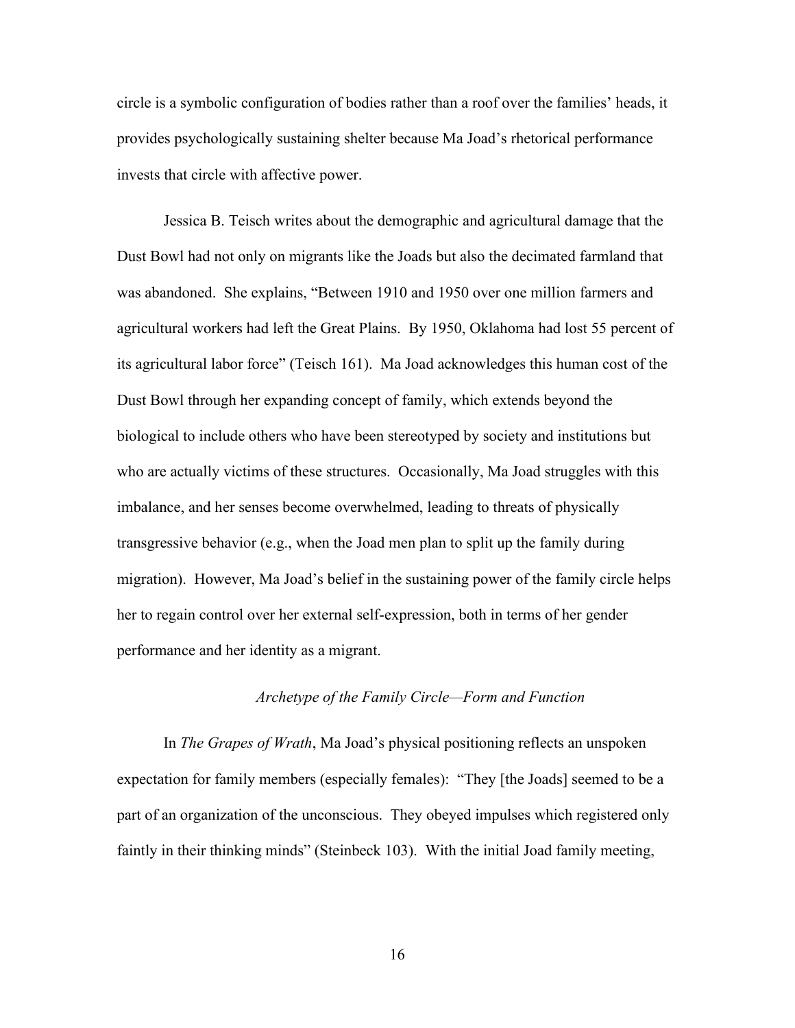circle is a symbolic configuration of bodies rather than a roof over the families' heads, it provides psychologically sustaining shelter because Ma Joad's rhetorical performance invests that circle with affective power.

Jessica B. Teisch writes about the demographic and agricultural damage that the Dust Bowl had not only on migrants like the Joads but also the decimated farmland that was abandoned. She explains, "Between 1910 and 1950 over one million farmers and agricultural workers had left the Great Plains. By 1950, Oklahoma had lost 55 percent of its agricultural labor force" (Teisch 161). Ma Joad acknowledges this human cost of the Dust Bowl through her expanding concept of family, which extends beyond the biological to include others who have been stereotyped by society and institutions but who are actually victims of these structures. Occasionally, Ma Joad struggles with this imbalance, and her senses become overwhelmed, leading to threats of physically transgressive behavior (e.g., when the Joad men plan to split up the family during migration). However, Ma Joad's belief in the sustaining power of the family circle helps her to regain control over her external self-expression, both in terms of her gender performance and her identity as a migrant.

### *Archetype of the Family Circle—Form and Function*

In *The Grapes of Wrath*, Ma Joad's physical positioning reflects an unspoken expectation for family members (especially females): "They [the Joads] seemed to be a part of an organization of the unconscious. They obeyed impulses which registered only faintly in their thinking minds" (Steinbeck 103). With the initial Joad family meeting,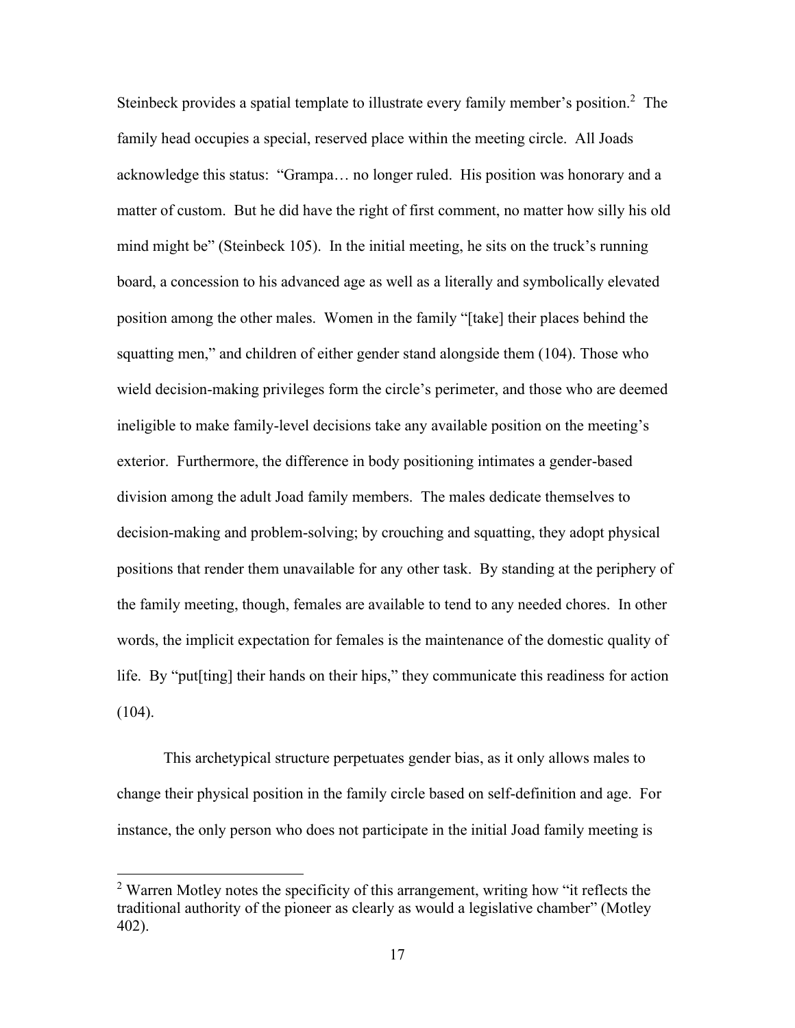Steinbeck provides a spatial template to illustrate every family member's position.<sup>2</sup> The family head occupies a special, reserved place within the meeting circle. All Joads acknowledge this status: "Grampa… no longer ruled. His position was honorary and a matter of custom. But he did have the right of first comment, no matter how silly his old mind might be" (Steinbeck 105). In the initial meeting, he sits on the truck's running board, a concession to his advanced age as well as a literally and symbolically elevated position among the other males. Women in the family "[take] their places behind the squatting men," and children of either gender stand alongside them (104). Those who wield decision-making privileges form the circle's perimeter, and those who are deemed ineligible to make family-level decisions take any available position on the meeting's exterior. Furthermore, the difference in body positioning intimates a gender-based division among the adult Joad family members. The males dedicate themselves to decision-making and problem-solving; by crouching and squatting, they adopt physical positions that render them unavailable for any other task. By standing at the periphery of the family meeting, though, females are available to tend to any needed chores. In other words, the implicit expectation for females is the maintenance of the domestic quality of life. By "put [ting] their hands on their hips," they communicate this readiness for action  $(104)$ .

This archetypical structure perpetuates gender bias, as it only allows males to change their physical position in the family circle based on self-definition and age. For instance, the only person who does not participate in the initial Joad family meeting is

<sup>&</sup>lt;sup>2</sup> Warren Motley notes the specificity of this arrangement, writing how "it reflects the traditional authority of the pioneer as clearly as would a legislative chamber" (Motley 402).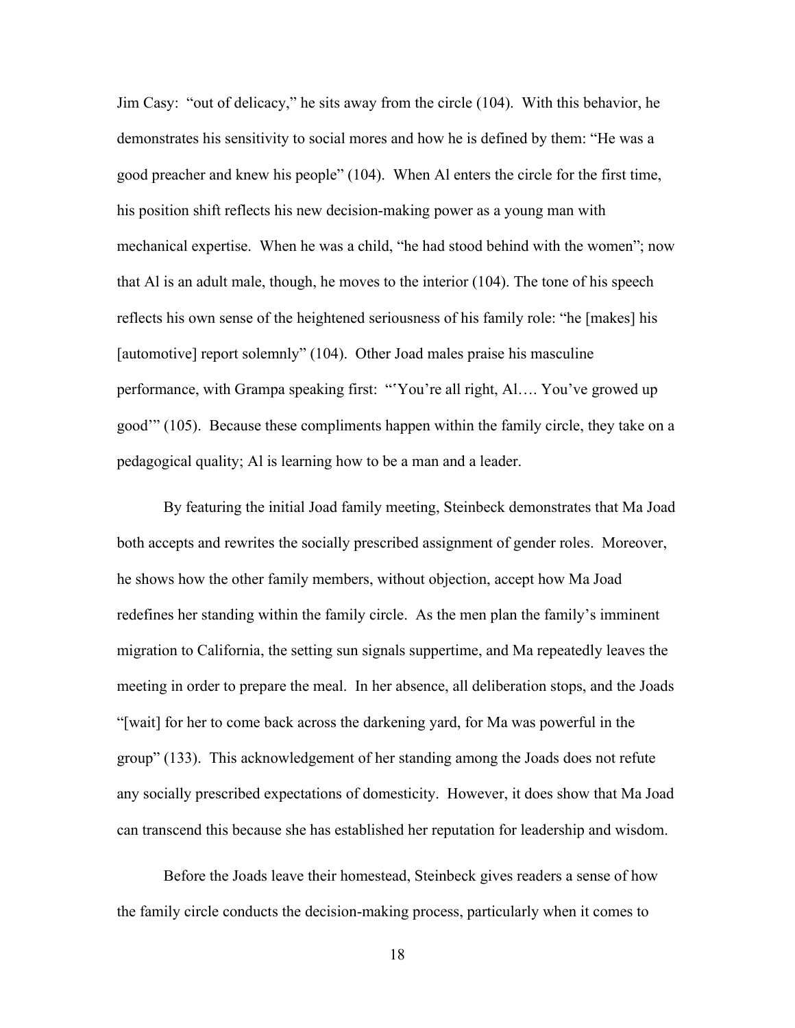Jim Casy: "out of delicacy," he sits away from the circle (104). With this behavior, he demonstrates his sensitivity to social mores and how he is defined by them: "He was a good preacher and knew his people" (104). When Al enters the circle for the first time, his position shift reflects his new decision-making power as a young man with mechanical expertise. When he was a child, "he had stood behind with the women"; now that Al is an adult male, though, he moves to the interior (104). The tone of his speech reflects his own sense of the heightened seriousness of his family role: "he [makes] his [automotive] report solemnly" (104). Other Joad males praise his masculine performance, with Grampa speaking first: "'You're all right, Al…. You've growed up good'" (105). Because these compliments happen within the family circle, they take on a pedagogical quality; Al is learning how to be a man and a leader.

By featuring the initial Joad family meeting, Steinbeck demonstrates that Ma Joad both accepts and rewrites the socially prescribed assignment of gender roles. Moreover, he shows how the other family members, without objection, accept how Ma Joad redefines her standing within the family circle. As the men plan the family's imminent migration to California, the setting sun signals suppertime, and Ma repeatedly leaves the meeting in order to prepare the meal. In her absence, all deliberation stops, and the Joads "[wait] for her to come back across the darkening yard, for Ma was powerful in the group" (133). This acknowledgement of her standing among the Joads does not refute any socially prescribed expectations of domesticity. However, it does show that Ma Joad can transcend this because she has established her reputation for leadership and wisdom.

Before the Joads leave their homestead, Steinbeck gives readers a sense of how the family circle conducts the decision-making process, particularly when it comes to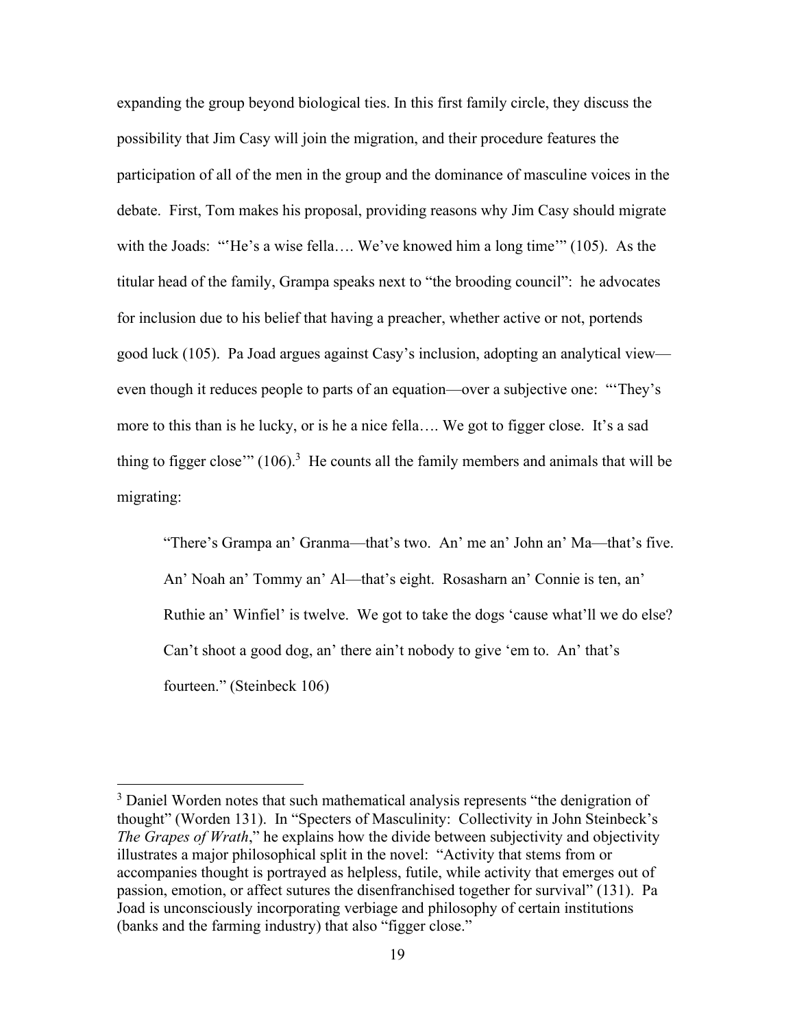expanding the group beyond biological ties. In this first family circle, they discuss the possibility that Jim Casy will join the migration, and their procedure features the participation of all of the men in the group and the dominance of masculine voices in the debate. First, Tom makes his proposal, providing reasons why Jim Casy should migrate with the Joads: "'He's a wise fella.... We've knowed him a long time'" (105). As the titular head of the family, Grampa speaks next to "the brooding council": he advocates for inclusion due to his belief that having a preacher, whether active or not, portends good luck (105). Pa Joad argues against Casy's inclusion, adopting an analytical view even though it reduces people to parts of an equation—over a subjective one: "'They's more to this than is he lucky, or is he a nice fella…. We got to figger close. It's a sad thing to figger close"  $(106)^3$  He counts all the family members and animals that will be migrating:

"There's Grampa an' Granma—that's two. An' me an' John an' Ma—that's five. An' Noah an' Tommy an' Al—that's eight. Rosasharn an' Connie is ten, an' Ruthie an' Winfiel' is twelve. We got to take the dogs 'cause what'll we do else? Can't shoot a good dog, an' there ain't nobody to give 'em to. An' that's fourteen." (Steinbeck 106)

 $3$  Daniel Worden notes that such mathematical analysis represents "the denigration of thought" (Worden 131). In "Specters of Masculinity: Collectivity in John Steinbeck's *The Grapes of Wrath*," he explains how the divide between subjectivity and objectivity illustrates a major philosophical split in the novel: "Activity that stems from or accompanies thought is portrayed as helpless, futile, while activity that emerges out of passion, emotion, or affect sutures the disenfranchised together for survival" (131). Pa Joad is unconsciously incorporating verbiage and philosophy of certain institutions (banks and the farming industry) that also "figger close."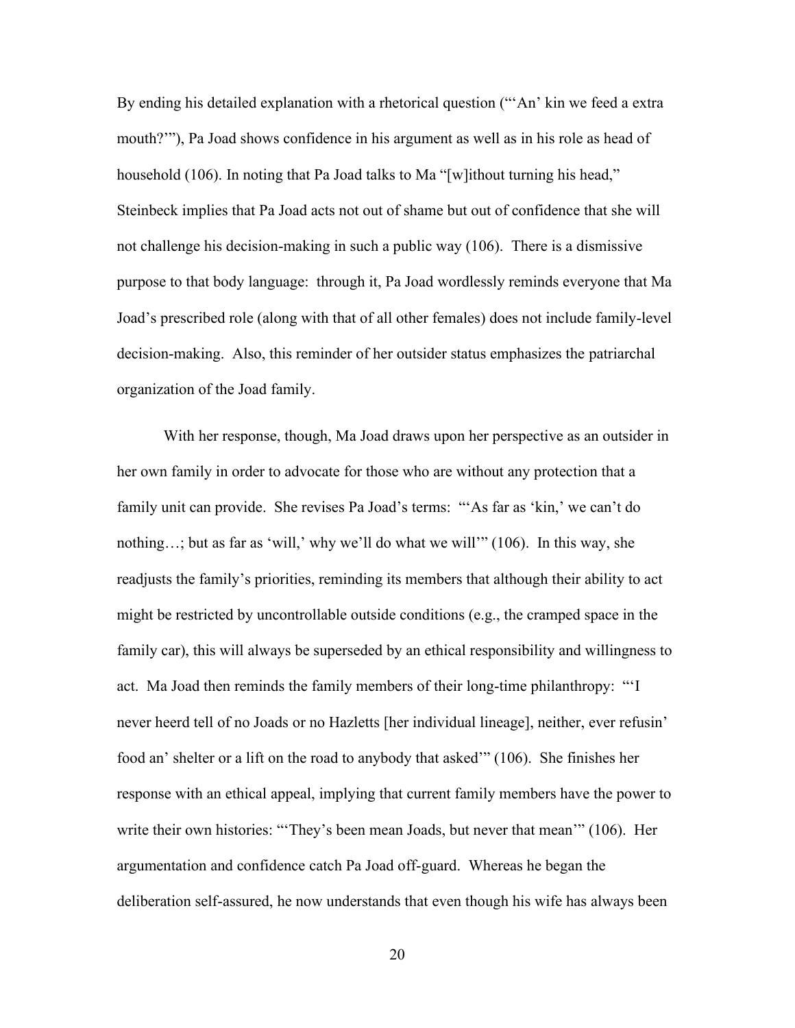By ending his detailed explanation with a rhetorical question ("'An' kin we feed a extra mouth?'"), Pa Joad shows confidence in his argument as well as in his role as head of household (106). In noting that Pa Joad talks to Ma "[w]ithout turning his head," Steinbeck implies that Pa Joad acts not out of shame but out of confidence that she will not challenge his decision-making in such a public way (106). There is a dismissive purpose to that body language: through it, Pa Joad wordlessly reminds everyone that Ma Joad's prescribed role (along with that of all other females) does not include family-level decision-making. Also, this reminder of her outsider status emphasizes the patriarchal organization of the Joad family.

With her response, though, Ma Joad draws upon her perspective as an outsider in her own family in order to advocate for those who are without any protection that a family unit can provide. She revises Pa Joad's terms: "'As far as 'kin,' we can't do nothing…; but as far as 'will,' why we'll do what we will'" (106). In this way, she readjusts the family's priorities, reminding its members that although their ability to act might be restricted by uncontrollable outside conditions (e.g., the cramped space in the family car), this will always be superseded by an ethical responsibility and willingness to act. Ma Joad then reminds the family members of their long-time philanthropy: "'I never heerd tell of no Joads or no Hazletts [her individual lineage], neither, ever refusin' food an' shelter or a lift on the road to anybody that asked'" (106). She finishes her response with an ethical appeal, implying that current family members have the power to write their own histories: "'They's been mean Joads, but never that mean'" (106). Her argumentation and confidence catch Pa Joad off-guard. Whereas he began the deliberation self-assured, he now understands that even though his wife has always been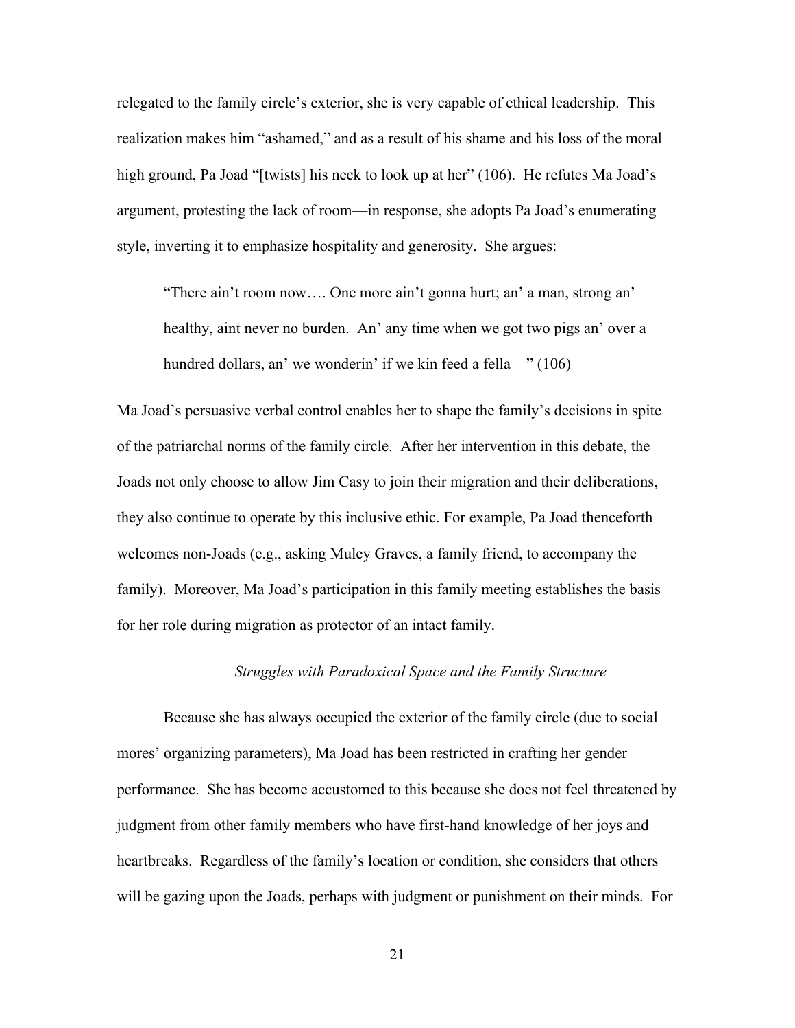relegated to the family circle's exterior, she is very capable of ethical leadership. This realization makes him "ashamed," and as a result of his shame and his loss of the moral high ground, Pa Joad "[twists] his neck to look up at her" (106). He refutes Ma Joad's argument, protesting the lack of room—in response, she adopts Pa Joad's enumerating style, inverting it to emphasize hospitality and generosity. She argues:

"There ain't room now…. One more ain't gonna hurt; an' a man, strong an' healthy, aint never no burden. An' any time when we got two pigs an' over a hundred dollars, an' we wonderin' if we kin feed a fella—" (106)

Ma Joad's persuasive verbal control enables her to shape the family's decisions in spite of the patriarchal norms of the family circle. After her intervention in this debate, the Joads not only choose to allow Jim Casy to join their migration and their deliberations, they also continue to operate by this inclusive ethic. For example, Pa Joad thenceforth welcomes non-Joads (e.g., asking Muley Graves, a family friend, to accompany the family). Moreover, Ma Joad's participation in this family meeting establishes the basis for her role during migration as protector of an intact family.

# *Struggles with Paradoxical Space and the Family Structure*

Because she has always occupied the exterior of the family circle (due to social mores' organizing parameters), Ma Joad has been restricted in crafting her gender performance. She has become accustomed to this because she does not feel threatened by judgment from other family members who have first-hand knowledge of her joys and heartbreaks. Regardless of the family's location or condition, she considers that others will be gazing upon the Joads, perhaps with judgment or punishment on their minds. For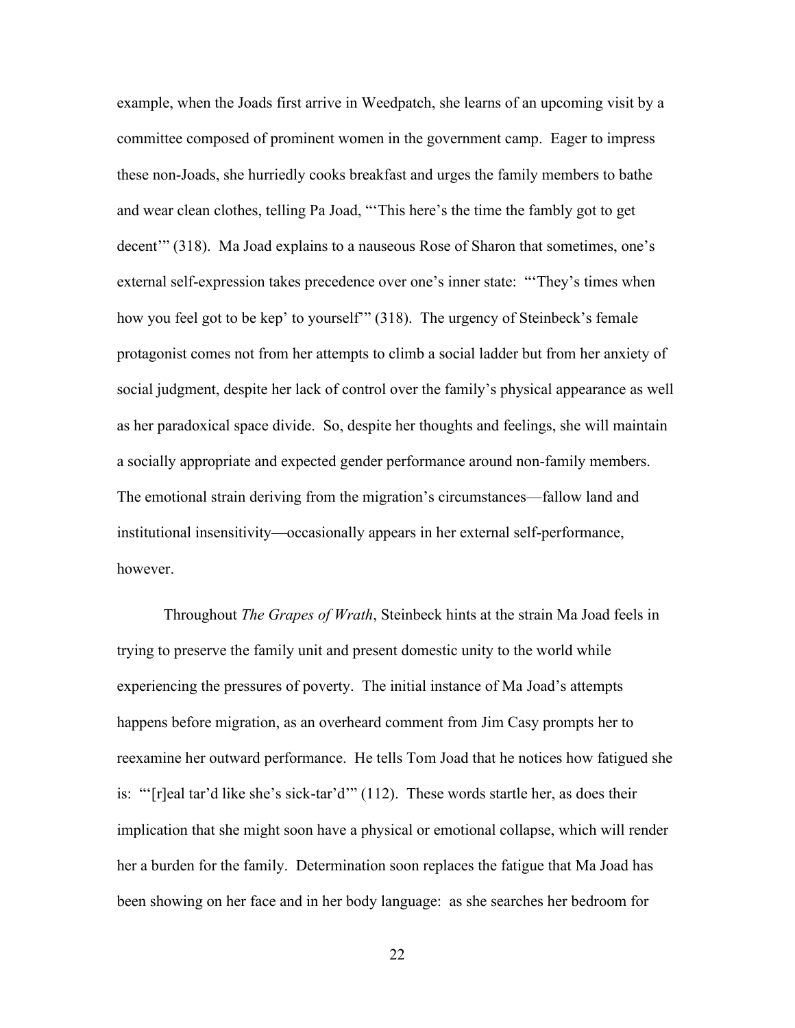example, when the Joads first arrive in Weedpatch, she learns of an upcoming visit by a committee composed of prominent women in the government camp. Eager to impress these non-Joads, she hurriedly cooks breakfast and urges the family members to bathe and wear clean clothes, telling Pa Joad, "'This here's the time the fambly got to get decent'" (318). Ma Joad explains to a nauseous Rose of Sharon that sometimes, one's external self-expression takes precedence over one's inner state: "'They's times when how you feel got to be kep' to yourself'" (318). The urgency of Steinbeck's female protagonist comes not from her attempts to climb a social ladder but from her anxiety of social judgment, despite her lack of control over the family's physical appearance as well as her paradoxical space divide. So, despite her thoughts and feelings, she will maintain a socially appropriate and expected gender performance around non-family members. The emotional strain deriving from the migration's circumstances—fallow land and institutional insensitivity—occasionally appears in her external self-performance, however.

Throughout *The Grapes of Wrath*, Steinbeck hints at the strain Ma Joad feels in trying to preserve the family unit and present domestic unity to the world while experiencing the pressures of poverty. The initial instance of Ma Joad's attempts happens before migration, as an overheard comment from Jim Casy prompts her to reexamine her outward performance. He tells Tom Joad that he notices how fatigued she is: "'[r]eal tar'd like she's sick-tar'd'" (112). These words startle her, as does their implication that she might soon have a physical or emotional collapse, which will render her a burden for the family. Determination soon replaces the fatigue that Ma Joad has been showing on her face and in her body language: as she searches her bedroom for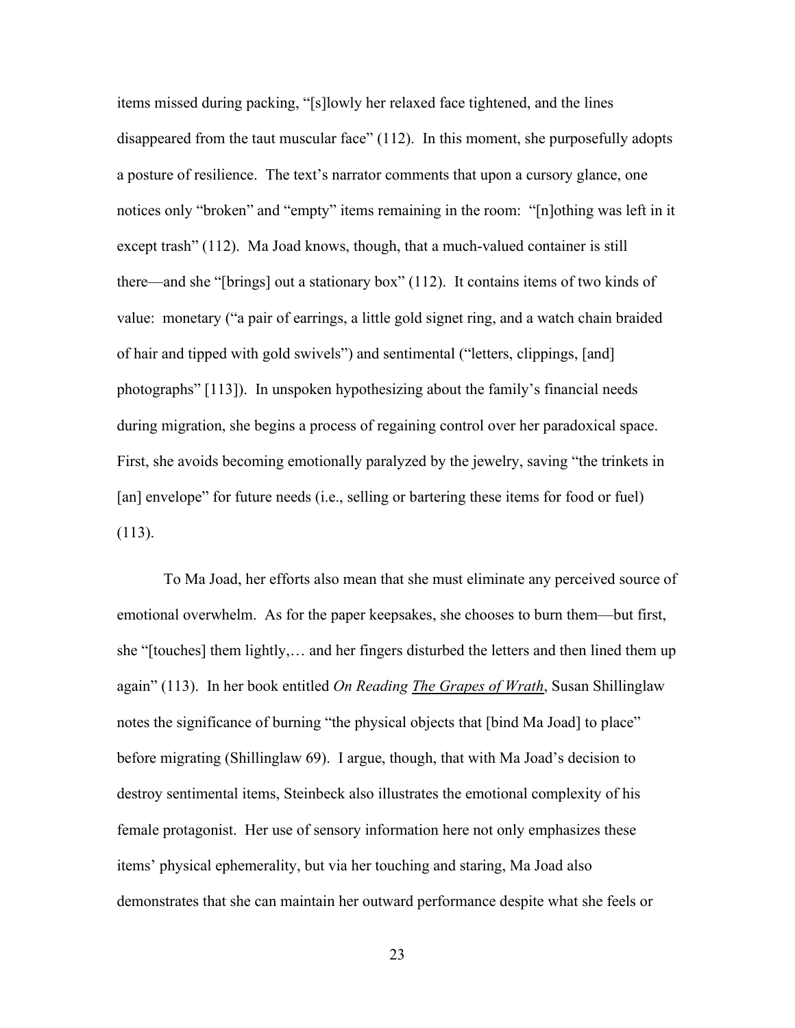items missed during packing, "[s]lowly her relaxed face tightened, and the lines disappeared from the taut muscular face" (112). In this moment, she purposefully adopts a posture of resilience. The text's narrator comments that upon a cursory glance, one notices only "broken" and "empty" items remaining in the room: "[n]othing was left in it except trash" (112). Ma Joad knows, though, that a much-valued container is still there—and she "[brings] out a stationary box" (112). It contains items of two kinds of value: monetary ("a pair of earrings, a little gold signet ring, and a watch chain braided of hair and tipped with gold swivels") and sentimental ("letters, clippings, [and] photographs" [113]). In unspoken hypothesizing about the family's financial needs during migration, she begins a process of regaining control over her paradoxical space. First, she avoids becoming emotionally paralyzed by the jewelry, saving "the trinkets in [an] envelope" for future needs (i.e., selling or bartering these items for food or fuel) (113).

To Ma Joad, her efforts also mean that she must eliminate any perceived source of emotional overwhelm. As for the paper keepsakes, she chooses to burn them—but first, she "[touches] them lightly,… and her fingers disturbed the letters and then lined them up again" (113). In her book entitled *On Reading The Grapes of Wrath*, Susan Shillinglaw notes the significance of burning "the physical objects that [bind Ma Joad] to place" before migrating (Shillinglaw 69). I argue, though, that with Ma Joad's decision to destroy sentimental items, Steinbeck also illustrates the emotional complexity of his female protagonist. Her use of sensory information here not only emphasizes these items' physical ephemerality, but via her touching and staring, Ma Joad also demonstrates that she can maintain her outward performance despite what she feels or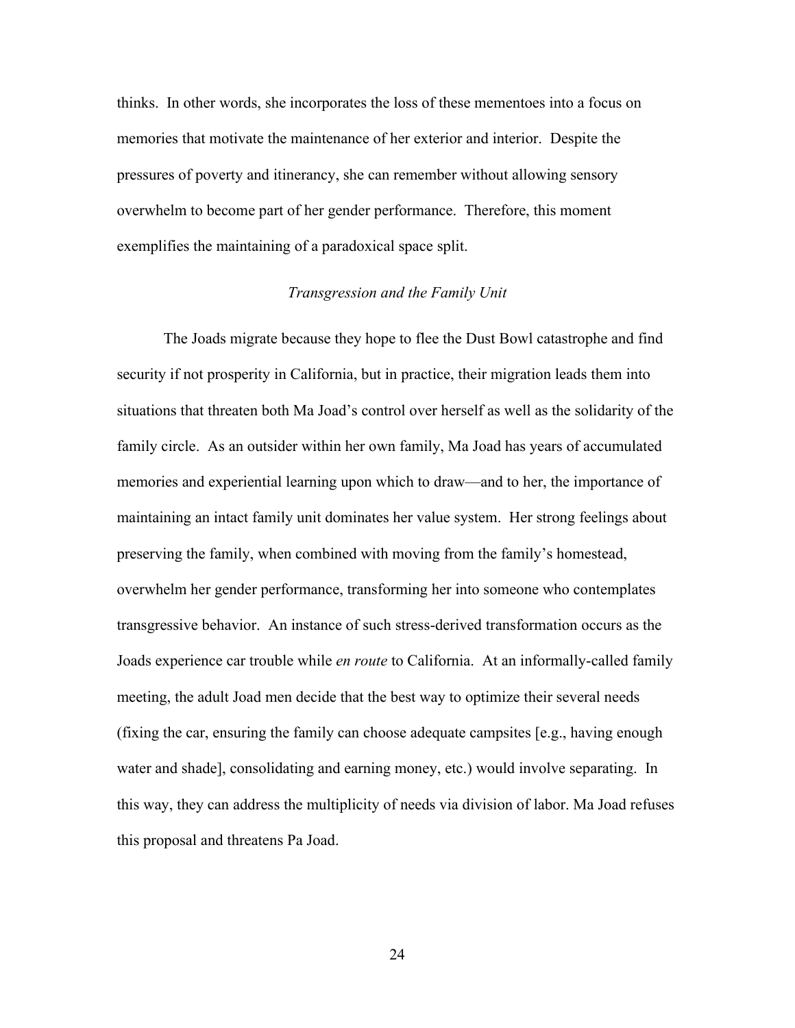thinks. In other words, she incorporates the loss of these mementoes into a focus on memories that motivate the maintenance of her exterior and interior. Despite the pressures of poverty and itinerancy, she can remember without allowing sensory overwhelm to become part of her gender performance. Therefore, this moment exemplifies the maintaining of a paradoxical space split.

# *Transgression and the Family Unit*

The Joads migrate because they hope to flee the Dust Bowl catastrophe and find security if not prosperity in California, but in practice, their migration leads them into situations that threaten both Ma Joad's control over herself as well as the solidarity of the family circle. As an outsider within her own family, Ma Joad has years of accumulated memories and experiential learning upon which to draw—and to her, the importance of maintaining an intact family unit dominates her value system. Her strong feelings about preserving the family, when combined with moving from the family's homestead, overwhelm her gender performance, transforming her into someone who contemplates transgressive behavior. An instance of such stress-derived transformation occurs as the Joads experience car trouble while *en route* to California. At an informally-called family meeting, the adult Joad men decide that the best way to optimize their several needs (fixing the car, ensuring the family can choose adequate campsites [e.g., having enough water and shade], consolidating and earning money, etc.) would involve separating. In this way, they can address the multiplicity of needs via division of labor. Ma Joad refuses this proposal and threatens Pa Joad.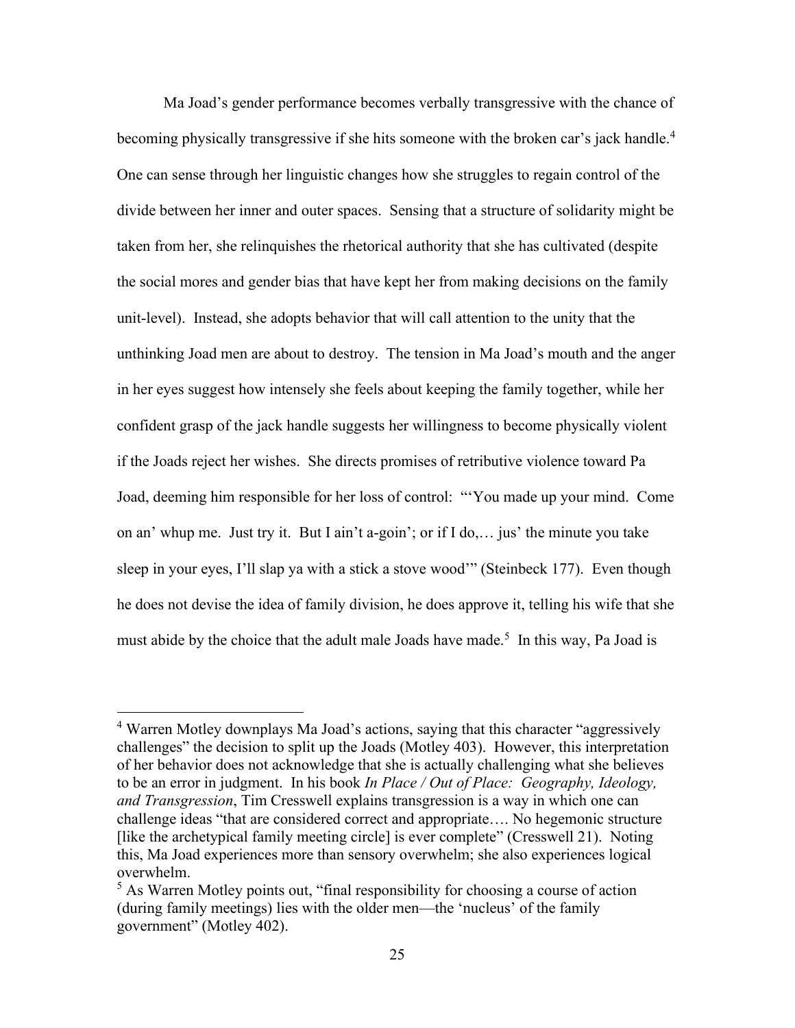Ma Joad's gender performance becomes verbally transgressive with the chance of becoming physically transgressive if she hits someone with the broken car's jack handle.<sup>4</sup> One can sense through her linguistic changes how she struggles to regain control of the divide between her inner and outer spaces. Sensing that a structure of solidarity might be taken from her, she relinquishes the rhetorical authority that she has cultivated (despite the social mores and gender bias that have kept her from making decisions on the family unit-level). Instead, she adopts behavior that will call attention to the unity that the unthinking Joad men are about to destroy. The tension in Ma Joad's mouth and the anger in her eyes suggest how intensely she feels about keeping the family together, while her confident grasp of the jack handle suggests her willingness to become physically violent if the Joads reject her wishes. She directs promises of retributive violence toward Pa Joad, deeming him responsible for her loss of control: "'You made up your mind. Come on an' whup me. Just try it. But I ain't a-goin'; or if I do,… jus' the minute you take sleep in your eyes, I'll slap ya with a stick a stove wood'" (Steinbeck 177). Even though he does not devise the idea of family division, he does approve it, telling his wife that she must abide by the choice that the adult male Joads have made.<sup>5</sup> In this way, Pa Joad is

<sup>4</sup> Warren Motley downplays Ma Joad's actions, saying that this character "aggressively challenges" the decision to split up the Joads (Motley 403). However, this interpretation of her behavior does not acknowledge that she is actually challenging what she believes to be an error in judgment. In his book *In Place / Out of Place: Geography, Ideology, and Transgression*, Tim Cresswell explains transgression is a way in which one can challenge ideas "that are considered correct and appropriate…. No hegemonic structure [like the archetypical family meeting circle] is ever complete" (Cresswell 21). Noting this, Ma Joad experiences more than sensory overwhelm; she also experiences logical overwhelm.

<sup>&</sup>lt;sup>5</sup> As Warren Motley points out, "final responsibility for choosing a course of action (during family meetings) lies with the older men—the 'nucleus' of the family government" (Motley 402).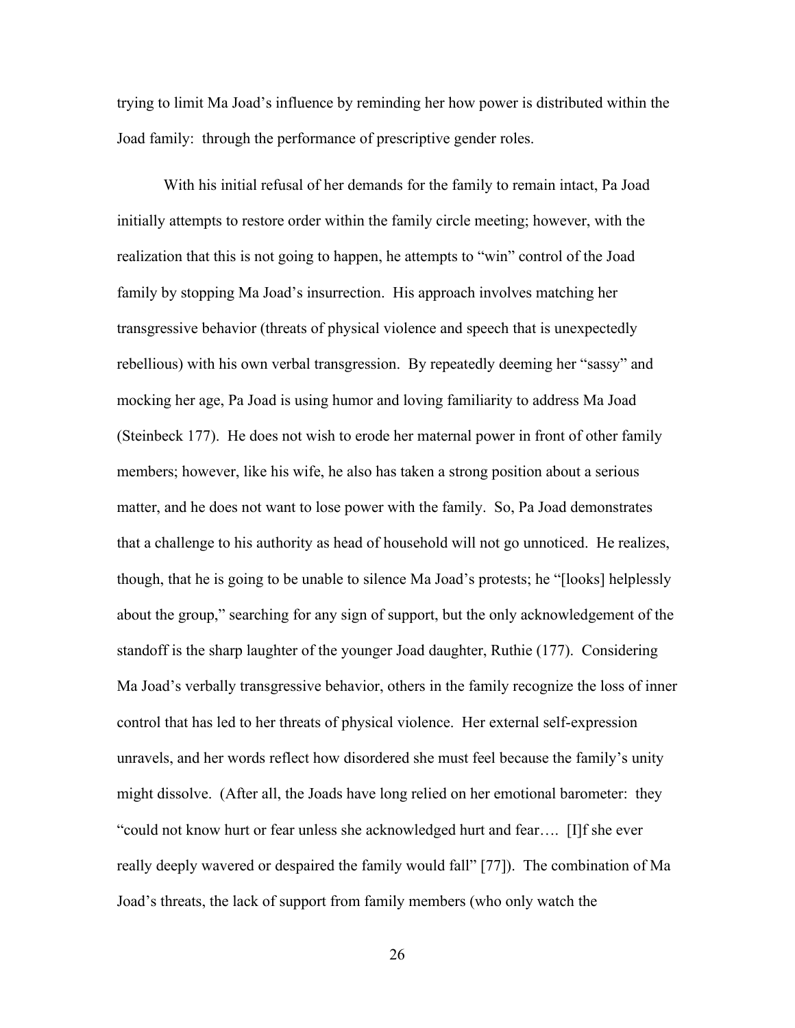trying to limit Ma Joad's influence by reminding her how power is distributed within the Joad family: through the performance of prescriptive gender roles.

With his initial refusal of her demands for the family to remain intact, Pa Joad initially attempts to restore order within the family circle meeting; however, with the realization that this is not going to happen, he attempts to "win" control of the Joad family by stopping Ma Joad's insurrection. His approach involves matching her transgressive behavior (threats of physical violence and speech that is unexpectedly rebellious) with his own verbal transgression. By repeatedly deeming her "sassy" and mocking her age, Pa Joad is using humor and loving familiarity to address Ma Joad (Steinbeck 177). He does not wish to erode her maternal power in front of other family members; however, like his wife, he also has taken a strong position about a serious matter, and he does not want to lose power with the family. So, Pa Joad demonstrates that a challenge to his authority as head of household will not go unnoticed. He realizes, though, that he is going to be unable to silence Ma Joad's protests; he "[looks] helplessly about the group," searching for any sign of support, but the only acknowledgement of the standoff is the sharp laughter of the younger Joad daughter, Ruthie (177). Considering Ma Joad's verbally transgressive behavior, others in the family recognize the loss of inner control that has led to her threats of physical violence. Her external self-expression unravels, and her words reflect how disordered she must feel because the family's unity might dissolve. (After all, the Joads have long relied on her emotional barometer: they "could not know hurt or fear unless she acknowledged hurt and fear…. [I]f she ever really deeply wavered or despaired the family would fall" [77]). The combination of Ma Joad's threats, the lack of support from family members (who only watch the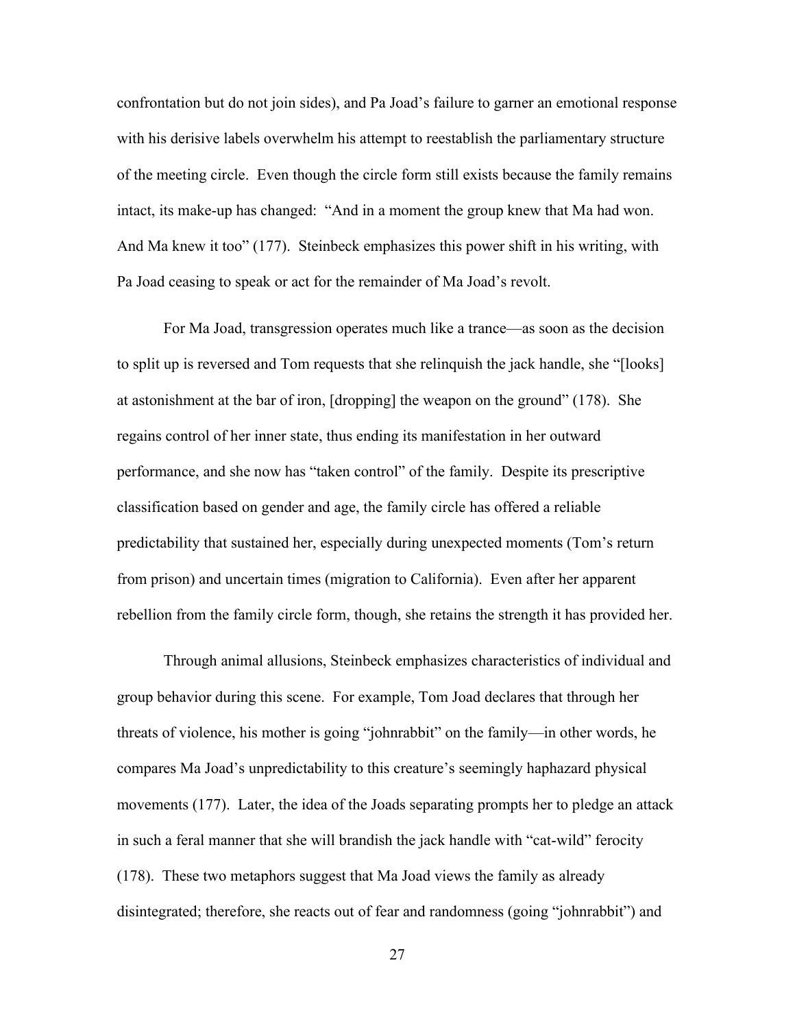confrontation but do not join sides), and Pa Joad's failure to garner an emotional response with his derisive labels overwhelm his attempt to reestablish the parliamentary structure of the meeting circle. Even though the circle form still exists because the family remains intact, its make-up has changed: "And in a moment the group knew that Ma had won. And Ma knew it too" (177). Steinbeck emphasizes this power shift in his writing, with Pa Joad ceasing to speak or act for the remainder of Ma Joad's revolt.

For Ma Joad, transgression operates much like a trance—as soon as the decision to split up is reversed and Tom requests that she relinquish the jack handle, she "[looks] at astonishment at the bar of iron, [dropping] the weapon on the ground" (178). She regains control of her inner state, thus ending its manifestation in her outward performance, and she now has "taken control" of the family. Despite its prescriptive classification based on gender and age, the family circle has offered a reliable predictability that sustained her, especially during unexpected moments (Tom's return from prison) and uncertain times (migration to California). Even after her apparent rebellion from the family circle form, though, she retains the strength it has provided her.

Through animal allusions, Steinbeck emphasizes characteristics of individual and group behavior during this scene. For example, Tom Joad declares that through her threats of violence, his mother is going "johnrabbit" on the family—in other words, he compares Ma Joad's unpredictability to this creature's seemingly haphazard physical movements (177). Later, the idea of the Joads separating prompts her to pledge an attack in such a feral manner that she will brandish the jack handle with "cat-wild" ferocity (178). These two metaphors suggest that Ma Joad views the family as already disintegrated; therefore, she reacts out of fear and randomness (going "johnrabbit") and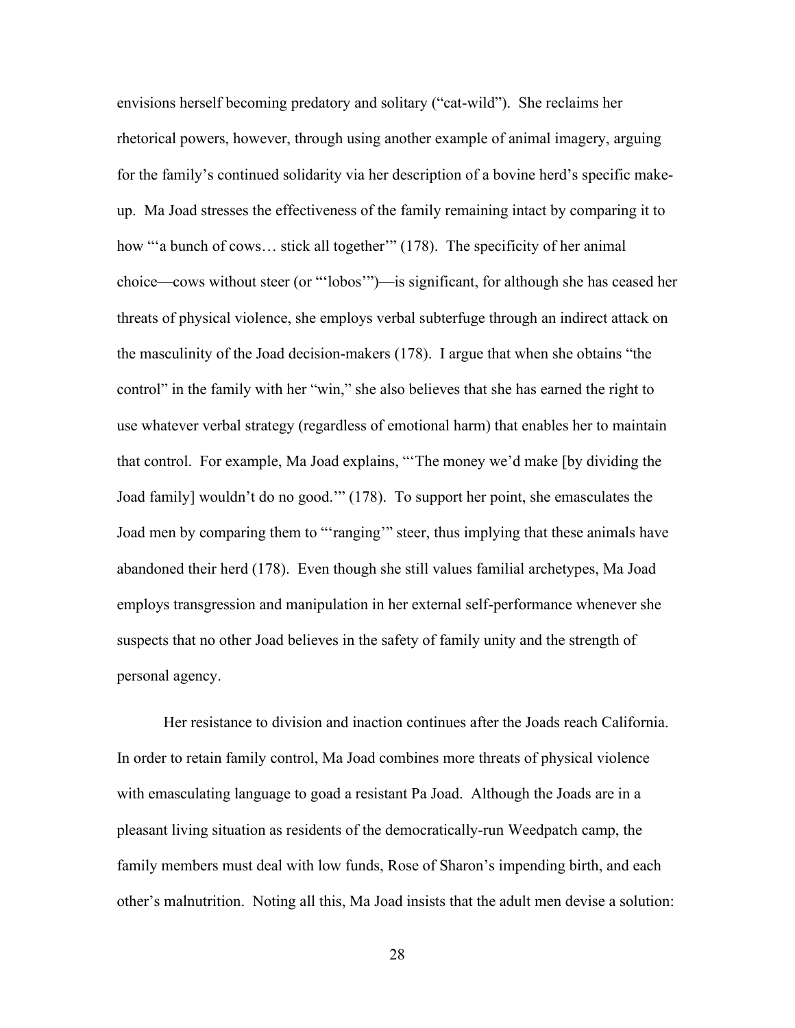envisions herself becoming predatory and solitary ("cat-wild"). She reclaims her rhetorical powers, however, through using another example of animal imagery, arguing for the family's continued solidarity via her description of a bovine herd's specific makeup. Ma Joad stresses the effectiveness of the family remaining intact by comparing it to how "a bunch of cows... stick all together" (178). The specificity of her animal choice—cows without steer (or "'lobos'")—is significant, for although she has ceased her threats of physical violence, she employs verbal subterfuge through an indirect attack on the masculinity of the Joad decision-makers (178). I argue that when she obtains "the control" in the family with her "win," she also believes that she has earned the right to use whatever verbal strategy (regardless of emotional harm) that enables her to maintain that control. For example, Ma Joad explains, "'The money we'd make [by dividing the Joad family] wouldn't do no good.'" (178). To support her point, she emasculates the Joad men by comparing them to "'ranging'" steer, thus implying that these animals have abandoned their herd (178). Even though she still values familial archetypes, Ma Joad employs transgression and manipulation in her external self-performance whenever she suspects that no other Joad believes in the safety of family unity and the strength of personal agency.

Her resistance to division and inaction continues after the Joads reach California. In order to retain family control, Ma Joad combines more threats of physical violence with emasculating language to goad a resistant Pa Joad. Although the Joads are in a pleasant living situation as residents of the democratically-run Weedpatch camp, the family members must deal with low funds, Rose of Sharon's impending birth, and each other's malnutrition. Noting all this, Ma Joad insists that the adult men devise a solution: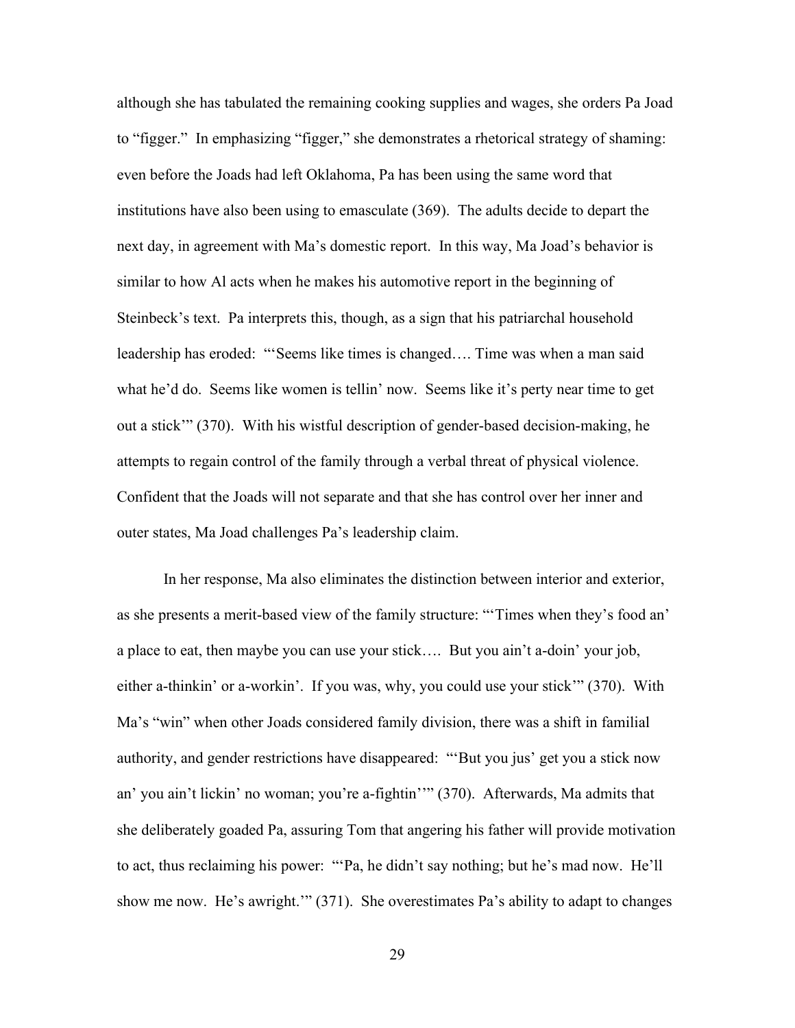although she has tabulated the remaining cooking supplies and wages, she orders Pa Joad to "figger." In emphasizing "figger," she demonstrates a rhetorical strategy of shaming: even before the Joads had left Oklahoma, Pa has been using the same word that institutions have also been using to emasculate (369). The adults decide to depart the next day, in agreement with Ma's domestic report. In this way, Ma Joad's behavior is similar to how Al acts when he makes his automotive report in the beginning of Steinbeck's text. Pa interprets this, though, as a sign that his patriarchal household leadership has eroded: "'Seems like times is changed…. Time was when a man said what he'd do. Seems like women is tellin' now. Seems like it's perty near time to get out a stick'" (370). With his wistful description of gender-based decision-making, he attempts to regain control of the family through a verbal threat of physical violence. Confident that the Joads will not separate and that she has control over her inner and outer states, Ma Joad challenges Pa's leadership claim.

In her response, Ma also eliminates the distinction between interior and exterior, as she presents a merit-based view of the family structure: "'Times when they's food an' a place to eat, then maybe you can use your stick…. But you ain't a-doin' your job, either a-thinkin' or a-workin'. If you was, why, you could use your stick'" (370). With Ma's "win" when other Joads considered family division, there was a shift in familial authority, and gender restrictions have disappeared: "'But you jus' get you a stick now an' you ain't lickin' no woman; you're a-fightin''" (370). Afterwards, Ma admits that she deliberately goaded Pa, assuring Tom that angering his father will provide motivation to act, thus reclaiming his power: "'Pa, he didn't say nothing; but he's mad now. He'll show me now. He's awright.'" (371). She overestimates Pa's ability to adapt to changes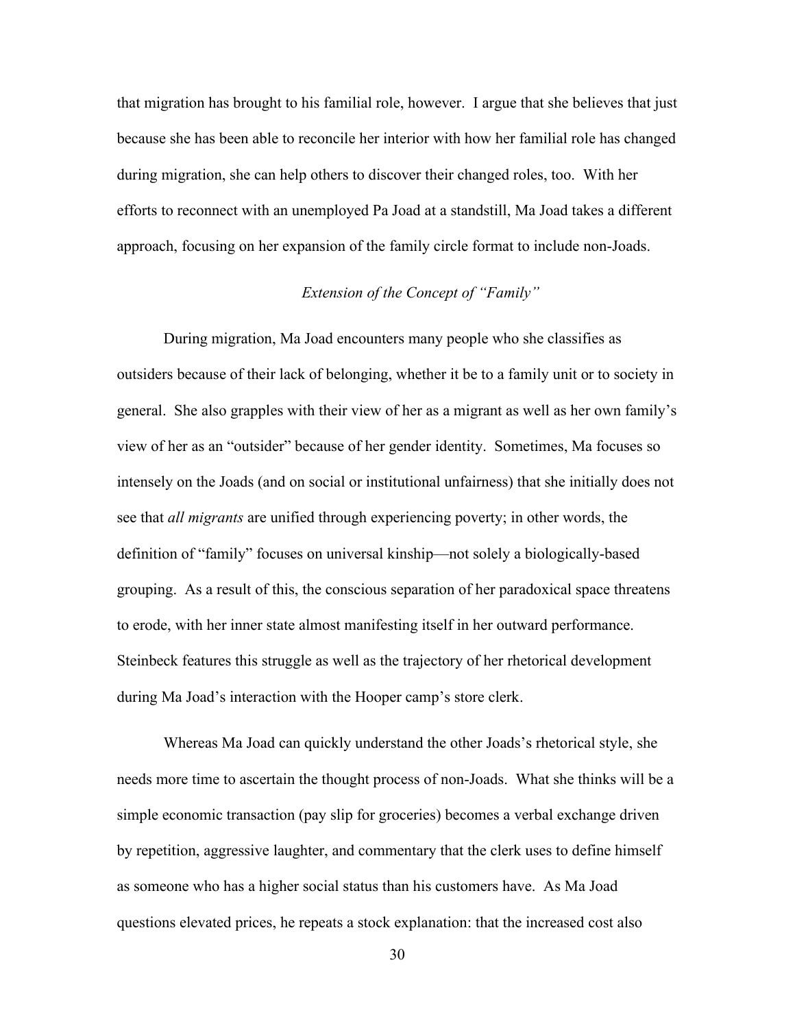that migration has brought to his familial role, however. I argue that she believes that just because she has been able to reconcile her interior with how her familial role has changed during migration, she can help others to discover their changed roles, too. With her efforts to reconnect with an unemployed Pa Joad at a standstill, Ma Joad takes a different approach, focusing on her expansion of the family circle format to include non-Joads.

## *Extension of the Concept of "Family"*

During migration, Ma Joad encounters many people who she classifies as outsiders because of their lack of belonging, whether it be to a family unit or to society in general. She also grapples with their view of her as a migrant as well as her own family's view of her as an "outsider" because of her gender identity. Sometimes, Ma focuses so intensely on the Joads (and on social or institutional unfairness) that she initially does not see that *all migrants* are unified through experiencing poverty; in other words, the definition of "family" focuses on universal kinship—not solely a biologically-based grouping. As a result of this, the conscious separation of her paradoxical space threatens to erode, with her inner state almost manifesting itself in her outward performance. Steinbeck features this struggle as well as the trajectory of her rhetorical development during Ma Joad's interaction with the Hooper camp's store clerk.

Whereas Ma Joad can quickly understand the other Joads's rhetorical style, she needs more time to ascertain the thought process of non-Joads. What she thinks will be a simple economic transaction (pay slip for groceries) becomes a verbal exchange driven by repetition, aggressive laughter, and commentary that the clerk uses to define himself as someone who has a higher social status than his customers have. As Ma Joad questions elevated prices, he repeats a stock explanation: that the increased cost also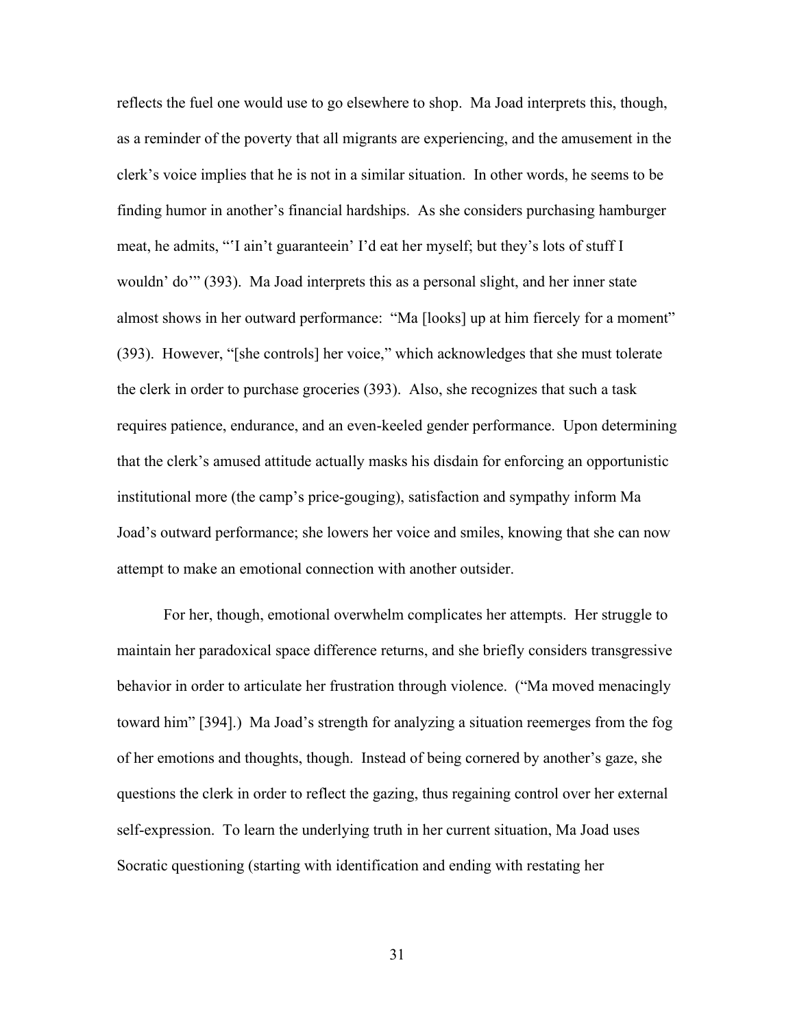reflects the fuel one would use to go elsewhere to shop. Ma Joad interprets this, though, as a reminder of the poverty that all migrants are experiencing, and the amusement in the clerk's voice implies that he is not in a similar situation. In other words, he seems to be finding humor in another's financial hardships. As she considers purchasing hamburger meat, he admits, "'I ain't guaranteein' I'd eat her myself; but they's lots of stuff I wouldn' do'" (393). Ma Joad interprets this as a personal slight, and her inner state almost shows in her outward performance: "Ma [looks] up at him fiercely for a moment" (393). However, "[she controls] her voice," which acknowledges that she must tolerate the clerk in order to purchase groceries (393). Also, she recognizes that such a task requires patience, endurance, and an even-keeled gender performance. Upon determining that the clerk's amused attitude actually masks his disdain for enforcing an opportunistic institutional more (the camp's price-gouging), satisfaction and sympathy inform Ma Joad's outward performance; she lowers her voice and smiles, knowing that she can now attempt to make an emotional connection with another outsider.

For her, though, emotional overwhelm complicates her attempts. Her struggle to maintain her paradoxical space difference returns, and she briefly considers transgressive behavior in order to articulate her frustration through violence. ("Ma moved menacingly toward him" [394].) Ma Joad's strength for analyzing a situation reemerges from the fog of her emotions and thoughts, though. Instead of being cornered by another's gaze, she questions the clerk in order to reflect the gazing, thus regaining control over her external self-expression. To learn the underlying truth in her current situation, Ma Joad uses Socratic questioning (starting with identification and ending with restating her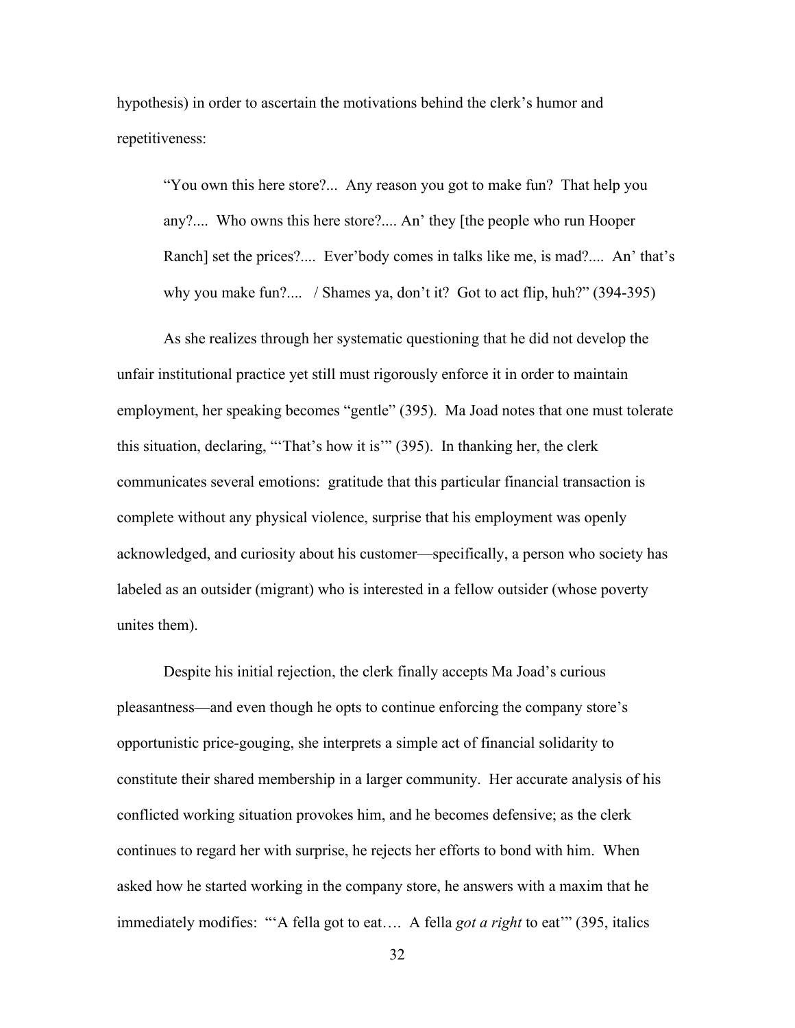hypothesis) in order to ascertain the motivations behind the clerk's humor and repetitiveness:

"You own this here store?... Any reason you got to make fun? That help you any?.... Who owns this here store?.... An' they [the people who run Hooper Ranch] set the prices?.... Ever'body comes in talks like me, is mad?.... An' that's why you make fun?.... / Shames ya, don't it? Got to act flip, huh?" (394-395)

As she realizes through her systematic questioning that he did not develop the unfair institutional practice yet still must rigorously enforce it in order to maintain employment, her speaking becomes "gentle" (395). Ma Joad notes that one must tolerate this situation, declaring, "'That's how it is'" (395). In thanking her, the clerk communicates several emotions: gratitude that this particular financial transaction is complete without any physical violence, surprise that his employment was openly acknowledged, and curiosity about his customer—specifically, a person who society has labeled as an outsider (migrant) who is interested in a fellow outsider (whose poverty unites them).

Despite his initial rejection, the clerk finally accepts Ma Joad's curious pleasantness—and even though he opts to continue enforcing the company store's opportunistic price-gouging, she interprets a simple act of financial solidarity to constitute their shared membership in a larger community. Her accurate analysis of his conflicted working situation provokes him, and he becomes defensive; as the clerk continues to regard her with surprise, he rejects her efforts to bond with him. When asked how he started working in the company store, he answers with a maxim that he immediately modifies: "'A fella got to eat…. A fella *got a right* to eat'" (395, italics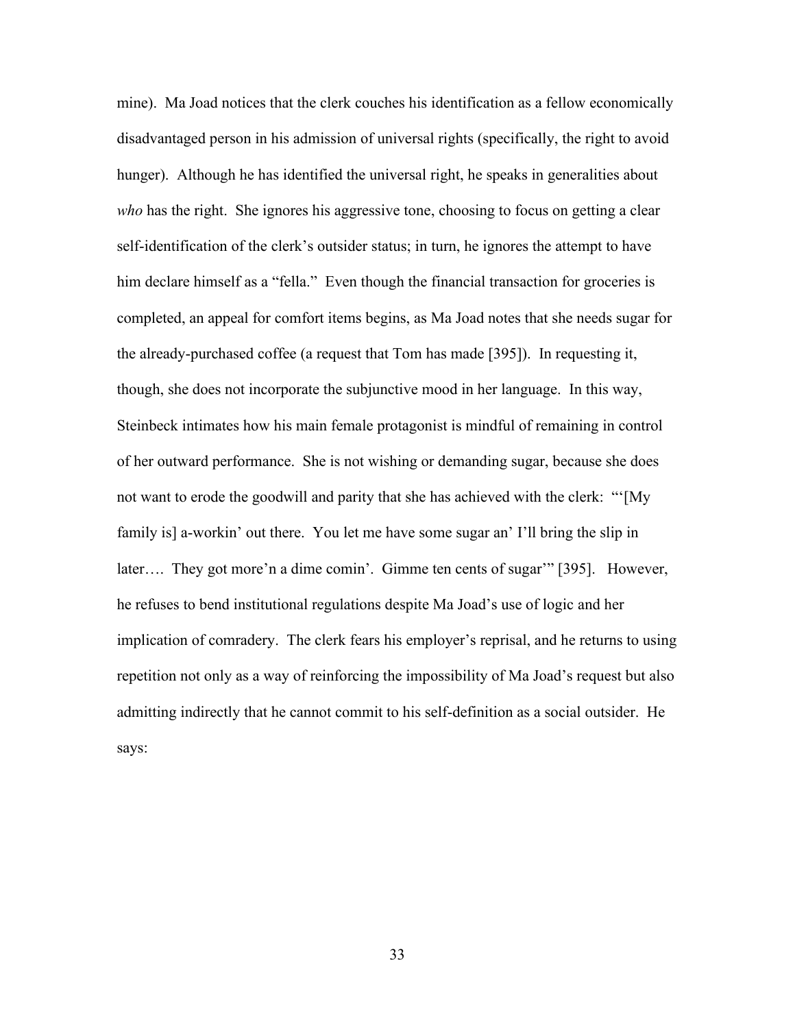mine). Ma Joad notices that the clerk couches his identification as a fellow economically disadvantaged person in his admission of universal rights (specifically, the right to avoid hunger). Although he has identified the universal right, he speaks in generalities about *who* has the right. She ignores his aggressive tone, choosing to focus on getting a clear self-identification of the clerk's outsider status; in turn, he ignores the attempt to have him declare himself as a "fella." Even though the financial transaction for groceries is completed, an appeal for comfort items begins, as Ma Joad notes that she needs sugar for the already-purchased coffee (a request that Tom has made [395]). In requesting it, though, she does not incorporate the subjunctive mood in her language. In this way, Steinbeck intimates how his main female protagonist is mindful of remaining in control of her outward performance. She is not wishing or demanding sugar, because she does not want to erode the goodwill and parity that she has achieved with the clerk: "'[My family is] a-workin' out there. You let me have some sugar an' I'll bring the slip in later…. They got more'n a dime comin'. Gimme ten cents of sugar'" [395]. However, he refuses to bend institutional regulations despite Ma Joad's use of logic and her implication of comradery. The clerk fears his employer's reprisal, and he returns to using repetition not only as a way of reinforcing the impossibility of Ma Joad's request but also admitting indirectly that he cannot commit to his self-definition as a social outsider. He says: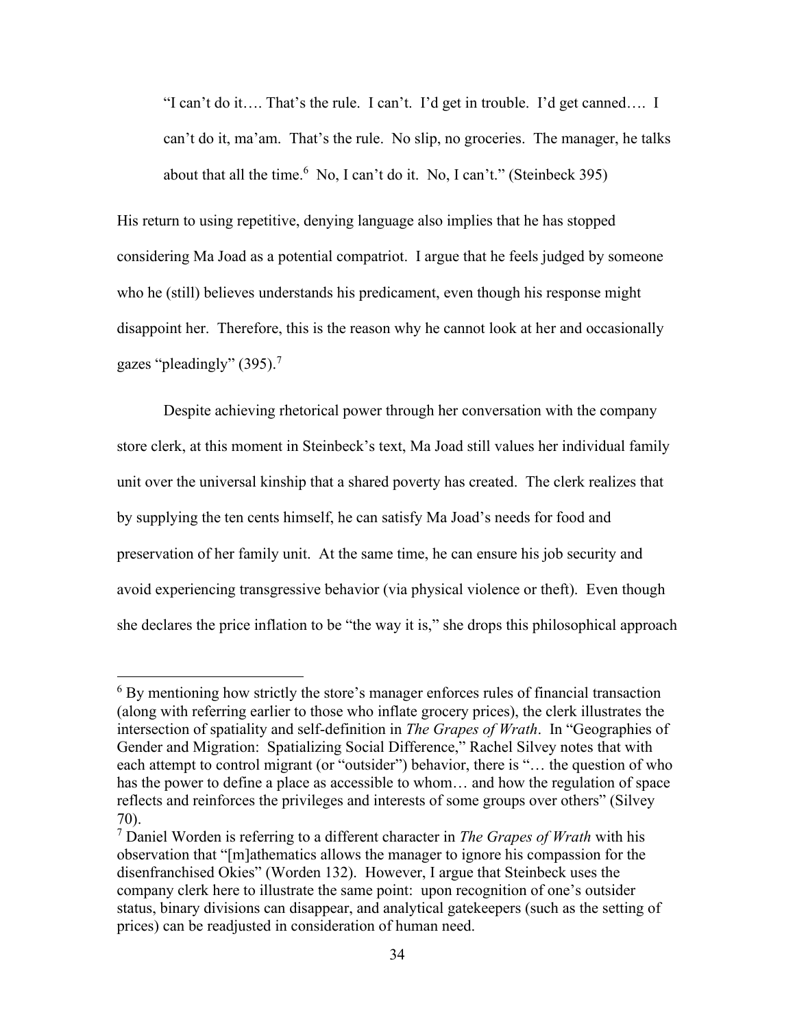"I can't do it…. That's the rule. I can't. I'd get in trouble. I'd get canned…. I can't do it, ma'am. That's the rule. No slip, no groceries. The manager, he talks about that all the time.  $6 \text{ No}$ , I can't do it. No, I can't." (Steinbeck 395)

His return to using repetitive, denying language also implies that he has stopped considering Ma Joad as a potential compatriot. I argue that he feels judged by someone who he (still) believes understands his predicament, even though his response might disappoint her. Therefore, this is the reason why he cannot look at her and occasionally gazes "pleadingly"  $(395)$ .<sup>7</sup>

Despite achieving rhetorical power through her conversation with the company store clerk, at this moment in Steinbeck's text, Ma Joad still values her individual family unit over the universal kinship that a shared poverty has created. The clerk realizes that by supplying the ten cents himself, he can satisfy Ma Joad's needs for food and preservation of her family unit. At the same time, he can ensure his job security and avoid experiencing transgressive behavior (via physical violence or theft). Even though she declares the price inflation to be "the way it is," she drops this philosophical approach

 $6$  By mentioning how strictly the store's manager enforces rules of financial transaction (along with referring earlier to those who inflate grocery prices), the clerk illustrates the intersection of spatiality and self-definition in *The Grapes of Wrath*. In "Geographies of Gender and Migration: Spatializing Social Difference," Rachel Silvey notes that with each attempt to control migrant (or "outsider") behavior, there is "… the question of who has the power to define a place as accessible to whom... and how the regulation of space reflects and reinforces the privileges and interests of some groups over others" (Silvey 70).

<sup>7</sup> Daniel Worden is referring to a different character in *The Grapes of Wrath* with his observation that "[m]athematics allows the manager to ignore his compassion for the disenfranchised Okies" (Worden 132). However, I argue that Steinbeck uses the company clerk here to illustrate the same point: upon recognition of one's outsider status, binary divisions can disappear, and analytical gatekeepers (such as the setting of prices) can be readjusted in consideration of human need.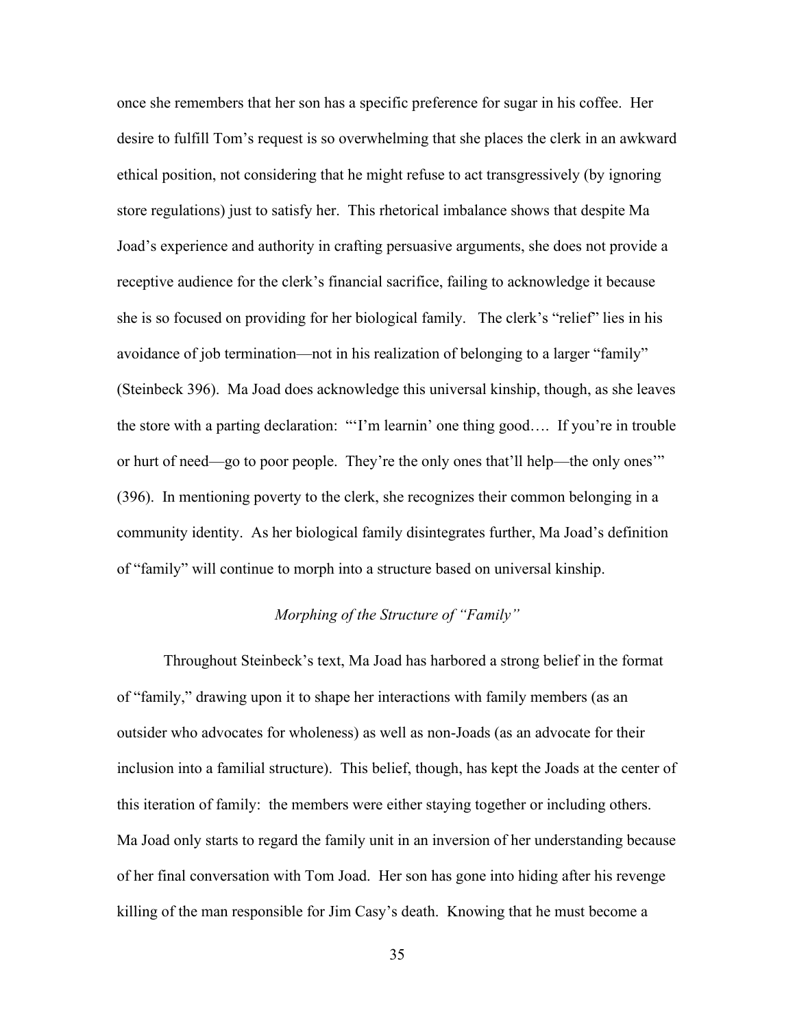once she remembers that her son has a specific preference for sugar in his coffee. Her desire to fulfill Tom's request is so overwhelming that she places the clerk in an awkward ethical position, not considering that he might refuse to act transgressively (by ignoring store regulations) just to satisfy her. This rhetorical imbalance shows that despite Ma Joad's experience and authority in crafting persuasive arguments, she does not provide a receptive audience for the clerk's financial sacrifice, failing to acknowledge it because she is so focused on providing for her biological family. The clerk's "relief" lies in his avoidance of job termination—not in his realization of belonging to a larger "family" (Steinbeck 396). Ma Joad does acknowledge this universal kinship, though, as she leaves the store with a parting declaration: "'I'm learnin' one thing good…. If you're in trouble or hurt of need—go to poor people. They're the only ones that'll help—the only ones'" (396). In mentioning poverty to the clerk, she recognizes their common belonging in a community identity. As her biological family disintegrates further, Ma Joad's definition of "family" will continue to morph into a structure based on universal kinship.

## *Morphing of the Structure of "Family"*

Throughout Steinbeck's text, Ma Joad has harbored a strong belief in the format of "family," drawing upon it to shape her interactions with family members (as an outsider who advocates for wholeness) as well as non-Joads (as an advocate for their inclusion into a familial structure). This belief, though, has kept the Joads at the center of this iteration of family: the members were either staying together or including others. Ma Joad only starts to regard the family unit in an inversion of her understanding because of her final conversation with Tom Joad. Her son has gone into hiding after his revenge killing of the man responsible for Jim Casy's death. Knowing that he must become a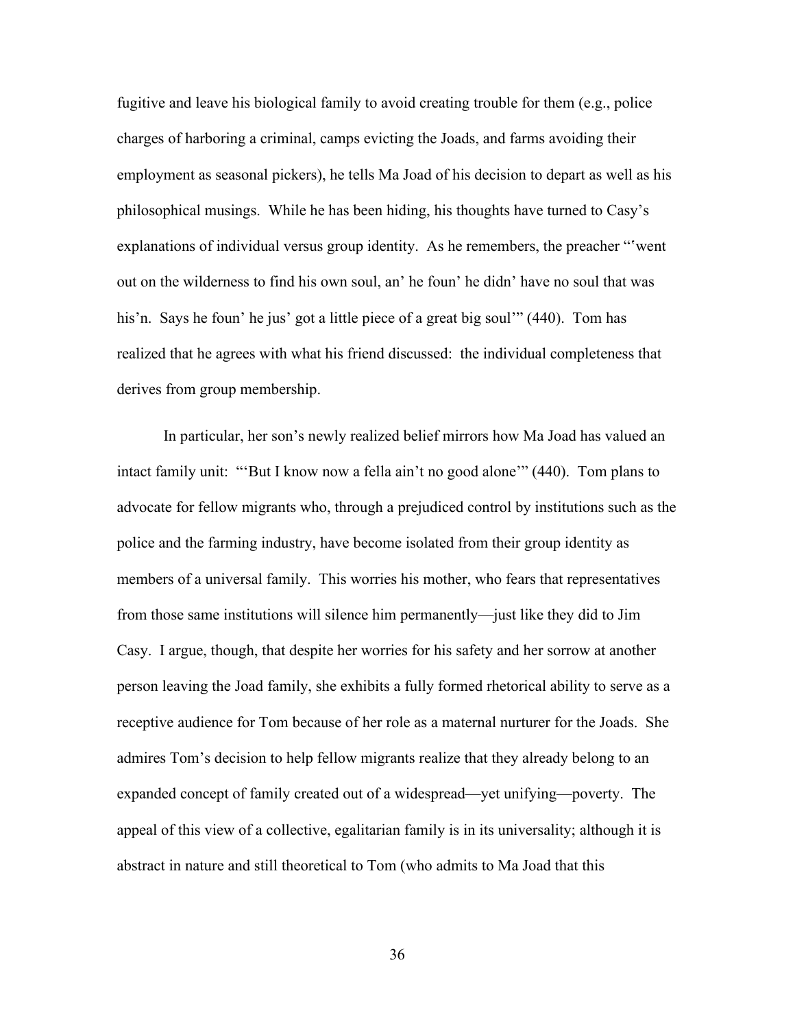fugitive and leave his biological family to avoid creating trouble for them (e.g., police charges of harboring a criminal, camps evicting the Joads, and farms avoiding their employment as seasonal pickers), he tells Ma Joad of his decision to depart as well as his philosophical musings. While he has been hiding, his thoughts have turned to Casy's explanations of individual versus group identity. As he remembers, the preacher "'went out on the wilderness to find his own soul, an' he foun' he didn' have no soul that was his'n. Says he foun' he jus' got a little piece of a great big soul'" (440). Tom has realized that he agrees with what his friend discussed: the individual completeness that derives from group membership.

In particular, her son's newly realized belief mirrors how Ma Joad has valued an intact family unit: "'But I know now a fella ain't no good alone'" (440). Tom plans to advocate for fellow migrants who, through a prejudiced control by institutions such as the police and the farming industry, have become isolated from their group identity as members of a universal family. This worries his mother, who fears that representatives from those same institutions will silence him permanently—just like they did to Jim Casy. I argue, though, that despite her worries for his safety and her sorrow at another person leaving the Joad family, she exhibits a fully formed rhetorical ability to serve as a receptive audience for Tom because of her role as a maternal nurturer for the Joads. She admires Tom's decision to help fellow migrants realize that they already belong to an expanded concept of family created out of a widespread—yet unifying—poverty. The appeal of this view of a collective, egalitarian family is in its universality; although it is abstract in nature and still theoretical to Tom (who admits to Ma Joad that this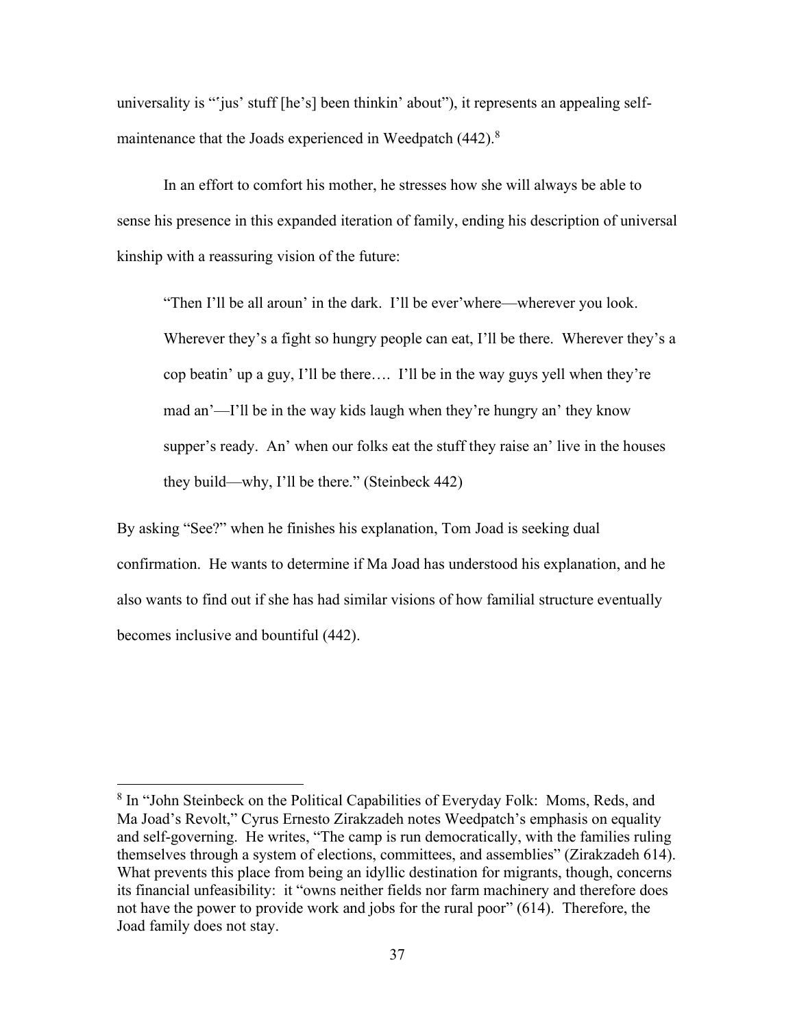universality is "'jus' stuff [he's] been thinkin' about"), it represents an appealing selfmaintenance that the Joads experienced in Weedpatch (442).<sup>8</sup>

In an effort to comfort his mother, he stresses how she will always be able to sense his presence in this expanded iteration of family, ending his description of universal kinship with a reassuring vision of the future:

"Then I'll be all aroun' in the dark. I'll be ever'where—wherever you look. Wherever they's a fight so hungry people can eat, I'll be there. Wherever they's a cop beatin' up a guy, I'll be there…. I'll be in the way guys yell when they're mad an'—I'll be in the way kids laugh when they're hungry an' they know supper's ready. An' when our folks eat the stuff they raise an' live in the houses they build—why, I'll be there." (Steinbeck 442)

By asking "See?" when he finishes his explanation, Tom Joad is seeking dual confirmation. He wants to determine if Ma Joad has understood his explanation, and he also wants to find out if she has had similar visions of how familial structure eventually becomes inclusive and bountiful (442).

<sup>&</sup>lt;sup>8</sup> In "John Steinbeck on the Political Capabilities of Everyday Folk: Moms, Reds, and Ma Joad's Revolt," Cyrus Ernesto Zirakzadeh notes Weedpatch's emphasis on equality and self-governing. He writes, "The camp is run democratically, with the families ruling themselves through a system of elections, committees, and assemblies" (Zirakzadeh 614). What prevents this place from being an idyllic destination for migrants, though, concerns its financial unfeasibility: it "owns neither fields nor farm machinery and therefore does not have the power to provide work and jobs for the rural poor" (614). Therefore, the Joad family does not stay.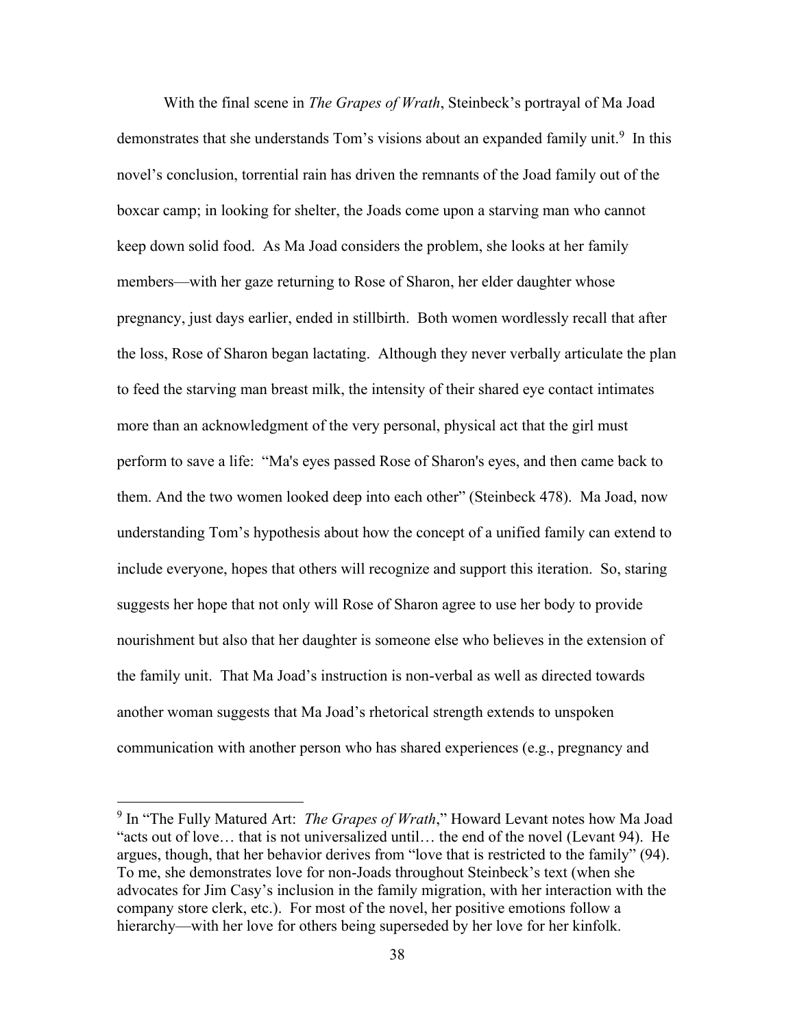With the final scene in *The Grapes of Wrath*, Steinbeck's portrayal of Ma Joad demonstrates that she understands Tom's visions about an expanded family unit.<sup>9</sup> In this novel's conclusion, torrential rain has driven the remnants of the Joad family out of the boxcar camp; in looking for shelter, the Joads come upon a starving man who cannot keep down solid food. As Ma Joad considers the problem, she looks at her family members—with her gaze returning to Rose of Sharon, her elder daughter whose pregnancy, just days earlier, ended in stillbirth. Both women wordlessly recall that after the loss, Rose of Sharon began lactating. Although they never verbally articulate the plan to feed the starving man breast milk, the intensity of their shared eye contact intimates more than an acknowledgment of the very personal, physical act that the girl must perform to save a life: "Ma's eyes passed Rose of Sharon's eyes, and then came back to them. And the two women looked deep into each other" (Steinbeck 478). Ma Joad, now understanding Tom's hypothesis about how the concept of a unified family can extend to include everyone, hopes that others will recognize and support this iteration. So, staring suggests her hope that not only will Rose of Sharon agree to use her body to provide nourishment but also that her daughter is someone else who believes in the extension of the family unit. That Ma Joad's instruction is non-verbal as well as directed towards another woman suggests that Ma Joad's rhetorical strength extends to unspoken communication with another person who has shared experiences (e.g., pregnancy and

<sup>&</sup>lt;sup>9</sup> In "The Fully Matured Art: *The Grapes of Wrath*," Howard Levant notes how Ma Joad "acts out of love… that is not universalized until… the end of the novel (Levant 94). He argues, though, that her behavior derives from "love that is restricted to the family" (94). To me, she demonstrates love for non-Joads throughout Steinbeck's text (when she advocates for Jim Casy's inclusion in the family migration, with her interaction with the company store clerk, etc.). For most of the novel, her positive emotions follow a hierarchy—with her love for others being superseded by her love for her kinfolk.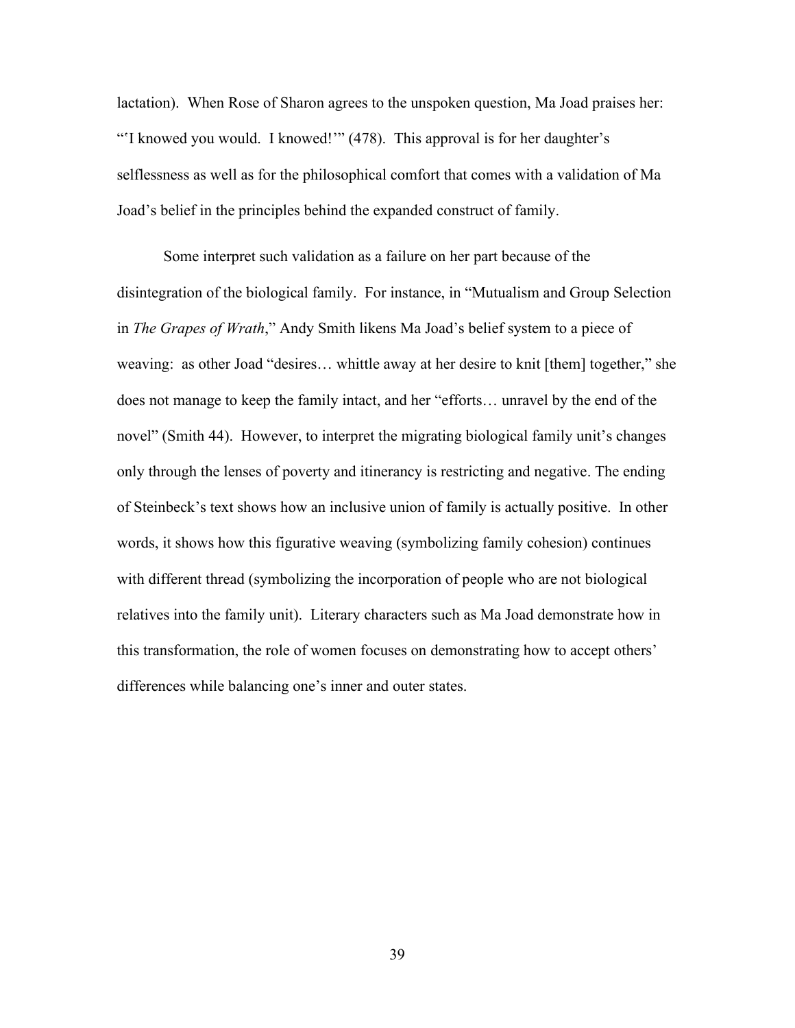lactation). When Rose of Sharon agrees to the unspoken question, Ma Joad praises her: "'I knowed you would. I knowed!'" (478). This approval is for her daughter's selflessness as well as for the philosophical comfort that comes with a validation of Ma Joad's belief in the principles behind the expanded construct of family.

Some interpret such validation as a failure on her part because of the disintegration of the biological family. For instance, in "Mutualism and Group Selection in *The Grapes of Wrath*," Andy Smith likens Ma Joad's belief system to a piece of weaving: as other Joad "desires… whittle away at her desire to knit [them] together," she does not manage to keep the family intact, and her "efforts… unravel by the end of the novel" (Smith 44). However, to interpret the migrating biological family unit's changes only through the lenses of poverty and itinerancy is restricting and negative. The ending of Steinbeck's text shows how an inclusive union of family is actually positive. In other words, it shows how this figurative weaving (symbolizing family cohesion) continues with different thread (symbolizing the incorporation of people who are not biological relatives into the family unit). Literary characters such as Ma Joad demonstrate how in this transformation, the role of women focuses on demonstrating how to accept others' differences while balancing one's inner and outer states.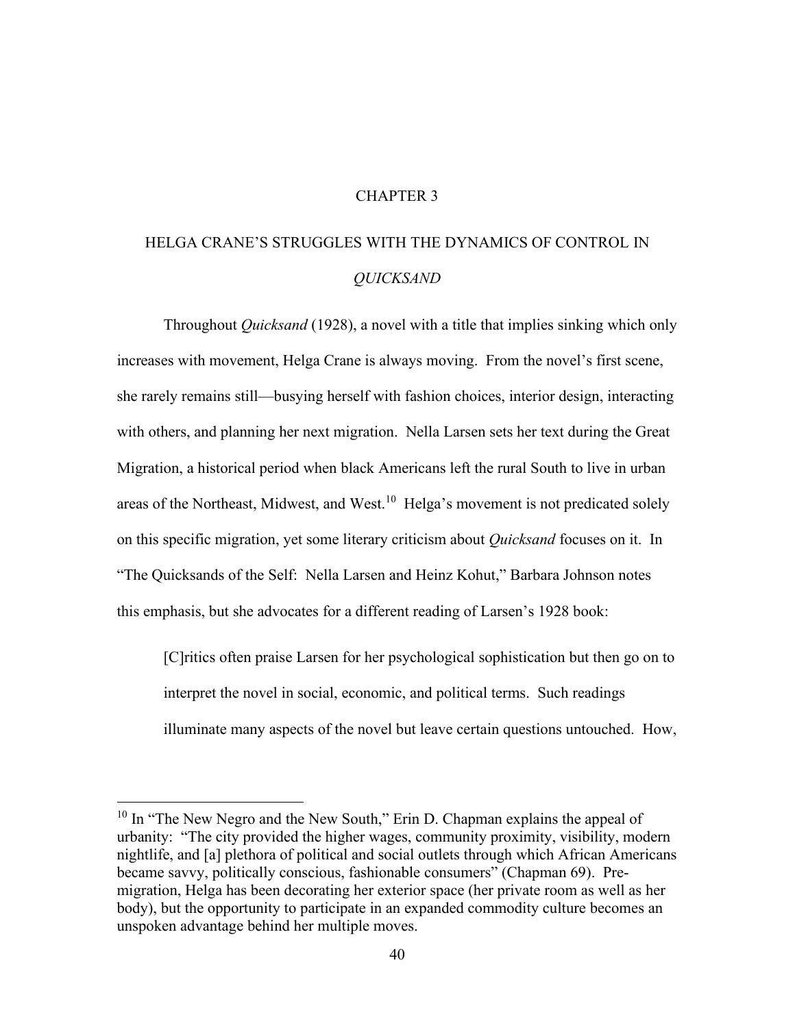### CHAPTER 3

# HELGA CRANE'S STRUGGLES WITH THE DYNAMICS OF CONTROL IN *QUICKSAND*

Throughout *Quicksand* (1928), a novel with a title that implies sinking which only increases with movement, Helga Crane is always moving. From the novel's first scene, she rarely remains still—busying herself with fashion choices, interior design, interacting with others, and planning her next migration. Nella Larsen sets her text during the Great Migration, a historical period when black Americans left the rural South to live in urban areas of the Northeast, Midwest, and West.<sup>10</sup> Helga's movement is not predicated solely on this specific migration, yet some literary criticism about *Quicksand* focuses on it. In "The Quicksands of the Self: Nella Larsen and Heinz Kohut," Barbara Johnson notes this emphasis, but she advocates for a different reading of Larsen's 1928 book:

[C]ritics often praise Larsen for her psychological sophistication but then go on to interpret the novel in social, economic, and political terms. Such readings illuminate many aspects of the novel but leave certain questions untouched. How,

 $10 \text{ In}$  "The New Negro and the New South," Erin D. Chapman explains the appeal of urbanity: "The city provided the higher wages, community proximity, visibility, modern nightlife, and [a] plethora of political and social outlets through which African Americans became savvy, politically conscious, fashionable consumers" (Chapman 69). Premigration, Helga has been decorating her exterior space (her private room as well as her body), but the opportunity to participate in an expanded commodity culture becomes an unspoken advantage behind her multiple moves.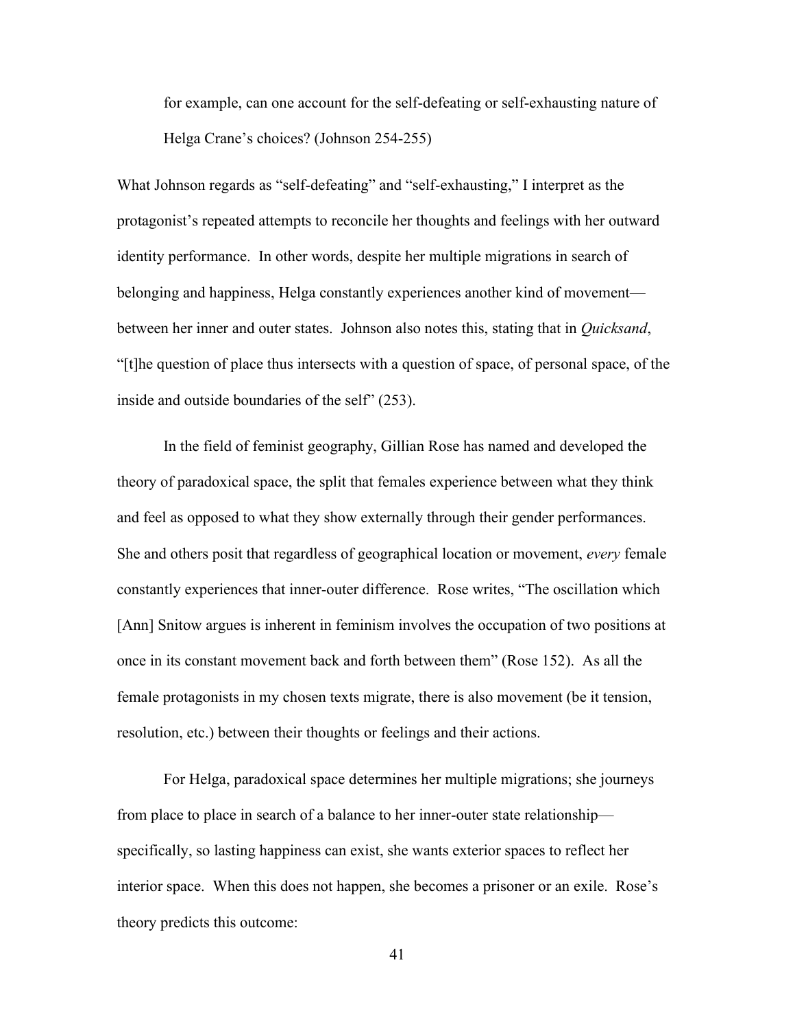for example, can one account for the self-defeating or self-exhausting nature of Helga Crane's choices? (Johnson 254-255)

What Johnson regards as "self-defeating" and "self-exhausting," I interpret as the protagonist's repeated attempts to reconcile her thoughts and feelings with her outward identity performance. In other words, despite her multiple migrations in search of belonging and happiness, Helga constantly experiences another kind of movement between her inner and outer states. Johnson also notes this, stating that in *Quicksand*, "[t]he question of place thus intersects with a question of space, of personal space, of the inside and outside boundaries of the self" (253).

In the field of feminist geography, Gillian Rose has named and developed the theory of paradoxical space, the split that females experience between what they think and feel as opposed to what they show externally through their gender performances. She and others posit that regardless of geographical location or movement, *every* female constantly experiences that inner-outer difference. Rose writes, "The oscillation which [Ann] Snitow argues is inherent in feminism involves the occupation of two positions at once in its constant movement back and forth between them" (Rose 152). As all the female protagonists in my chosen texts migrate, there is also movement (be it tension, resolution, etc.) between their thoughts or feelings and their actions.

For Helga, paradoxical space determines her multiple migrations; she journeys from place to place in search of a balance to her inner-outer state relationship specifically, so lasting happiness can exist, she wants exterior spaces to reflect her interior space. When this does not happen, she becomes a prisoner or an exile. Rose's theory predicts this outcome: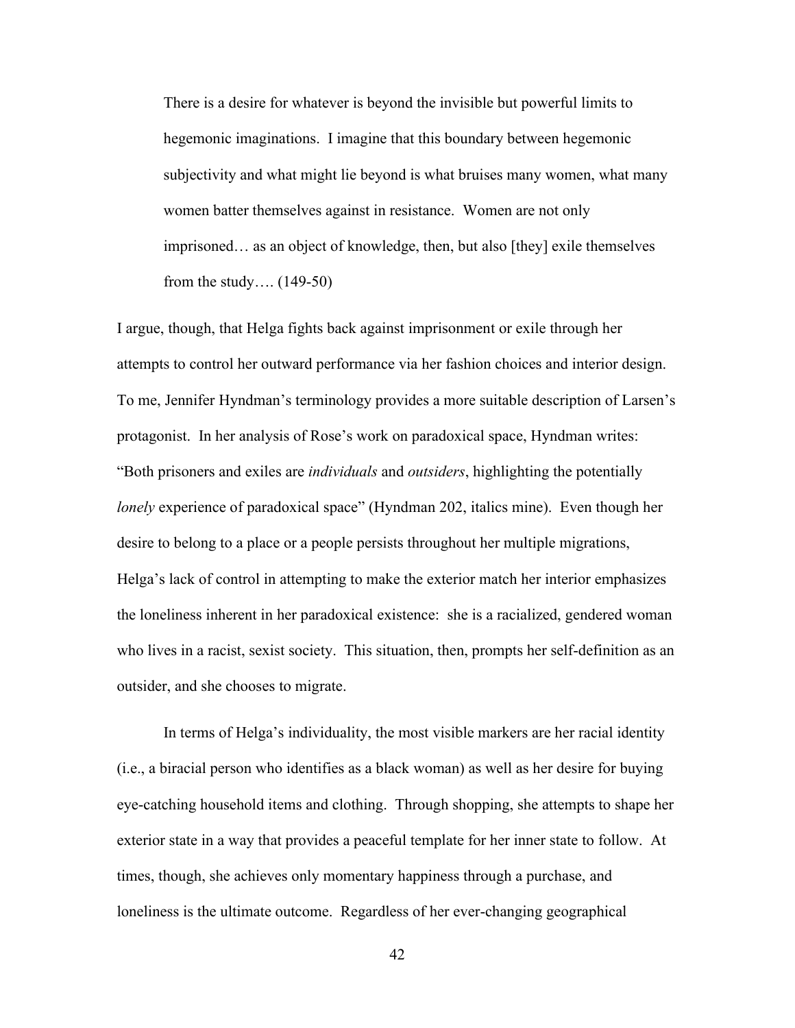There is a desire for whatever is beyond the invisible but powerful limits to hegemonic imaginations. I imagine that this boundary between hegemonic subjectivity and what might lie beyond is what bruises many women, what many women batter themselves against in resistance. Women are not only imprisoned… as an object of knowledge, then, but also [they] exile themselves from the study…. (149-50)

I argue, though, that Helga fights back against imprisonment or exile through her attempts to control her outward performance via her fashion choices and interior design. To me, Jennifer Hyndman's terminology provides a more suitable description of Larsen's protagonist. In her analysis of Rose's work on paradoxical space, Hyndman writes: "Both prisoners and exiles are *individuals* and *outsiders*, highlighting the potentially *lonely* experience of paradoxical space" (Hyndman 202, italics mine). Even though her desire to belong to a place or a people persists throughout her multiple migrations, Helga's lack of control in attempting to make the exterior match her interior emphasizes the loneliness inherent in her paradoxical existence: she is a racialized, gendered woman who lives in a racist, sexist society. This situation, then, prompts her self-definition as an outsider, and she chooses to migrate.

In terms of Helga's individuality, the most visible markers are her racial identity (i.e., a biracial person who identifies as a black woman) as well as her desire for buying eye-catching household items and clothing. Through shopping, she attempts to shape her exterior state in a way that provides a peaceful template for her inner state to follow. At times, though, she achieves only momentary happiness through a purchase, and loneliness is the ultimate outcome. Regardless of her ever-changing geographical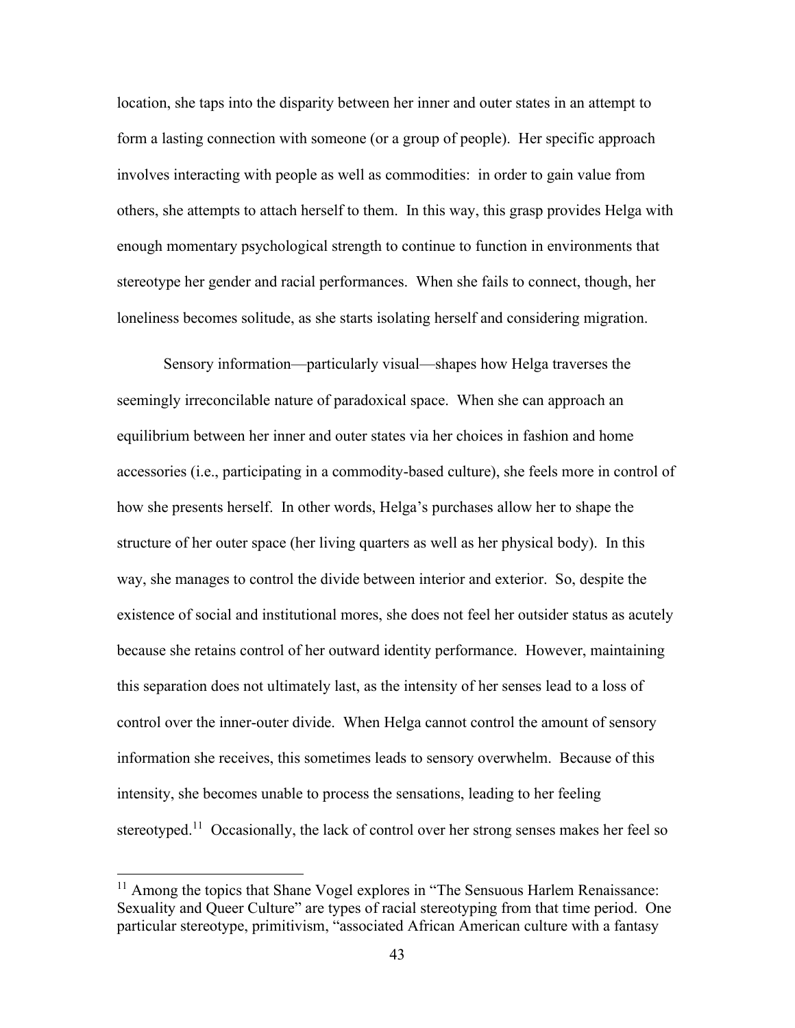location, she taps into the disparity between her inner and outer states in an attempt to form a lasting connection with someone (or a group of people). Her specific approach involves interacting with people as well as commodities: in order to gain value from others, she attempts to attach herself to them. In this way, this grasp provides Helga with enough momentary psychological strength to continue to function in environments that stereotype her gender and racial performances. When she fails to connect, though, her loneliness becomes solitude, as she starts isolating herself and considering migration.

Sensory information—particularly visual—shapes how Helga traverses the seemingly irreconcilable nature of paradoxical space. When she can approach an equilibrium between her inner and outer states via her choices in fashion and home accessories (i.e., participating in a commodity-based culture), she feels more in control of how she presents herself. In other words, Helga's purchases allow her to shape the structure of her outer space (her living quarters as well as her physical body). In this way, she manages to control the divide between interior and exterior. So, despite the existence of social and institutional mores, she does not feel her outsider status as acutely because she retains control of her outward identity performance. However, maintaining this separation does not ultimately last, as the intensity of her senses lead to a loss of control over the inner-outer divide. When Helga cannot control the amount of sensory information she receives, this sometimes leads to sensory overwhelm. Because of this intensity, she becomes unable to process the sensations, leading to her feeling stereotyped.<sup>11</sup> Occasionally, the lack of control over her strong senses makes her feel so

 $11$  Among the topics that Shane Vogel explores in "The Sensuous Harlem Renaissance: Sexuality and Queer Culture" are types of racial stereotyping from that time period. One particular stereotype, primitivism, "associated African American culture with a fantasy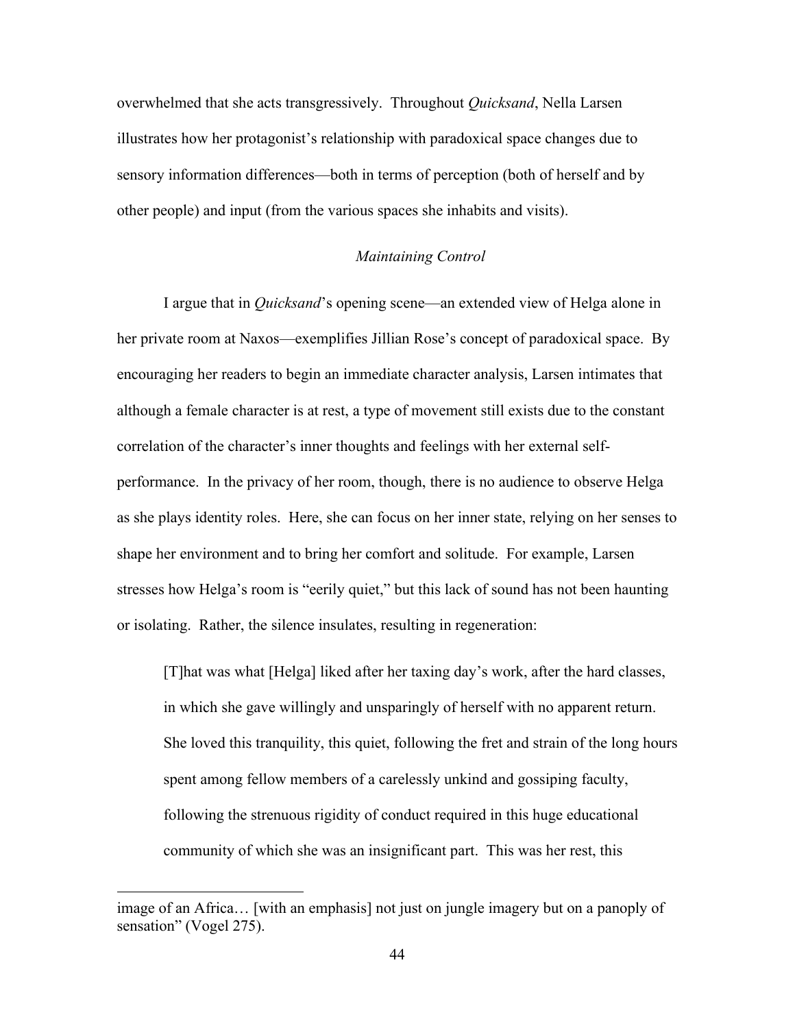overwhelmed that she acts transgressively. Throughout *Quicksand*, Nella Larsen illustrates how her protagonist's relationship with paradoxical space changes due to sensory information differences—both in terms of perception (both of herself and by other people) and input (from the various spaces she inhabits and visits).

### *Maintaining Control*

I argue that in *Quicksand*'s opening scene—an extended view of Helga alone in her private room at Naxos—exemplifies Jillian Rose's concept of paradoxical space. By encouraging her readers to begin an immediate character analysis, Larsen intimates that although a female character is at rest, a type of movement still exists due to the constant correlation of the character's inner thoughts and feelings with her external selfperformance. In the privacy of her room, though, there is no audience to observe Helga as she plays identity roles. Here, she can focus on her inner state, relying on her senses to shape her environment and to bring her comfort and solitude. For example, Larsen stresses how Helga's room is "eerily quiet," but this lack of sound has not been haunting or isolating. Rather, the silence insulates, resulting in regeneration:

[T]hat was what [Helga] liked after her taxing day's work, after the hard classes, in which she gave willingly and unsparingly of herself with no apparent return. She loved this tranquility, this quiet, following the fret and strain of the long hours spent among fellow members of a carelessly unkind and gossiping faculty, following the strenuous rigidity of conduct required in this huge educational community of which she was an insignificant part. This was her rest, this

image of an Africa… [with an emphasis] not just on jungle imagery but on a panoply of sensation" (Vogel 275).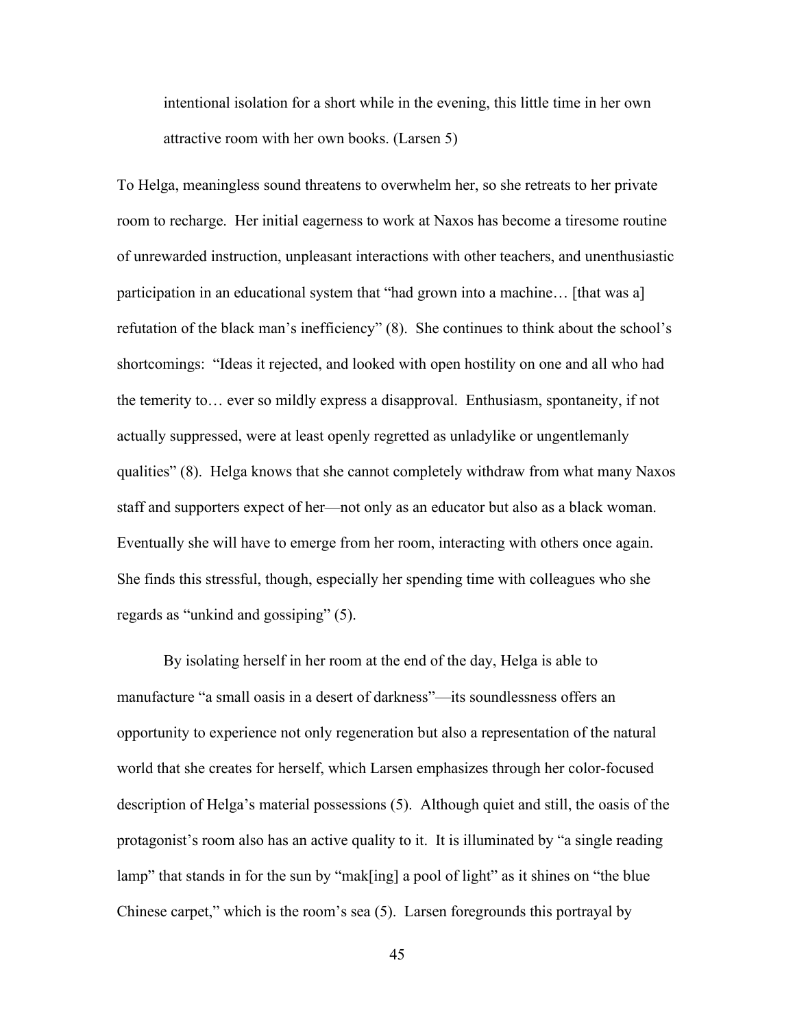intentional isolation for a short while in the evening, this little time in her own attractive room with her own books. (Larsen 5)

To Helga, meaningless sound threatens to overwhelm her, so she retreats to her private room to recharge. Her initial eagerness to work at Naxos has become a tiresome routine of unrewarded instruction, unpleasant interactions with other teachers, and unenthusiastic participation in an educational system that "had grown into a machine… [that was a] refutation of the black man's inefficiency" (8). She continues to think about the school's shortcomings: "Ideas it rejected, and looked with open hostility on one and all who had the temerity to… ever so mildly express a disapproval. Enthusiasm, spontaneity, if not actually suppressed, were at least openly regretted as unladylike or ungentlemanly qualities" (8). Helga knows that she cannot completely withdraw from what many Naxos staff and supporters expect of her—not only as an educator but also as a black woman. Eventually she will have to emerge from her room, interacting with others once again. She finds this stressful, though, especially her spending time with colleagues who she regards as "unkind and gossiping" (5).

By isolating herself in her room at the end of the day, Helga is able to manufacture "a small oasis in a desert of darkness"—its soundlessness offers an opportunity to experience not only regeneration but also a representation of the natural world that she creates for herself, which Larsen emphasizes through her color-focused description of Helga's material possessions (5). Although quiet and still, the oasis of the protagonist's room also has an active quality to it. It is illuminated by "a single reading lamp" that stands in for the sun by "mak[ing] a pool of light" as it shines on "the blue Chinese carpet," which is the room's sea (5). Larsen foregrounds this portrayal by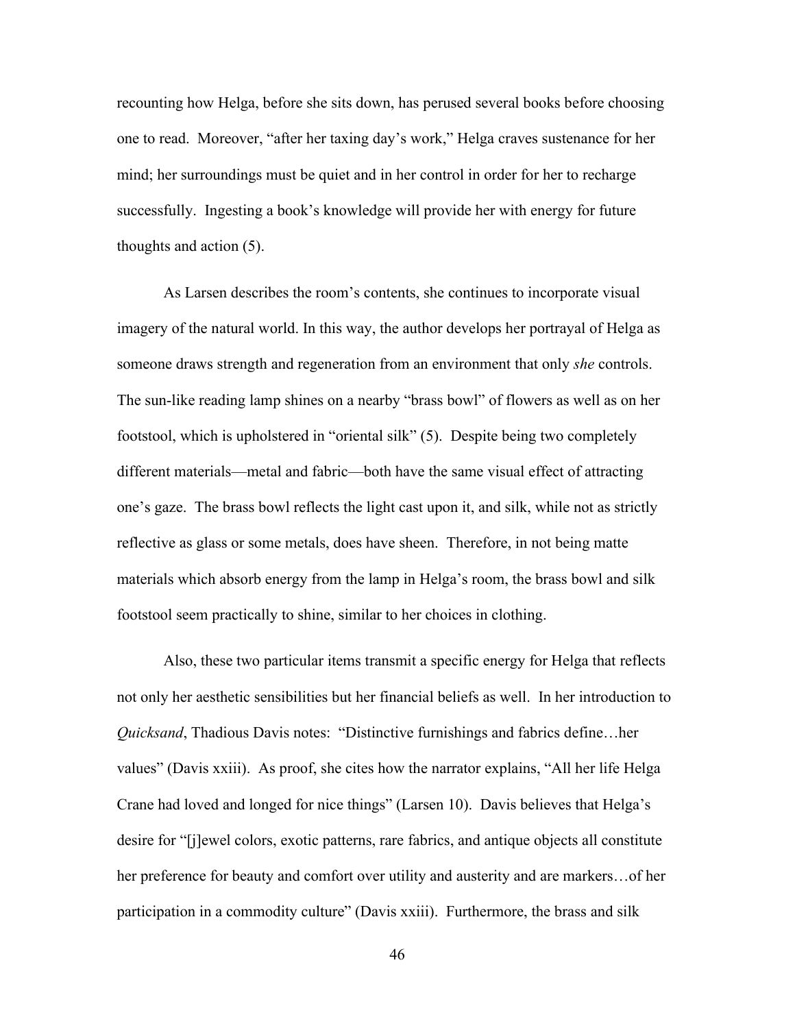recounting how Helga, before she sits down, has perused several books before choosing one to read. Moreover, "after her taxing day's work," Helga craves sustenance for her mind; her surroundings must be quiet and in her control in order for her to recharge successfully. Ingesting a book's knowledge will provide her with energy for future thoughts and action (5).

As Larsen describes the room's contents, she continues to incorporate visual imagery of the natural world. In this way, the author develops her portrayal of Helga as someone draws strength and regeneration from an environment that only *she* controls. The sun-like reading lamp shines on a nearby "brass bowl" of flowers as well as on her footstool, which is upholstered in "oriental silk" (5). Despite being two completely different materials—metal and fabric—both have the same visual effect of attracting one's gaze. The brass bowl reflects the light cast upon it, and silk, while not as strictly reflective as glass or some metals, does have sheen. Therefore, in not being matte materials which absorb energy from the lamp in Helga's room, the brass bowl and silk footstool seem practically to shine, similar to her choices in clothing.

Also, these two particular items transmit a specific energy for Helga that reflects not only her aesthetic sensibilities but her financial beliefs as well. In her introduction to *Quicksand*, Thadious Davis notes: "Distinctive furnishings and fabrics define…her values" (Davis xxiii). As proof, she cites how the narrator explains, "All her life Helga Crane had loved and longed for nice things" (Larsen 10). Davis believes that Helga's desire for "[j]ewel colors, exotic patterns, rare fabrics, and antique objects all constitute her preference for beauty and comfort over utility and austerity and are markers…of her participation in a commodity culture" (Davis xxiii). Furthermore, the brass and silk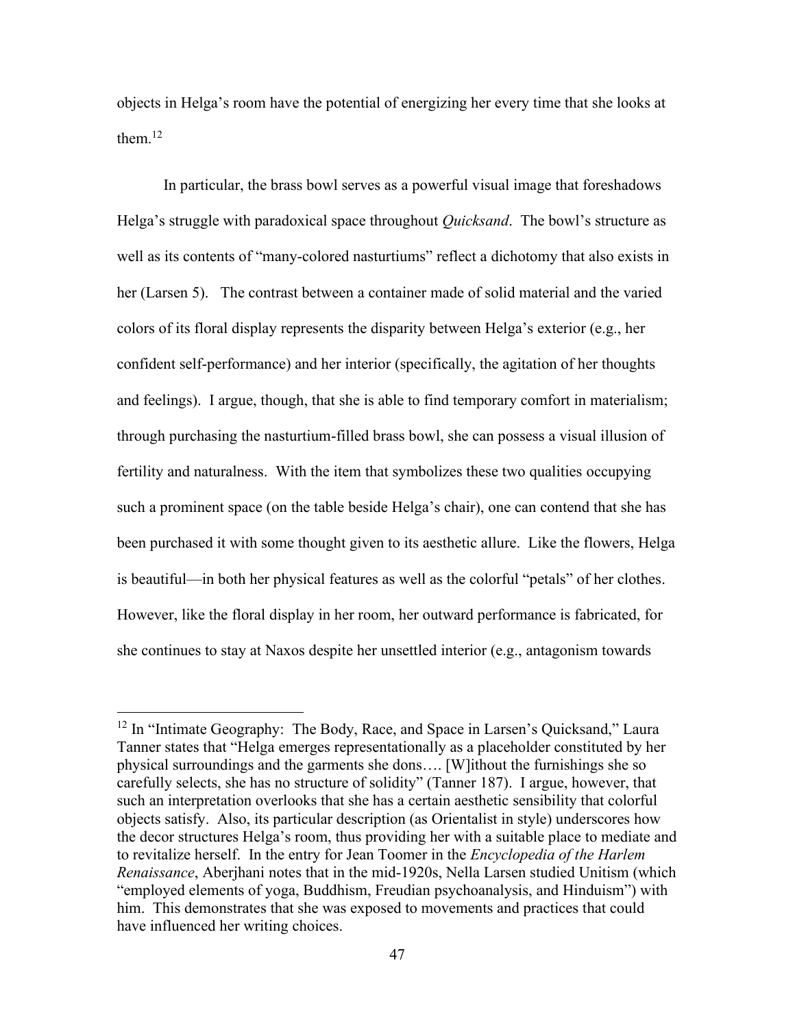objects in Helga's room have the potential of energizing her every time that she looks at them. $^{12}$ 

In particular, the brass bowl serves as a powerful visual image that foreshadows Helga's struggle with paradoxical space throughout *Quicksand*. The bowl's structure as well as its contents of "many-colored nasturtiums" reflect a dichotomy that also exists in her (Larsen 5). The contrast between a container made of solid material and the varied colors of its floral display represents the disparity between Helga's exterior (e.g., her confident self-performance) and her interior (specifically, the agitation of her thoughts and feelings). I argue, though, that she is able to find temporary comfort in materialism; through purchasing the nasturtium-filled brass bowl, she can possess a visual illusion of fertility and naturalness. With the item that symbolizes these two qualities occupying such a prominent space (on the table beside Helga's chair), one can contend that she has been purchased it with some thought given to its aesthetic allure. Like the flowers, Helga is beautiful—in both her physical features as well as the colorful "petals" of her clothes. However, like the floral display in her room, her outward performance is fabricated, for she continues to stay at Naxos despite her unsettled interior (e.g., antagonism towards

 $12$  In "Intimate Geography: The Body, Race, and Space in Larsen's Quicksand," Laura Tanner states that "Helga emerges representationally as a placeholder constituted by her physical surroundings and the garments she dons…. [W]ithout the furnishings she so carefully selects, she has no structure of solidity" (Tanner 187). I argue, however, that such an interpretation overlooks that she has a certain aesthetic sensibility that colorful objects satisfy. Also, its particular description (as Orientalist in style) underscores how the decor structures Helga's room, thus providing her with a suitable place to mediate and to revitalize herself. In the entry for Jean Toomer in the *Encyclopedia of the Harlem Renaissance*, Aberjhani notes that in the mid-1920s, Nella Larsen studied Unitism (which "employed elements of yoga, Buddhism, Freudian psychoanalysis, and Hinduism") with him. This demonstrates that she was exposed to movements and practices that could have influenced her writing choices.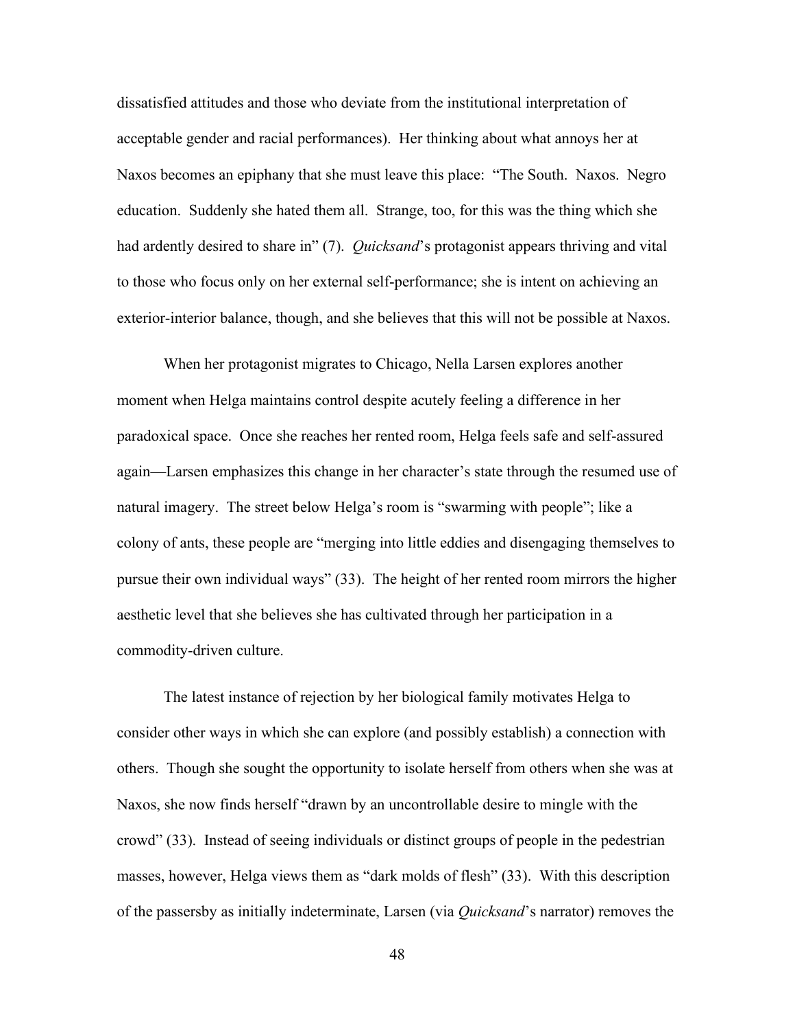dissatisfied attitudes and those who deviate from the institutional interpretation of acceptable gender and racial performances). Her thinking about what annoys her at Naxos becomes an epiphany that she must leave this place: "The South. Naxos. Negro education. Suddenly she hated them all. Strange, too, for this was the thing which she had ardently desired to share in" (7). *Quicksand*'s protagonist appears thriving and vital to those who focus only on her external self-performance; she is intent on achieving an exterior-interior balance, though, and she believes that this will not be possible at Naxos.

When her protagonist migrates to Chicago, Nella Larsen explores another moment when Helga maintains control despite acutely feeling a difference in her paradoxical space. Once she reaches her rented room, Helga feels safe and self-assured again—Larsen emphasizes this change in her character's state through the resumed use of natural imagery. The street below Helga's room is "swarming with people"; like a colony of ants, these people are "merging into little eddies and disengaging themselves to pursue their own individual ways" (33). The height of her rented room mirrors the higher aesthetic level that she believes she has cultivated through her participation in a commodity-driven culture.

The latest instance of rejection by her biological family motivates Helga to consider other ways in which she can explore (and possibly establish) a connection with others. Though she sought the opportunity to isolate herself from others when she was at Naxos, she now finds herself "drawn by an uncontrollable desire to mingle with the crowd" (33). Instead of seeing individuals or distinct groups of people in the pedestrian masses, however, Helga views them as "dark molds of flesh" (33). With this description of the passersby as initially indeterminate, Larsen (via *Quicksand*'s narrator) removes the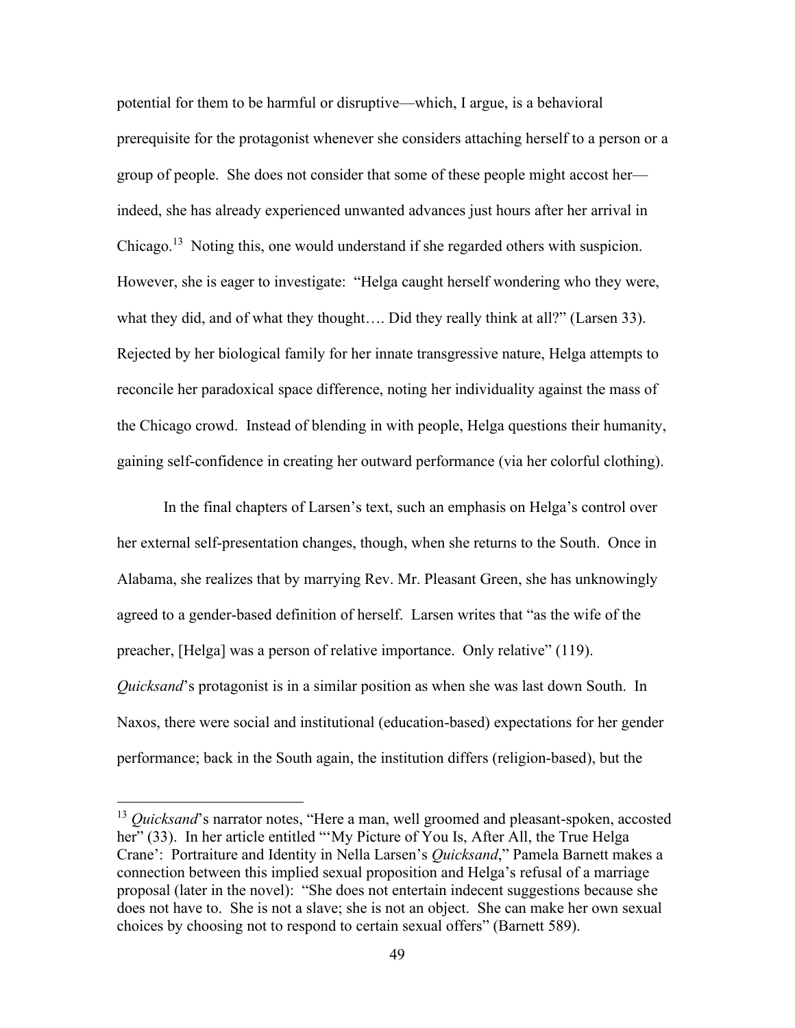potential for them to be harmful or disruptive—which, I argue, is a behavioral prerequisite for the protagonist whenever she considers attaching herself to a person or a group of people. She does not consider that some of these people might accost her indeed, she has already experienced unwanted advances just hours after her arrival in Chicago.<sup>13</sup> Noting this, one would understand if she regarded others with suspicion. However, she is eager to investigate: "Helga caught herself wondering who they were, what they did, and of what they thought.... Did they really think at all?" (Larsen 33). Rejected by her biological family for her innate transgressive nature, Helga attempts to reconcile her paradoxical space difference, noting her individuality against the mass of the Chicago crowd. Instead of blending in with people, Helga questions their humanity, gaining self-confidence in creating her outward performance (via her colorful clothing).

In the final chapters of Larsen's text, such an emphasis on Helga's control over her external self-presentation changes, though, when she returns to the South. Once in Alabama, she realizes that by marrying Rev. Mr. Pleasant Green, she has unknowingly agreed to a gender-based definition of herself. Larsen writes that "as the wife of the preacher, [Helga] was a person of relative importance. Only relative" (119). *Quicksand*'s protagonist is in a similar position as when she was last down South. In Naxos, there were social and institutional (education-based) expectations for her gender performance; back in the South again, the institution differs (religion-based), but the

<sup>&</sup>lt;sup>13</sup> *Quicksand*'s narrator notes, "Here a man, well groomed and pleasant-spoken, accosted her" (33). In her article entitled "'My Picture of You Is, After All, the True Helga Crane': Portraiture and Identity in Nella Larsen's *Quicksand*," Pamela Barnett makes a connection between this implied sexual proposition and Helga's refusal of a marriage proposal (later in the novel): "She does not entertain indecent suggestions because she does not have to. She is not a slave; she is not an object. She can make her own sexual choices by choosing not to respond to certain sexual offers" (Barnett 589).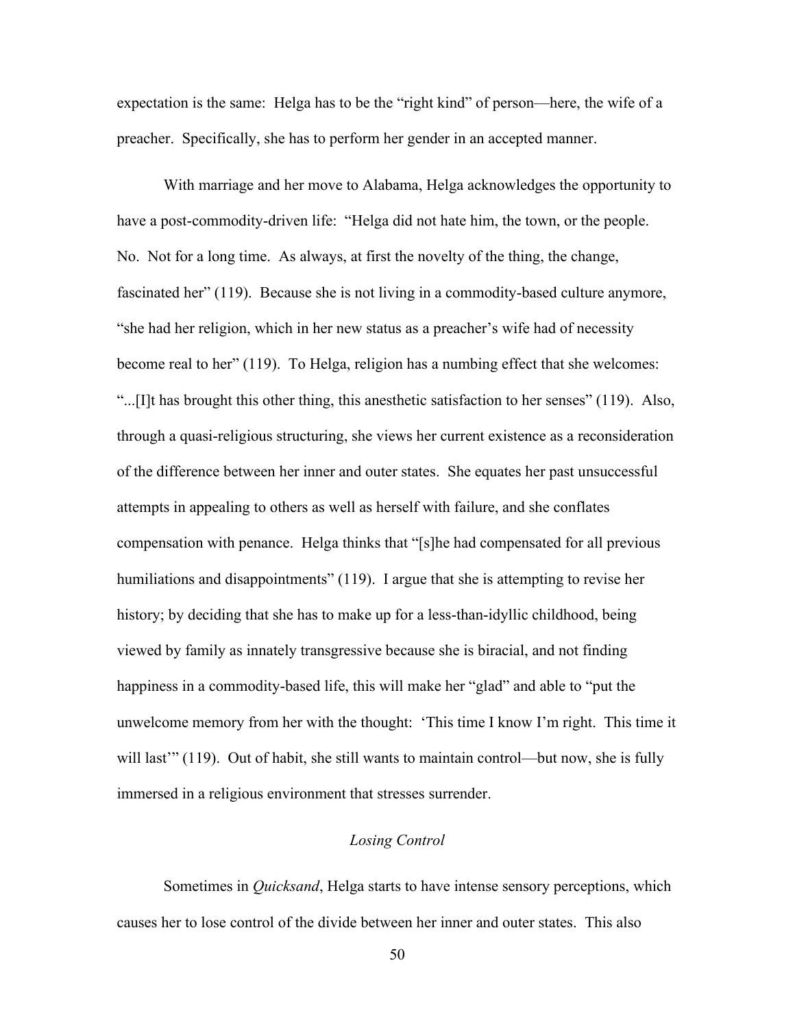expectation is the same: Helga has to be the "right kind" of person—here, the wife of a preacher. Specifically, she has to perform her gender in an accepted manner.

With marriage and her move to Alabama, Helga acknowledges the opportunity to have a post-commodity-driven life: "Helga did not hate him, the town, or the people. No. Not for a long time. As always, at first the novelty of the thing, the change, fascinated her" (119). Because she is not living in a commodity-based culture anymore, "she had her religion, which in her new status as a preacher's wife had of necessity become real to her" (119). To Helga, religion has a numbing effect that she welcomes: "...[I]t has brought this other thing, this anesthetic satisfaction to her senses" (119). Also, through a quasi-religious structuring, she views her current existence as a reconsideration of the difference between her inner and outer states. She equates her past unsuccessful attempts in appealing to others as well as herself with failure, and she conflates compensation with penance. Helga thinks that "[s]he had compensated for all previous humiliations and disappointments" (119). I argue that she is attempting to revise her history; by deciding that she has to make up for a less-than-idyllic childhood, being viewed by family as innately transgressive because she is biracial, and not finding happiness in a commodity-based life, this will make her "glad" and able to "put the unwelcome memory from her with the thought: 'This time I know I'm right. This time it will last" (119). Out of habit, she still wants to maintain control—but now, she is fully immersed in a religious environment that stresses surrender.

#### *Losing Control*

Sometimes in *Quicksand*, Helga starts to have intense sensory perceptions, which causes her to lose control of the divide between her inner and outer states. This also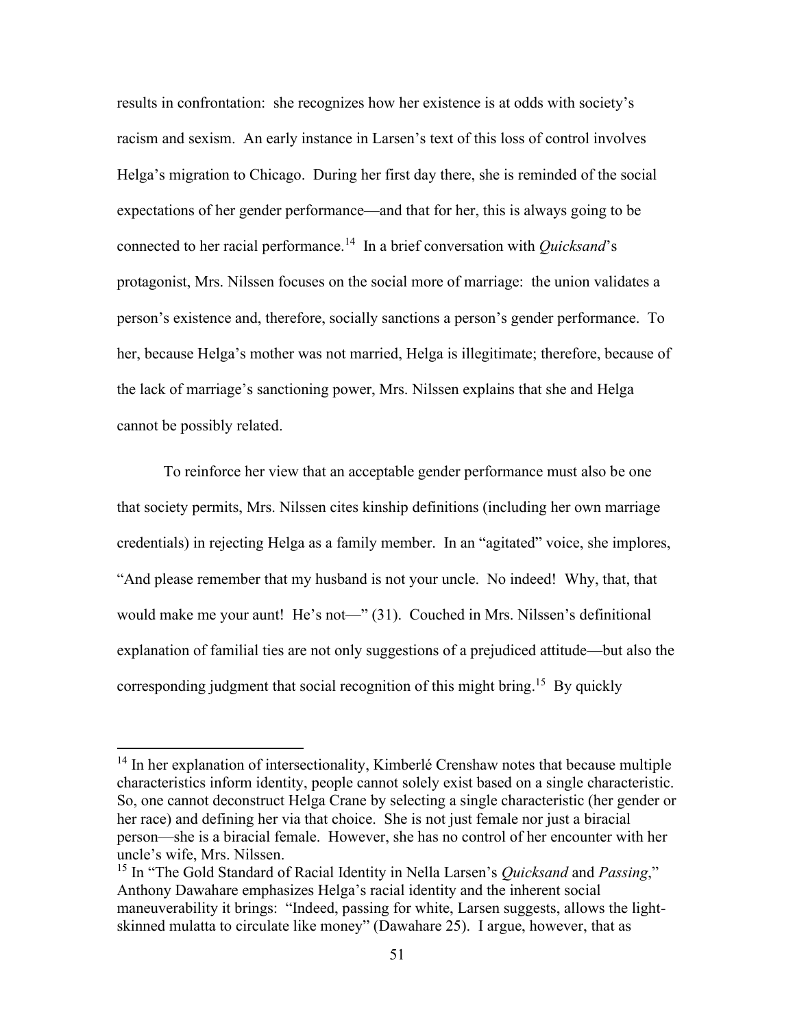results in confrontation: she recognizes how her existence is at odds with society's racism and sexism. An early instance in Larsen's text of this loss of control involves Helga's migration to Chicago. During her first day there, she is reminded of the social expectations of her gender performance—and that for her, this is always going to be connected to her racial performance.<sup>14</sup> In a brief conversation with *Quicksand*'s protagonist, Mrs. Nilssen focuses on the social more of marriage: the union validates a person's existence and, therefore, socially sanctions a person's gender performance. To her, because Helga's mother was not married, Helga is illegitimate; therefore, because of the lack of marriage's sanctioning power, Mrs. Nilssen explains that she and Helga cannot be possibly related.

To reinforce her view that an acceptable gender performance must also be one that society permits, Mrs. Nilssen cites kinship definitions (including her own marriage credentials) in rejecting Helga as a family member. In an "agitated" voice, she implores, "And please remember that my husband is not your uncle. No indeed! Why, that, that would make me your aunt! He's not—" (31). Couched in Mrs. Nilssen's definitional explanation of familial ties are not only suggestions of a prejudiced attitude—but also the corresponding judgment that social recognition of this might bring.<sup>15</sup> By quickly

<sup>&</sup>lt;sup>14</sup> In her explanation of intersectionality, Kimberlé Crenshaw notes that because multiple characteristics inform identity, people cannot solely exist based on a single characteristic. So, one cannot deconstruct Helga Crane by selecting a single characteristic (her gender or her race) and defining her via that choice. She is not just female nor just a biracial person—she is a biracial female. However, she has no control of her encounter with her uncle's wife, Mrs. Nilssen.

<sup>15</sup> In "The Gold Standard of Racial Identity in Nella Larsen's *Quicksand* and *Passing*," Anthony Dawahare emphasizes Helga's racial identity and the inherent social maneuverability it brings: "Indeed, passing for white, Larsen suggests, allows the lightskinned mulatta to circulate like money" (Dawahare 25). I argue, however, that as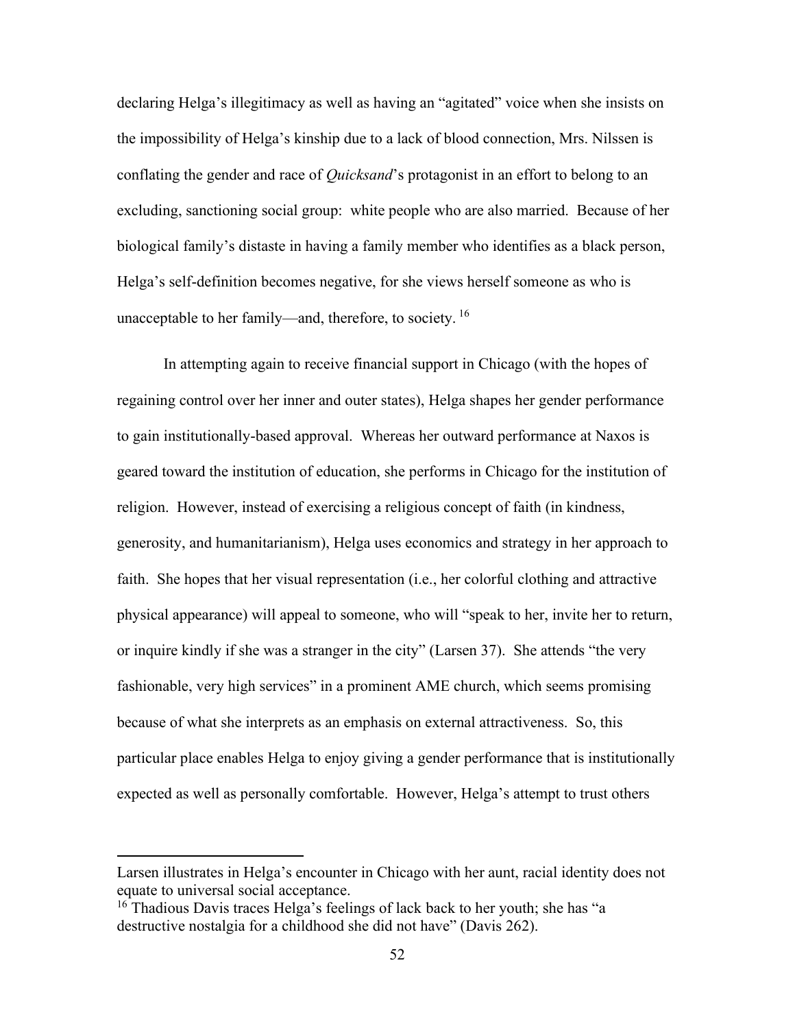declaring Helga's illegitimacy as well as having an "agitated" voice when she insists on the impossibility of Helga's kinship due to a lack of blood connection, Mrs. Nilssen is conflating the gender and race of *Quicksand*'s protagonist in an effort to belong to an excluding, sanctioning social group: white people who are also married. Because of her biological family's distaste in having a family member who identifies as a black person, Helga's self-definition becomes negative, for she views herself someone as who is unacceptable to her family—and, therefore, to society. <sup>16</sup>

In attempting again to receive financial support in Chicago (with the hopes of regaining control over her inner and outer states), Helga shapes her gender performance to gain institutionally-based approval. Whereas her outward performance at Naxos is geared toward the institution of education, she performs in Chicago for the institution of religion. However, instead of exercising a religious concept of faith (in kindness, generosity, and humanitarianism), Helga uses economics and strategy in her approach to faith. She hopes that her visual representation (i.e., her colorful clothing and attractive physical appearance) will appeal to someone, who will "speak to her, invite her to return, or inquire kindly if she was a stranger in the city" (Larsen 37). She attends "the very fashionable, very high services" in a prominent AME church, which seems promising because of what she interprets as an emphasis on external attractiveness. So, this particular place enables Helga to enjoy giving a gender performance that is institutionally expected as well as personally comfortable. However, Helga's attempt to trust others

Larsen illustrates in Helga's encounter in Chicago with her aunt, racial identity does not equate to universal social acceptance.

 $16$ <sup>16</sup> Thadious Davis traces Helga's feelings of lack back to her youth; she has "a destructive nostalgia for a childhood she did not have" (Davis 262).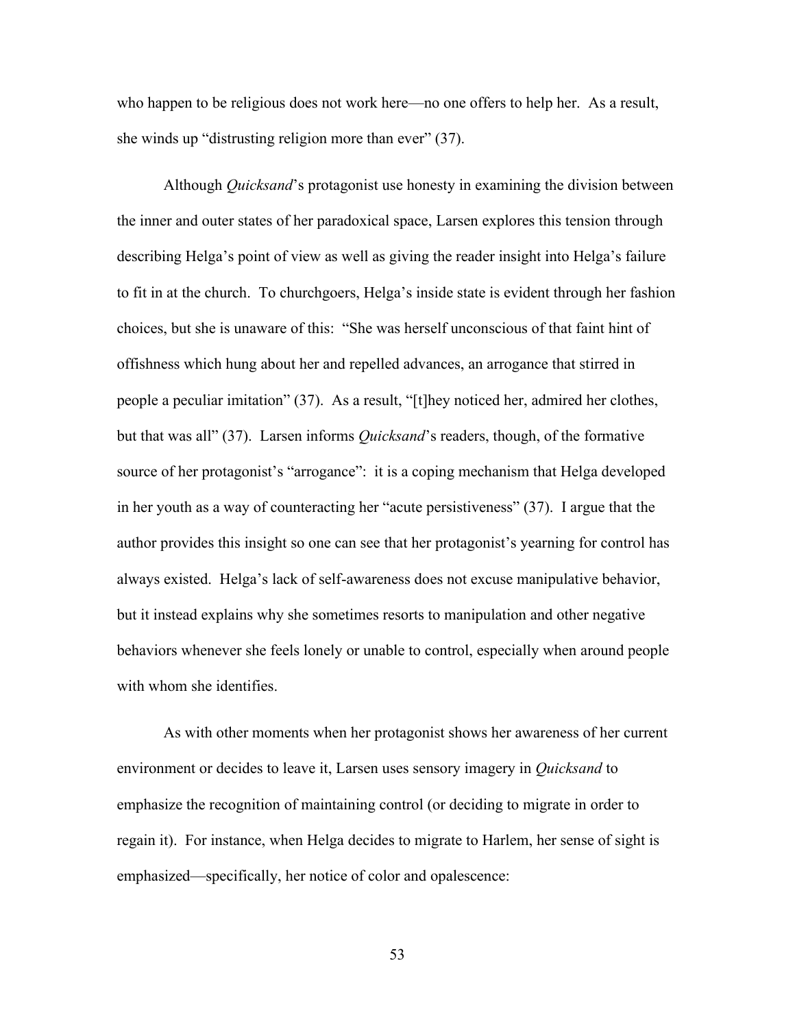who happen to be religious does not work here—no one offers to help her. As a result, she winds up "distrusting religion more than ever" (37).

Although *Quicksand*'s protagonist use honesty in examining the division between the inner and outer states of her paradoxical space, Larsen explores this tension through describing Helga's point of view as well as giving the reader insight into Helga's failure to fit in at the church. To churchgoers, Helga's inside state is evident through her fashion choices, but she is unaware of this: "She was herself unconscious of that faint hint of offishness which hung about her and repelled advances, an arrogance that stirred in people a peculiar imitation" (37). As a result, "[t]hey noticed her, admired her clothes, but that was all" (37). Larsen informs *Quicksand*'s readers, though, of the formative source of her protagonist's "arrogance": it is a coping mechanism that Helga developed in her youth as a way of counteracting her "acute persistiveness" (37). I argue that the author provides this insight so one can see that her protagonist's yearning for control has always existed. Helga's lack of self-awareness does not excuse manipulative behavior, but it instead explains why she sometimes resorts to manipulation and other negative behaviors whenever she feels lonely or unable to control, especially when around people with whom she identifies.

As with other moments when her protagonist shows her awareness of her current environment or decides to leave it, Larsen uses sensory imagery in *Quicksand* to emphasize the recognition of maintaining control (or deciding to migrate in order to regain it). For instance, when Helga decides to migrate to Harlem, her sense of sight is emphasized—specifically, her notice of color and opalescence: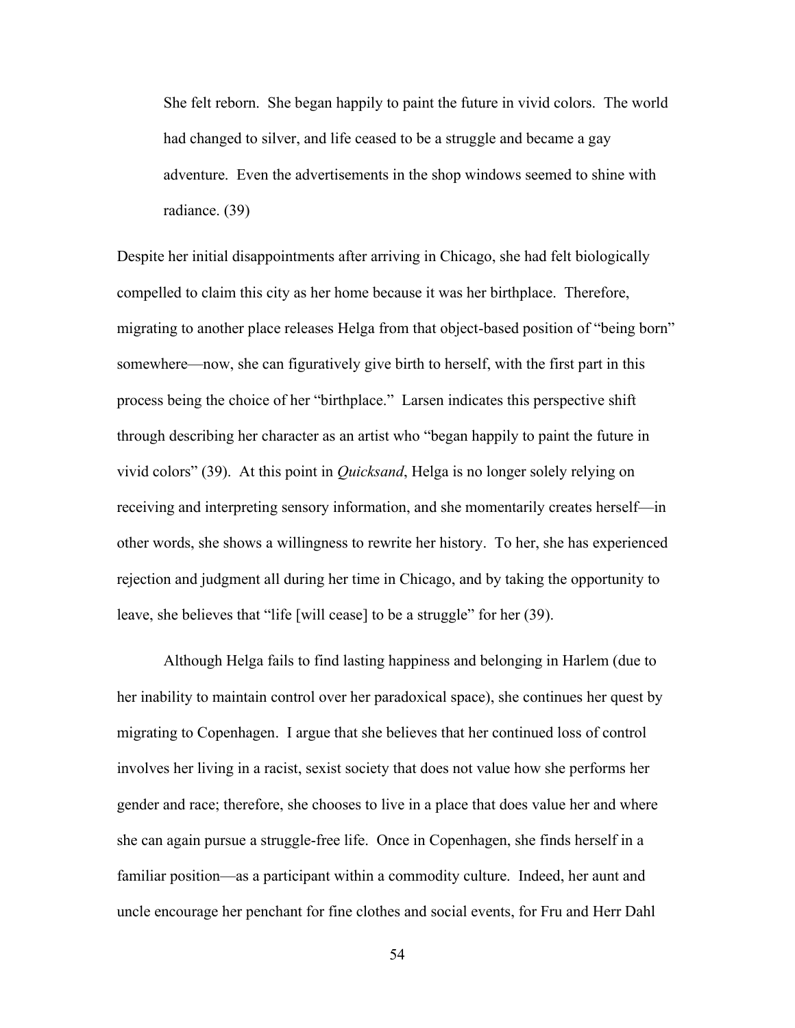She felt reborn. She began happily to paint the future in vivid colors. The world had changed to silver, and life ceased to be a struggle and became a gay adventure. Even the advertisements in the shop windows seemed to shine with radiance. (39)

Despite her initial disappointments after arriving in Chicago, she had felt biologically compelled to claim this city as her home because it was her birthplace. Therefore, migrating to another place releases Helga from that object-based position of "being born" somewhere—now, she can figuratively give birth to herself, with the first part in this process being the choice of her "birthplace." Larsen indicates this perspective shift through describing her character as an artist who "began happily to paint the future in vivid colors" (39). At this point in *Quicksand*, Helga is no longer solely relying on receiving and interpreting sensory information, and she momentarily creates herself—in other words, she shows a willingness to rewrite her history. To her, she has experienced rejection and judgment all during her time in Chicago, and by taking the opportunity to leave, she believes that "life [will cease] to be a struggle" for her (39).

Although Helga fails to find lasting happiness and belonging in Harlem (due to her inability to maintain control over her paradoxical space), she continues her quest by migrating to Copenhagen. I argue that she believes that her continued loss of control involves her living in a racist, sexist society that does not value how she performs her gender and race; therefore, she chooses to live in a place that does value her and where she can again pursue a struggle-free life. Once in Copenhagen, she finds herself in a familiar position—as a participant within a commodity culture. Indeed, her aunt and uncle encourage her penchant for fine clothes and social events, for Fru and Herr Dahl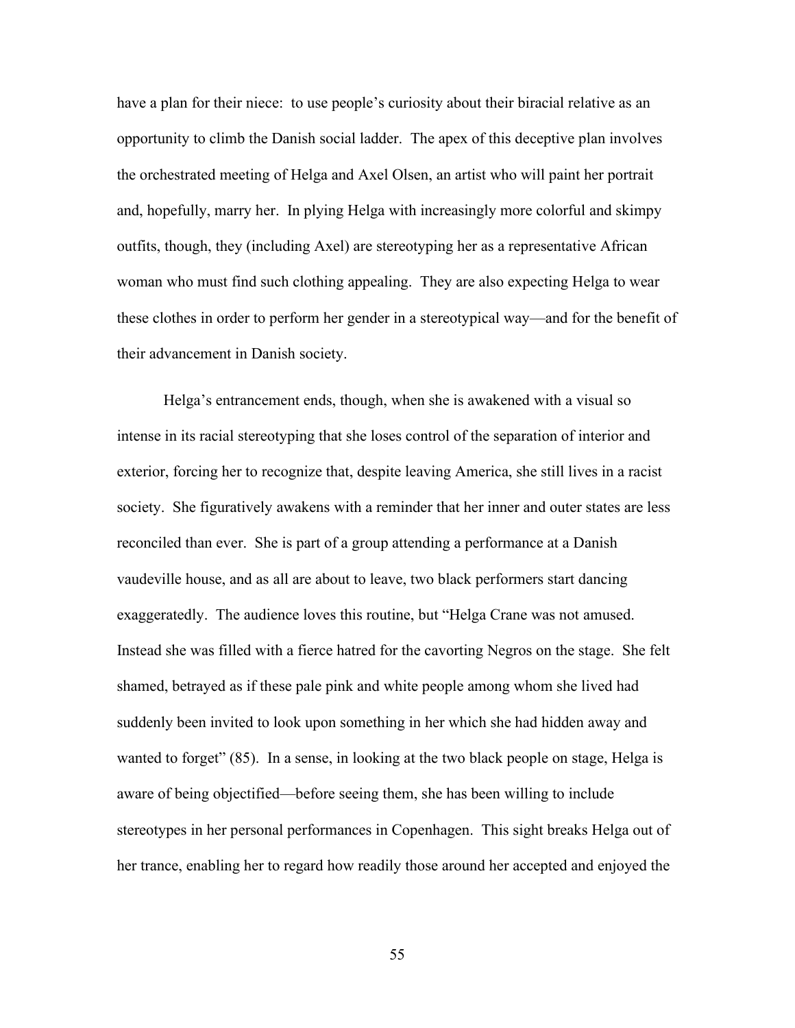have a plan for their niece: to use people's curiosity about their biracial relative as an opportunity to climb the Danish social ladder. The apex of this deceptive plan involves the orchestrated meeting of Helga and Axel Olsen, an artist who will paint her portrait and, hopefully, marry her. In plying Helga with increasingly more colorful and skimpy outfits, though, they (including Axel) are stereotyping her as a representative African woman who must find such clothing appealing. They are also expecting Helga to wear these clothes in order to perform her gender in a stereotypical way—and for the benefit of their advancement in Danish society.

Helga's entrancement ends, though, when she is awakened with a visual so intense in its racial stereotyping that she loses control of the separation of interior and exterior, forcing her to recognize that, despite leaving America, she still lives in a racist society. She figuratively awakens with a reminder that her inner and outer states are less reconciled than ever. She is part of a group attending a performance at a Danish vaudeville house, and as all are about to leave, two black performers start dancing exaggeratedly. The audience loves this routine, but "Helga Crane was not amused. Instead she was filled with a fierce hatred for the cavorting Negros on the stage. She felt shamed, betrayed as if these pale pink and white people among whom she lived had suddenly been invited to look upon something in her which she had hidden away and wanted to forget" (85). In a sense, in looking at the two black people on stage, Helga is aware of being objectified—before seeing them, she has been willing to include stereotypes in her personal performances in Copenhagen. This sight breaks Helga out of her trance, enabling her to regard how readily those around her accepted and enjoyed the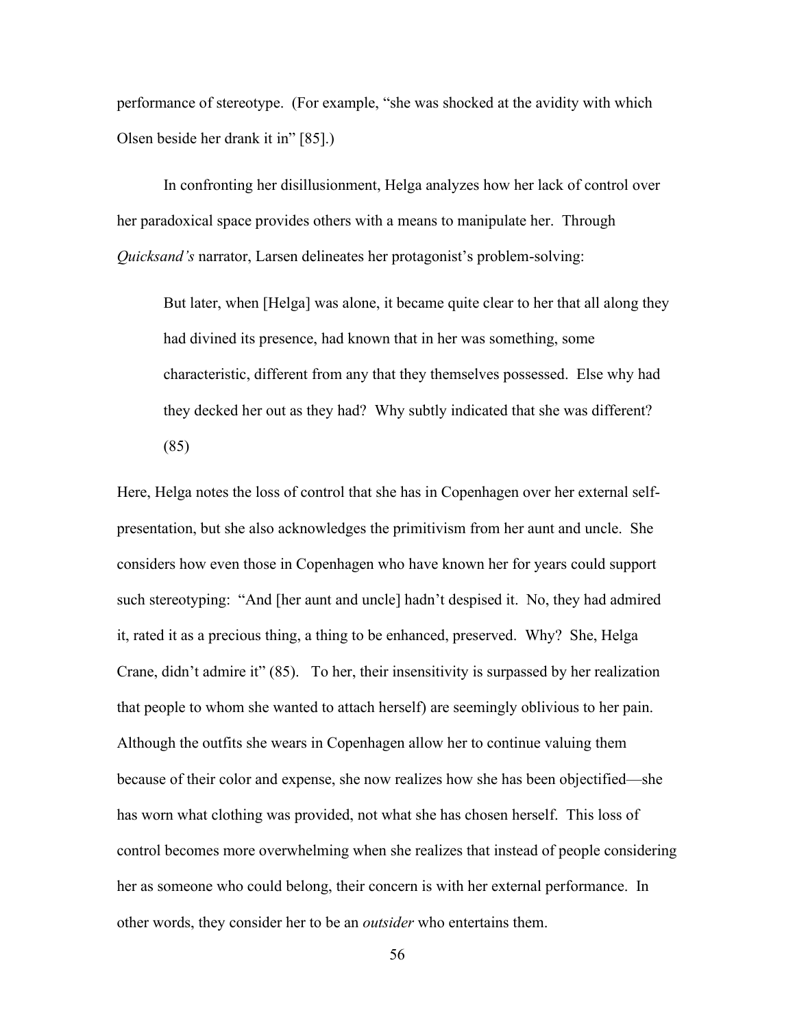performance of stereotype. (For example, "she was shocked at the avidity with which Olsen beside her drank it in" [85].)

In confronting her disillusionment, Helga analyzes how her lack of control over her paradoxical space provides others with a means to manipulate her. Through *Quicksand's* narrator, Larsen delineates her protagonist's problem-solving:

But later, when [Helga] was alone, it became quite clear to her that all along they had divined its presence, had known that in her was something, some characteristic, different from any that they themselves possessed. Else why had they decked her out as they had? Why subtly indicated that she was different? (85)

Here, Helga notes the loss of control that she has in Copenhagen over her external selfpresentation, but she also acknowledges the primitivism from her aunt and uncle. She considers how even those in Copenhagen who have known her for years could support such stereotyping: "And [her aunt and uncle] hadn't despised it. No, they had admired it, rated it as a precious thing, a thing to be enhanced, preserved. Why? She, Helga Crane, didn't admire it" (85). To her, their insensitivity is surpassed by her realization that people to whom she wanted to attach herself) are seemingly oblivious to her pain. Although the outfits she wears in Copenhagen allow her to continue valuing them because of their color and expense, she now realizes how she has been objectified—she has worn what clothing was provided, not what she has chosen herself. This loss of control becomes more overwhelming when she realizes that instead of people considering her as someone who could belong, their concern is with her external performance. In other words, they consider her to be an *outsider* who entertains them.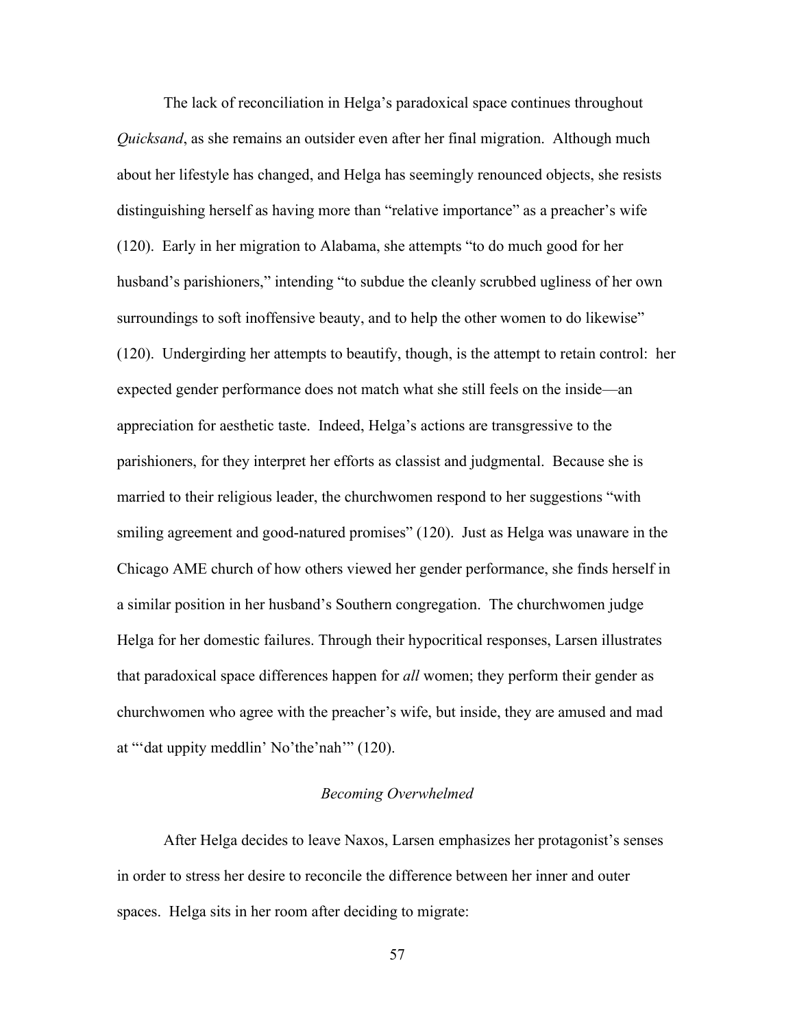The lack of reconciliation in Helga's paradoxical space continues throughout *Quicksand*, as she remains an outsider even after her final migration. Although much about her lifestyle has changed, and Helga has seemingly renounced objects, she resists distinguishing herself as having more than "relative importance" as a preacher's wife (120). Early in her migration to Alabama, she attempts "to do much good for her husband's parishioners," intending "to subdue the cleanly scrubbed ugliness of her own surroundings to soft inoffensive beauty, and to help the other women to do likewise" (120). Undergirding her attempts to beautify, though, is the attempt to retain control: her expected gender performance does not match what she still feels on the inside—an appreciation for aesthetic taste. Indeed, Helga's actions are transgressive to the parishioners, for they interpret her efforts as classist and judgmental. Because she is married to their religious leader, the churchwomen respond to her suggestions "with smiling agreement and good-natured promises" (120). Just as Helga was unaware in the Chicago AME church of how others viewed her gender performance, she finds herself in a similar position in her husband's Southern congregation. The churchwomen judge Helga for her domestic failures. Through their hypocritical responses, Larsen illustrates that paradoxical space differences happen for *all* women; they perform their gender as churchwomen who agree with the preacher's wife, but inside, they are amused and mad at "'dat uppity meddlin' No'the'nah'" (120).

### *Becoming Overwhelmed*

After Helga decides to leave Naxos, Larsen emphasizes her protagonist's senses in order to stress her desire to reconcile the difference between her inner and outer spaces. Helga sits in her room after deciding to migrate: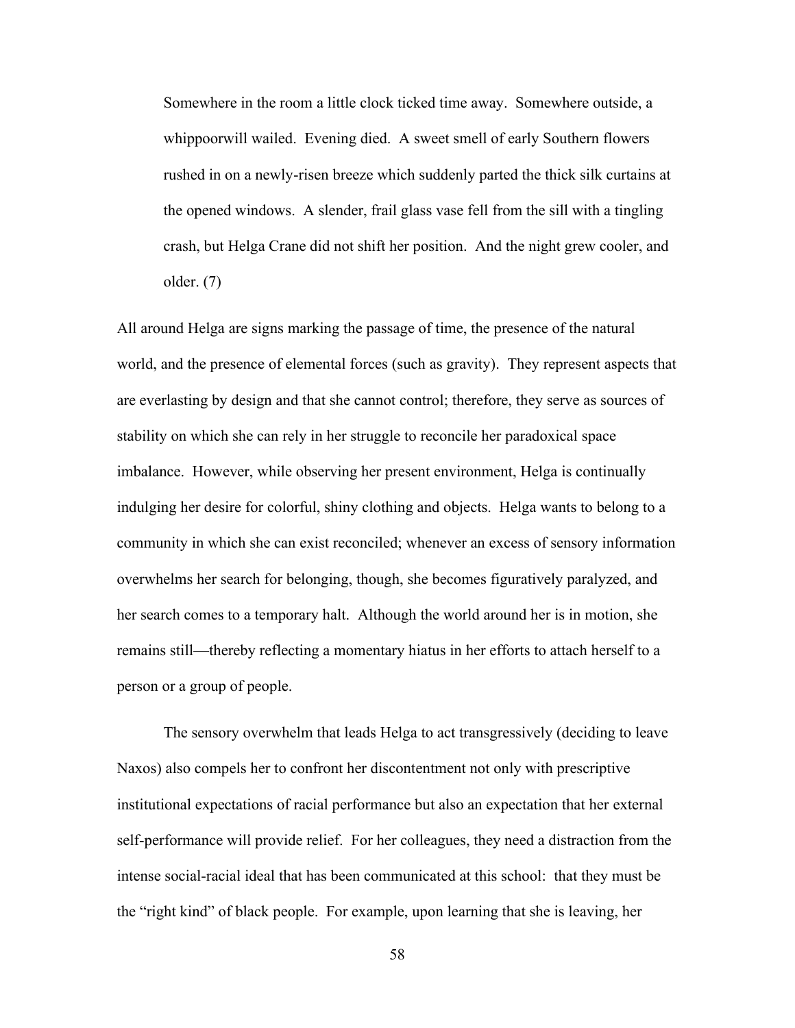Somewhere in the room a little clock ticked time away. Somewhere outside, a whippoorwill wailed. Evening died. A sweet smell of early Southern flowers rushed in on a newly-risen breeze which suddenly parted the thick silk curtains at the opened windows. A slender, frail glass vase fell from the sill with a tingling crash, but Helga Crane did not shift her position. And the night grew cooler, and older. (7)

All around Helga are signs marking the passage of time, the presence of the natural world, and the presence of elemental forces (such as gravity). They represent aspects that are everlasting by design and that she cannot control; therefore, they serve as sources of stability on which she can rely in her struggle to reconcile her paradoxical space imbalance. However, while observing her present environment, Helga is continually indulging her desire for colorful, shiny clothing and objects. Helga wants to belong to a community in which she can exist reconciled; whenever an excess of sensory information overwhelms her search for belonging, though, she becomes figuratively paralyzed, and her search comes to a temporary halt. Although the world around her is in motion, she remains still—thereby reflecting a momentary hiatus in her efforts to attach herself to a person or a group of people.

The sensory overwhelm that leads Helga to act transgressively (deciding to leave Naxos) also compels her to confront her discontentment not only with prescriptive institutional expectations of racial performance but also an expectation that her external self-performance will provide relief. For her colleagues, they need a distraction from the intense social-racial ideal that has been communicated at this school: that they must be the "right kind" of black people. For example, upon learning that she is leaving, her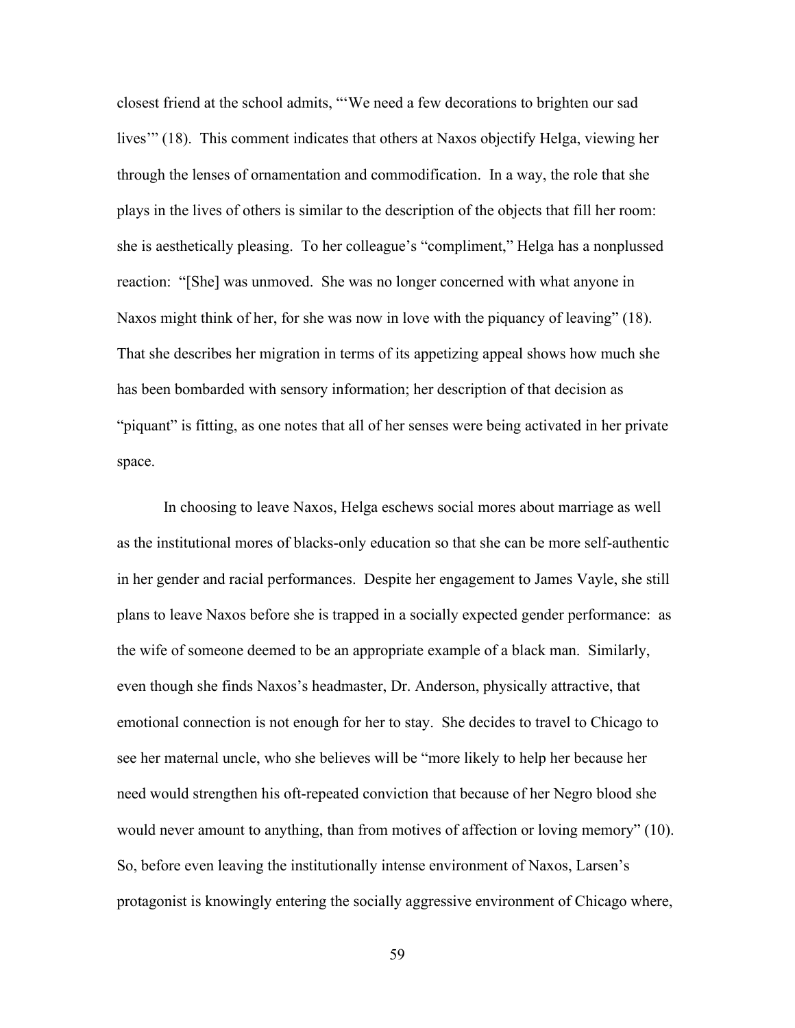closest friend at the school admits, "'We need a few decorations to brighten our sad lives'" (18). This comment indicates that others at Naxos objectify Helga, viewing her through the lenses of ornamentation and commodification. In a way, the role that she plays in the lives of others is similar to the description of the objects that fill her room: she is aesthetically pleasing. To her colleague's "compliment," Helga has a nonplussed reaction: "[She] was unmoved. She was no longer concerned with what anyone in Naxos might think of her, for she was now in love with the piquancy of leaving" (18). That she describes her migration in terms of its appetizing appeal shows how much she has been bombarded with sensory information; her description of that decision as "piquant" is fitting, as one notes that all of her senses were being activated in her private space.

In choosing to leave Naxos, Helga eschews social mores about marriage as well as the institutional mores of blacks-only education so that she can be more self-authentic in her gender and racial performances. Despite her engagement to James Vayle, she still plans to leave Naxos before she is trapped in a socially expected gender performance: as the wife of someone deemed to be an appropriate example of a black man. Similarly, even though she finds Naxos's headmaster, Dr. Anderson, physically attractive, that emotional connection is not enough for her to stay. She decides to travel to Chicago to see her maternal uncle, who she believes will be "more likely to help her because her need would strengthen his oft-repeated conviction that because of her Negro blood she would never amount to anything, than from motives of affection or loving memory" (10). So, before even leaving the institutionally intense environment of Naxos, Larsen's protagonist is knowingly entering the socially aggressive environment of Chicago where,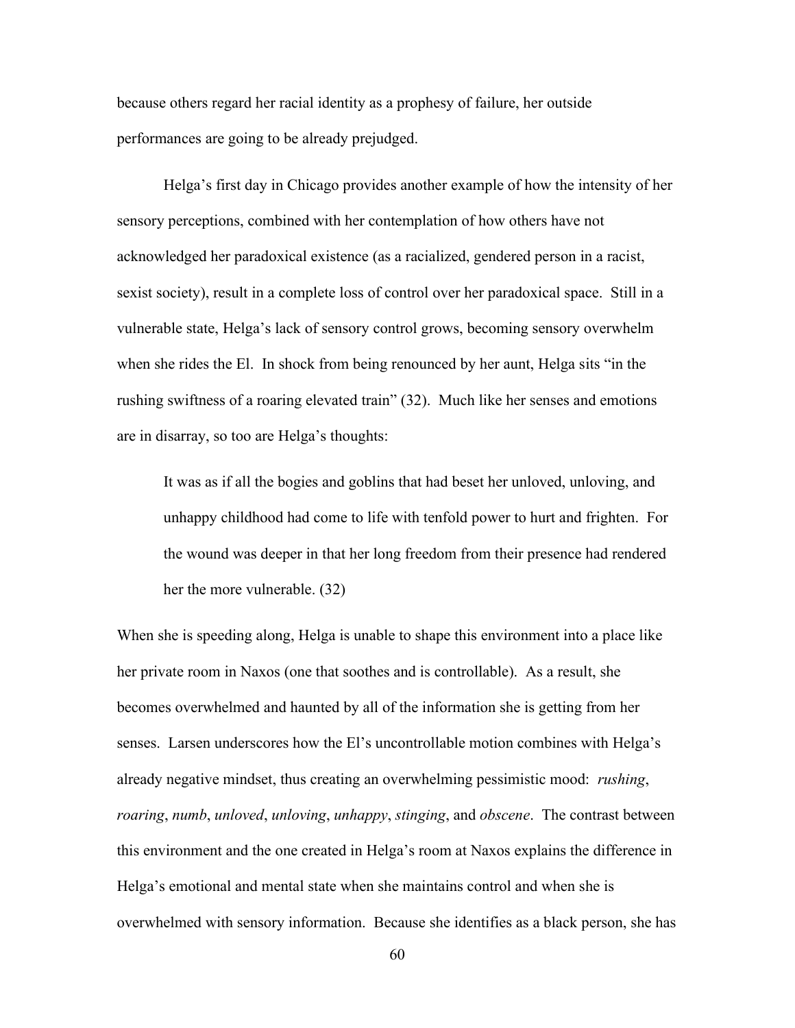because others regard her racial identity as a prophesy of failure, her outside performances are going to be already prejudged.

Helga's first day in Chicago provides another example of how the intensity of her sensory perceptions, combined with her contemplation of how others have not acknowledged her paradoxical existence (as a racialized, gendered person in a racist, sexist society), result in a complete loss of control over her paradoxical space. Still in a vulnerable state, Helga's lack of sensory control grows, becoming sensory overwhelm when she rides the El. In shock from being renounced by her aunt, Helga sits "in the rushing swiftness of a roaring elevated train" (32). Much like her senses and emotions are in disarray, so too are Helga's thoughts:

It was as if all the bogies and goblins that had beset her unloved, unloving, and unhappy childhood had come to life with tenfold power to hurt and frighten. For the wound was deeper in that her long freedom from their presence had rendered her the more vulnerable. (32)

When she is speeding along, Helga is unable to shape this environment into a place like her private room in Naxos (one that soothes and is controllable). As a result, she becomes overwhelmed and haunted by all of the information she is getting from her senses. Larsen underscores how the El's uncontrollable motion combines with Helga's already negative mindset, thus creating an overwhelming pessimistic mood: *rushing*, *roaring*, *numb*, *unloved*, *unloving*, *unhappy*, *stinging*, and *obscene*. The contrast between this environment and the one created in Helga's room at Naxos explains the difference in Helga's emotional and mental state when she maintains control and when she is overwhelmed with sensory information. Because she identifies as a black person, she has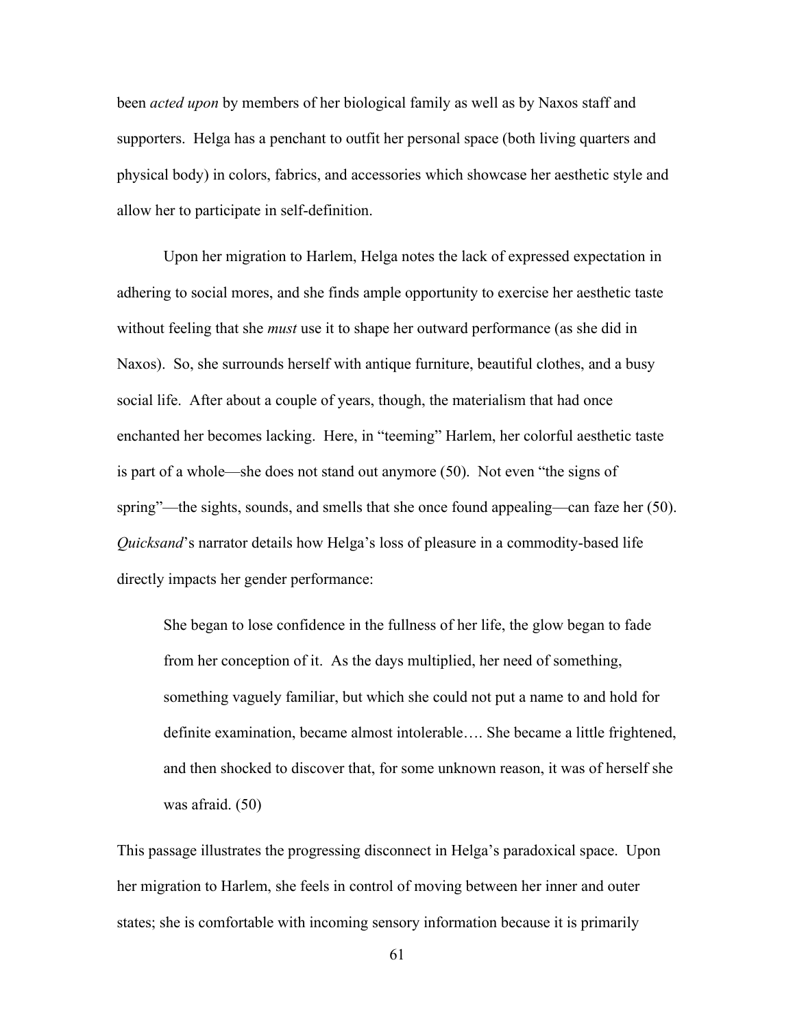been *acted upon* by members of her biological family as well as by Naxos staff and supporters. Helga has a penchant to outfit her personal space (both living quarters and physical body) in colors, fabrics, and accessories which showcase her aesthetic style and allow her to participate in self-definition.

Upon her migration to Harlem, Helga notes the lack of expressed expectation in adhering to social mores, and she finds ample opportunity to exercise her aesthetic taste without feeling that she *must* use it to shape her outward performance (as she did in Naxos). So, she surrounds herself with antique furniture, beautiful clothes, and a busy social life. After about a couple of years, though, the materialism that had once enchanted her becomes lacking. Here, in "teeming" Harlem, her colorful aesthetic taste is part of a whole—she does not stand out anymore (50). Not even "the signs of spring"—the sights, sounds, and smells that she once found appealing—can faze her (50). *Quicksand*'s narrator details how Helga's loss of pleasure in a commodity-based life directly impacts her gender performance:

She began to lose confidence in the fullness of her life, the glow began to fade from her conception of it. As the days multiplied, her need of something, something vaguely familiar, but which she could not put a name to and hold for definite examination, became almost intolerable…. She became a little frightened, and then shocked to discover that, for some unknown reason, it was of herself she was afraid. (50)

This passage illustrates the progressing disconnect in Helga's paradoxical space. Upon her migration to Harlem, she feels in control of moving between her inner and outer states; she is comfortable with incoming sensory information because it is primarily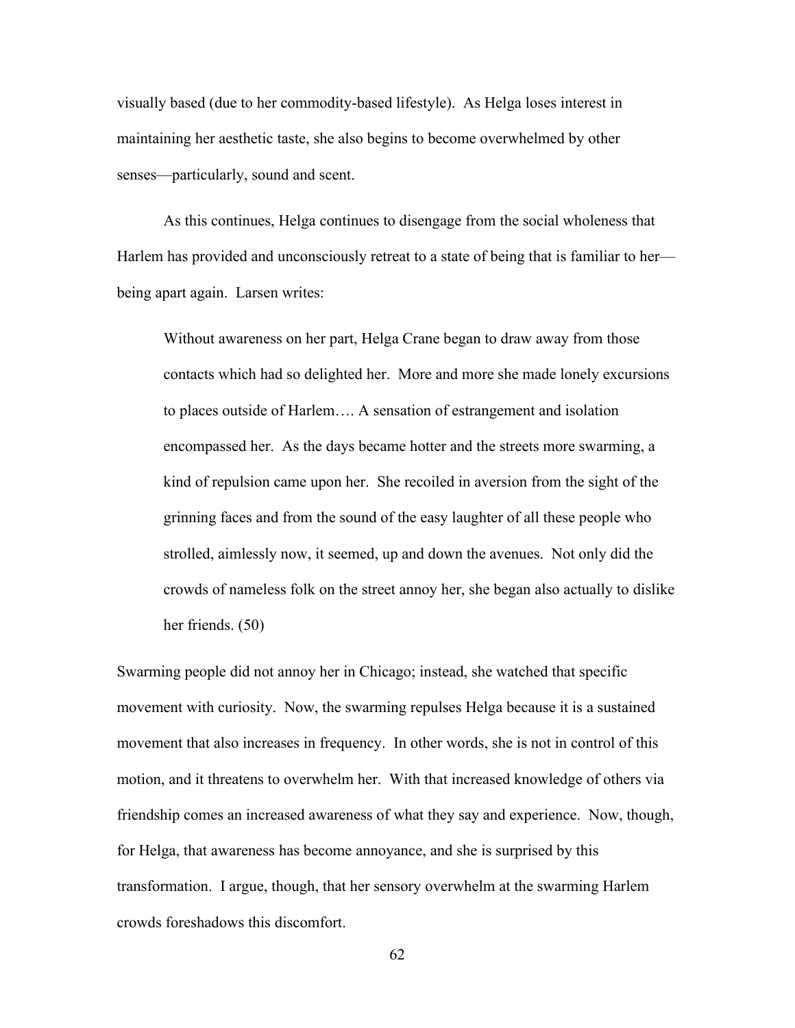visually based (due to her commodity-based lifestyle). As Helga loses interest in maintaining her aesthetic taste, she also begins to become overwhelmed by other senses—particularly, sound and scent.

As this continues, Helga continues to disengage from the social wholeness that Harlem has provided and unconsciously retreat to a state of being that is familiar to her being apart again. Larsen writes:

Without awareness on her part, Helga Crane began to draw away from those contacts which had so delighted her. More and more she made lonely excursions to places outside of Harlem…. A sensation of estrangement and isolation encompassed her. As the days became hotter and the streets more swarming, a kind of repulsion came upon her. She recoiled in aversion from the sight of the grinning faces and from the sound of the easy laughter of all these people who strolled, aimlessly now, it seemed, up and down the avenues. Not only did the crowds of nameless folk on the street annoy her, she began also actually to dislike her friends. (50)

Swarming people did not annoy her in Chicago; instead, she watched that specific movement with curiosity. Now, the swarming repulses Helga because it is a sustained movement that also increases in frequency. In other words, she is not in control of this motion, and it threatens to overwhelm her. With that increased knowledge of others via friendship comes an increased awareness of what they say and experience. Now, though, for Helga, that awareness has become annoyance, and she is surprised by this transformation. I argue, though, that her sensory overwhelm at the swarming Harlem crowds foreshadows this discomfort.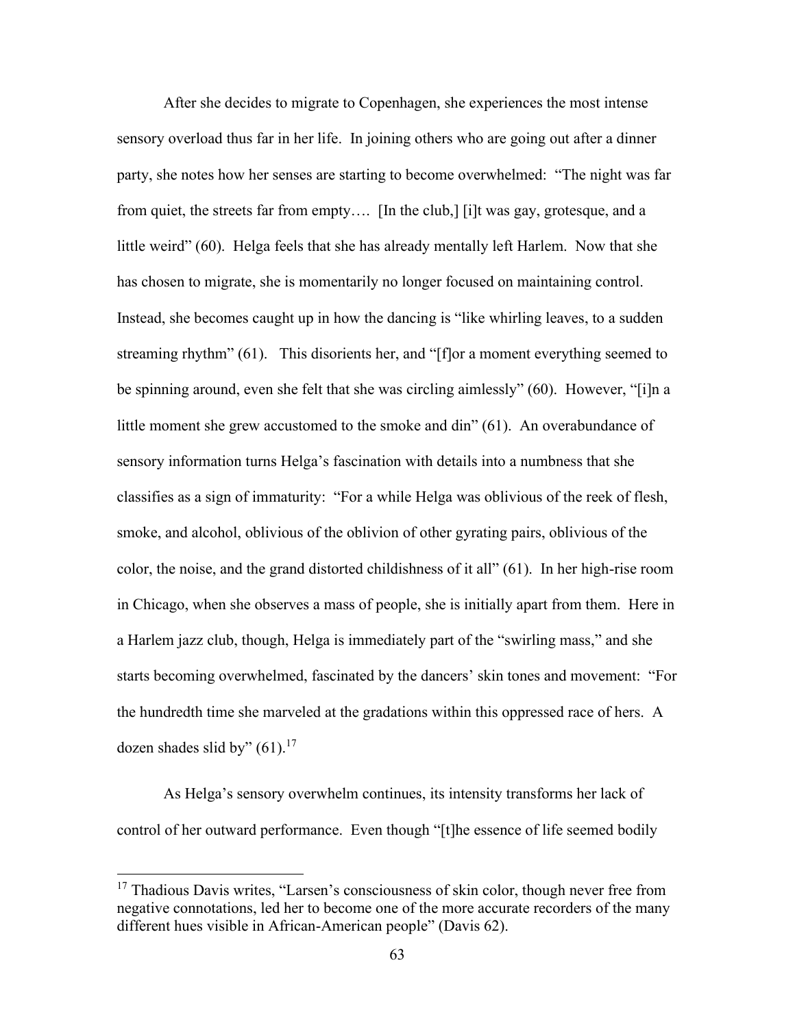After she decides to migrate to Copenhagen, she experiences the most intense sensory overload thus far in her life. In joining others who are going out after a dinner party, she notes how her senses are starting to become overwhelmed: "The night was far from quiet, the streets far from empty…. [In the club,] [i]t was gay, grotesque, and a little weird" (60). Helga feels that she has already mentally left Harlem. Now that she has chosen to migrate, she is momentarily no longer focused on maintaining control. Instead, she becomes caught up in how the dancing is "like whirling leaves, to a sudden streaming rhythm" (61). This disorients her, and "[f]or a moment everything seemed to be spinning around, even she felt that she was circling aimlessly" (60).However, "[i]n a little moment she grew accustomed to the smoke and din" (61). An overabundance of sensory information turns Helga's fascination with details into a numbness that she classifies as a sign of immaturity: "For a while Helga was oblivious of the reek of flesh, smoke, and alcohol, oblivious of the oblivion of other gyrating pairs, oblivious of the color, the noise, and the grand distorted childishness of it all" (61). In her high-rise room in Chicago, when she observes a mass of people, she is initially apart from them. Here in a Harlem jazz club, though, Helga is immediately part of the "swirling mass," and she starts becoming overwhelmed, fascinated by the dancers' skin tones and movement: "For the hundredth time she marveled at the gradations within this oppressed race of hers. A dozen shades slid by"  $(61).^{17}$ 

As Helga's sensory overwhelm continues, its intensity transforms her lack of control of her outward performance. Even though "[t]he essence of life seemed bodily

 $17$  Thadious Davis writes, "Larsen's consciousness of skin color, though never free from negative connotations, led her to become one of the more accurate recorders of the many different hues visible in African-American people" (Davis 62).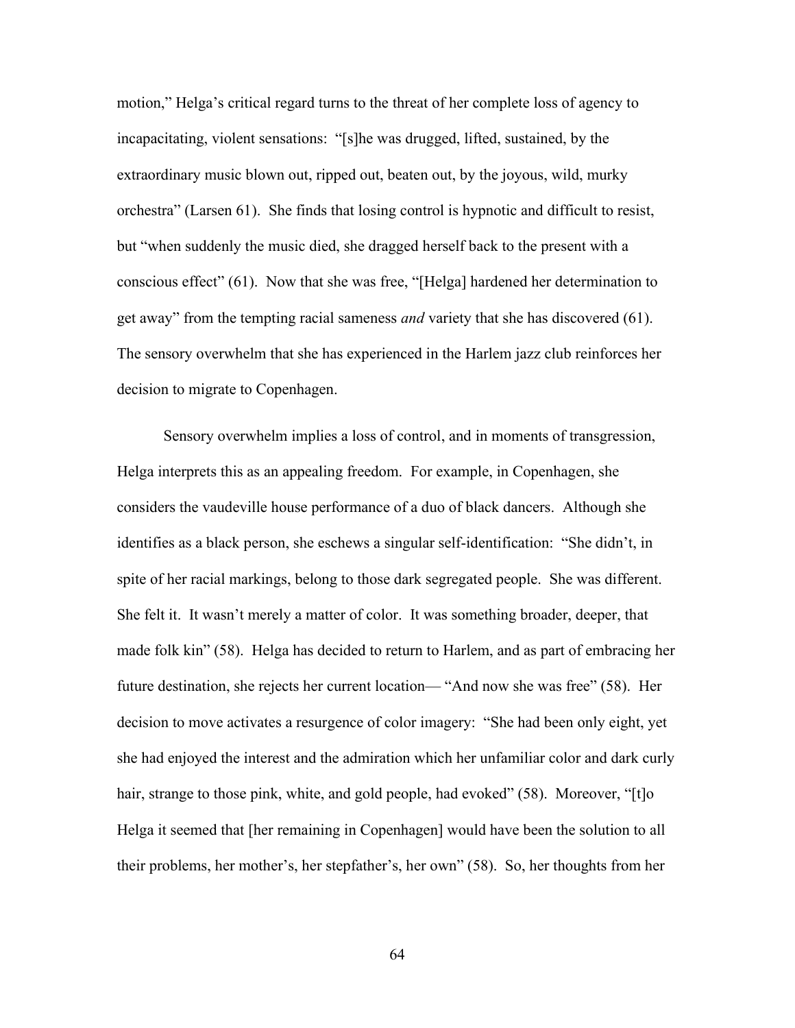motion," Helga's critical regard turns to the threat of her complete loss of agency to incapacitating, violent sensations: "[s]he was drugged, lifted, sustained, by the extraordinary music blown out, ripped out, beaten out, by the joyous, wild, murky orchestra" (Larsen 61). She finds that losing control is hypnotic and difficult to resist, but "when suddenly the music died, she dragged herself back to the present with a conscious effect" (61). Now that she was free, "[Helga] hardened her determination to get away" from the tempting racial sameness *and* variety that she has discovered (61). The sensory overwhelm that she has experienced in the Harlem jazz club reinforces her decision to migrate to Copenhagen.

Sensory overwhelm implies a loss of control, and in moments of transgression, Helga interprets this as an appealing freedom. For example, in Copenhagen, she considers the vaudeville house performance of a duo of black dancers. Although she identifies as a black person, she eschews a singular self-identification: "She didn't, in spite of her racial markings, belong to those dark segregated people. She was different. She felt it. It wasn't merely a matter of color. It was something broader, deeper, that made folk kin" (58). Helga has decided to return to Harlem, and as part of embracing her future destination, she rejects her current location— "And now she was free" (58). Her decision to move activates a resurgence of color imagery: "She had been only eight, yet she had enjoyed the interest and the admiration which her unfamiliar color and dark curly hair, strange to those pink, white, and gold people, had evoked" (58). Moreover, "[t]o Helga it seemed that [her remaining in Copenhagen] would have been the solution to all their problems, her mother's, her stepfather's, her own" (58). So, her thoughts from her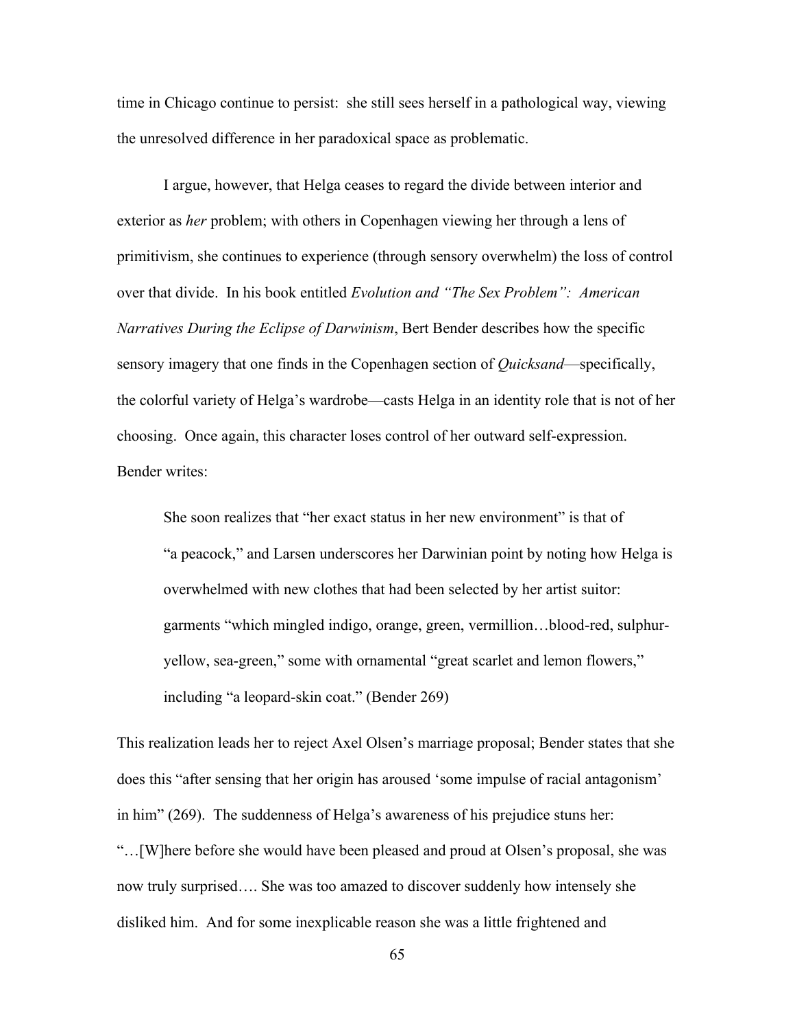time in Chicago continue to persist: she still sees herself in a pathological way, viewing the unresolved difference in her paradoxical space as problematic.

I argue, however, that Helga ceases to regard the divide between interior and exterior as *her* problem; with others in Copenhagen viewing her through a lens of primitivism, she continues to experience (through sensory overwhelm) the loss of control over that divide. In his book entitled *Evolution and "The Sex Problem": American Narratives During the Eclipse of Darwinism*, Bert Bender describes how the specific sensory imagery that one finds in the Copenhagen section of *Quicksand*—specifically, the colorful variety of Helga's wardrobe—casts Helga in an identity role that is not of her choosing. Once again, this character loses control of her outward self-expression. Bender writes:

She soon realizes that "her exact status in her new environment" is that of "a peacock," and Larsen underscores her Darwinian point by noting how Helga is overwhelmed with new clothes that had been selected by her artist suitor: garments "which mingled indigo, orange, green, vermillion…blood-red, sulphuryellow, sea-green," some with ornamental "great scarlet and lemon flowers," including "a leopard-skin coat." (Bender 269)

This realization leads her to reject Axel Olsen's marriage proposal; Bender states that she does this "after sensing that her origin has aroused 'some impulse of racial antagonism' in him" (269). The suddenness of Helga's awareness of his prejudice stuns her: "…[W]here before she would have been pleased and proud at Olsen's proposal, she was now truly surprised…. She was too amazed to discover suddenly how intensely she disliked him. And for some inexplicable reason she was a little frightened and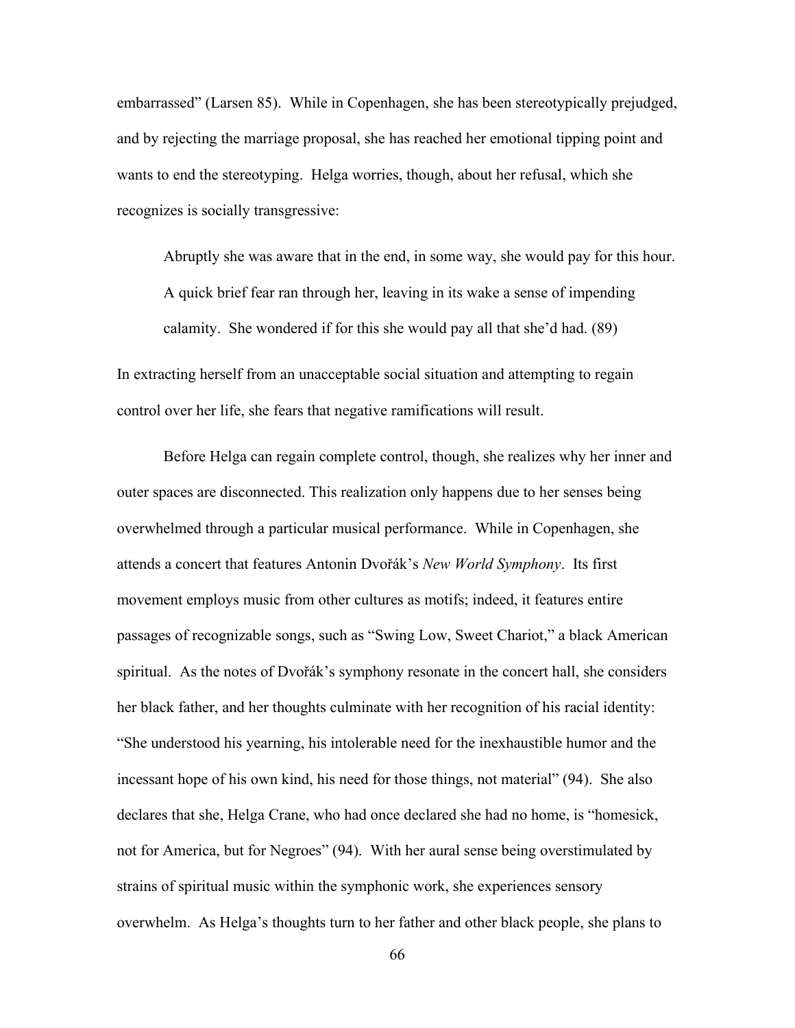embarrassed" (Larsen 85). While in Copenhagen, she has been stereotypically prejudged, and by rejecting the marriage proposal, she has reached her emotional tipping point and wants to end the stereotyping. Helga worries, though, about her refusal, which she recognizes is socially transgressive:

Abruptly she was aware that in the end, in some way, she would pay for this hour. A quick brief fear ran through her, leaving in its wake a sense of impending calamity. She wondered if for this she would pay all that she'd had. (89)

In extracting herself from an unacceptable social situation and attempting to regain control over her life, she fears that negative ramifications will result.

Before Helga can regain complete control, though, she realizes why her inner and outer spaces are disconnected. This realization only happens due to her senses being overwhelmed through a particular musical performance. While in Copenhagen, she attends a concert that features Antonin Dvořák's *New World Symphony*. Its first movement employs music from other cultures as motifs; indeed, it features entire passages of recognizable songs, such as "Swing Low, Sweet Chariot," a black American spiritual. As the notes of Dvořák's symphony resonate in the concert hall, she considers her black father, and her thoughts culminate with her recognition of his racial identity: "She understood his yearning, his intolerable need for the inexhaustible humor and the incessant hope of his own kind, his need for those things, not material" (94). She also declares that she, Helga Crane, who had once declared she had no home, is "homesick, not for America, but for Negroes" (94). With her aural sense being overstimulated by strains of spiritual music within the symphonic work, she experiences sensory overwhelm. As Helga's thoughts turn to her father and other black people, she plans to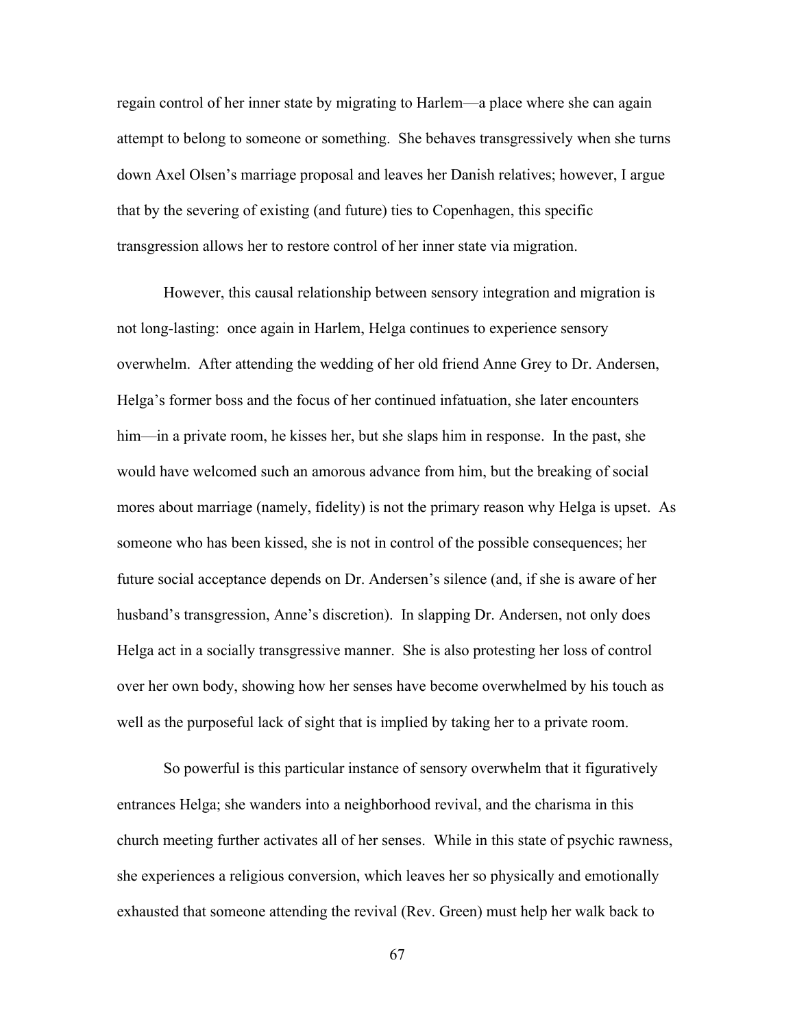regain control of her inner state by migrating to Harlem—a place where she can again attempt to belong to someone or something. She behaves transgressively when she turns down Axel Olsen's marriage proposal and leaves her Danish relatives; however, I argue that by the severing of existing (and future) ties to Copenhagen, this specific transgression allows her to restore control of her inner state via migration.

However, this causal relationship between sensory integration and migration is not long-lasting: once again in Harlem, Helga continues to experience sensory overwhelm. After attending the wedding of her old friend Anne Grey to Dr. Andersen, Helga's former boss and the focus of her continued infatuation, she later encounters him—in a private room, he kisses her, but she slaps him in response. In the past, she would have welcomed such an amorous advance from him, but the breaking of social mores about marriage (namely, fidelity) is not the primary reason why Helga is upset. As someone who has been kissed, she is not in control of the possible consequences; her future social acceptance depends on Dr. Andersen's silence (and, if she is aware of her husband's transgression, Anne's discretion). In slapping Dr. Andersen, not only does Helga act in a socially transgressive manner. She is also protesting her loss of control over her own body, showing how her senses have become overwhelmed by his touch as well as the purposeful lack of sight that is implied by taking her to a private room.

So powerful is this particular instance of sensory overwhelm that it figuratively entrances Helga; she wanders into a neighborhood revival, and the charisma in this church meeting further activates all of her senses. While in this state of psychic rawness, she experiences a religious conversion, which leaves her so physically and emotionally exhausted that someone attending the revival (Rev. Green) must help her walk back to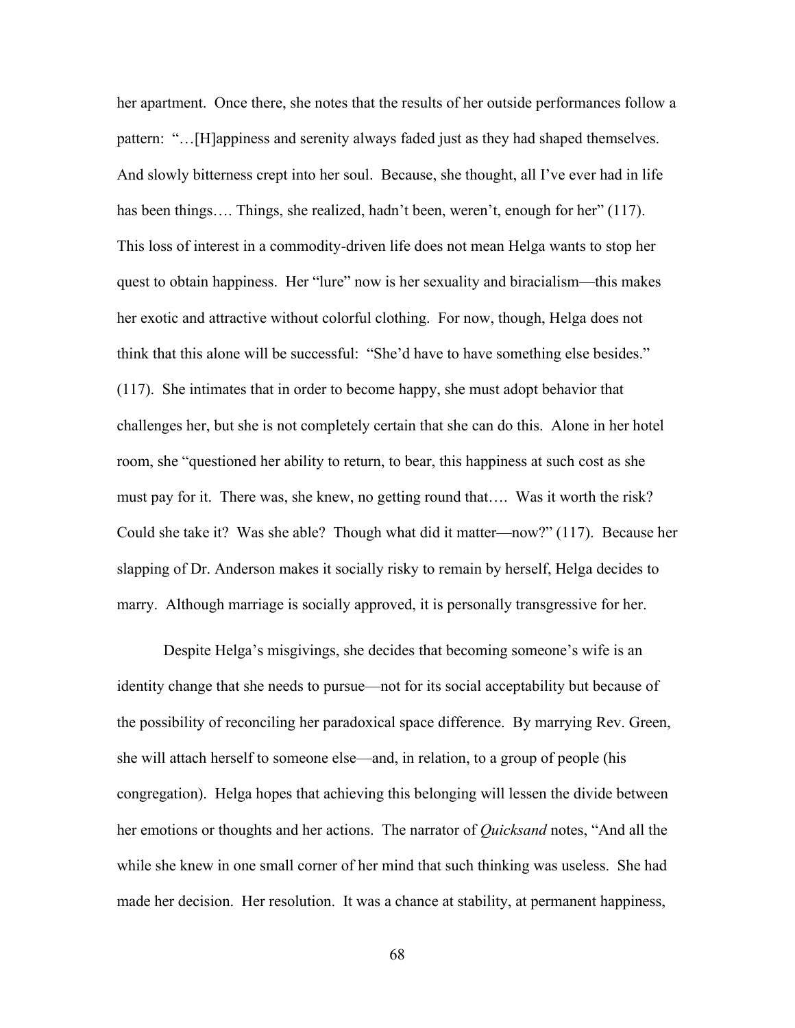her apartment. Once there, she notes that the results of her outside performances follow a pattern: "…[H]appiness and serenity always faded just as they had shaped themselves. And slowly bitterness crept into her soul. Because, she thought, all I've ever had in life has been things.... Things, she realized, hadn't been, weren't, enough for her" (117). This loss of interest in a commodity-driven life does not mean Helga wants to stop her quest to obtain happiness. Her "lure" now is her sexuality and biracialism—this makes her exotic and attractive without colorful clothing. For now, though, Helga does not think that this alone will be successful: "She'd have to have something else besides." (117). She intimates that in order to become happy, she must adopt behavior that challenges her, but she is not completely certain that she can do this. Alone in her hotel room, she "questioned her ability to return, to bear, this happiness at such cost as she must pay for it. There was, she knew, no getting round that…. Was it worth the risk? Could she take it? Was she able? Though what did it matter—now?" (117). Because her slapping of Dr. Anderson makes it socially risky to remain by herself, Helga decides to marry. Although marriage is socially approved, it is personally transgressive for her.

Despite Helga's misgivings, she decides that becoming someone's wife is an identity change that she needs to pursue—not for its social acceptability but because of the possibility of reconciling her paradoxical space difference. By marrying Rev. Green, she will attach herself to someone else—and, in relation, to a group of people (his congregation). Helga hopes that achieving this belonging will lessen the divide between her emotions or thoughts and her actions. The narrator of *Quicksand* notes, "And all the while she knew in one small corner of her mind that such thinking was useless. She had made her decision. Her resolution. It was a chance at stability, at permanent happiness,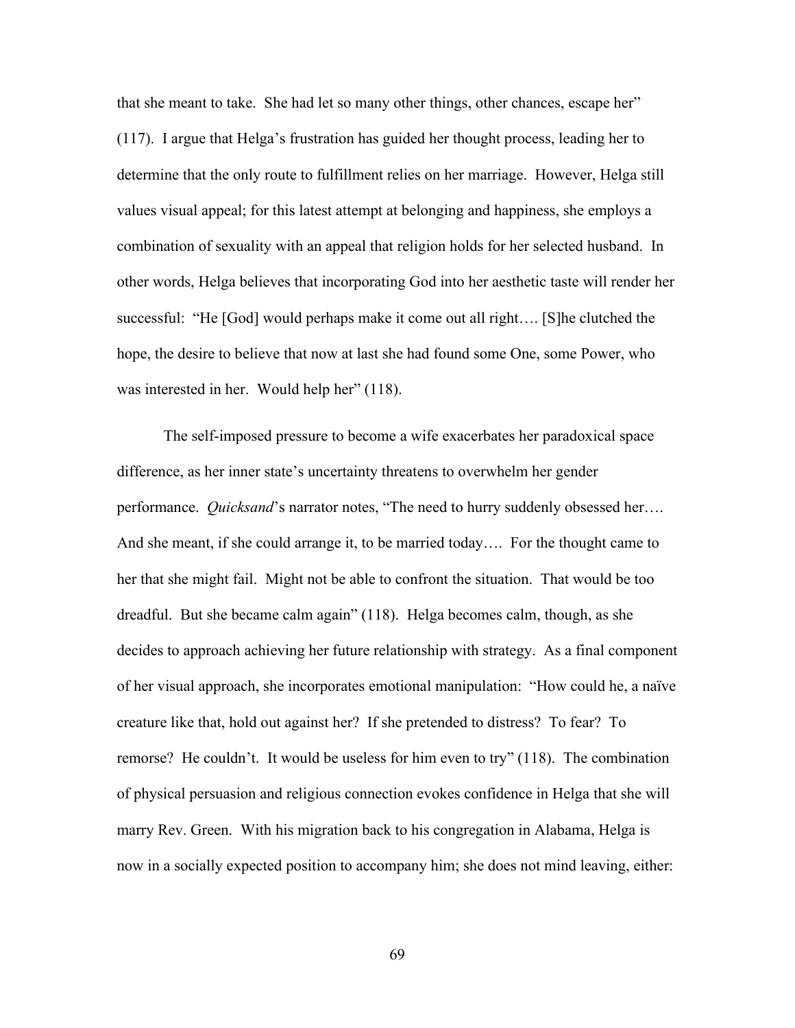that she meant to take. She had let so many other things, other chances, escape her" (117). I argue that Helga's frustration has guided her thought process, leading her to determine that the only route to fulfillment relies on her marriage. However, Helga still values visual appeal; for this latest attempt at belonging and happiness, she employs a combination of sexuality with an appeal that religion holds for her selected husband. In other words, Helga believes that incorporating God into her aesthetic taste will render her successful: "He [God] would perhaps make it come out all right…. [S]he clutched the hope, the desire to believe that now at last she had found some One, some Power, who was interested in her. Would help her" (118).

The self-imposed pressure to become a wife exacerbates her paradoxical space difference, as her inner state's uncertainty threatens to overwhelm her gender performance. *Quicksand*'s narrator notes, "The need to hurry suddenly obsessed her…. And she meant, if she could arrange it, to be married today…. For the thought came to her that she might fail. Might not be able to confront the situation. That would be too dreadful. But she became calm again" (118). Helga becomes calm, though, as she decides to approach achieving her future relationship with strategy. As a final component of her visual approach, she incorporates emotional manipulation: "How could he, a naïve creature like that, hold out against her? If she pretended to distress? To fear? To remorse? He couldn't. It would be useless for him even to try" (118). The combination of physical persuasion and religious connection evokes confidence in Helga that she will marry Rev. Green. With his migration back to his congregation in Alabama, Helga is now in a socially expected position to accompany him; she does not mind leaving, either: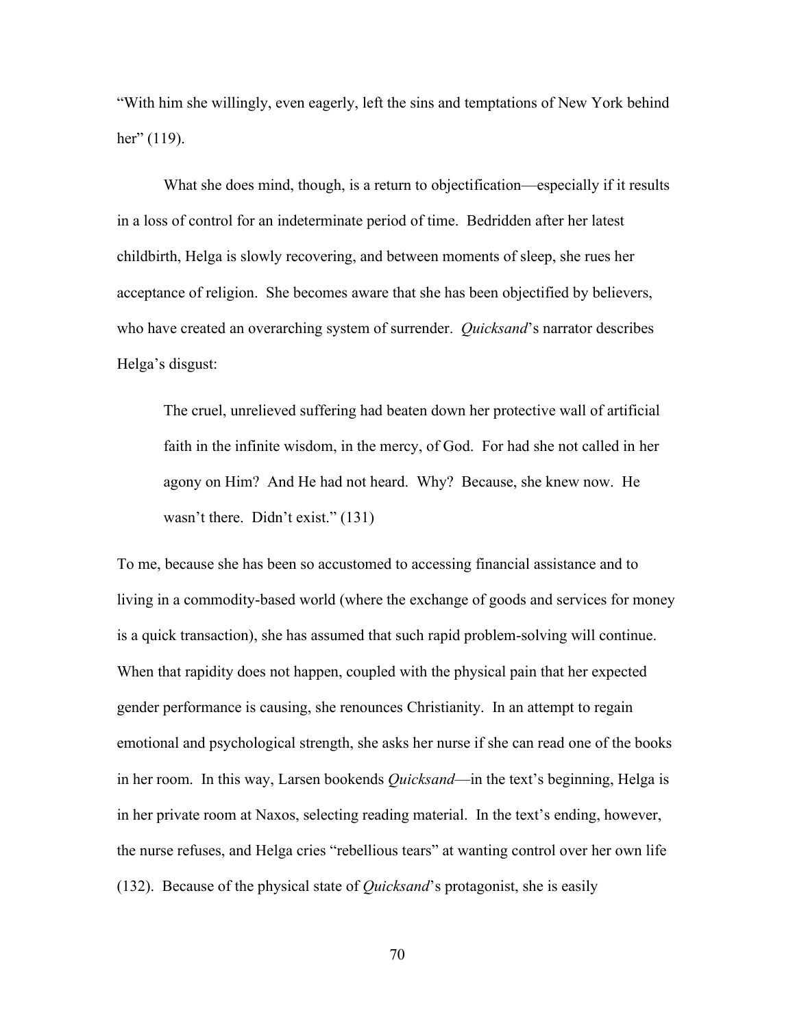"With him she willingly, even eagerly, left the sins and temptations of New York behind her" (119).

What she does mind, though, is a return to objectification—especially if it results in a loss of control for an indeterminate period of time. Bedridden after her latest childbirth, Helga is slowly recovering, and between moments of sleep, she rues her acceptance of religion. She becomes aware that she has been objectified by believers, who have created an overarching system of surrender. *Quicksand*'s narrator describes Helga's disgust:

The cruel, unrelieved suffering had beaten down her protective wall of artificial faith in the infinite wisdom, in the mercy, of God. For had she not called in her agony on Him? And He had not heard. Why? Because, she knew now. He wasn't there. Didn't exist." (131)

To me, because she has been so accustomed to accessing financial assistance and to living in a commodity-based world (where the exchange of goods and services for money is a quick transaction), she has assumed that such rapid problem-solving will continue. When that rapidity does not happen, coupled with the physical pain that her expected gender performance is causing, she renounces Christianity. In an attempt to regain emotional and psychological strength, she asks her nurse if she can read one of the books in her room. In this way, Larsen bookends *Quicksand*—in the text's beginning, Helga is in her private room at Naxos, selecting reading material. In the text's ending, however, the nurse refuses, and Helga cries "rebellious tears" at wanting control over her own life (132). Because of the physical state of *Quicksand*'s protagonist, she is easily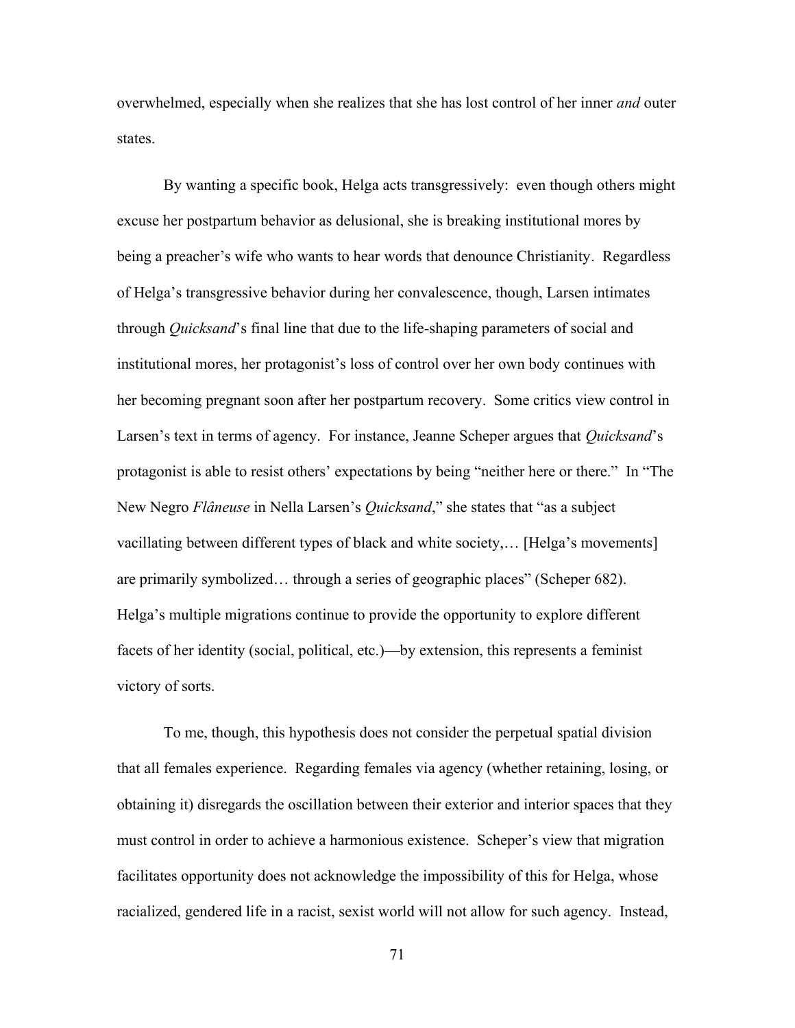overwhelmed, especially when she realizes that she has lost control of her inner *and* outer states.

By wanting a specific book, Helga acts transgressively: even though others might excuse her postpartum behavior as delusional, she is breaking institutional mores by being a preacher's wife who wants to hear words that denounce Christianity. Regardless of Helga's transgressive behavior during her convalescence, though, Larsen intimates through *Quicksand*'s final line that due to the life-shaping parameters of social and institutional mores, her protagonist's loss of control over her own body continues with her becoming pregnant soon after her postpartum recovery. Some critics view control in Larsen's text in terms of agency. For instance, Jeanne Scheper argues that *Quicksand*'s protagonist is able to resist others' expectations by being "neither here or there." In "The New Negro *Flâneuse* in Nella Larsen's *Quicksand*," she states that "as a subject vacillating between different types of black and white society,… [Helga's movements] are primarily symbolized… through a series of geographic places" (Scheper 682). Helga's multiple migrations continue to provide the opportunity to explore different facets of her identity (social, political, etc.)—by extension, this represents a feminist victory of sorts.

To me, though, this hypothesis does not consider the perpetual spatial division that all females experience. Regarding females via agency (whether retaining, losing, or obtaining it) disregards the oscillation between their exterior and interior spaces that they must control in order to achieve a harmonious existence. Scheper's view that migration facilitates opportunity does not acknowledge the impossibility of this for Helga, whose racialized, gendered life in a racist, sexist world will not allow for such agency. Instead,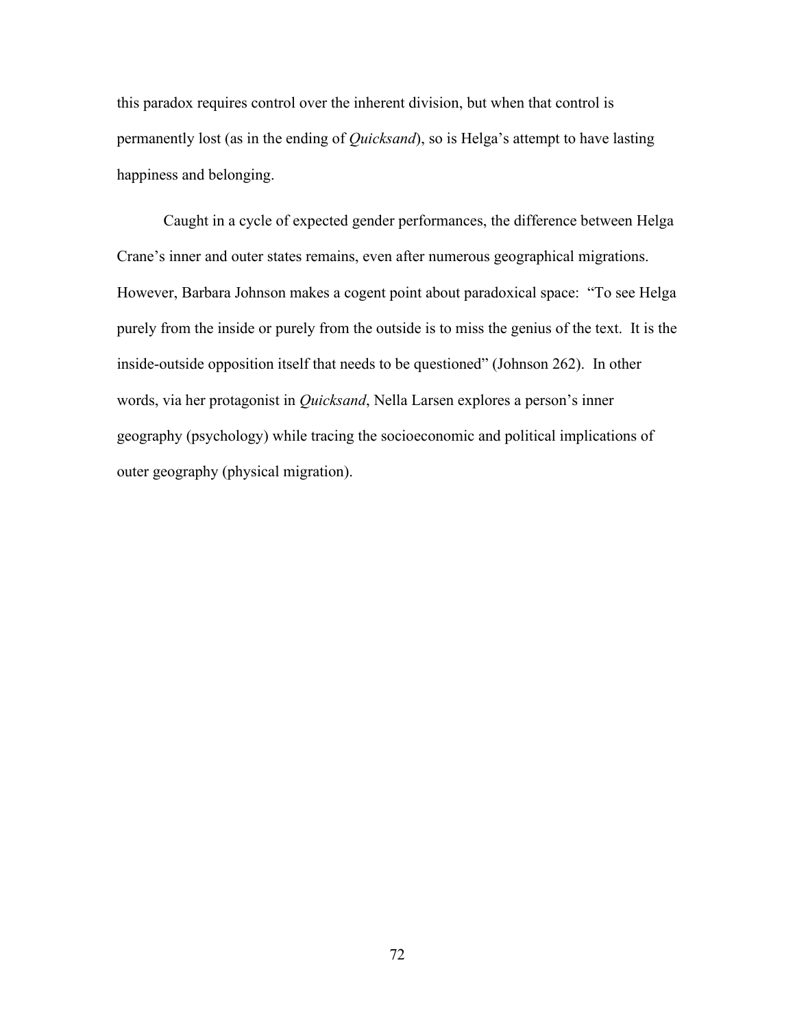this paradox requires control over the inherent division, but when that control is permanently lost (as in the ending of *Quicksand*), so is Helga's attempt to have lasting happiness and belonging.

Caught in a cycle of expected gender performances, the difference between Helga Crane's inner and outer states remains, even after numerous geographical migrations. However, Barbara Johnson makes a cogent point about paradoxical space: "To see Helga purely from the inside or purely from the outside is to miss the genius of the text. It is the inside-outside opposition itself that needs to be questioned" (Johnson 262). In other words, via her protagonist in *Quicksand*, Nella Larsen explores a person's inner geography (psychology) while tracing the socioeconomic and political implications of outer geography (physical migration).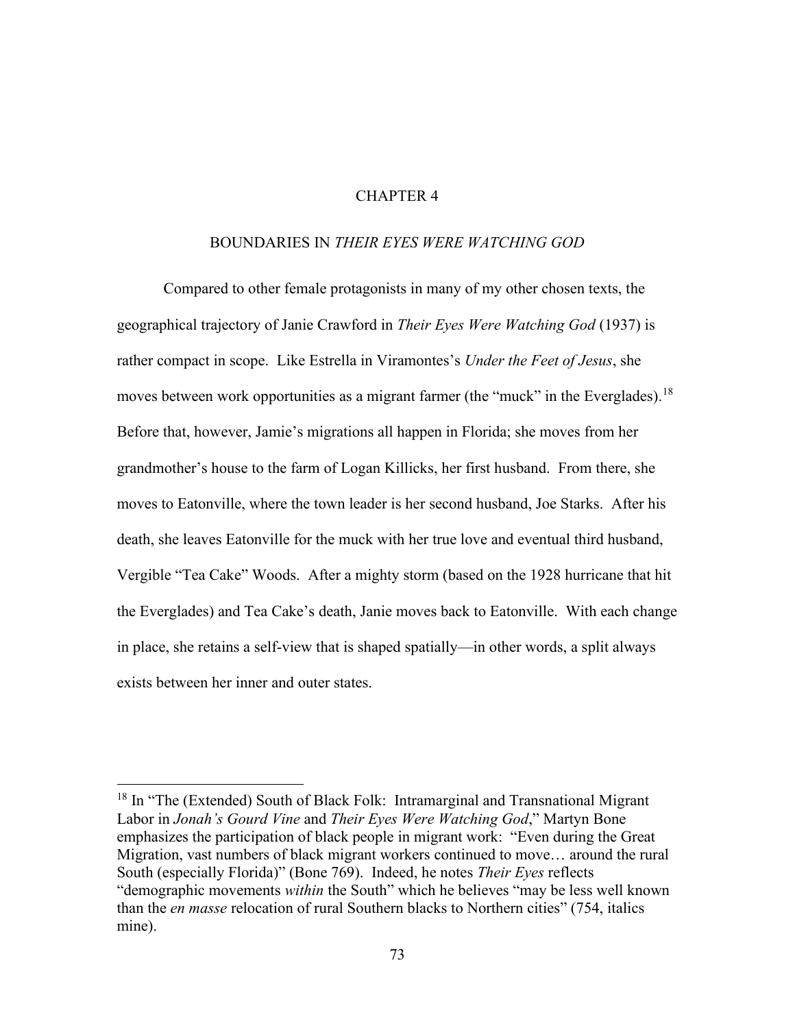# CHAPTER 4

## BOUNDARIES IN *THEIR EYES WERE WATCHING GOD*

Compared to other female protagonists in many of my other chosen texts, the geographical trajectory of Janie Crawford in *Their Eyes Were Watching God* (1937) is rather compact in scope. Like Estrella in Viramontes's *Under the Feet of Jesus*, she moves between work opportunities as a migrant farmer (the "muck" in the Everglades).<sup>18</sup> Before that, however, Jamie's migrations all happen in Florida; she moves from her grandmother's house to the farm of Logan Killicks, her first husband. From there, she moves to Eatonville, where the town leader is her second husband, Joe Starks. After his death, she leaves Eatonville for the muck with her true love and eventual third husband, Vergible "Tea Cake" Woods. After a mighty storm (based on the 1928 hurricane that hit the Everglades) and Tea Cake's death, Janie moves back to Eatonville. With each change in place, she retains a self-view that is shaped spatially—in other words, a split always exists between her inner and outer states.

<sup>&</sup>lt;sup>18</sup> In "The (Extended) South of Black Folk: Intramarginal and Transnational Migrant Labor in *Jonah's Gourd Vine* and *Their Eyes Were Watching God*," Martyn Bone emphasizes the participation of black people in migrant work: "Even during the Great Migration, vast numbers of black migrant workers continued to move… around the rural South (especially Florida)" (Bone 769). Indeed, he notes *Their Eyes* reflects "demographic movements *within* the South" which he believes "may be less well known than the *en masse* relocation of rural Southern blacks to Northern cities" (754, italics mine).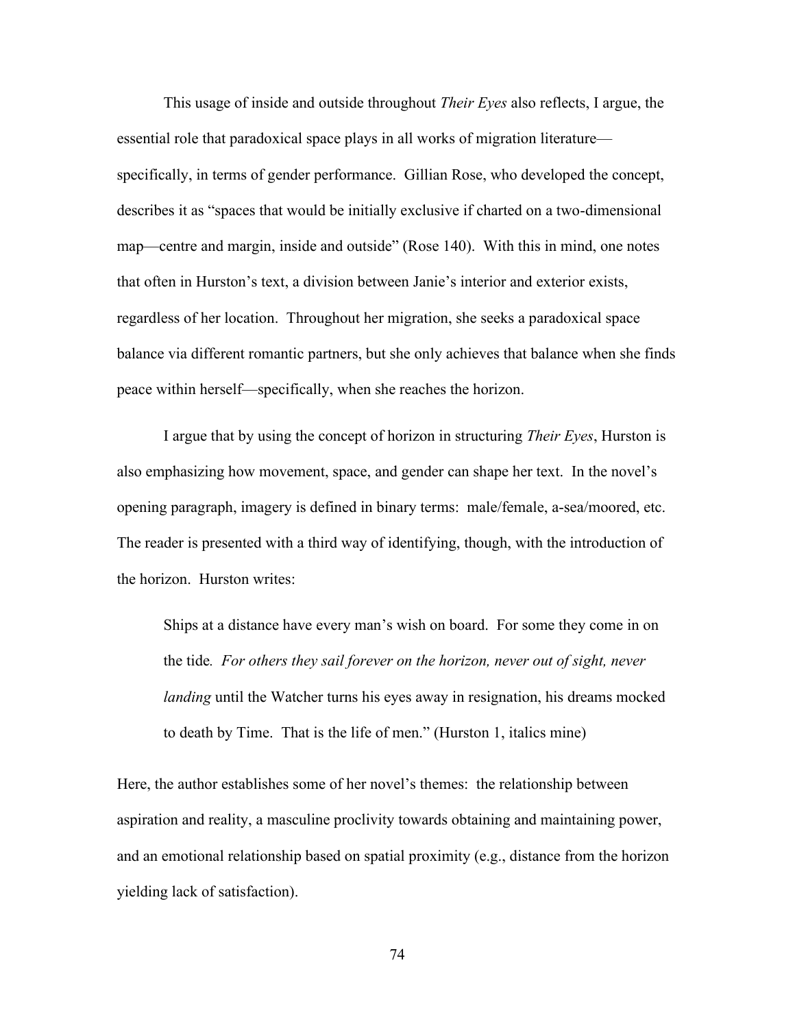This usage of inside and outside throughout *Their Eyes* also reflects, I argue, the essential role that paradoxical space plays in all works of migration literature specifically, in terms of gender performance. Gillian Rose, who developed the concept, describes it as "spaces that would be initially exclusive if charted on a two-dimensional map—centre and margin, inside and outside" (Rose 140). With this in mind, one notes that often in Hurston's text, a division between Janie's interior and exterior exists, regardless of her location. Throughout her migration, she seeks a paradoxical space balance via different romantic partners, but she only achieves that balance when she finds peace within herself—specifically, when she reaches the horizon.

I argue that by using the concept of horizon in structuring *Their Eyes*, Hurston is also emphasizing how movement, space, and gender can shape her text. In the novel's opening paragraph, imagery is defined in binary terms: male/female, a-sea/moored, etc. The reader is presented with a third way of identifying, though, with the introduction of the horizon. Hurston writes:

Ships at a distance have every man's wish on board. For some they come in on the tide*. For others they sail forever on the horizon, never out of sight, never landing* until the Watcher turns his eyes away in resignation, his dreams mocked to death by Time. That is the life of men." (Hurston 1, italics mine)

Here, the author establishes some of her novel's themes: the relationship between aspiration and reality, a masculine proclivity towards obtaining and maintaining power, and an emotional relationship based on spatial proximity (e.g., distance from the horizon yielding lack of satisfaction).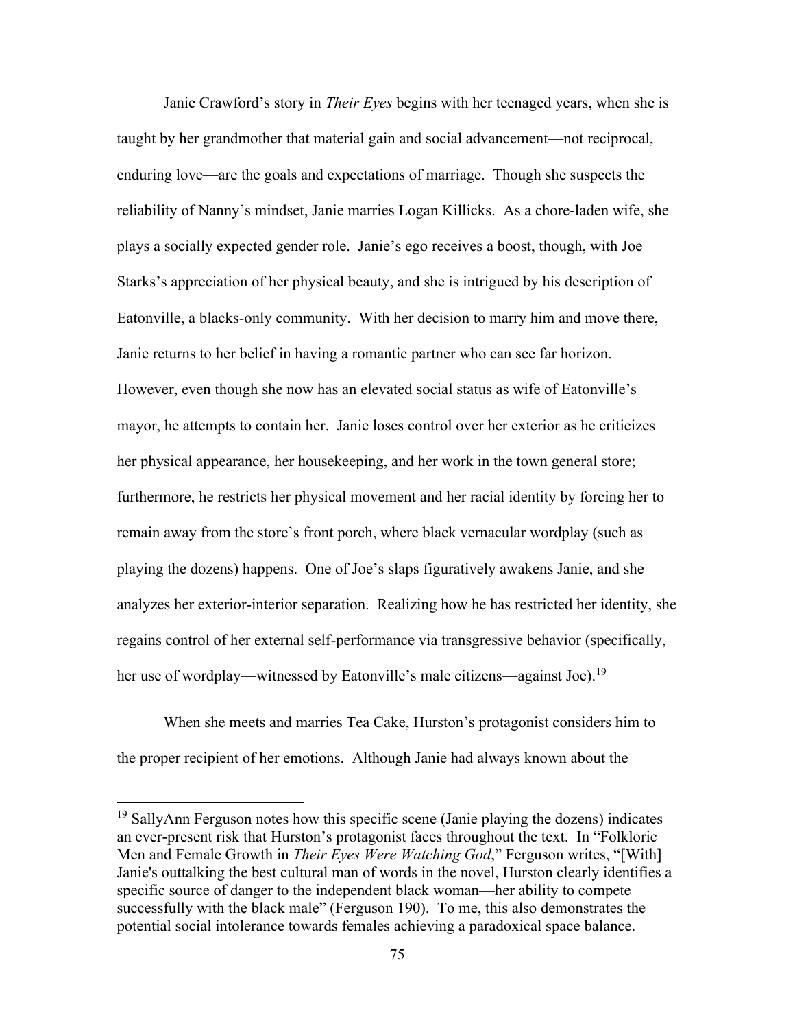Janie Crawford's story in *Their Eyes* begins with her teenaged years, when she is taught by her grandmother that material gain and social advancement—not reciprocal, enduring love—are the goals and expectations of marriage. Though she suspects the reliability of Nanny's mindset, Janie marries Logan Killicks. As a chore-laden wife, she plays a socially expected gender role. Janie's ego receives a boost, though, with Joe Starks's appreciation of her physical beauty, and she is intrigued by his description of Eatonville, a blacks-only community. With her decision to marry him and move there, Janie returns to her belief in having a romantic partner who can see far horizon. However, even though she now has an elevated social status as wife of Eatonville's mayor, he attempts to contain her. Janie loses control over her exterior as he criticizes her physical appearance, her housekeeping, and her work in the town general store; furthermore, he restricts her physical movement and her racial identity by forcing her to remain away from the store's front porch, where black vernacular wordplay (such as playing the dozens) happens. One of Joe's slaps figuratively awakens Janie, and she analyzes her exterior-interior separation. Realizing how he has restricted her identity, she regains control of her external self-performance via transgressive behavior (specifically, her use of wordplay—witnessed by Eatonville's male citizens—against Joe).<sup>19</sup>

When she meets and marries Tea Cake, Hurston's protagonist considers him to the proper recipient of her emotions. Although Janie had always known about the

<sup>&</sup>lt;sup>19</sup> SallyAnn Ferguson notes how this specific scene (Janie playing the dozens) indicates an ever-present risk that Hurston's protagonist faces throughout the text. In "Folkloric Men and Female Growth in *Their Eyes Were Watching God*," Ferguson writes, "[With] Janie's outtalking the best cultural man of words in the novel, Hurston clearly identifies a specific source of danger to the independent black woman—her ability to compete successfully with the black male" (Ferguson 190). To me, this also demonstrates the potential social intolerance towards females achieving a paradoxical space balance.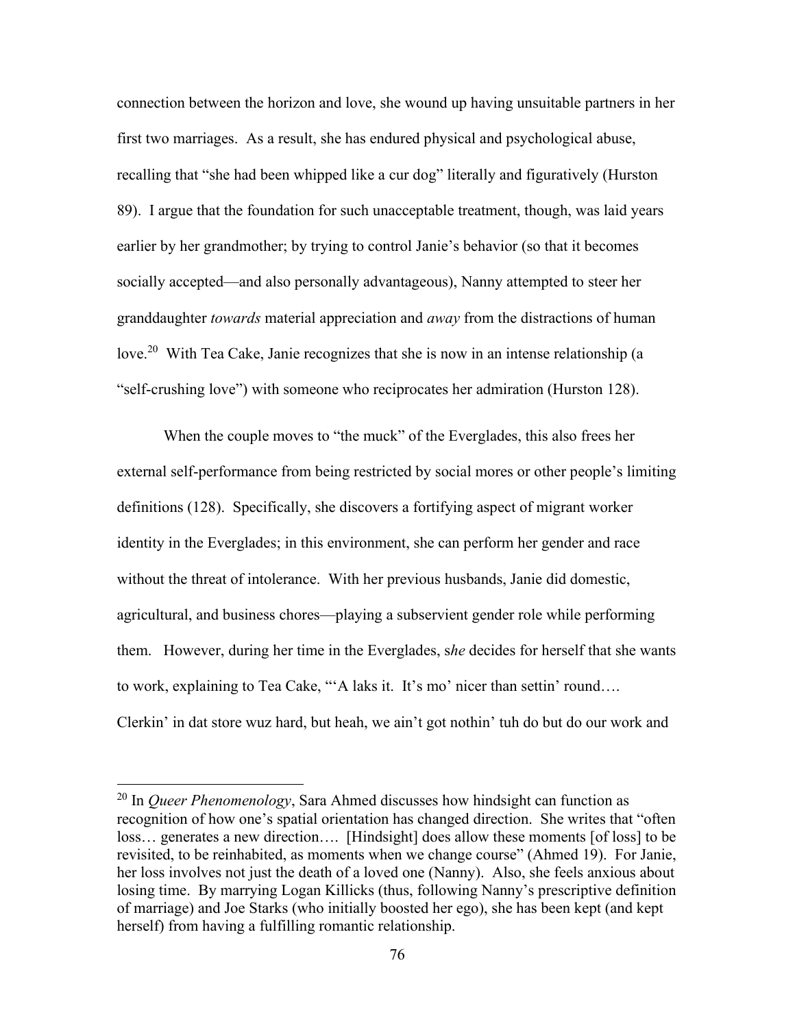connection between the horizon and love, she wound up having unsuitable partners in her first two marriages. As a result, she has endured physical and psychological abuse, recalling that "she had been whipped like a cur dog" literally and figuratively (Hurston 89). I argue that the foundation for such unacceptable treatment, though, was laid years earlier by her grandmother; by trying to control Janie's behavior (so that it becomes socially accepted—and also personally advantageous), Nanny attempted to steer her granddaughter *towards* material appreciation and *away* from the distractions of human love.<sup>20</sup> With Tea Cake, Janie recognizes that she is now in an intense relationship (a "self-crushing love") with someone who reciprocates her admiration (Hurston 128).

When the couple moves to "the muck" of the Everglades, this also frees her external self-performance from being restricted by social mores or other people's limiting definitions (128). Specifically, she discovers a fortifying aspect of migrant worker identity in the Everglades; in this environment, she can perform her gender and race without the threat of intolerance. With her previous husbands, Janie did domestic, agricultural, and business chores—playing a subservient gender role while performing them. However, during her time in the Everglades, s*he* decides for herself that she wants to work, explaining to Tea Cake, "'A laks it. It's mo' nicer than settin' round…. Clerkin' in dat store wuz hard, but heah, we ain't got nothin' tuh do but do our work and

<sup>20</sup> In *Queer Phenomenology*, Sara Ahmed discusses how hindsight can function as recognition of how one's spatial orientation has changed direction. She writes that "often loss… generates a new direction…. [Hindsight] does allow these moments [of loss] to be revisited, to be reinhabited, as moments when we change course" (Ahmed 19). For Janie, her loss involves not just the death of a loved one (Nanny). Also, she feels anxious about losing time. By marrying Logan Killicks (thus, following Nanny's prescriptive definition of marriage) and Joe Starks (who initially boosted her ego), she has been kept (and kept herself) from having a fulfilling romantic relationship.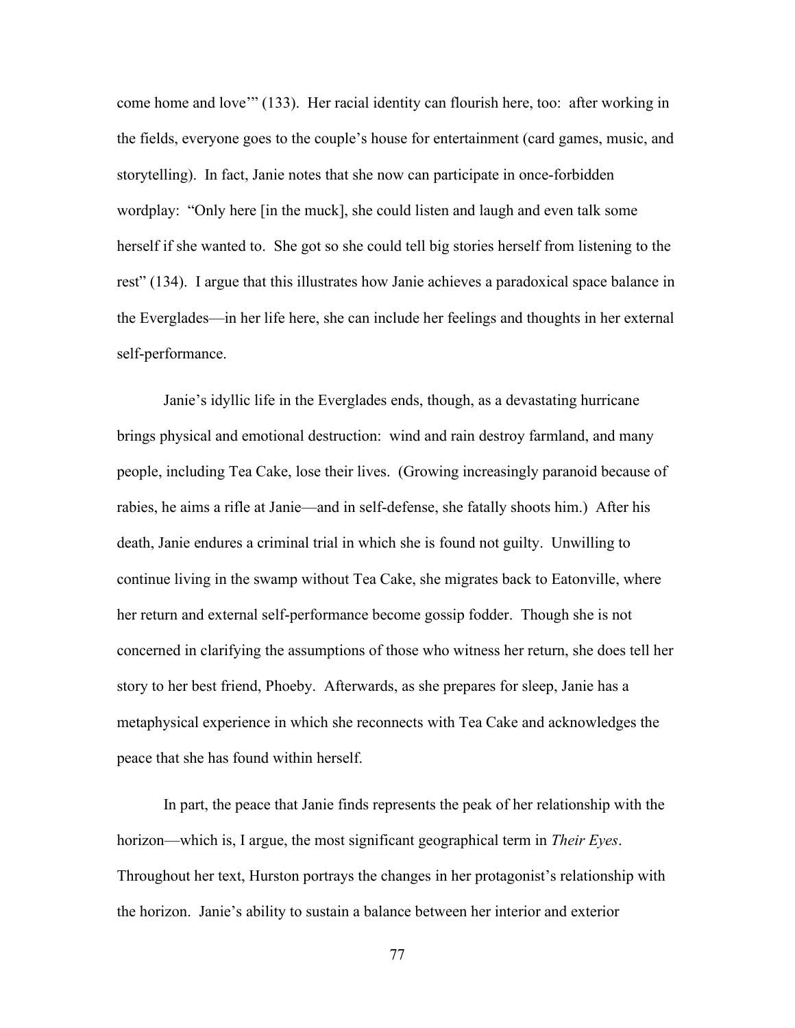come home and love'" (133). Her racial identity can flourish here, too: after working in the fields, everyone goes to the couple's house for entertainment (card games, music, and storytelling). In fact, Janie notes that she now can participate in once-forbidden wordplay: "Only here [in the muck], she could listen and laugh and even talk some herself if she wanted to. She got so she could tell big stories herself from listening to the rest" (134). I argue that this illustrates how Janie achieves a paradoxical space balance in the Everglades—in her life here, she can include her feelings and thoughts in her external self-performance.

Janie's idyllic life in the Everglades ends, though, as a devastating hurricane brings physical and emotional destruction: wind and rain destroy farmland, and many people, including Tea Cake, lose their lives. (Growing increasingly paranoid because of rabies, he aims a rifle at Janie—and in self-defense, she fatally shoots him.) After his death, Janie endures a criminal trial in which she is found not guilty. Unwilling to continue living in the swamp without Tea Cake, she migrates back to Eatonville, where her return and external self-performance become gossip fodder. Though she is not concerned in clarifying the assumptions of those who witness her return, she does tell her story to her best friend, Phoeby. Afterwards, as she prepares for sleep, Janie has a metaphysical experience in which she reconnects with Tea Cake and acknowledges the peace that she has found within herself.

In part, the peace that Janie finds represents the peak of her relationship with the horizon—which is, I argue, the most significant geographical term in *Their Eyes*. Throughout her text, Hurston portrays the changes in her protagonist's relationship with the horizon. Janie's ability to sustain a balance between her interior and exterior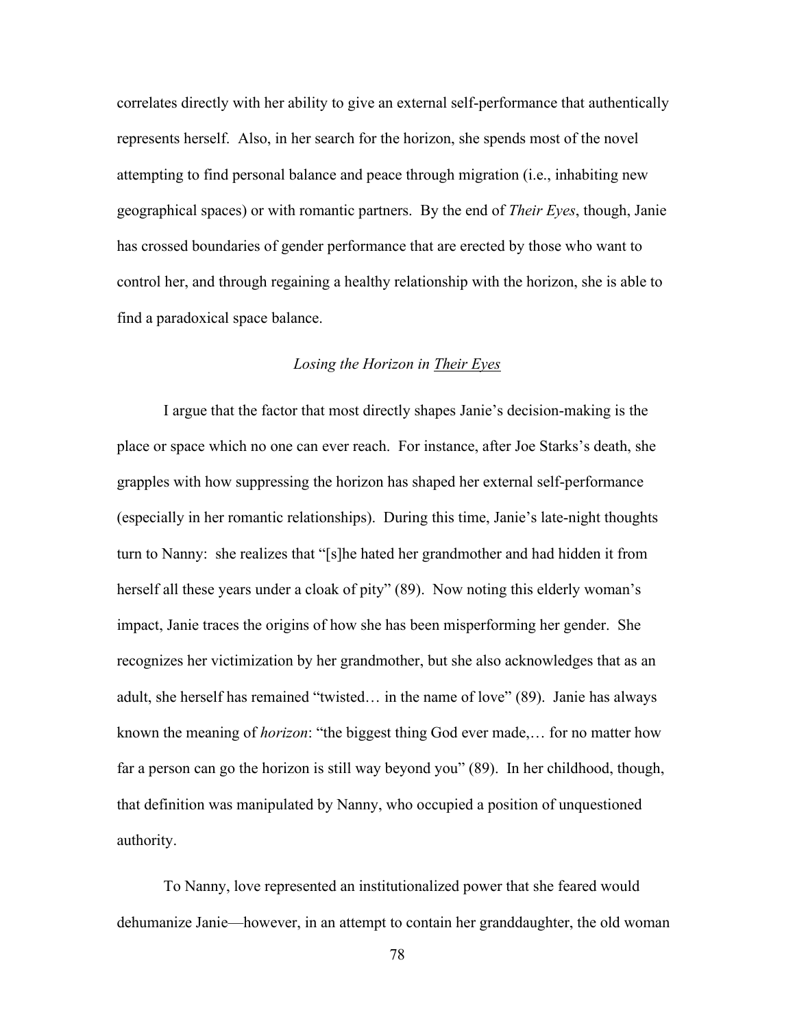correlates directly with her ability to give an external self-performance that authentically represents herself. Also, in her search for the horizon, she spends most of the novel attempting to find personal balance and peace through migration (i.e., inhabiting new geographical spaces) or with romantic partners. By the end of *Their Eyes*, though, Janie has crossed boundaries of gender performance that are erected by those who want to control her, and through regaining a healthy relationship with the horizon, she is able to find a paradoxical space balance.

# *Losing the Horizon in Their Eyes*

I argue that the factor that most directly shapes Janie's decision-making is the place or space which no one can ever reach. For instance, after Joe Starks's death, she grapples with how suppressing the horizon has shaped her external self-performance (especially in her romantic relationships). During this time, Janie's late-night thoughts turn to Nanny: she realizes that "[s]he hated her grandmother and had hidden it from herself all these years under a cloak of pity" (89). Now noting this elderly woman's impact, Janie traces the origins of how she has been misperforming her gender. She recognizes her victimization by her grandmother, but she also acknowledges that as an adult, she herself has remained "twisted… in the name of love" (89). Janie has always known the meaning of *horizon*: "the biggest thing God ever made,… for no matter how far a person can go the horizon is still way beyond you" (89). In her childhood, though, that definition was manipulated by Nanny, who occupied a position of unquestioned authority.

To Nanny, love represented an institutionalized power that she feared would dehumanize Janie—however, in an attempt to contain her granddaughter, the old woman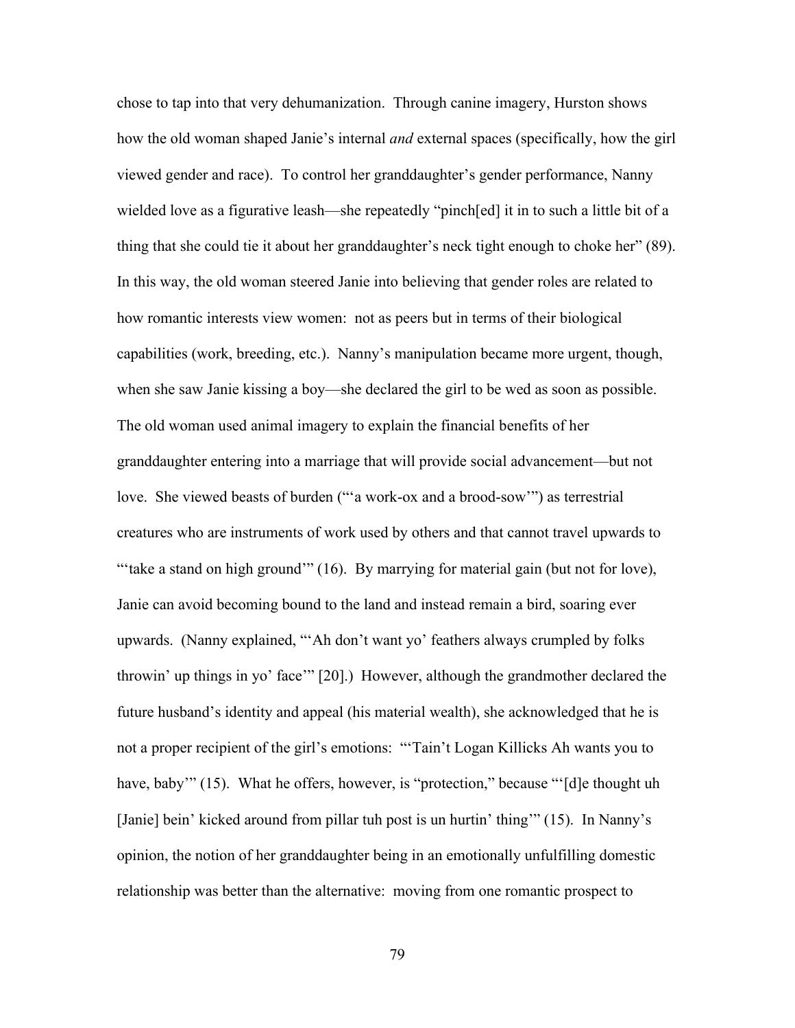chose to tap into that very dehumanization. Through canine imagery, Hurston shows how the old woman shaped Janie's internal *and* external spaces (specifically, how the girl viewed gender and race). To control her granddaughter's gender performance, Nanny wielded love as a figurative leash—she repeatedly "pinch[ed] it in to such a little bit of a thing that she could tie it about her granddaughter's neck tight enough to choke her" (89). In this way, the old woman steered Janie into believing that gender roles are related to how romantic interests view women: not as peers but in terms of their biological capabilities (work, breeding, etc.). Nanny's manipulation became more urgent, though, when she saw Janie kissing a boy—she declared the girl to be wed as soon as possible. The old woman used animal imagery to explain the financial benefits of her granddaughter entering into a marriage that will provide social advancement—but not love. She viewed beasts of burden ("'a work-ox and a brood-sow'") as terrestrial creatures who are instruments of work used by others and that cannot travel upwards to "take a stand on high ground" (16). By marrying for material gain (but not for love), Janie can avoid becoming bound to the land and instead remain a bird, soaring ever upwards. (Nanny explained, "'Ah don't want yo' feathers always crumpled by folks throwin' up things in yo' face'" [20].) However, although the grandmother declared the future husband's identity and appeal (his material wealth), she acknowledged that he is not a proper recipient of the girl's emotions: "'Tain't Logan Killicks Ah wants you to have, baby'" (15). What he offers, however, is "protection," because "'[d]e thought uh [Janie] bein' kicked around from pillar tuh post is un hurtin' thing'" (15). In Nanny's opinion, the notion of her granddaughter being in an emotionally unfulfilling domestic relationship was better than the alternative: moving from one romantic prospect to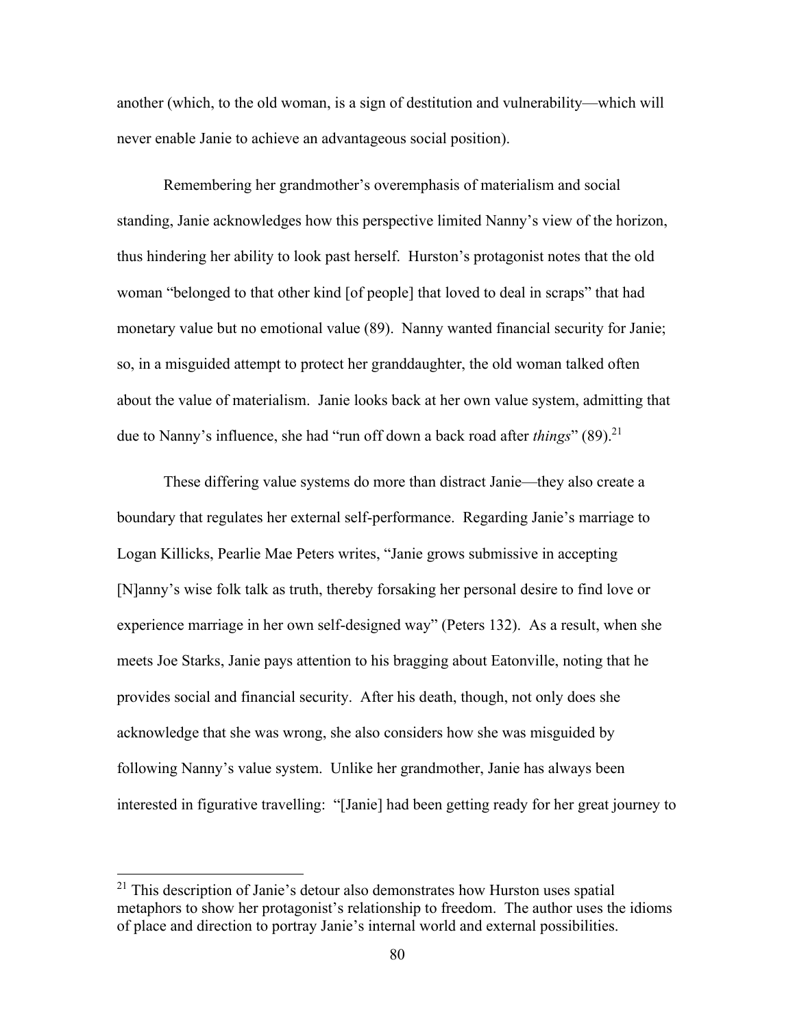another (which, to the old woman, is a sign of destitution and vulnerability—which will never enable Janie to achieve an advantageous social position).

Remembering her grandmother's overemphasis of materialism and social standing, Janie acknowledges how this perspective limited Nanny's view of the horizon, thus hindering her ability to look past herself. Hurston's protagonist notes that the old woman "belonged to that other kind [of people] that loved to deal in scraps" that had monetary value but no emotional value (89). Nanny wanted financial security for Janie; so, in a misguided attempt to protect her granddaughter, the old woman talked often about the value of materialism. Janie looks back at her own value system, admitting that due to Nanny's influence, she had "run off down a back road after *things*" (89).<sup>21</sup>

These differing value systems do more than distract Janie—they also create a boundary that regulates her external self-performance. Regarding Janie's marriage to Logan Killicks, Pearlie Mae Peters writes, "Janie grows submissive in accepting [N]anny's wise folk talk as truth, thereby forsaking her personal desire to find love or experience marriage in her own self-designed way" (Peters 132). As a result, when she meets Joe Starks, Janie pays attention to his bragging about Eatonville, noting that he provides social and financial security. After his death, though, not only does she acknowledge that she was wrong, she also considers how she was misguided by following Nanny's value system. Unlike her grandmother, Janie has always been interested in figurative travelling: "[Janie] had been getting ready for her great journey to

 $21$  This description of Janie's detour also demonstrates how Hurston uses spatial metaphors to show her protagonist's relationship to freedom. The author uses the idioms of place and direction to portray Janie's internal world and external possibilities.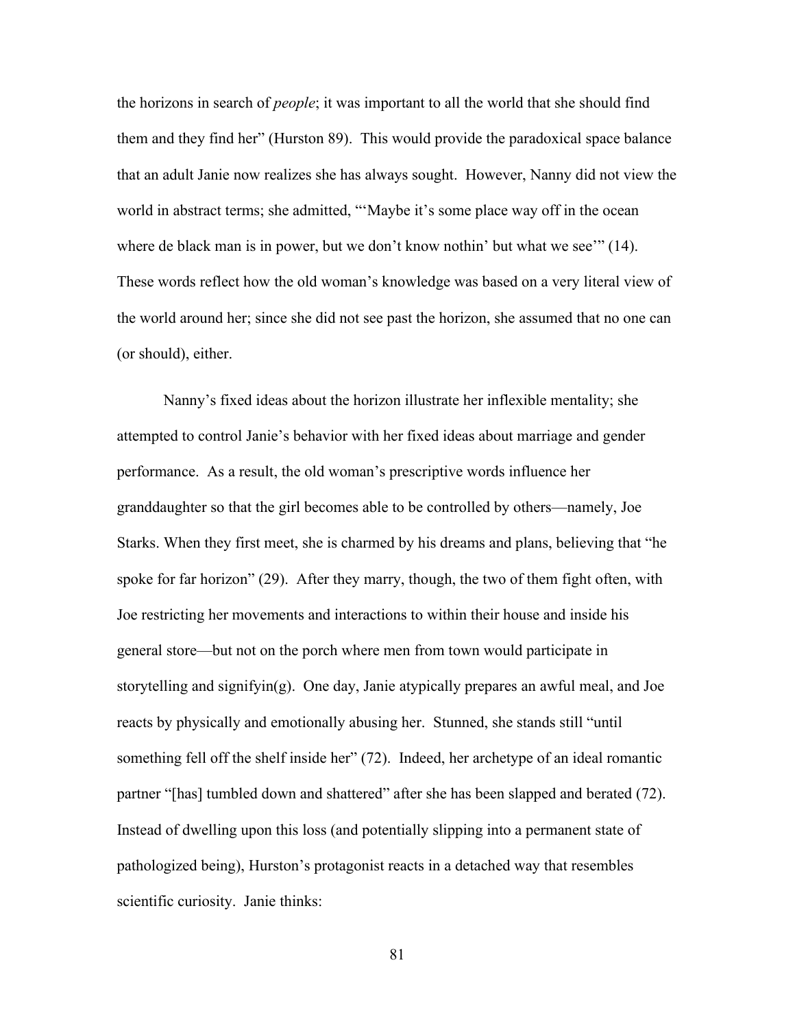the horizons in search of *people*; it was important to all the world that she should find them and they find her" (Hurston 89). This would provide the paradoxical space balance that an adult Janie now realizes she has always sought. However, Nanny did not view the world in abstract terms; she admitted, "'Maybe it's some place way off in the ocean where de black man is in power, but we don't know nothin' but what we see'" (14). These words reflect how the old woman's knowledge was based on a very literal view of the world around her; since she did not see past the horizon, she assumed that no one can (or should), either.

Nanny's fixed ideas about the horizon illustrate her inflexible mentality; she attempted to control Janie's behavior with her fixed ideas about marriage and gender performance. As a result, the old woman's prescriptive words influence her granddaughter so that the girl becomes able to be controlled by others—namely, Joe Starks. When they first meet, she is charmed by his dreams and plans, believing that "he spoke for far horizon" (29). After they marry, though, the two of them fight often, with Joe restricting her movements and interactions to within their house and inside his general store—but not on the porch where men from town would participate in storytelling and signifyin(g). One day, Janie atypically prepares an awful meal, and Joe reacts by physically and emotionally abusing her. Stunned, she stands still "until something fell off the shelf inside her" (72). Indeed, her archetype of an ideal romantic partner "[has] tumbled down and shattered" after she has been slapped and berated (72). Instead of dwelling upon this loss (and potentially slipping into a permanent state of pathologized being), Hurston's protagonist reacts in a detached way that resembles scientific curiosity. Janie thinks: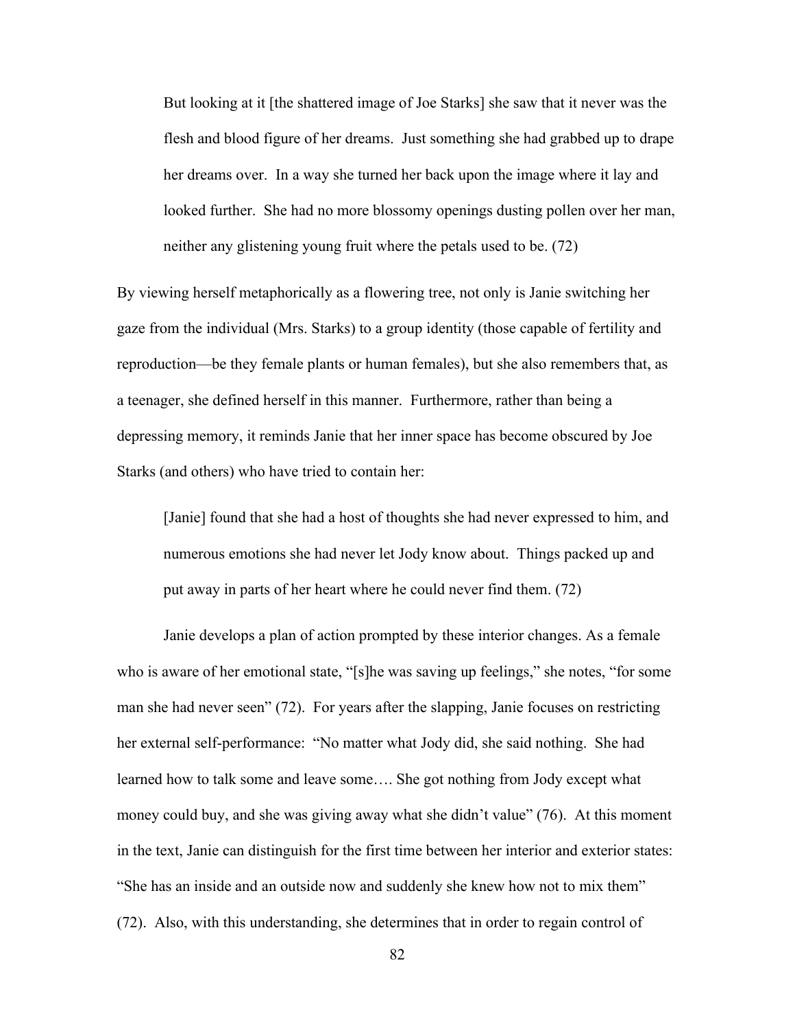But looking at it [the shattered image of Joe Starks] she saw that it never was the flesh and blood figure of her dreams. Just something she had grabbed up to drape her dreams over. In a way she turned her back upon the image where it lay and looked further. She had no more blossomy openings dusting pollen over her man, neither any glistening young fruit where the petals used to be. (72)

By viewing herself metaphorically as a flowering tree, not only is Janie switching her gaze from the individual (Mrs. Starks) to a group identity (those capable of fertility and reproduction—be they female plants or human females), but she also remembers that, as a teenager, she defined herself in this manner. Furthermore, rather than being a depressing memory, it reminds Janie that her inner space has become obscured by Joe Starks (and others) who have tried to contain her:

[Janie] found that she had a host of thoughts she had never expressed to him, and numerous emotions she had never let Jody know about. Things packed up and put away in parts of her heart where he could never find them. (72)

Janie develops a plan of action prompted by these interior changes. As a female who is aware of her emotional state, "[s]he was saving up feelings," she notes, "for some man she had never seen" (72). For years after the slapping, Janie focuses on restricting her external self-performance: "No matter what Jody did, she said nothing. She had learned how to talk some and leave some…. She got nothing from Jody except what money could buy, and she was giving away what she didn't value" (76). At this moment in the text, Janie can distinguish for the first time between her interior and exterior states: "She has an inside and an outside now and suddenly she knew how not to mix them" (72). Also, with this understanding, she determines that in order to regain control of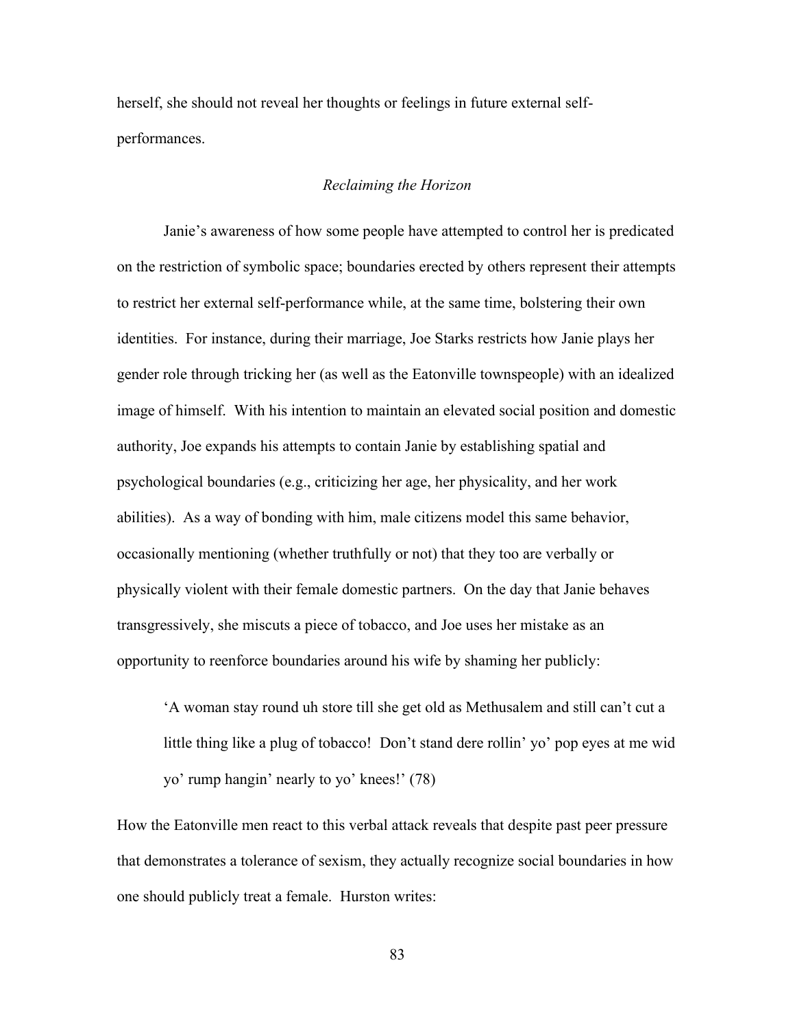herself, she should not reveal her thoughts or feelings in future external selfperformances.

## *Reclaiming the Horizon*

Janie's awareness of how some people have attempted to control her is predicated on the restriction of symbolic space; boundaries erected by others represent their attempts to restrict her external self-performance while, at the same time, bolstering their own identities. For instance, during their marriage, Joe Starks restricts how Janie plays her gender role through tricking her (as well as the Eatonville townspeople) with an idealized image of himself. With his intention to maintain an elevated social position and domestic authority, Joe expands his attempts to contain Janie by establishing spatial and psychological boundaries (e.g., criticizing her age, her physicality, and her work abilities). As a way of bonding with him, male citizens model this same behavior, occasionally mentioning (whether truthfully or not) that they too are verbally or physically violent with their female domestic partners. On the day that Janie behaves transgressively, she miscuts a piece of tobacco, and Joe uses her mistake as an opportunity to reenforce boundaries around his wife by shaming her publicly:

'A woman stay round uh store till she get old as Methusalem and still can't cut a little thing like a plug of tobacco! Don't stand dere rollin' yo' pop eyes at me wid yo' rump hangin' nearly to yo' knees!' (78)

How the Eatonville men react to this verbal attack reveals that despite past peer pressure that demonstrates a tolerance of sexism, they actually recognize social boundaries in how one should publicly treat a female. Hurston writes: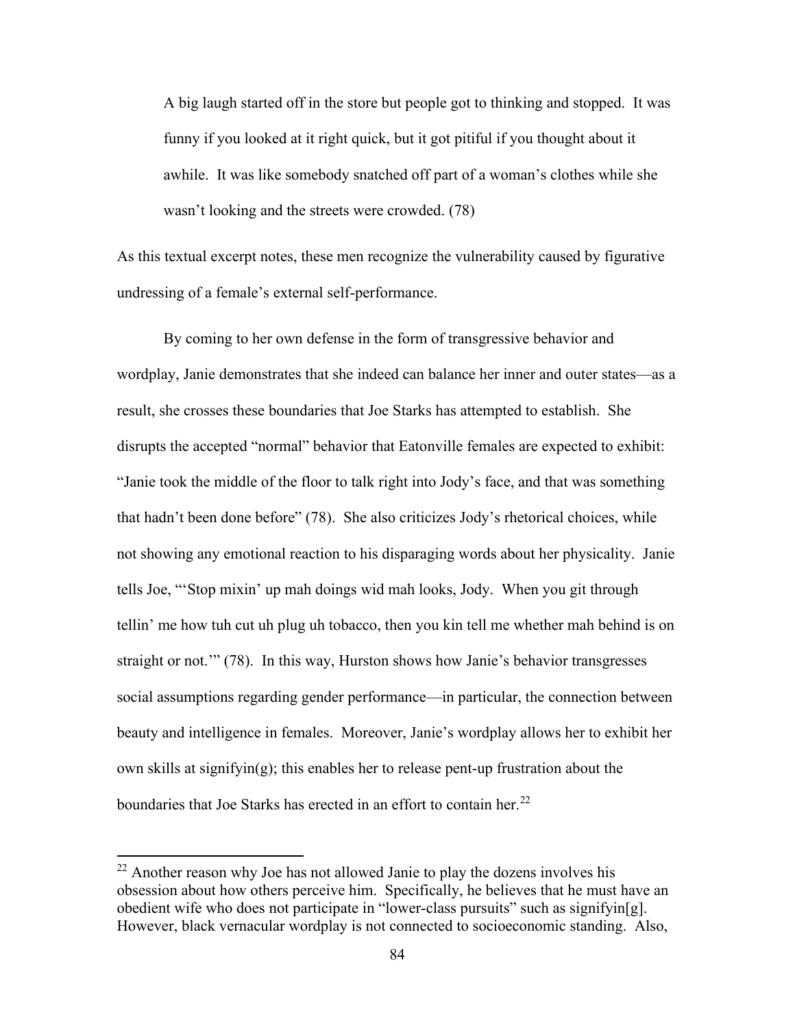A big laugh started off in the store but people got to thinking and stopped. It was funny if you looked at it right quick, but it got pitiful if you thought about it awhile. It was like somebody snatched off part of a woman's clothes while she wasn't looking and the streets were crowded. (78)

As this textual excerpt notes, these men recognize the vulnerability caused by figurative undressing of a female's external self-performance.

By coming to her own defense in the form of transgressive behavior and wordplay, Janie demonstrates that she indeed can balance her inner and outer states—as a result, she crosses these boundaries that Joe Starks has attempted to establish. She disrupts the accepted "normal" behavior that Eatonville females are expected to exhibit: "Janie took the middle of the floor to talk right into Jody's face, and that was something that hadn't been done before" (78). She also criticizes Jody's rhetorical choices, while not showing any emotional reaction to his disparaging words about her physicality. Janie tells Joe, "'Stop mixin' up mah doings wid mah looks, Jody. When you git through tellin' me how tuh cut uh plug uh tobacco, then you kin tell me whether mah behind is on straight or not.'" (78). In this way, Hurston shows how Janie's behavior transgresses social assumptions regarding gender performance—in particular, the connection between beauty and intelligence in females. Moreover, Janie's wordplay allows her to exhibit her own skills at signifyin(g); this enables her to release pent-up frustration about the boundaries that Joe Starks has erected in an effort to contain her. $^{22}$ 

 $22$  Another reason why Joe has not allowed Janie to play the dozens involves his obsession about how others perceive him. Specifically, he believes that he must have an obedient wife who does not participate in "lower-class pursuits" such as signifyin[g]. However, black vernacular wordplay is not connected to socioeconomic standing. Also,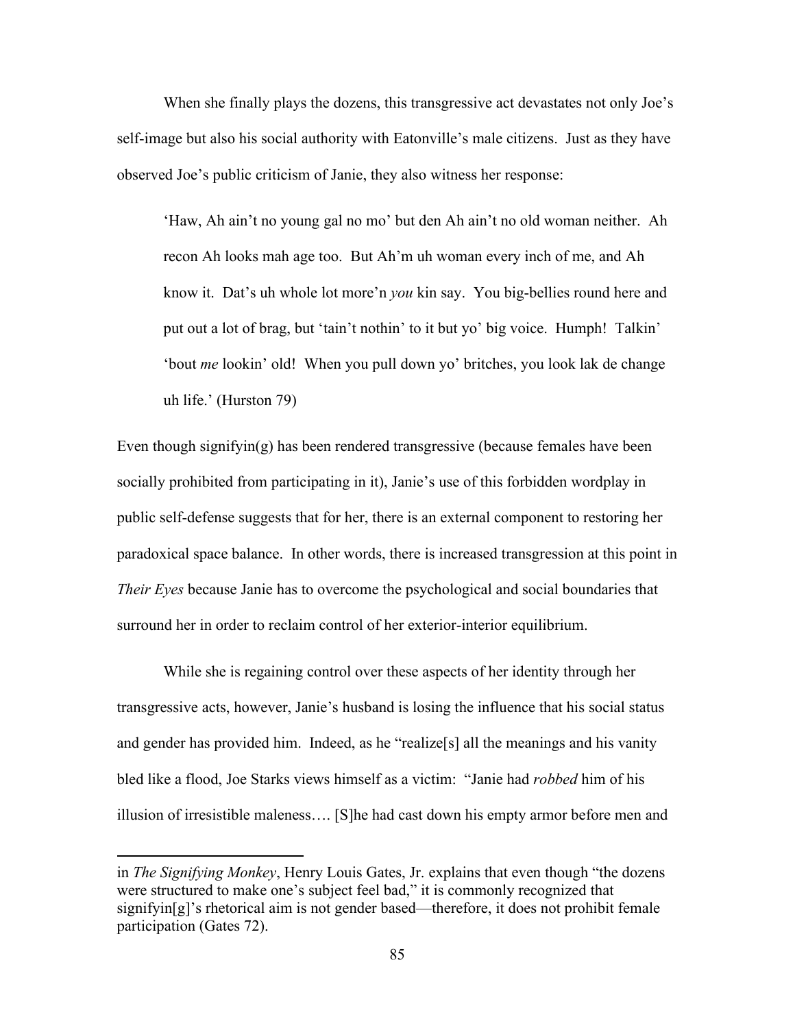When she finally plays the dozens, this transgressive act devastates not only Joe's self-image but also his social authority with Eatonville's male citizens. Just as they have observed Joe's public criticism of Janie, they also witness her response:

'Haw, Ah ain't no young gal no mo' but den Ah ain't no old woman neither. Ah recon Ah looks mah age too. But Ah'm uh woman every inch of me, and Ah know it. Dat's uh whole lot more'n *you* kin say. You big-bellies round here and put out a lot of brag, but 'tain't nothin' to it but yo' big voice. Humph! Talkin' 'bout *me* lookin' old! When you pull down yo' britches, you look lak de change uh life.' (Hurston 79)

Even though signifyin(g) has been rendered transgressive (because females have been socially prohibited from participating in it), Janie's use of this forbidden wordplay in public self-defense suggests that for her, there is an external component to restoring her paradoxical space balance. In other words, there is increased transgression at this point in *Their Eyes* because Janie has to overcome the psychological and social boundaries that surround her in order to reclaim control of her exterior-interior equilibrium.

While she is regaining control over these aspects of her identity through her transgressive acts, however, Janie's husband is losing the influence that his social status and gender has provided him. Indeed, as he "realize[s] all the meanings and his vanity bled like a flood, Joe Starks views himself as a victim: "Janie had *robbed* him of his illusion of irresistible maleness…. [S]he had cast down his empty armor before men and

in *The Signifying Monkey*, Henry Louis Gates, Jr. explains that even though "the dozens were structured to make one's subject feel bad," it is commonly recognized that signifyin[g]'s rhetorical aim is not gender based—therefore, it does not prohibit female participation (Gates 72).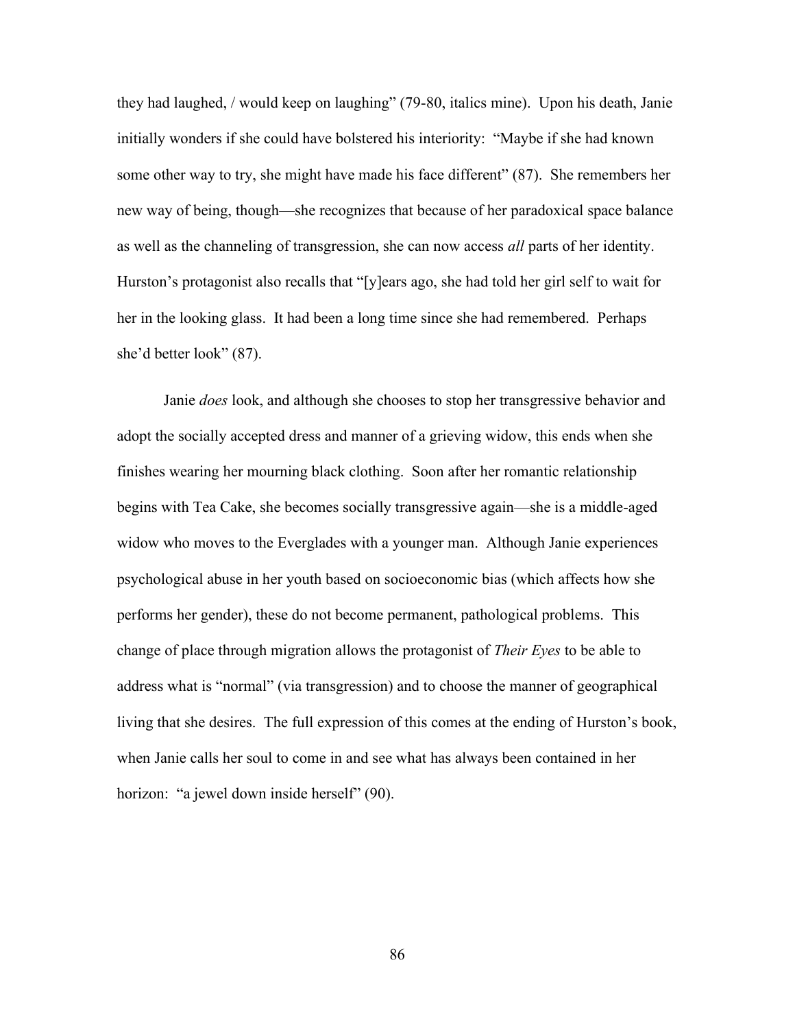they had laughed, / would keep on laughing" (79-80, italics mine). Upon his death, Janie initially wonders if she could have bolstered his interiority: "Maybe if she had known some other way to try, she might have made his face different" (87). She remembers her new way of being, though—she recognizes that because of her paradoxical space balance as well as the channeling of transgression, she can now access *all* parts of her identity. Hurston's protagonist also recalls that "[y]ears ago, she had told her girl self to wait for her in the looking glass. It had been a long time since she had remembered. Perhaps she'd better look" (87).

Janie *does* look, and although she chooses to stop her transgressive behavior and adopt the socially accepted dress and manner of a grieving widow, this ends when she finishes wearing her mourning black clothing. Soon after her romantic relationship begins with Tea Cake, she becomes socially transgressive again—she is a middle-aged widow who moves to the Everglades with a younger man. Although Janie experiences psychological abuse in her youth based on socioeconomic bias (which affects how she performs her gender), these do not become permanent, pathological problems. This change of place through migration allows the protagonist of *Their Eyes* to be able to address what is "normal" (via transgression) and to choose the manner of geographical living that she desires. The full expression of this comes at the ending of Hurston's book, when Janie calls her soul to come in and see what has always been contained in her horizon: "a jewel down inside herself" (90).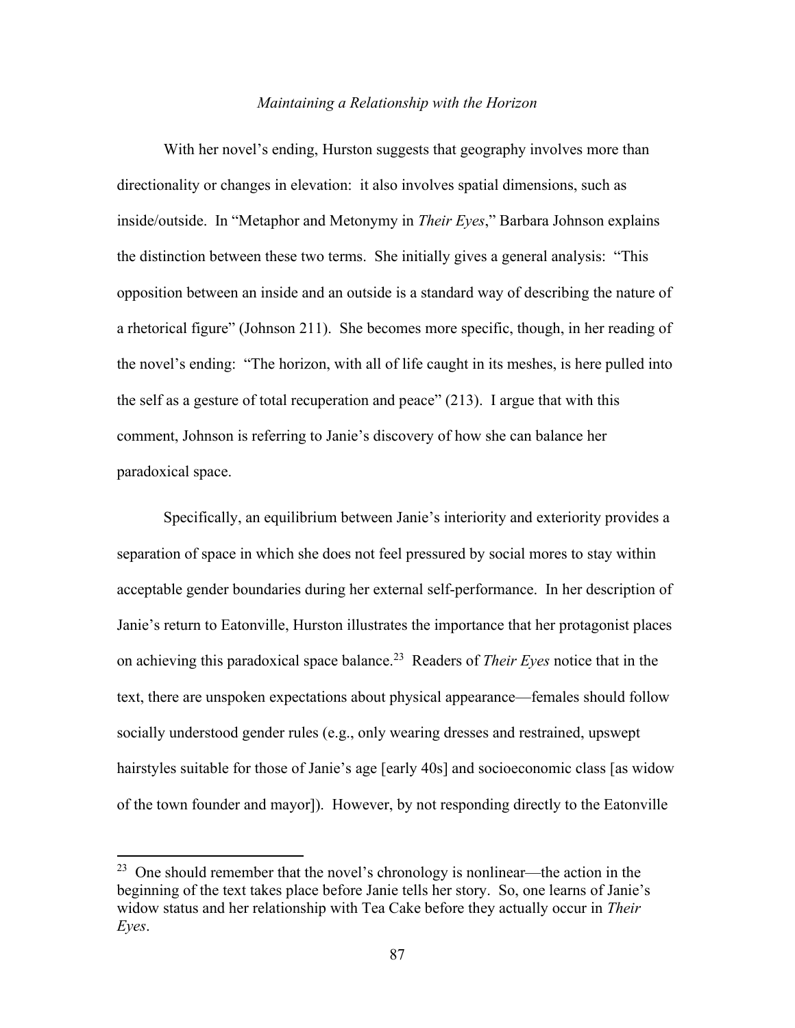#### *Maintaining a Relationship with the Horizon*

With her novel's ending, Hurston suggests that geography involves more than directionality or changes in elevation: it also involves spatial dimensions, such as inside/outside. In "Metaphor and Metonymy in *Their Eyes*," Barbara Johnson explains the distinction between these two terms. She initially gives a general analysis: "This opposition between an inside and an outside is a standard way of describing the nature of a rhetorical figure" (Johnson 211). She becomes more specific, though, in her reading of the novel's ending: "The horizon, with all of life caught in its meshes, is here pulled into the self as a gesture of total recuperation and peace" (213). I argue that with this comment, Johnson is referring to Janie's discovery of how she can balance her paradoxical space.

Specifically, an equilibrium between Janie's interiority and exteriority provides a separation of space in which she does not feel pressured by social mores to stay within acceptable gender boundaries during her external self-performance. In her description of Janie's return to Eatonville, Hurston illustrates the importance that her protagonist places on achieving this paradoxical space balance.<sup>23</sup> Readers of *Their Eyes* notice that in the text, there are unspoken expectations about physical appearance—females should follow socially understood gender rules (e.g., only wearing dresses and restrained, upswept hairstyles suitable for those of Janie's age [early 40s] and socioeconomic class [as widow of the town founder and mayor]). However, by not responding directly to the Eatonville

<sup>&</sup>lt;sup>23</sup> One should remember that the novel's chronology is nonlinear—the action in the beginning of the text takes place before Janie tells her story. So, one learns of Janie's widow status and her relationship with Tea Cake before they actually occur in *Their Eyes*.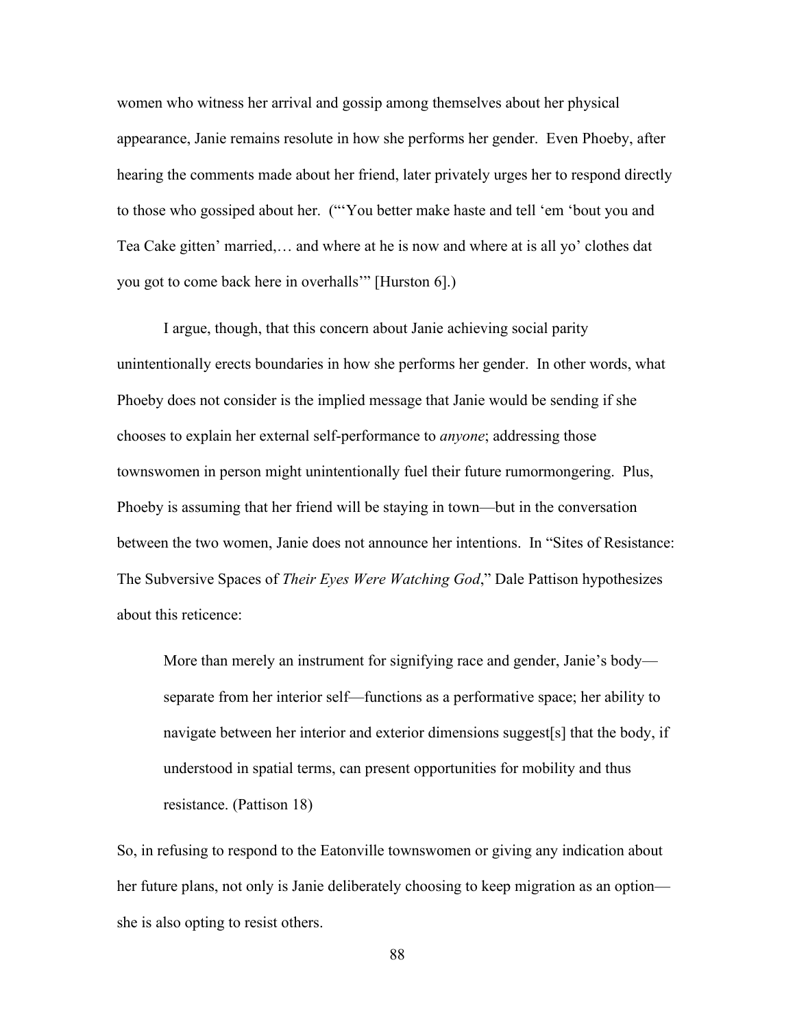women who witness her arrival and gossip among themselves about her physical appearance, Janie remains resolute in how she performs her gender. Even Phoeby, after hearing the comments made about her friend, later privately urges her to respond directly to those who gossiped about her. ("'You better make haste and tell 'em 'bout you and Tea Cake gitten' married,… and where at he is now and where at is all yo' clothes dat you got to come back here in overhalls'" [Hurston 6].)

I argue, though, that this concern about Janie achieving social parity unintentionally erects boundaries in how she performs her gender. In other words, what Phoeby does not consider is the implied message that Janie would be sending if she chooses to explain her external self-performance to *anyone*; addressing those townswomen in person might unintentionally fuel their future rumormongering. Plus, Phoeby is assuming that her friend will be staying in town—but in the conversation between the two women, Janie does not announce her intentions. In "Sites of Resistance: The Subversive Spaces of *Their Eyes Were Watching God*," Dale Pattison hypothesizes about this reticence:

More than merely an instrument for signifying race and gender, Janie's body separate from her interior self—functions as a performative space; her ability to navigate between her interior and exterior dimensions suggest[s] that the body, if understood in spatial terms, can present opportunities for mobility and thus resistance. (Pattison 18)

So, in refusing to respond to the Eatonville townswomen or giving any indication about her future plans, not only is Janie deliberately choosing to keep migration as an option she is also opting to resist others.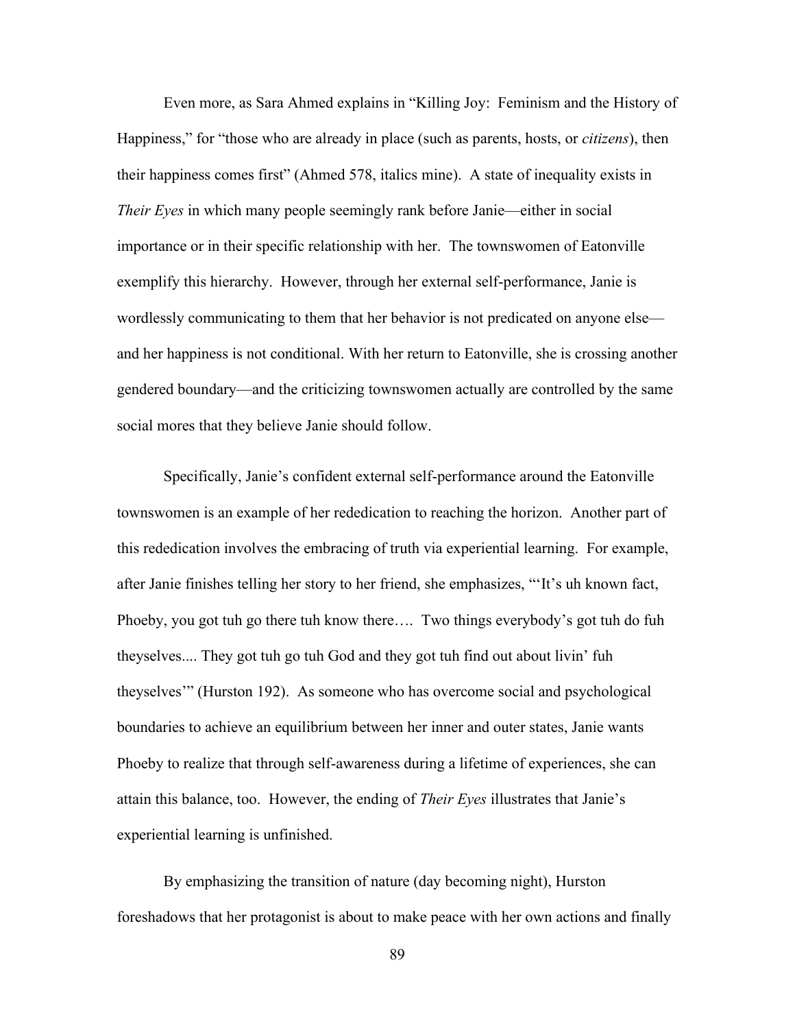Even more, as Sara Ahmed explains in "Killing Joy: Feminism and the History of Happiness," for "those who are already in place (such as parents, hosts, or *citizens*), then their happiness comes first" (Ahmed 578, italics mine). A state of inequality exists in *Their Eyes* in which many people seemingly rank before Janie—either in social importance or in their specific relationship with her. The townswomen of Eatonville exemplify this hierarchy. However, through her external self-performance, Janie is wordlessly communicating to them that her behavior is not predicated on anyone else and her happiness is not conditional. With her return to Eatonville, she is crossing another gendered boundary—and the criticizing townswomen actually are controlled by the same social mores that they believe Janie should follow.

Specifically, Janie's confident external self-performance around the Eatonville townswomen is an example of her rededication to reaching the horizon. Another part of this rededication involves the embracing of truth via experiential learning. For example, after Janie finishes telling her story to her friend, she emphasizes, "'It's uh known fact, Phoeby, you got tuh go there tuh know there…. Two things everybody's got tuh do fuh theyselves.... They got tuh go tuh God and they got tuh find out about livin' fuh theyselves'" (Hurston 192). As someone who has overcome social and psychological boundaries to achieve an equilibrium between her inner and outer states, Janie wants Phoeby to realize that through self-awareness during a lifetime of experiences, she can attain this balance, too. However, the ending of *Their Eyes* illustrates that Janie's experiential learning is unfinished.

By emphasizing the transition of nature (day becoming night), Hurston foreshadows that her protagonist is about to make peace with her own actions and finally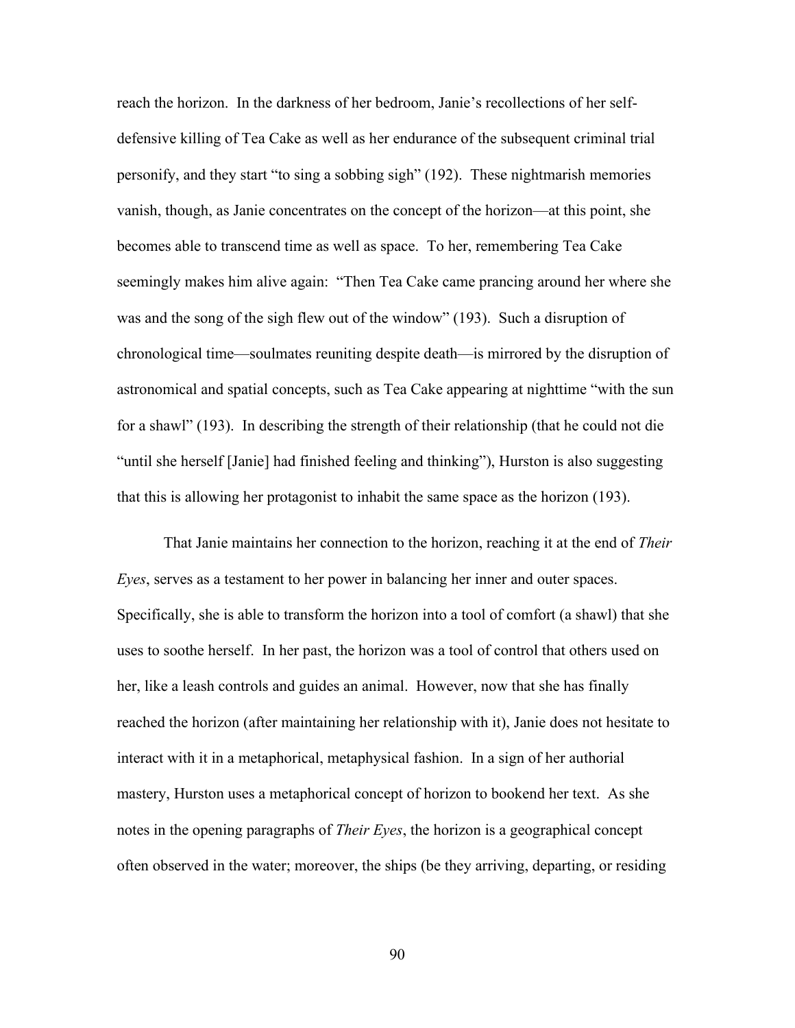reach the horizon. In the darkness of her bedroom, Janie's recollections of her selfdefensive killing of Tea Cake as well as her endurance of the subsequent criminal trial personify, and they start "to sing a sobbing sigh" (192). These nightmarish memories vanish, though, as Janie concentrates on the concept of the horizon—at this point, she becomes able to transcend time as well as space. To her, remembering Tea Cake seemingly makes him alive again: "Then Tea Cake came prancing around her where she was and the song of the sigh flew out of the window" (193). Such a disruption of chronological time—soulmates reuniting despite death—is mirrored by the disruption of astronomical and spatial concepts, such as Tea Cake appearing at nighttime "with the sun for a shawl" (193). In describing the strength of their relationship (that he could not die "until she herself [Janie] had finished feeling and thinking"), Hurston is also suggesting that this is allowing her protagonist to inhabit the same space as the horizon (193).

That Janie maintains her connection to the horizon, reaching it at the end of *Their Eyes*, serves as a testament to her power in balancing her inner and outer spaces. Specifically, she is able to transform the horizon into a tool of comfort (a shawl) that she uses to soothe herself. In her past, the horizon was a tool of control that others used on her, like a leash controls and guides an animal. However, now that she has finally reached the horizon (after maintaining her relationship with it), Janie does not hesitate to interact with it in a metaphorical, metaphysical fashion. In a sign of her authorial mastery, Hurston uses a metaphorical concept of horizon to bookend her text. As she notes in the opening paragraphs of *Their Eyes*, the horizon is a geographical concept often observed in the water; moreover, the ships (be they arriving, departing, or residing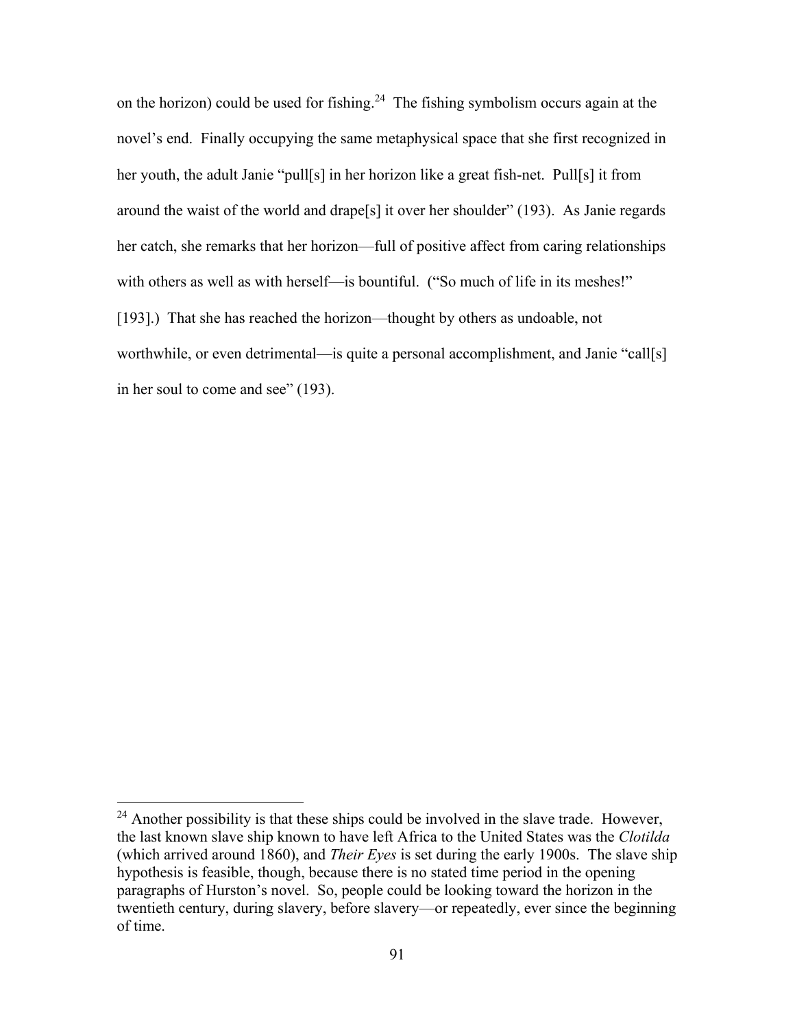on the horizon) could be used for fishing.<sup>24</sup> The fishing symbolism occurs again at the novel's end. Finally occupying the same metaphysical space that she first recognized in her youth, the adult Janie "pull[s] in her horizon like a great fish-net. Pull[s] it from around the waist of the world and drape[s] it over her shoulder" (193). As Janie regards her catch, she remarks that her horizon—full of positive affect from caring relationships with others as well as with herself—is bountiful. ("So much of life in its meshes!" [193].) That she has reached the horizon—thought by others as undoable, not worthwhile, or even detrimental—is quite a personal accomplishment, and Janie "call[s] in her soul to come and see" (193).

 $24$  Another possibility is that these ships could be involved in the slave trade. However, the last known slave ship known to have left Africa to the United States was the *Clotilda*  (which arrived around 1860), and *Their Eyes* is set during the early 1900s. The slave ship hypothesis is feasible, though, because there is no stated time period in the opening paragraphs of Hurston's novel. So, people could be looking toward the horizon in the twentieth century, during slavery, before slavery—or repeatedly, ever since the beginning of time.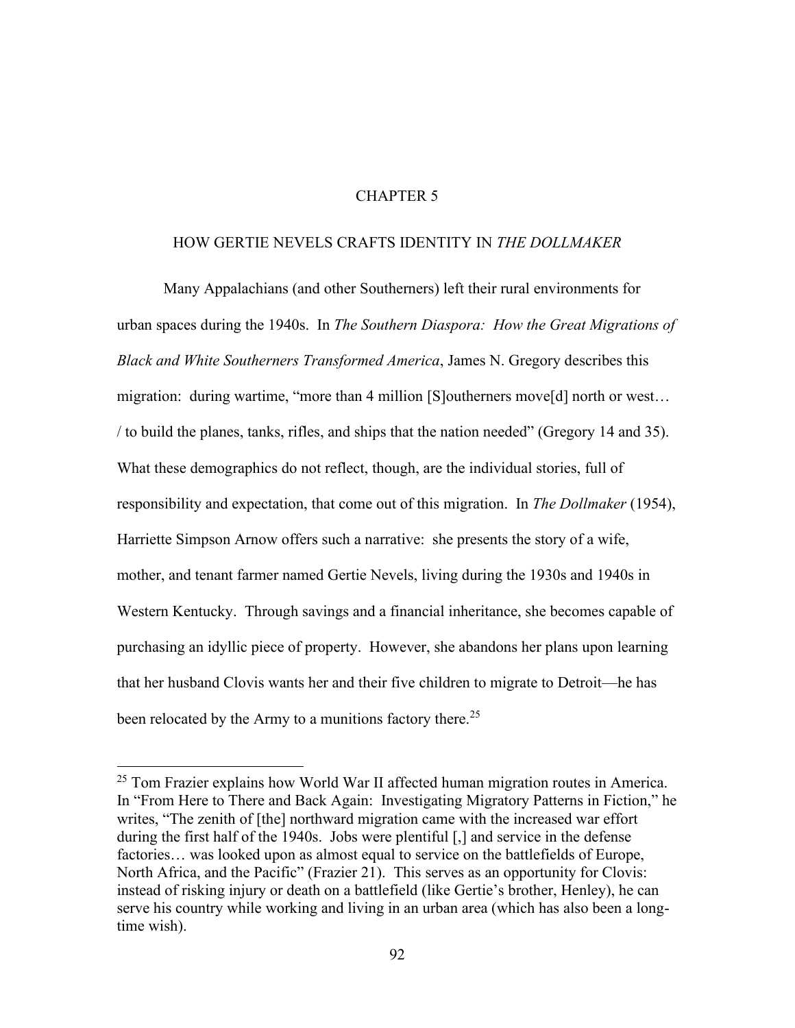# CHAPTER 5

## HOW GERTIE NEVELS CRAFTS IDENTITY IN *THE DOLLMAKER*

Many Appalachians (and other Southerners) left their rural environments for urban spaces during the 1940s. In *The Southern Diaspora: How the Great Migrations of Black and White Southerners Transformed America*, James N. Gregory describes this migration: during wartime, "more than 4 million [S]outherners move[d] north or west… / to build the planes, tanks, rifles, and ships that the nation needed" (Gregory 14 and 35). What these demographics do not reflect, though, are the individual stories, full of responsibility and expectation, that come out of this migration. In *The Dollmaker* (1954), Harriette Simpson Arnow offers such a narrative: she presents the story of a wife, mother, and tenant farmer named Gertie Nevels, living during the 1930s and 1940s in Western Kentucky. Through savings and a financial inheritance, she becomes capable of purchasing an idyllic piece of property. However, she abandons her plans upon learning that her husband Clovis wants her and their five children to migrate to Detroit—he has been relocated by the Army to a munitions factory there.<sup>25</sup>

 $25$  Tom Frazier explains how World War II affected human migration routes in America. In "From Here to There and Back Again: Investigating Migratory Patterns in Fiction," he writes, "The zenith of [the] northward migration came with the increased war effort during the first half of the 1940s. Jobs were plentiful [,] and service in the defense factories… was looked upon as almost equal to service on the battlefields of Europe, North Africa, and the Pacific" (Frazier 21). This serves as an opportunity for Clovis: instead of risking injury or death on a battlefield (like Gertie's brother, Henley), he can serve his country while working and living in an urban area (which has also been a longtime wish).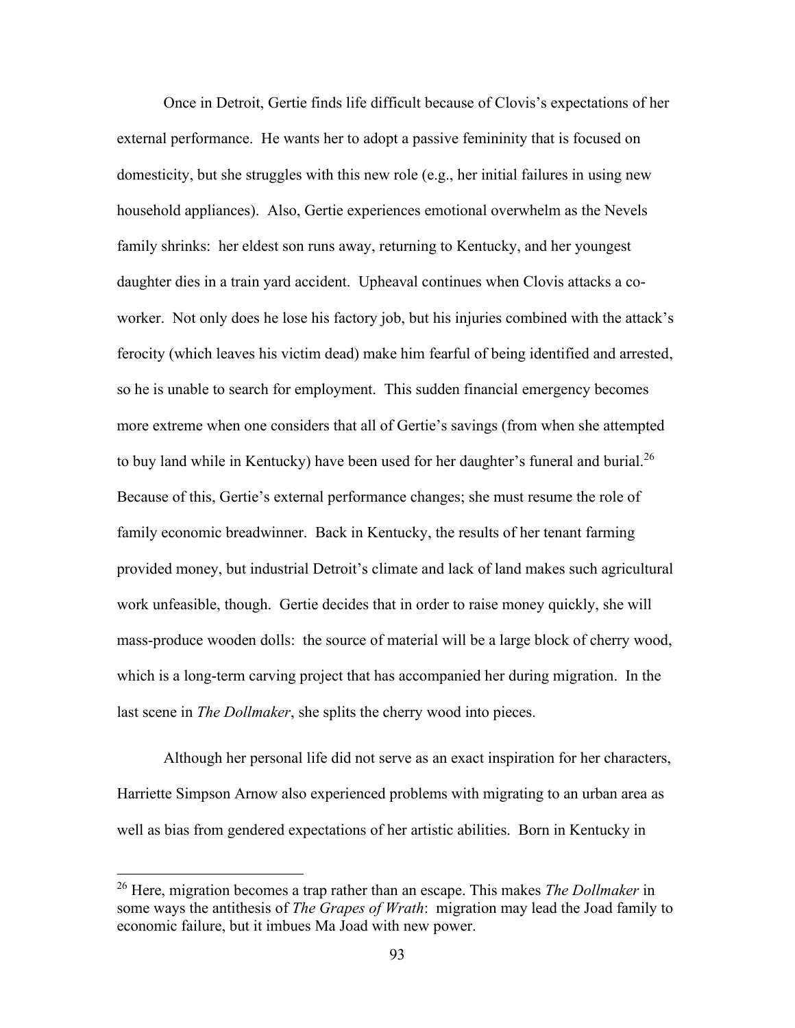Once in Detroit, Gertie finds life difficult because of Clovis's expectations of her external performance. He wants her to adopt a passive femininity that is focused on domesticity, but she struggles with this new role (e.g., her initial failures in using new household appliances). Also, Gertie experiences emotional overwhelm as the Nevels family shrinks: her eldest son runs away, returning to Kentucky, and her youngest daughter dies in a train yard accident. Upheaval continues when Clovis attacks a coworker. Not only does he lose his factory job, but his injuries combined with the attack's ferocity (which leaves his victim dead) make him fearful of being identified and arrested, so he is unable to search for employment. This sudden financial emergency becomes more extreme when one considers that all of Gertie's savings (from when she attempted to buy land while in Kentucky) have been used for her daughter's funeral and burial.<sup>26</sup> Because of this, Gertie's external performance changes; she must resume the role of family economic breadwinner. Back in Kentucky, the results of her tenant farming provided money, but industrial Detroit's climate and lack of land makes such agricultural work unfeasible, though. Gertie decides that in order to raise money quickly, she will mass-produce wooden dolls: the source of material will be a large block of cherry wood, which is a long-term carving project that has accompanied her during migration. In the last scene in *The Dollmaker*, she splits the cherry wood into pieces.

Although her personal life did not serve as an exact inspiration for her characters, Harriette Simpson Arnow also experienced problems with migrating to an urban area as well as bias from gendered expectations of her artistic abilities. Born in Kentucky in

<sup>26</sup> Here, migration becomes a trap rather than an escape. This makes *The Dollmaker* in some ways the antithesis of *The Grapes of Wrath*: migration may lead the Joad family to economic failure, but it imbues Ma Joad with new power.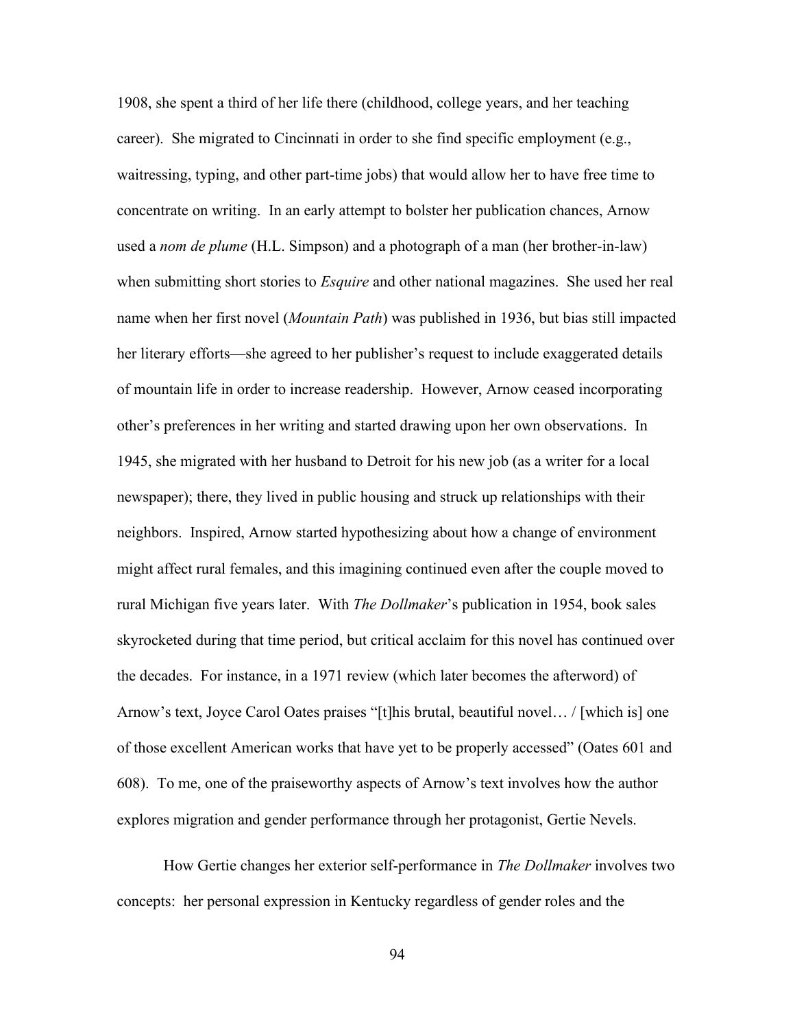1908, she spent a third of her life there (childhood, college years, and her teaching career). She migrated to Cincinnati in order to she find specific employment (e.g., waitressing, typing, and other part-time jobs) that would allow her to have free time to concentrate on writing. In an early attempt to bolster her publication chances, Arnow used a *nom de plume* (H.L. Simpson) and a photograph of a man (her brother-in-law) when submitting short stories to *Esquire* and other national magazines. She used her real name when her first novel (*Mountain Path*) was published in 1936, but bias still impacted her literary efforts—she agreed to her publisher's request to include exaggerated details of mountain life in order to increase readership. However, Arnow ceased incorporating other's preferences in her writing and started drawing upon her own observations. In 1945, she migrated with her husband to Detroit for his new job (as a writer for a local newspaper); there, they lived in public housing and struck up relationships with their neighbors. Inspired, Arnow started hypothesizing about how a change of environment might affect rural females, and this imagining continued even after the couple moved to rural Michigan five years later. With *The Dollmaker*'s publication in 1954, book sales skyrocketed during that time period, but critical acclaim for this novel has continued over the decades. For instance, in a 1971 review (which later becomes the afterword) of Arnow's text, Joyce Carol Oates praises "[t]his brutal, beautiful novel… / [which is] one of those excellent American works that have yet to be properly accessed" (Oates 601 and 608). To me, one of the praiseworthy aspects of Arnow's text involves how the author explores migration and gender performance through her protagonist, Gertie Nevels.

How Gertie changes her exterior self-performance in *The Dollmaker* involves two concepts: her personal expression in Kentucky regardless of gender roles and the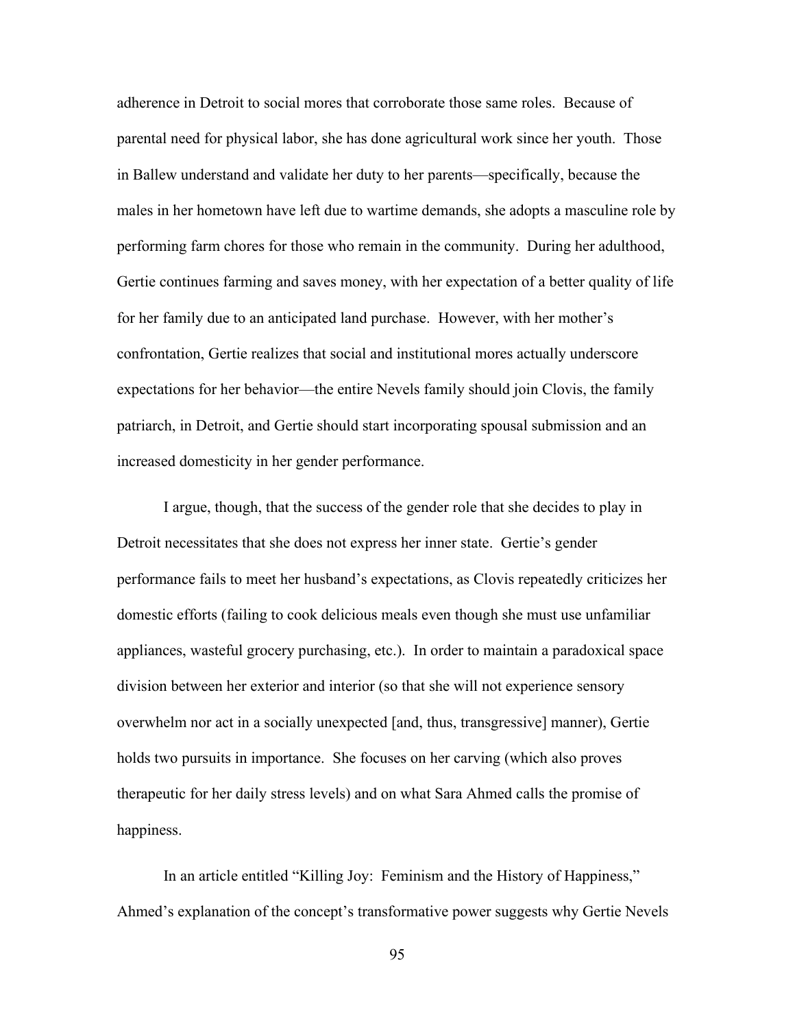adherence in Detroit to social mores that corroborate those same roles. Because of parental need for physical labor, she has done agricultural work since her youth. Those in Ballew understand and validate her duty to her parents—specifically, because the males in her hometown have left due to wartime demands, she adopts a masculine role by performing farm chores for those who remain in the community. During her adulthood, Gertie continues farming and saves money, with her expectation of a better quality of life for her family due to an anticipated land purchase. However, with her mother's confrontation, Gertie realizes that social and institutional mores actually underscore expectations for her behavior—the entire Nevels family should join Clovis, the family patriarch, in Detroit, and Gertie should start incorporating spousal submission and an increased domesticity in her gender performance.

I argue, though, that the success of the gender role that she decides to play in Detroit necessitates that she does not express her inner state. Gertie's gender performance fails to meet her husband's expectations, as Clovis repeatedly criticizes her domestic efforts (failing to cook delicious meals even though she must use unfamiliar appliances, wasteful grocery purchasing, etc.). In order to maintain a paradoxical space division between her exterior and interior (so that she will not experience sensory overwhelm nor act in a socially unexpected [and, thus, transgressive] manner), Gertie holds two pursuits in importance. She focuses on her carving (which also proves therapeutic for her daily stress levels) and on what Sara Ahmed calls the promise of happiness.

In an article entitled "Killing Joy: Feminism and the History of Happiness," Ahmed's explanation of the concept's transformative power suggests why Gertie Nevels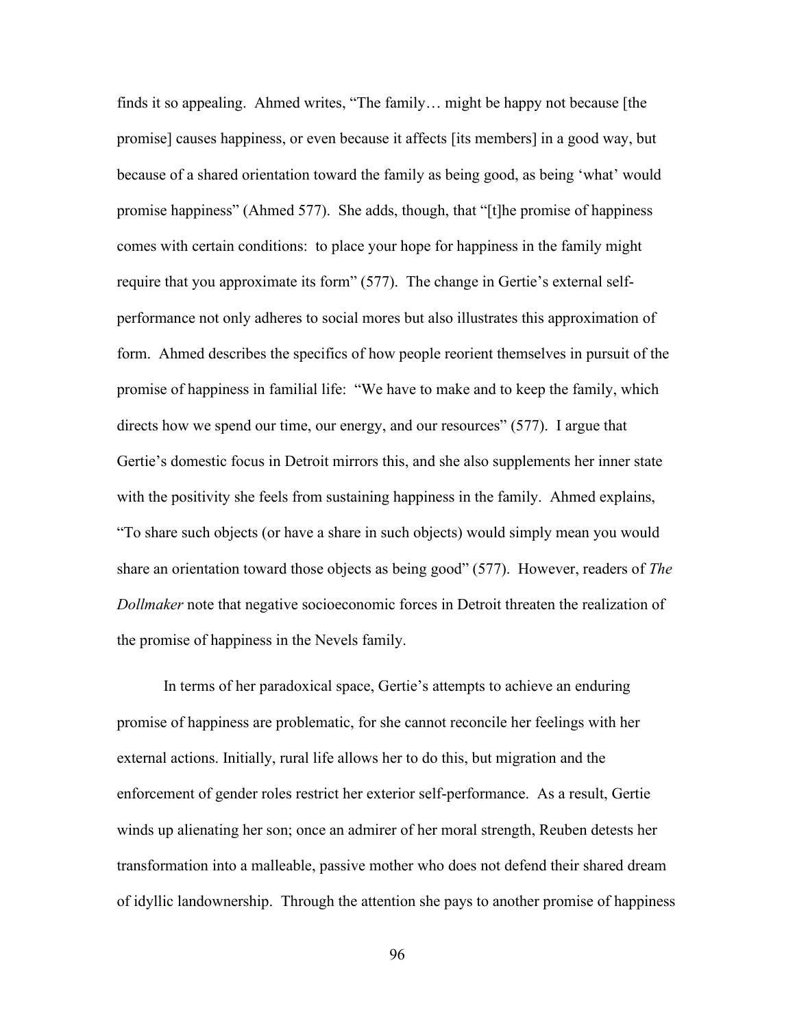finds it so appealing. Ahmed writes, "The family… might be happy not because [the promise] causes happiness, or even because it affects [its members] in a good way, but because of a shared orientation toward the family as being good, as being 'what' would promise happiness" (Ahmed 577). She adds, though, that "[t]he promise of happiness comes with certain conditions: to place your hope for happiness in the family might require that you approximate its form" (577). The change in Gertie's external selfperformance not only adheres to social mores but also illustrates this approximation of form. Ahmed describes the specifics of how people reorient themselves in pursuit of the promise of happiness in familial life: "We have to make and to keep the family, which directs how we spend our time, our energy, and our resources" (577). I argue that Gertie's domestic focus in Detroit mirrors this, and she also supplements her inner state with the positivity she feels from sustaining happiness in the family. Ahmed explains, "To share such objects (or have a share in such objects) would simply mean you would share an orientation toward those objects as being good" (577). However, readers of *The Dollmaker* note that negative socioeconomic forces in Detroit threaten the realization of the promise of happiness in the Nevels family.

In terms of her paradoxical space, Gertie's attempts to achieve an enduring promise of happiness are problematic, for she cannot reconcile her feelings with her external actions. Initially, rural life allows her to do this, but migration and the enforcement of gender roles restrict her exterior self-performance. As a result, Gertie winds up alienating her son; once an admirer of her moral strength, Reuben detests her transformation into a malleable, passive mother who does not defend their shared dream of idyllic landownership. Through the attention she pays to another promise of happiness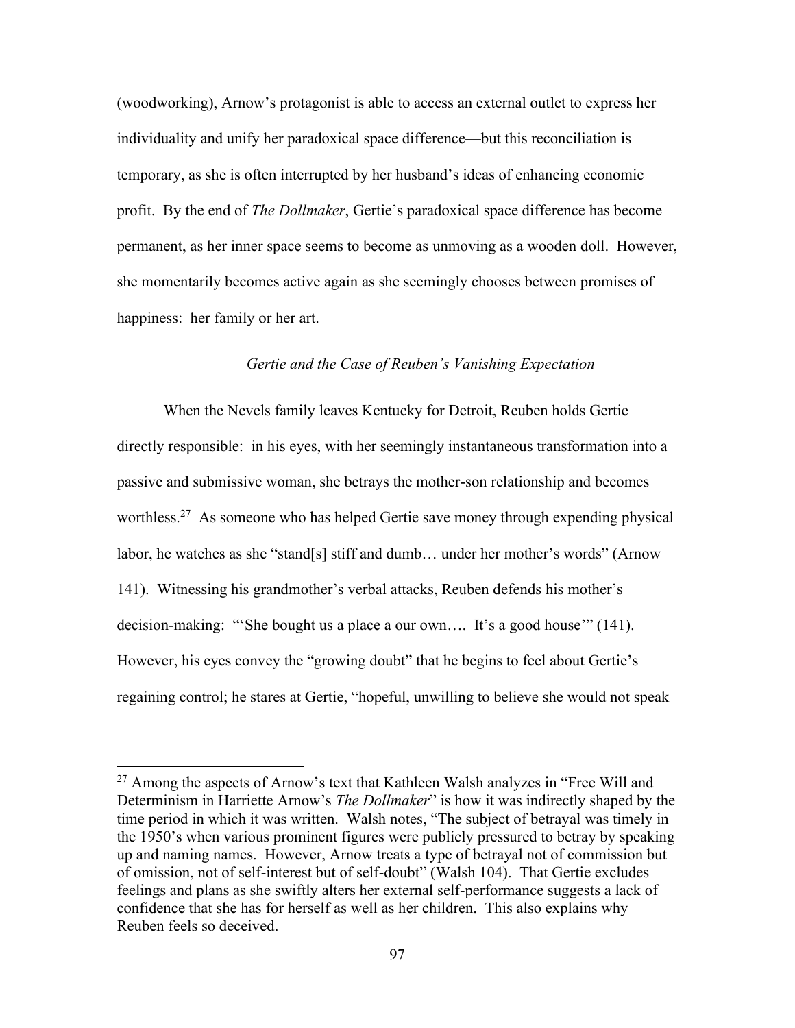(woodworking), Arnow's protagonist is able to access an external outlet to express her individuality and unify her paradoxical space difference—but this reconciliation is temporary, as she is often interrupted by her husband's ideas of enhancing economic profit. By the end of *The Dollmaker*, Gertie's paradoxical space difference has become permanent, as her inner space seems to become as unmoving as a wooden doll. However, she momentarily becomes active again as she seemingly chooses between promises of happiness: her family or her art.

# *Gertie and the Case of Reuben's Vanishing Expectation*

When the Nevels family leaves Kentucky for Detroit, Reuben holds Gertie directly responsible: in his eyes, with her seemingly instantaneous transformation into a passive and submissive woman, she betrays the mother-son relationship and becomes worthless.<sup>27</sup> As someone who has helped Gertie save money through expending physical labor, he watches as she "stand[s] stiff and dumb… under her mother's words" (Arnow 141). Witnessing his grandmother's verbal attacks, Reuben defends his mother's decision-making: "'She bought us a place a our own…. It's a good house'" (141). However, his eyes convey the "growing doubt" that he begins to feel about Gertie's regaining control; he stares at Gertie, "hopeful, unwilling to believe she would not speak

<sup>&</sup>lt;sup>27</sup> Among the aspects of Arnow's text that Kathleen Walsh analyzes in "Free Will and Determinism in Harriette Arnow's *The Dollmaker*" is how it was indirectly shaped by the time period in which it was written. Walsh notes, "The subject of betrayal was timely in the 1950's when various prominent figures were publicly pressured to betray by speaking up and naming names. However, Arnow treats a type of betrayal not of commission but of omission, not of self-interest but of self-doubt" (Walsh 104). That Gertie excludes feelings and plans as she swiftly alters her external self-performance suggests a lack of confidence that she has for herself as well as her children. This also explains why Reuben feels so deceived.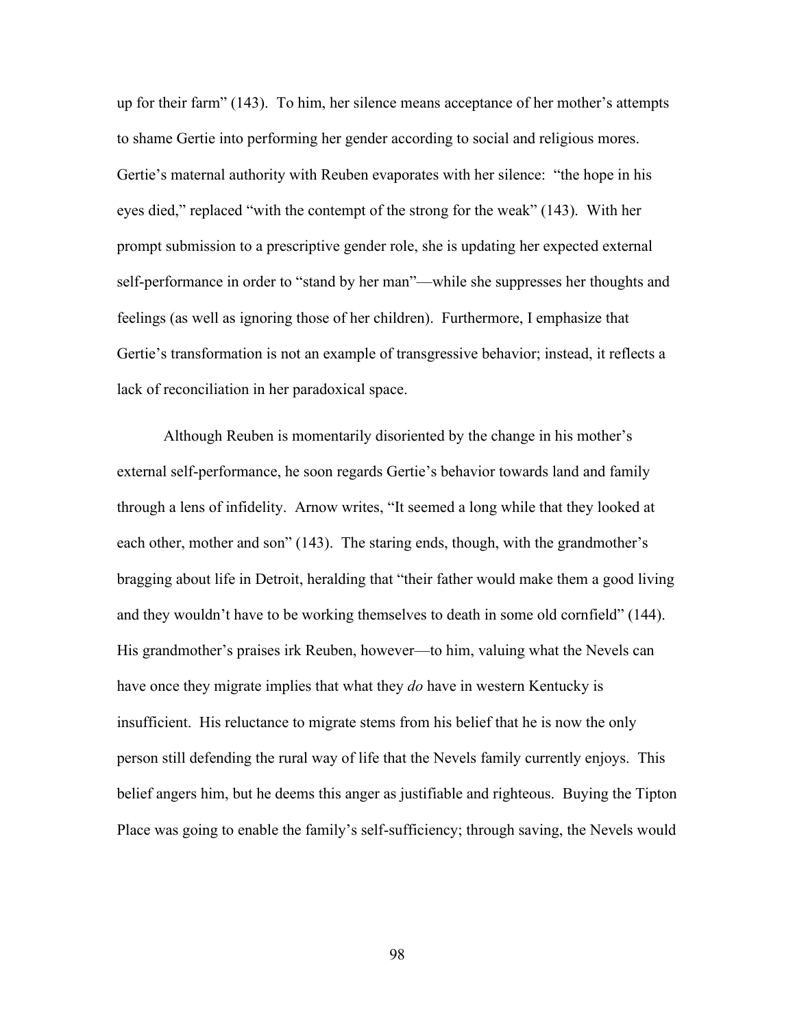up for their farm" (143). To him, her silence means acceptance of her mother's attempts to shame Gertie into performing her gender according to social and religious mores. Gertie's maternal authority with Reuben evaporates with her silence: "the hope in his eyes died," replaced "with the contempt of the strong for the weak" (143). With her prompt submission to a prescriptive gender role, she is updating her expected external self-performance in order to "stand by her man"—while she suppresses her thoughts and feelings (as well as ignoring those of her children). Furthermore, I emphasize that Gertie's transformation is not an example of transgressive behavior; instead, it reflects a lack of reconciliation in her paradoxical space.

Although Reuben is momentarily disoriented by the change in his mother's external self-performance, he soon regards Gertie's behavior towards land and family through a lens of infidelity. Arnow writes, "It seemed a long while that they looked at each other, mother and son" (143). The staring ends, though, with the grandmother's bragging about life in Detroit, heralding that "their father would make them a good living and they wouldn't have to be working themselves to death in some old cornfield" (144). His grandmother's praises irk Reuben, however—to him, valuing what the Nevels can have once they migrate implies that what they *do* have in western Kentucky is insufficient. His reluctance to migrate stems from his belief that he is now the only person still defending the rural way of life that the Nevels family currently enjoys. This belief angers him, but he deems this anger as justifiable and righteous. Buying the Tipton Place was going to enable the family's self-sufficiency; through saving, the Nevels would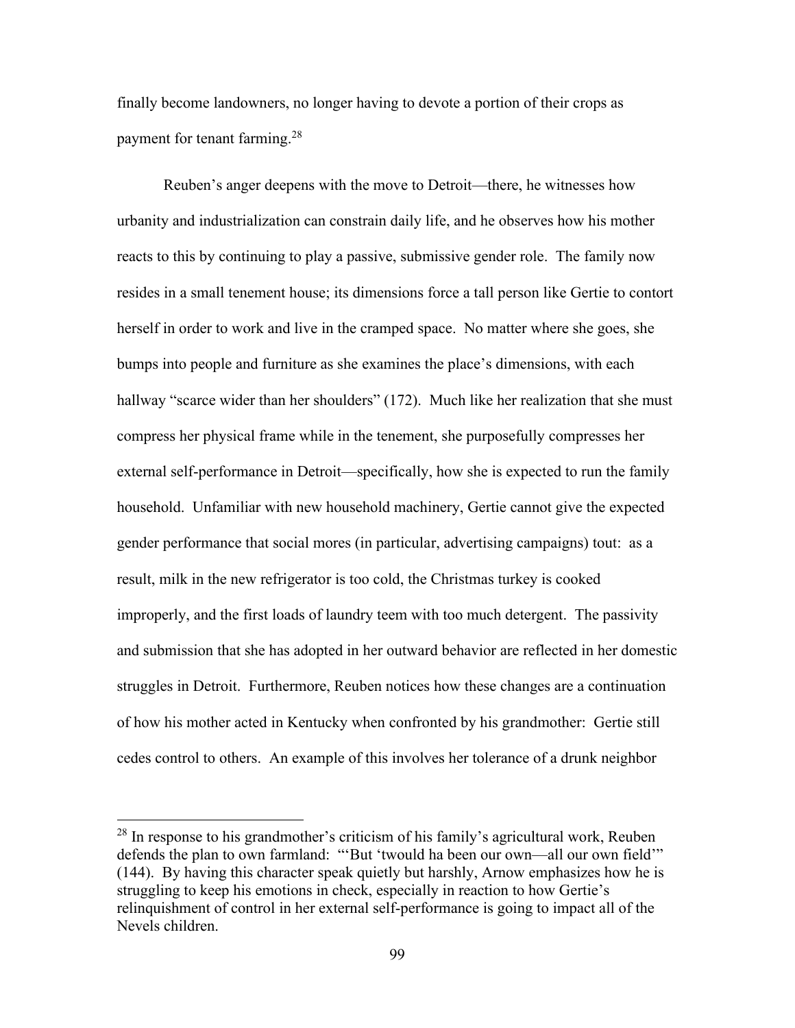finally become landowners, no longer having to devote a portion of their crops as payment for tenant farming.<sup>28</sup>

Reuben's anger deepens with the move to Detroit—there, he witnesses how urbanity and industrialization can constrain daily life, and he observes how his mother reacts to this by continuing to play a passive, submissive gender role. The family now resides in a small tenement house; its dimensions force a tall person like Gertie to contort herself in order to work and live in the cramped space. No matter where she goes, she bumps into people and furniture as she examines the place's dimensions, with each hallway "scarce wider than her shoulders" (172). Much like her realization that she must compress her physical frame while in the tenement, she purposefully compresses her external self-performance in Detroit—specifically, how she is expected to run the family household. Unfamiliar with new household machinery, Gertie cannot give the expected gender performance that social mores (in particular, advertising campaigns) tout: as a result, milk in the new refrigerator is too cold, the Christmas turkey is cooked improperly, and the first loads of laundry teem with too much detergent. The passivity and submission that she has adopted in her outward behavior are reflected in her domestic struggles in Detroit. Furthermore, Reuben notices how these changes are a continuation of how his mother acted in Kentucky when confronted by his grandmother: Gertie still cedes control to others. An example of this involves her tolerance of a drunk neighbor

 $28$  In response to his grandmother's criticism of his family's agricultural work, Reuben defends the plan to own farmland: "'But 'twould ha been our own—all our own field'" (144). By having this character speak quietly but harshly, Arnow emphasizes how he is struggling to keep his emotions in check, especially in reaction to how Gertie's relinquishment of control in her external self-performance is going to impact all of the Nevels children.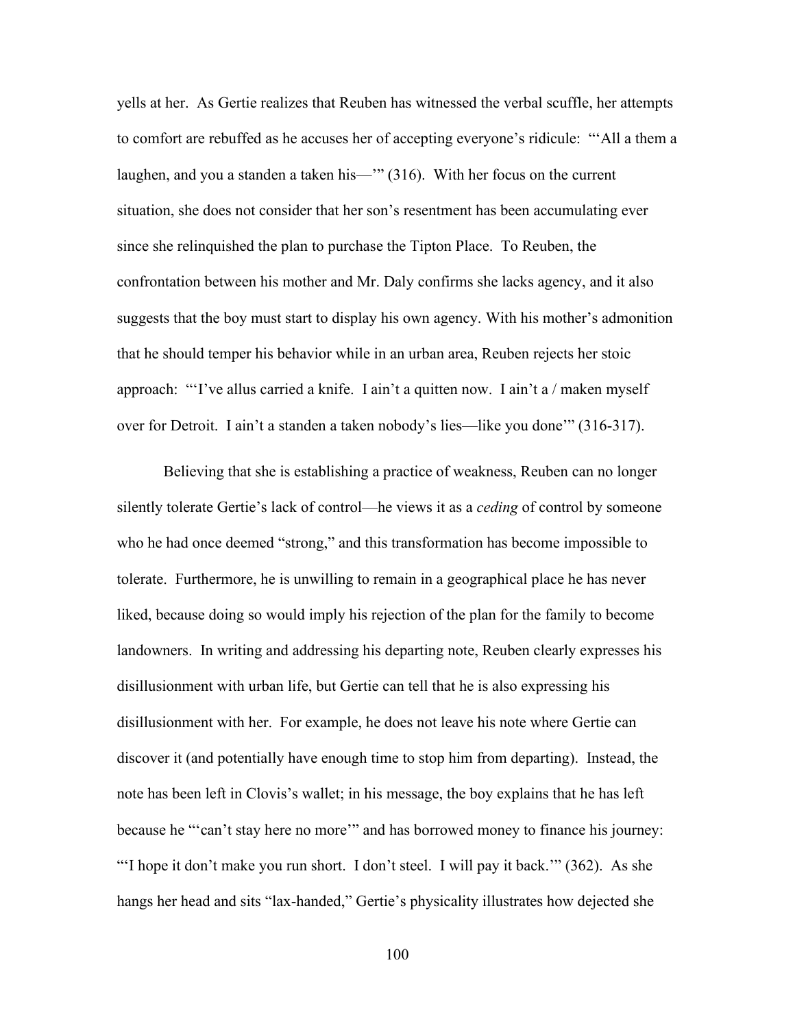yells at her. As Gertie realizes that Reuben has witnessed the verbal scuffle, her attempts to comfort are rebuffed as he accuses her of accepting everyone's ridicule: "'All a them a laughen, and you a standen a taken his—" (316). With her focus on the current situation, she does not consider that her son's resentment has been accumulating ever since she relinquished the plan to purchase the Tipton Place. To Reuben, the confrontation between his mother and Mr. Daly confirms she lacks agency, and it also suggests that the boy must start to display his own agency. With his mother's admonition that he should temper his behavior while in an urban area, Reuben rejects her stoic approach: "'I've allus carried a knife. I ain't a quitten now. I ain't a / maken myself over for Detroit. I ain't a standen a taken nobody's lies—like you done'" (316-317).

Believing that she is establishing a practice of weakness, Reuben can no longer silently tolerate Gertie's lack of control—he views it as a *ceding* of control by someone who he had once deemed "strong," and this transformation has become impossible to tolerate. Furthermore, he is unwilling to remain in a geographical place he has never liked, because doing so would imply his rejection of the plan for the family to become landowners. In writing and addressing his departing note, Reuben clearly expresses his disillusionment with urban life, but Gertie can tell that he is also expressing his disillusionment with her. For example, he does not leave his note where Gertie can discover it (and potentially have enough time to stop him from departing). Instead, the note has been left in Clovis's wallet; in his message, the boy explains that he has left because he "'can't stay here no more'" and has borrowed money to finance his journey: "I hope it don't make you run short. I don't steel. I will pay it back." (362). As she hangs her head and sits "lax-handed," Gertie's physicality illustrates how dejected she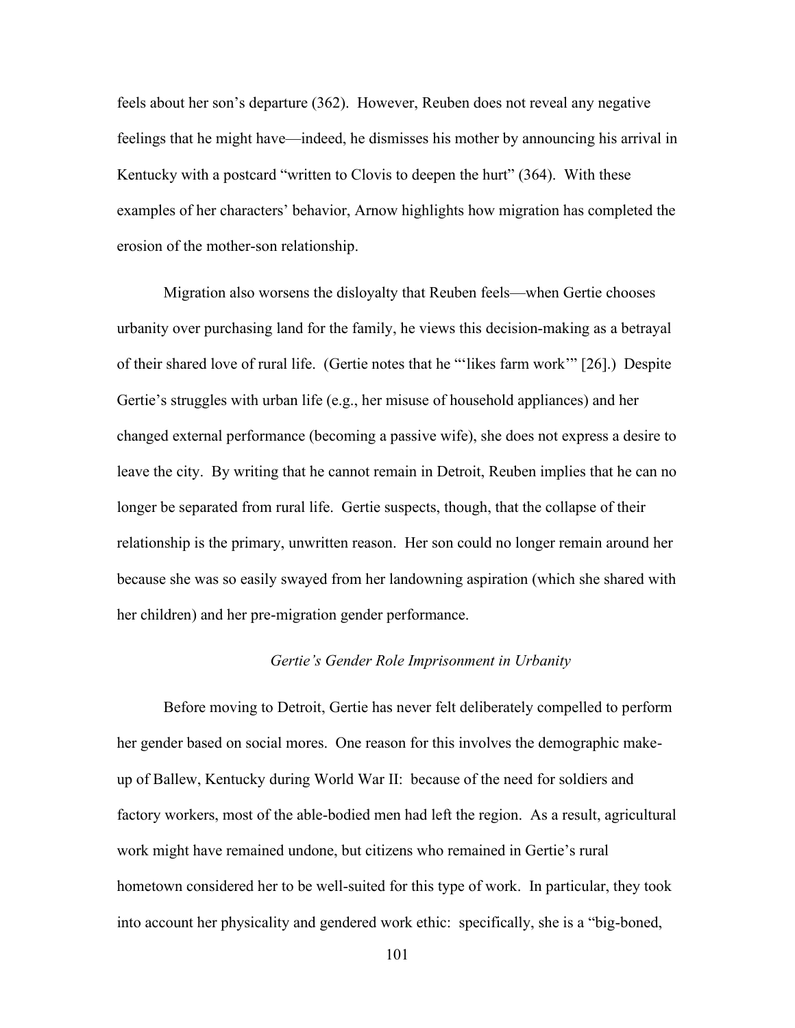feels about her son's departure (362). However, Reuben does not reveal any negative feelings that he might have—indeed, he dismisses his mother by announcing his arrival in Kentucky with a postcard "written to Clovis to deepen the hurt" (364). With these examples of her characters' behavior, Arnow highlights how migration has completed the erosion of the mother-son relationship.

Migration also worsens the disloyalty that Reuben feels—when Gertie chooses urbanity over purchasing land for the family, he views this decision-making as a betrayal of their shared love of rural life. (Gertie notes that he "'likes farm work'" [26].) Despite Gertie's struggles with urban life (e.g., her misuse of household appliances) and her changed external performance (becoming a passive wife), she does not express a desire to leave the city. By writing that he cannot remain in Detroit, Reuben implies that he can no longer be separated from rural life. Gertie suspects, though, that the collapse of their relationship is the primary, unwritten reason. Her son could no longer remain around her because she was so easily swayed from her landowning aspiration (which she shared with her children) and her pre-migration gender performance.

## *Gertie's Gender Role Imprisonment in Urbanity*

Before moving to Detroit, Gertie has never felt deliberately compelled to perform her gender based on social mores. One reason for this involves the demographic makeup of Ballew, Kentucky during World War II: because of the need for soldiers and factory workers, most of the able-bodied men had left the region. As a result, agricultural work might have remained undone, but citizens who remained in Gertie's rural hometown considered her to be well-suited for this type of work. In particular, they took into account her physicality and gendered work ethic: specifically, she is a "big-boned,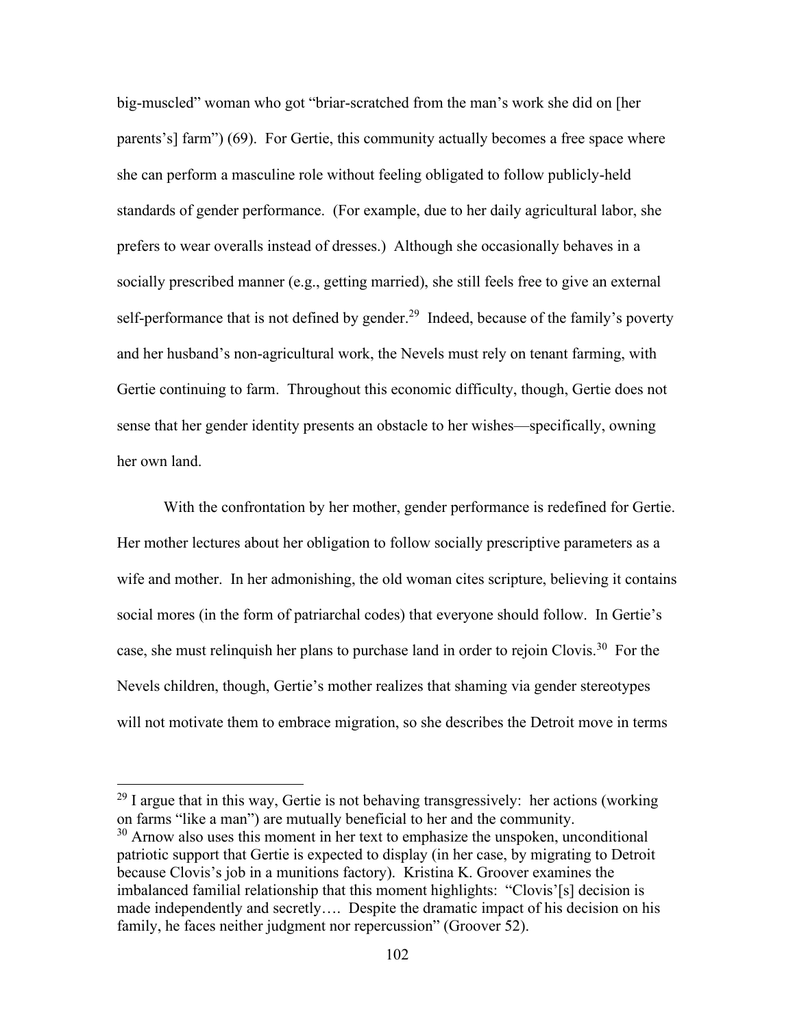big-muscled" woman who got "briar-scratched from the man's work she did on [her parents's] farm") (69). For Gertie, this community actually becomes a free space where she can perform a masculine role without feeling obligated to follow publicly-held standards of gender performance. (For example, due to her daily agricultural labor, she prefers to wear overalls instead of dresses.) Although she occasionally behaves in a socially prescribed manner (e.g., getting married), she still feels free to give an external self-performance that is not defined by gender.<sup>29</sup> Indeed, because of the family's poverty and her husband's non-agricultural work, the Nevels must rely on tenant farming, with Gertie continuing to farm. Throughout this economic difficulty, though, Gertie does not sense that her gender identity presents an obstacle to her wishes—specifically, owning her own land.

With the confrontation by her mother, gender performance is redefined for Gertie. Her mother lectures about her obligation to follow socially prescriptive parameters as a wife and mother. In her admonishing, the old woman cites scripture, believing it contains social mores (in the form of patriarchal codes) that everyone should follow. In Gertie's case, she must relinquish her plans to purchase land in order to rejoin Clovis.<sup>30</sup> For the Nevels children, though, Gertie's mother realizes that shaming via gender stereotypes will not motivate them to embrace migration, so she describes the Detroit move in terms

 $^{29}$  I argue that in this way, Gertie is not behaving transgressively: her actions (working on farms "like a man") are mutually beneficial to her and the community.

<sup>&</sup>lt;sup>30</sup> Arnow also uses this moment in her text to emphasize the unspoken, unconditional patriotic support that Gertie is expected to display (in her case, by migrating to Detroit because Clovis's job in a munitions factory). Kristina K. Groover examines the imbalanced familial relationship that this moment highlights: "Clovis'[s] decision is made independently and secretly…. Despite the dramatic impact of his decision on his family, he faces neither judgment nor repercussion" (Groover 52).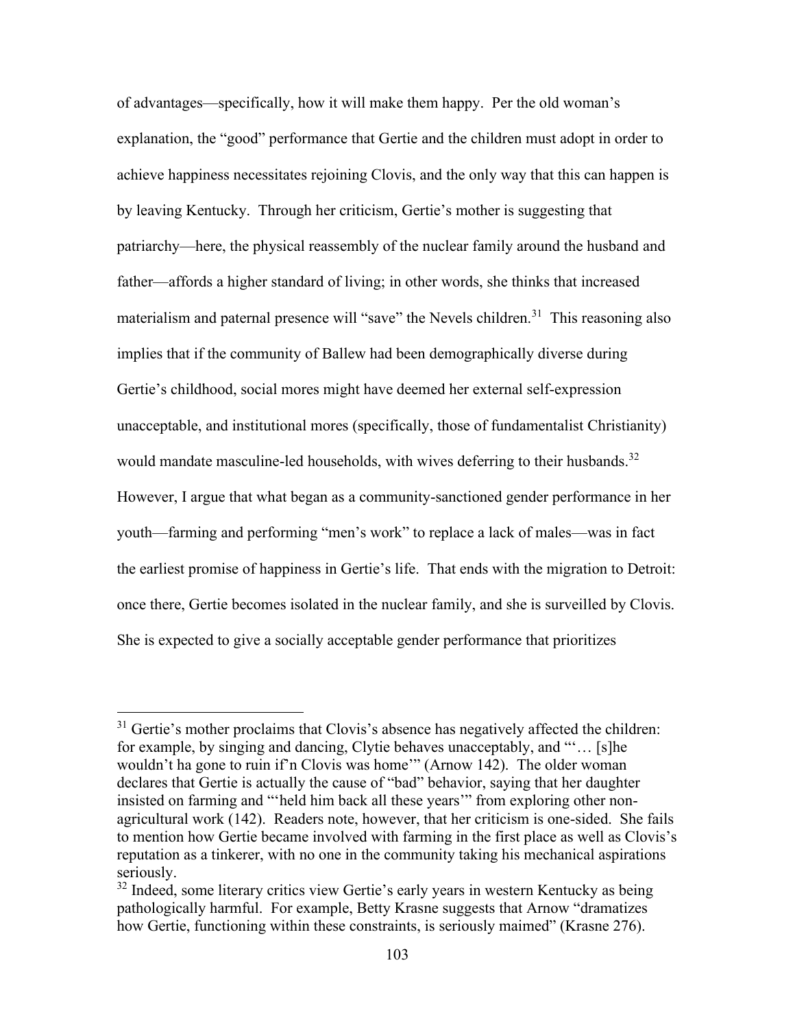of advantages—specifically, how it will make them happy. Per the old woman's explanation, the "good" performance that Gertie and the children must adopt in order to achieve happiness necessitates rejoining Clovis, and the only way that this can happen is by leaving Kentucky. Through her criticism, Gertie's mother is suggesting that patriarchy—here, the physical reassembly of the nuclear family around the husband and father—affords a higher standard of living; in other words, she thinks that increased materialism and paternal presence will "save" the Nevels children.<sup>31</sup> This reasoning also implies that if the community of Ballew had been demographically diverse during Gertie's childhood, social mores might have deemed her external self-expression unacceptable, and institutional mores (specifically, those of fundamentalist Christianity) would mandate masculine-led households, with wives deferring to their husbands.<sup>32</sup> However, I argue that what began as a community-sanctioned gender performance in her youth—farming and performing "men's work" to replace a lack of males—was in fact the earliest promise of happiness in Gertie's life. That ends with the migration to Detroit: once there, Gertie becomes isolated in the nuclear family, and she is surveilled by Clovis. She is expected to give a socially acceptable gender performance that prioritizes

 $31$  Gertie's mother proclaims that Clovis's absence has negatively affected the children: for example, by singing and dancing, Clytie behaves unacceptably, and "'… [s]he wouldn't ha gone to ruin if'n Clovis was home'" (Arnow 142). The older woman declares that Gertie is actually the cause of "bad" behavior, saying that her daughter insisted on farming and "'held him back all these years'" from exploring other nonagricultural work (142). Readers note, however, that her criticism is one-sided. She fails to mention how Gertie became involved with farming in the first place as well as Clovis's reputation as a tinkerer, with no one in the community taking his mechanical aspirations seriously.

 $32$  Indeed, some literary critics view Gertie's early years in western Kentucky as being pathologically harmful. For example, Betty Krasne suggests that Arnow "dramatizes how Gertie, functioning within these constraints, is seriously maimed" (Krasne 276).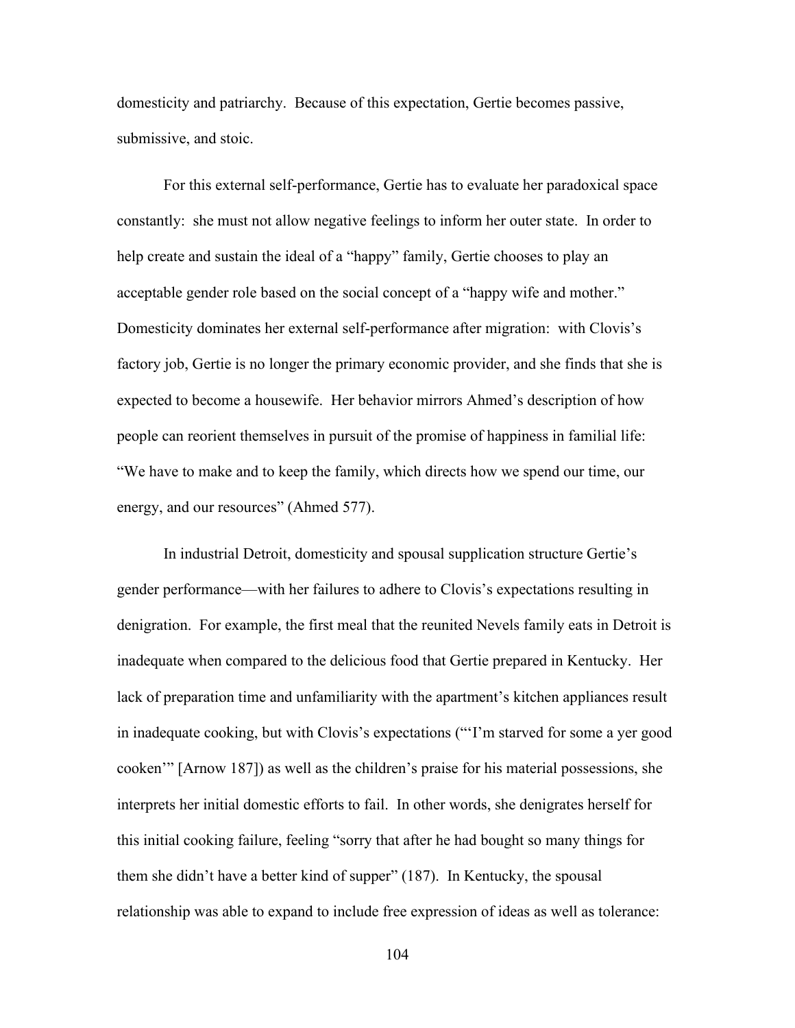domesticity and patriarchy. Because of this expectation, Gertie becomes passive, submissive, and stoic.

For this external self-performance, Gertie has to evaluate her paradoxical space constantly: she must not allow negative feelings to inform her outer state. In order to help create and sustain the ideal of a "happy" family, Gertie chooses to play an acceptable gender role based on the social concept of a "happy wife and mother." Domesticity dominates her external self-performance after migration: with Clovis's factory job, Gertie is no longer the primary economic provider, and she finds that she is expected to become a housewife. Her behavior mirrors Ahmed's description of how people can reorient themselves in pursuit of the promise of happiness in familial life: "We have to make and to keep the family, which directs how we spend our time, our energy, and our resources" (Ahmed 577).

In industrial Detroit, domesticity and spousal supplication structure Gertie's gender performance—with her failures to adhere to Clovis's expectations resulting in denigration. For example, the first meal that the reunited Nevels family eats in Detroit is inadequate when compared to the delicious food that Gertie prepared in Kentucky. Her lack of preparation time and unfamiliarity with the apartment's kitchen appliances result in inadequate cooking, but with Clovis's expectations ("'I'm starved for some a yer good cooken'" [Arnow 187]) as well as the children's praise for his material possessions, she interprets her initial domestic efforts to fail. In other words, she denigrates herself for this initial cooking failure, feeling "sorry that after he had bought so many things for them she didn't have a better kind of supper" (187). In Kentucky, the spousal relationship was able to expand to include free expression of ideas as well as tolerance: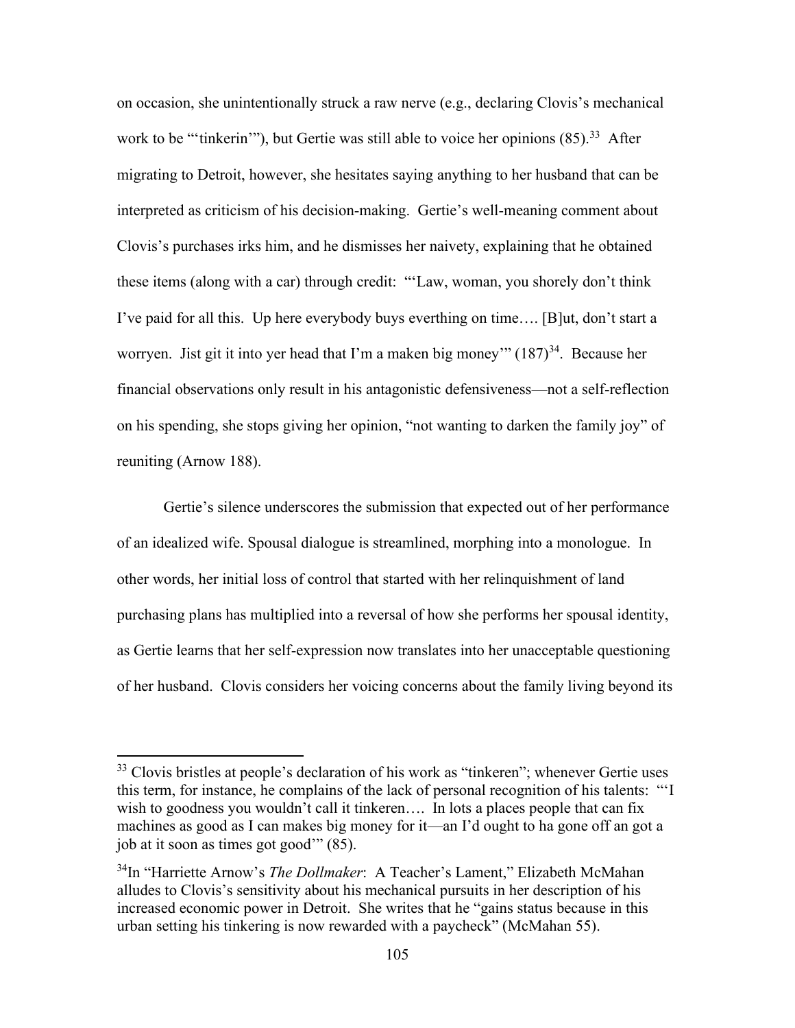on occasion, she unintentionally struck a raw nerve (e.g., declaring Clovis's mechanical work to be "'tinkerin'"), but Gertie was still able to voice her opinions  $(85)$ .<sup>33</sup> After migrating to Detroit, however, she hesitates saying anything to her husband that can be interpreted as criticism of his decision-making. Gertie's well-meaning comment about Clovis's purchases irks him, and he dismisses her naivety, explaining that he obtained these items (along with a car) through credit: "'Law, woman, you shorely don't think I've paid for all this. Up here everybody buys everthing on time…. [B]ut, don't start a worryen. Jist git it into yer head that I'm a maken big money'"  $(187)^{34}$ . Because her financial observations only result in his antagonistic defensiveness—not a self-reflection on his spending, she stops giving her opinion, "not wanting to darken the family joy" of reuniting (Arnow 188).

Gertie's silence underscores the submission that expected out of her performance of an idealized wife. Spousal dialogue is streamlined, morphing into a monologue. In other words, her initial loss of control that started with her relinquishment of land purchasing plans has multiplied into a reversal of how she performs her spousal identity, as Gertie learns that her self-expression now translates into her unacceptable questioning of her husband. Clovis considers her voicing concerns about the family living beyond its

<sup>&</sup>lt;sup>33</sup> Clovis bristles at people's declaration of his work as "tinkeren"; whenever Gertie uses this term, for instance, he complains of the lack of personal recognition of his talents: "'I wish to goodness you wouldn't call it tinkeren.... In lots a places people that can fix machines as good as I can makes big money for it—an I'd ought to ha gone off an got a job at it soon as times got good'" (85).

<sup>34</sup>In "Harriette Arnow's *The Dollmaker*: A Teacher's Lament," Elizabeth McMahan alludes to Clovis's sensitivity about his mechanical pursuits in her description of his increased economic power in Detroit. She writes that he "gains status because in this urban setting his tinkering is now rewarded with a paycheck" (McMahan 55).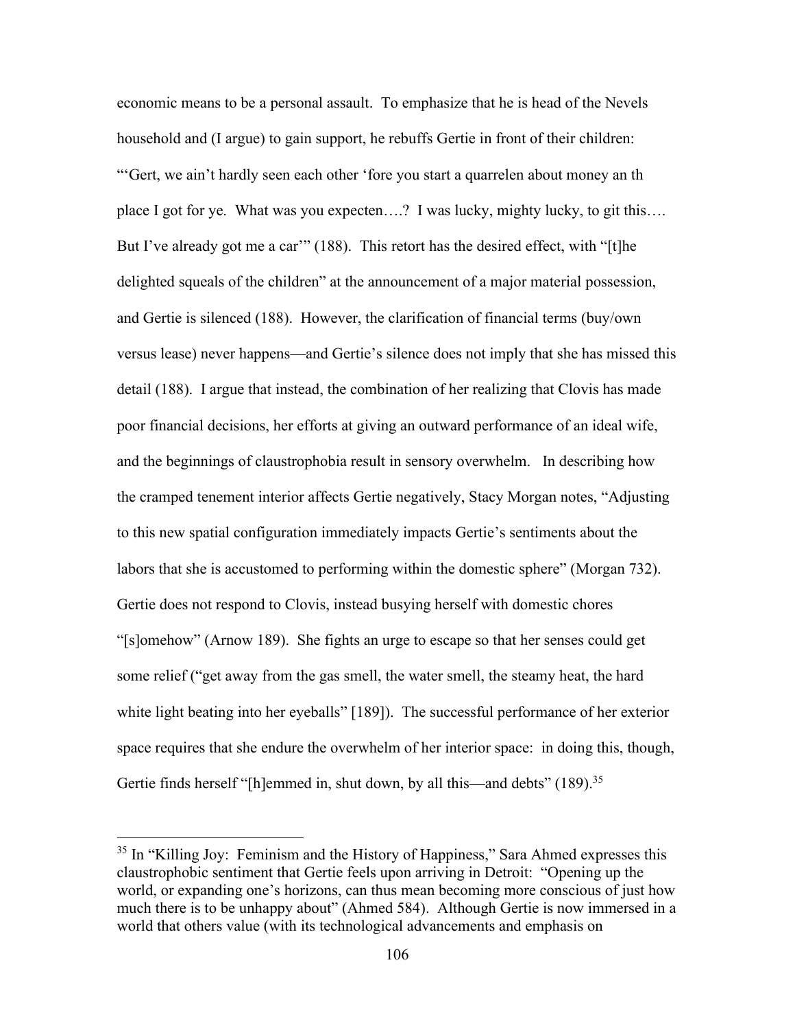economic means to be a personal assault. To emphasize that he is head of the Nevels household and (I argue) to gain support, he rebuffs Gertie in front of their children: "'Gert, we ain't hardly seen each other 'fore you start a quarrelen about money an th place I got for ye. What was you expecten….? I was lucky, mighty lucky, to git this…. But I've already got me a car'" (188). This retort has the desired effect, with "[t]he delighted squeals of the children" at the announcement of a major material possession, and Gertie is silenced (188). However, the clarification of financial terms (buy/own versus lease) never happens—and Gertie's silence does not imply that she has missed this detail (188). I argue that instead, the combination of her realizing that Clovis has made poor financial decisions, her efforts at giving an outward performance of an ideal wife, and the beginnings of claustrophobia result in sensory overwhelm. In describing how the cramped tenement interior affects Gertie negatively, Stacy Morgan notes, "Adjusting to this new spatial configuration immediately impacts Gertie's sentiments about the labors that she is accustomed to performing within the domestic sphere" (Morgan 732). Gertie does not respond to Clovis, instead busying herself with domestic chores "[s]omehow" (Arnow 189). She fights an urge to escape so that her senses could get some relief ("get away from the gas smell, the water smell, the steamy heat, the hard white light beating into her eyeballs" [189]). The successful performance of her exterior space requires that she endure the overwhelm of her interior space: in doing this, though, Gertie finds herself "[h]emmed in, shut down, by all this—and debts" (189).<sup>35</sup>

<sup>&</sup>lt;sup>35</sup> In "Killing Joy: Feminism and the History of Happiness," Sara Ahmed expresses this claustrophobic sentiment that Gertie feels upon arriving in Detroit: "Opening up the world, or expanding one's horizons, can thus mean becoming more conscious of just how much there is to be unhappy about" (Ahmed 584). Although Gertie is now immersed in a world that others value (with its technological advancements and emphasis on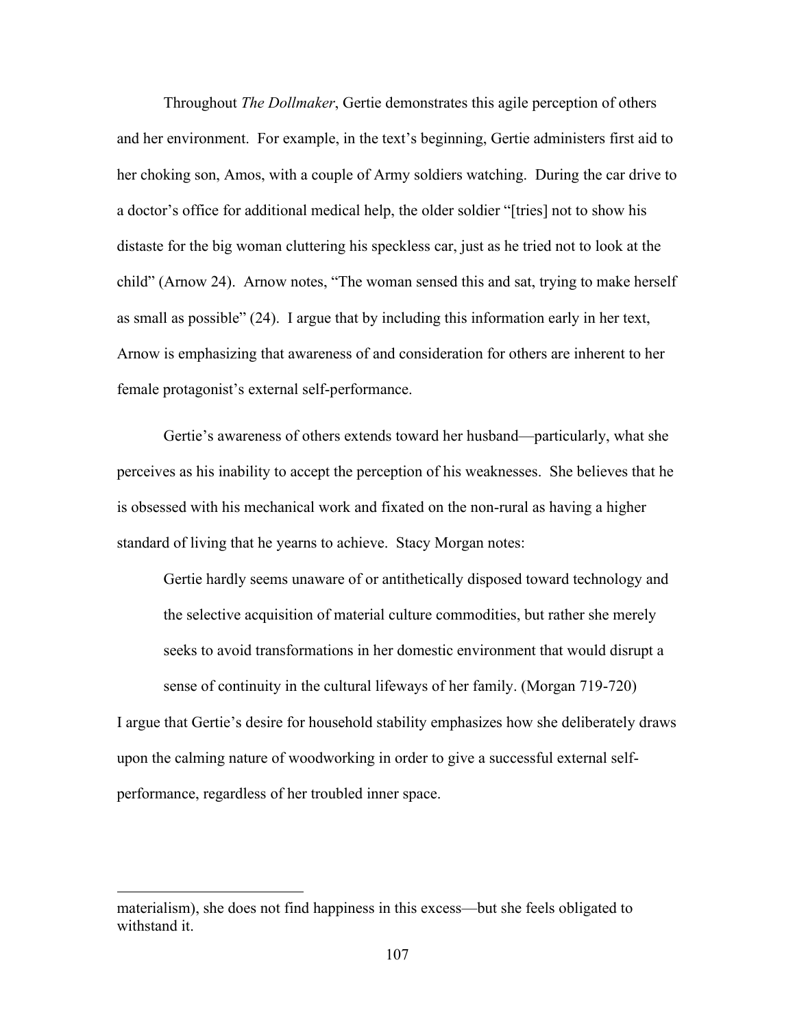Throughout *The Dollmaker*, Gertie demonstrates this agile perception of others and her environment. For example, in the text's beginning, Gertie administers first aid to her choking son, Amos, with a couple of Army soldiers watching. During the car drive to a doctor's office for additional medical help, the older soldier "[tries] not to show his distaste for the big woman cluttering his speckless car, just as he tried not to look at the child" (Arnow 24). Arnow notes, "The woman sensed this and sat, trying to make herself as small as possible" (24). I argue that by including this information early in her text, Arnow is emphasizing that awareness of and consideration for others are inherent to her female protagonist's external self-performance.

Gertie's awareness of others extends toward her husband—particularly, what she perceives as his inability to accept the perception of his weaknesses. She believes that he is obsessed with his mechanical work and fixated on the non-rural as having a higher standard of living that he yearns to achieve. Stacy Morgan notes:

Gertie hardly seems unaware of or antithetically disposed toward technology and the selective acquisition of material culture commodities, but rather she merely seeks to avoid transformations in her domestic environment that would disrupt a sense of continuity in the cultural lifeways of her family. (Morgan 719-720)

I argue that Gertie's desire for household stability emphasizes how she deliberately draws upon the calming nature of woodworking in order to give a successful external selfperformance, regardless of her troubled inner space.

materialism), she does not find happiness in this excess—but she feels obligated to withstand it.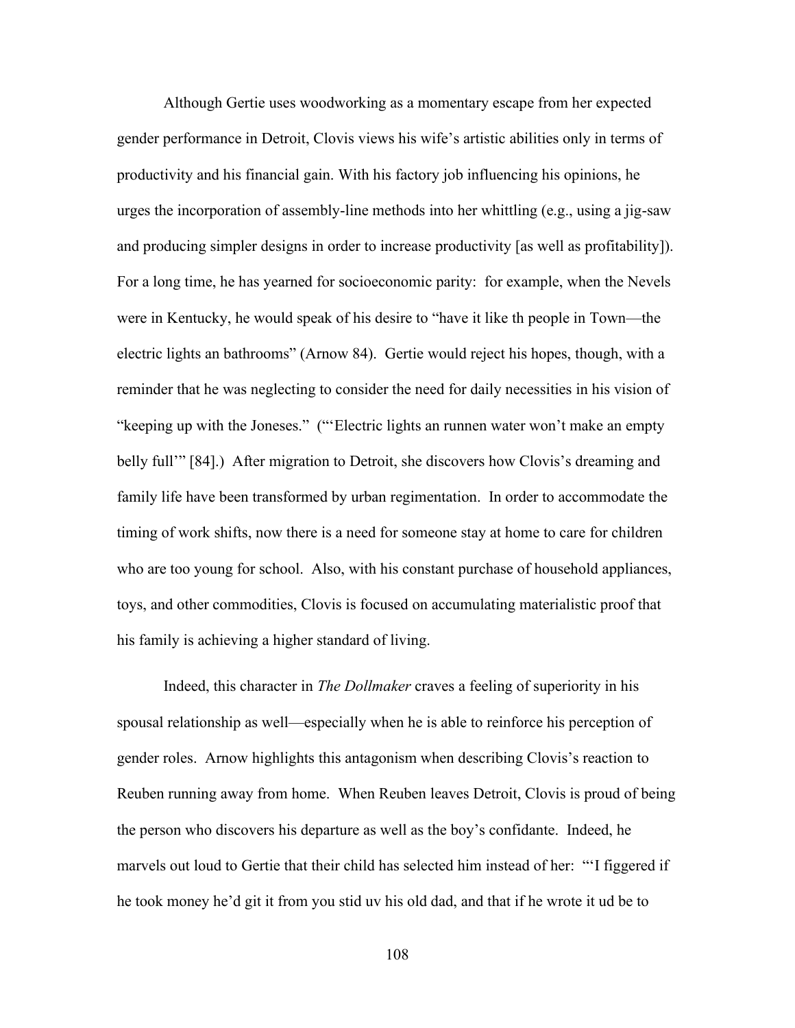Although Gertie uses woodworking as a momentary escape from her expected gender performance in Detroit, Clovis views his wife's artistic abilities only in terms of productivity and his financial gain. With his factory job influencing his opinions, he urges the incorporation of assembly-line methods into her whittling (e.g., using a jig-saw and producing simpler designs in order to increase productivity [as well as profitability]). For a long time, he has yearned for socioeconomic parity: for example, when the Nevels were in Kentucky, he would speak of his desire to "have it like th people in Town—the electric lights an bathrooms" (Arnow 84). Gertie would reject his hopes, though, with a reminder that he was neglecting to consider the need for daily necessities in his vision of "keeping up with the Joneses." ("'Electric lights an runnen water won't make an empty belly full<sup>\*\*</sup> [84].) After migration to Detroit, she discovers how Clovis's dreaming and family life have been transformed by urban regimentation. In order to accommodate the timing of work shifts, now there is a need for someone stay at home to care for children who are too young for school. Also, with his constant purchase of household appliances, toys, and other commodities, Clovis is focused on accumulating materialistic proof that his family is achieving a higher standard of living.

Indeed, this character in *The Dollmaker* craves a feeling of superiority in his spousal relationship as well—especially when he is able to reinforce his perception of gender roles. Arnow highlights this antagonism when describing Clovis's reaction to Reuben running away from home. When Reuben leaves Detroit, Clovis is proud of being the person who discovers his departure as well as the boy's confidante. Indeed, he marvels out loud to Gertie that their child has selected him instead of her: "'I figgered if he took money he'd git it from you stid uv his old dad, and that if he wrote it ud be to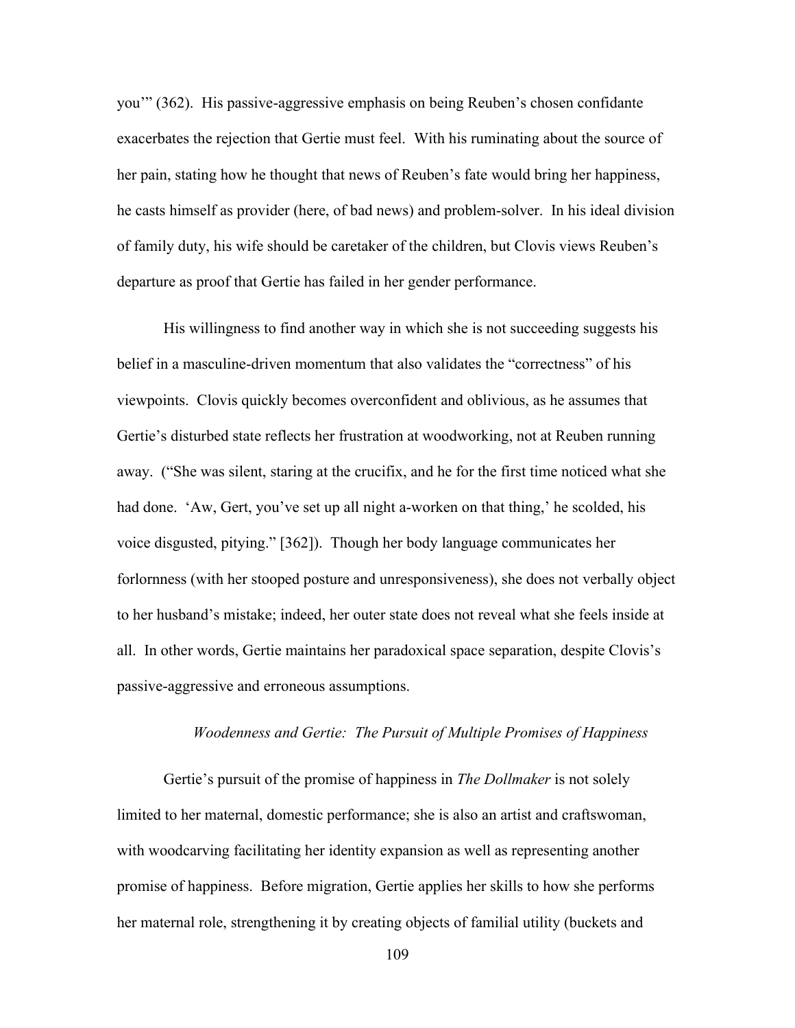you'" (362). His passive-aggressive emphasis on being Reuben's chosen confidante exacerbates the rejection that Gertie must feel. With his ruminating about the source of her pain, stating how he thought that news of Reuben's fate would bring her happiness, he casts himself as provider (here, of bad news) and problem-solver. In his ideal division of family duty, his wife should be caretaker of the children, but Clovis views Reuben's departure as proof that Gertie has failed in her gender performance.

His willingness to find another way in which she is not succeeding suggests his belief in a masculine-driven momentum that also validates the "correctness" of his viewpoints. Clovis quickly becomes overconfident and oblivious, as he assumes that Gertie's disturbed state reflects her frustration at woodworking, not at Reuben running away. ("She was silent, staring at the crucifix, and he for the first time noticed what she had done. 'Aw, Gert, you've set up all night a-worken on that thing,' he scolded, his voice disgusted, pitying." [362]). Though her body language communicates her forlornness (with her stooped posture and unresponsiveness), she does not verbally object to her husband's mistake; indeed, her outer state does not reveal what she feels inside at all. In other words, Gertie maintains her paradoxical space separation, despite Clovis's passive-aggressive and erroneous assumptions.

## *Woodenness and Gertie: The Pursuit of Multiple Promises of Happiness*

Gertie's pursuit of the promise of happiness in *The Dollmaker* is not solely limited to her maternal, domestic performance; she is also an artist and craftswoman, with woodcarving facilitating her identity expansion as well as representing another promise of happiness. Before migration, Gertie applies her skills to how she performs her maternal role, strengthening it by creating objects of familial utility (buckets and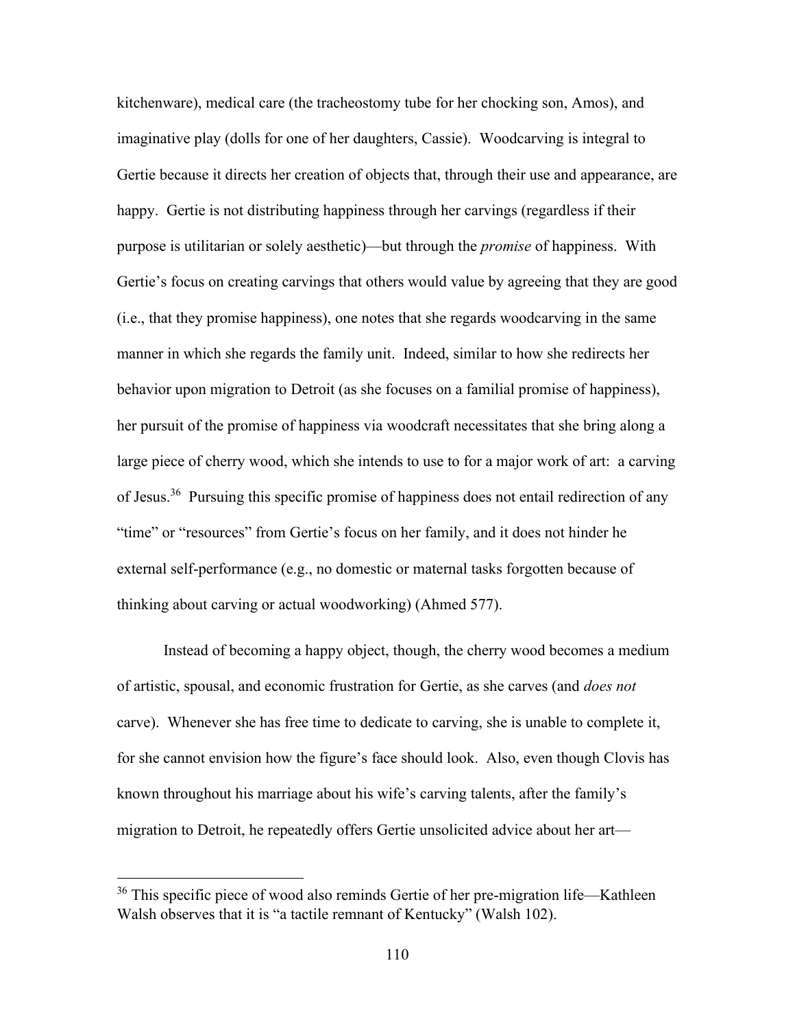kitchenware), medical care (the tracheostomy tube for her chocking son, Amos), and imaginative play (dolls for one of her daughters, Cassie). Woodcarving is integral to Gertie because it directs her creation of objects that, through their use and appearance, are happy. Gertie is not distributing happiness through her carvings (regardless if their purpose is utilitarian or solely aesthetic)—but through the *promise* of happiness. With Gertie's focus on creating carvings that others would value by agreeing that they are good (i.e., that they promise happiness), one notes that she regards woodcarving in the same manner in which she regards the family unit. Indeed, similar to how she redirects her behavior upon migration to Detroit (as she focuses on a familial promise of happiness), her pursuit of the promise of happiness via woodcraft necessitates that she bring along a large piece of cherry wood, which she intends to use to for a major work of art: a carving of Jesus.<sup>36</sup> Pursuing this specific promise of happiness does not entail redirection of any "time" or "resources" from Gertie's focus on her family, and it does not hinder he external self-performance (e.g., no domestic or maternal tasks forgotten because of thinking about carving or actual woodworking) (Ahmed 577).

Instead of becoming a happy object, though, the cherry wood becomes a medium of artistic, spousal, and economic frustration for Gertie, as she carves (and *does not* carve). Whenever she has free time to dedicate to carving, she is unable to complete it, for she cannot envision how the figure's face should look. Also, even though Clovis has known throughout his marriage about his wife's carving talents, after the family's migration to Detroit, he repeatedly offers Gertie unsolicited advice about her art—

<sup>&</sup>lt;sup>36</sup> This specific piece of wood also reminds Gertie of her pre-migration life—Kathleen Walsh observes that it is "a tactile remnant of Kentucky" (Walsh 102).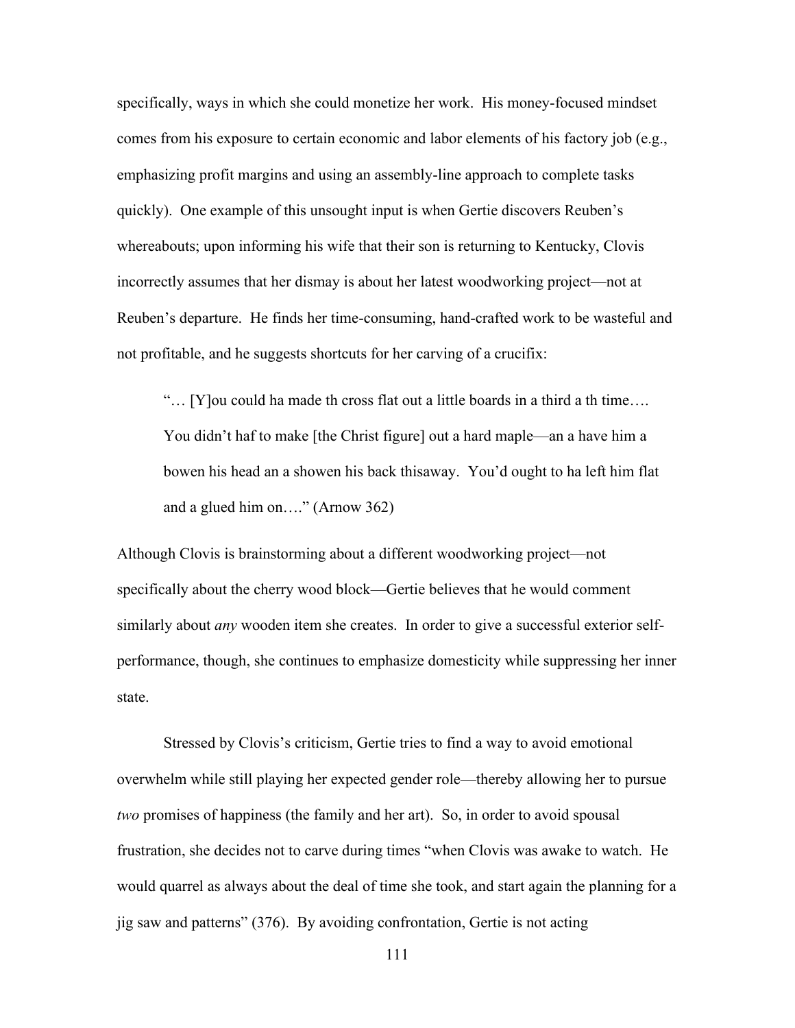specifically, ways in which she could monetize her work. His money-focused mindset comes from his exposure to certain economic and labor elements of his factory job (e.g., emphasizing profit margins and using an assembly-line approach to complete tasks quickly). One example of this unsought input is when Gertie discovers Reuben's whereabouts; upon informing his wife that their son is returning to Kentucky, Clovis incorrectly assumes that her dismay is about her latest woodworking project—not at Reuben's departure. He finds her time-consuming, hand-crafted work to be wasteful and not profitable, and he suggests shortcuts for her carving of a crucifix:

"… [Y]ou could ha made th cross flat out a little boards in a third a th time…. You didn't haf to make [the Christ figure] out a hard maple—an a have him a bowen his head an a showen his back thisaway. You'd ought to ha left him flat and a glued him on…." (Arnow 362)

Although Clovis is brainstorming about a different woodworking project—not specifically about the cherry wood block—Gertie believes that he would comment similarly about *any* wooden item she creates. In order to give a successful exterior selfperformance, though, she continues to emphasize domesticity while suppressing her inner state.

Stressed by Clovis's criticism, Gertie tries to find a way to avoid emotional overwhelm while still playing her expected gender role—thereby allowing her to pursue *two* promises of happiness (the family and her art). So, in order to avoid spousal frustration, she decides not to carve during times "when Clovis was awake to watch. He would quarrel as always about the deal of time she took, and start again the planning for a jig saw and patterns" (376). By avoiding confrontation, Gertie is not acting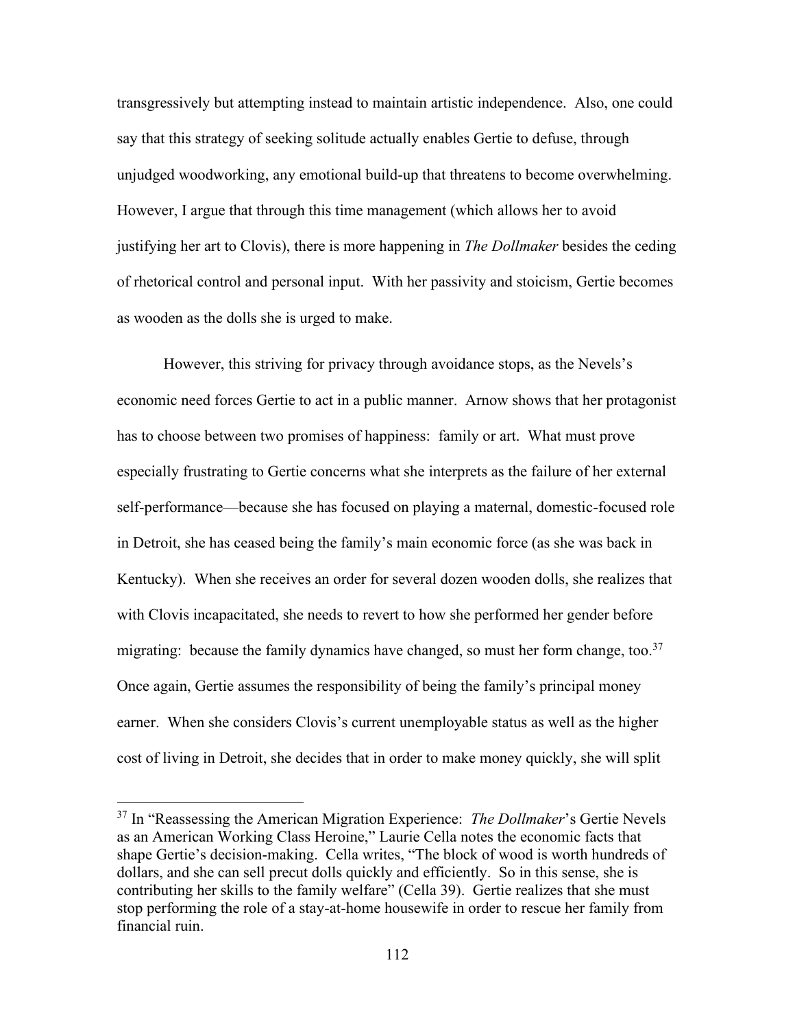transgressively but attempting instead to maintain artistic independence. Also, one could say that this strategy of seeking solitude actually enables Gertie to defuse, through unjudged woodworking, any emotional build-up that threatens to become overwhelming. However, I argue that through this time management (which allows her to avoid justifying her art to Clovis), there is more happening in *The Dollmaker* besides the ceding of rhetorical control and personal input. With her passivity and stoicism, Gertie becomes as wooden as the dolls she is urged to make.

However, this striving for privacy through avoidance stops, as the Nevels's economic need forces Gertie to act in a public manner. Arnow shows that her protagonist has to choose between two promises of happiness: family or art. What must prove especially frustrating to Gertie concerns what she interprets as the failure of her external self-performance—because she has focused on playing a maternal, domestic-focused role in Detroit, she has ceased being the family's main economic force (as she was back in Kentucky). When she receives an order for several dozen wooden dolls, she realizes that with Clovis incapacitated, she needs to revert to how she performed her gender before migrating: because the family dynamics have changed, so must her form change, too. $37$ Once again, Gertie assumes the responsibility of being the family's principal money earner. When she considers Clovis's current unemployable status as well as the higher cost of living in Detroit, she decides that in order to make money quickly, she will split

<sup>37</sup> In "Reassessing the American Migration Experience: *The Dollmaker*'s Gertie Nevels as an American Working Class Heroine," Laurie Cella notes the economic facts that shape Gertie's decision-making. Cella writes, "The block of wood is worth hundreds of dollars, and she can sell precut dolls quickly and efficiently. So in this sense, she is contributing her skills to the family welfare" (Cella 39). Gertie realizes that she must stop performing the role of a stay-at-home housewife in order to rescue her family from financial ruin.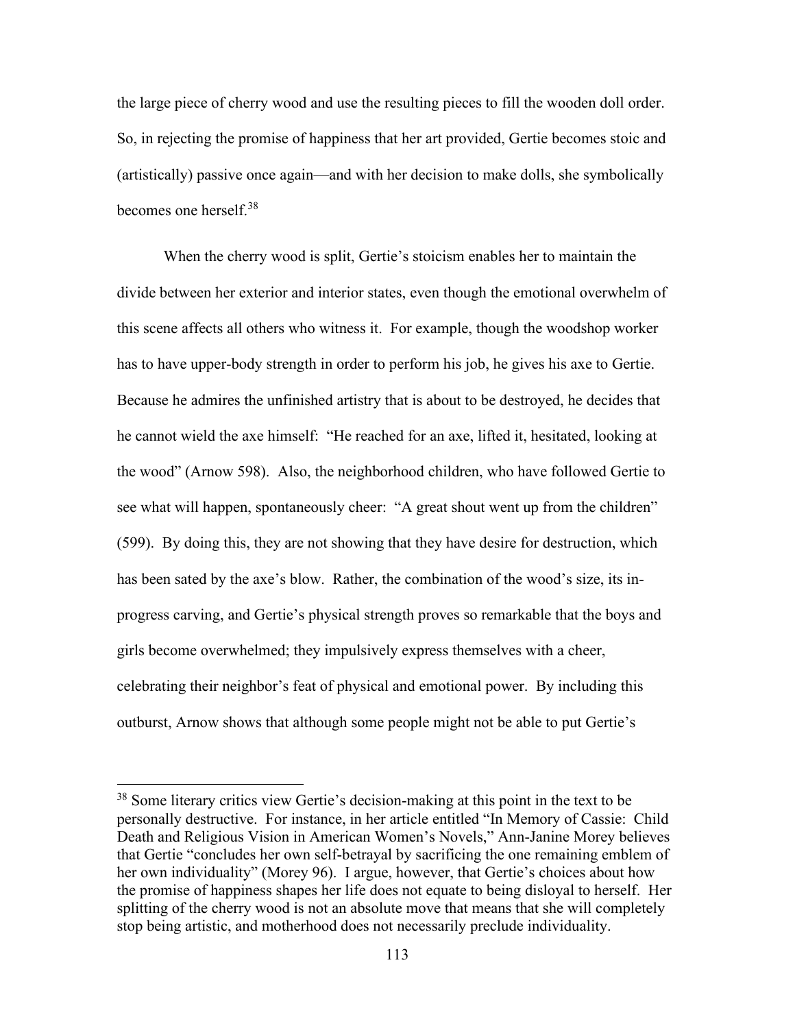the large piece of cherry wood and use the resulting pieces to fill the wooden doll order. So, in rejecting the promise of happiness that her art provided, Gertie becomes stoic and (artistically) passive once again—and with her decision to make dolls, she symbolically becomes one herself.<sup>38</sup>

When the cherry wood is split, Gertie's stoicism enables her to maintain the divide between her exterior and interior states, even though the emotional overwhelm of this scene affects all others who witness it. For example, though the woodshop worker has to have upper-body strength in order to perform his job, he gives his axe to Gertie. Because he admires the unfinished artistry that is about to be destroyed, he decides that he cannot wield the axe himself: "He reached for an axe, lifted it, hesitated, looking at the wood" (Arnow 598). Also, the neighborhood children, who have followed Gertie to see what will happen, spontaneously cheer: "A great shout went up from the children" (599). By doing this, they are not showing that they have desire for destruction, which has been sated by the axe's blow. Rather, the combination of the wood's size, its inprogress carving, and Gertie's physical strength proves so remarkable that the boys and girls become overwhelmed; they impulsively express themselves with a cheer, celebrating their neighbor's feat of physical and emotional power. By including this outburst, Arnow shows that although some people might not be able to put Gertie's

<sup>&</sup>lt;sup>38</sup> Some literary critics view Gertie's decision-making at this point in the text to be personally destructive. For instance, in her article entitled "In Memory of Cassie: Child Death and Religious Vision in American Women's Novels," Ann-Janine Morey believes that Gertie "concludes her own self-betrayal by sacrificing the one remaining emblem of her own individuality" (Morey 96). I argue, however, that Gertie's choices about how the promise of happiness shapes her life does not equate to being disloyal to herself. Her splitting of the cherry wood is not an absolute move that means that she will completely stop being artistic, and motherhood does not necessarily preclude individuality.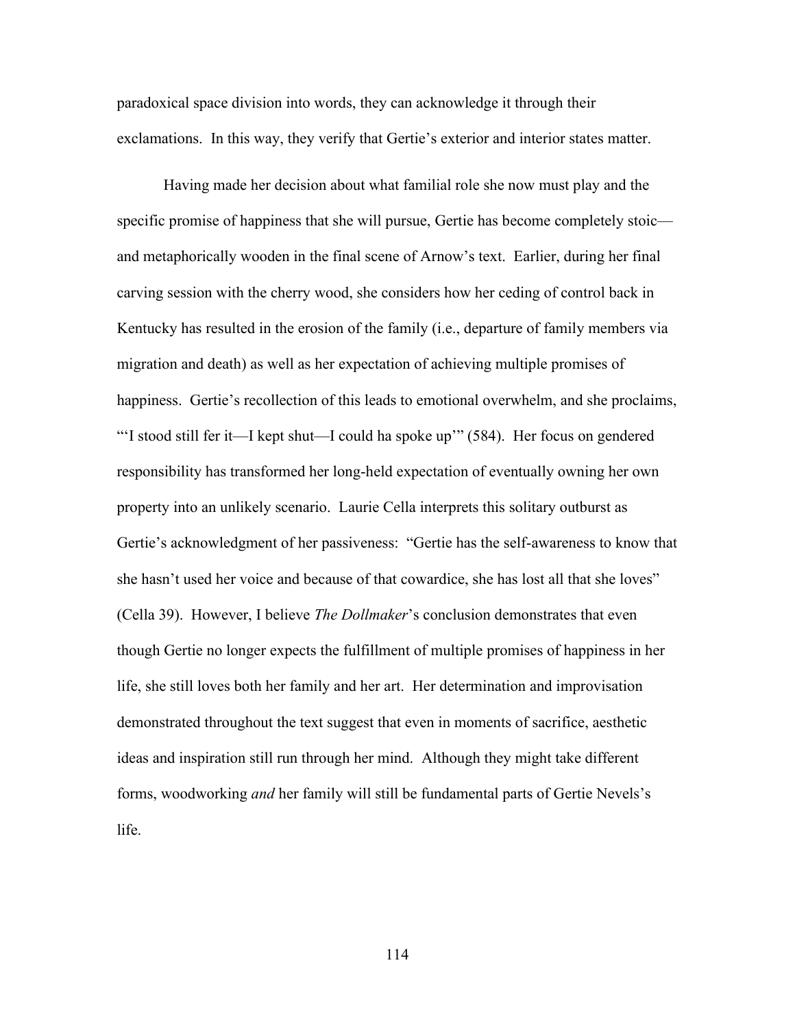paradoxical space division into words, they can acknowledge it through their exclamations. In this way, they verify that Gertie's exterior and interior states matter.

Having made her decision about what familial role she now must play and the specific promise of happiness that she will pursue, Gertie has become completely stoic and metaphorically wooden in the final scene of Arnow's text. Earlier, during her final carving session with the cherry wood, she considers how her ceding of control back in Kentucky has resulted in the erosion of the family (i.e., departure of family members via migration and death) as well as her expectation of achieving multiple promises of happiness. Gertie's recollection of this leads to emotional overwhelm, and she proclaims, "'I stood still fer it—I kept shut—I could ha spoke up'" (584). Her focus on gendered responsibility has transformed her long-held expectation of eventually owning her own property into an unlikely scenario. Laurie Cella interprets this solitary outburst as Gertie's acknowledgment of her passiveness: "Gertie has the self-awareness to know that she hasn't used her voice and because of that cowardice, she has lost all that she loves" (Cella 39). However, I believe *The Dollmaker*'s conclusion demonstrates that even though Gertie no longer expects the fulfillment of multiple promises of happiness in her life, she still loves both her family and her art. Her determination and improvisation demonstrated throughout the text suggest that even in moments of sacrifice, aesthetic ideas and inspiration still run through her mind. Although they might take different forms, woodworking *and* her family will still be fundamental parts of Gertie Nevels's life.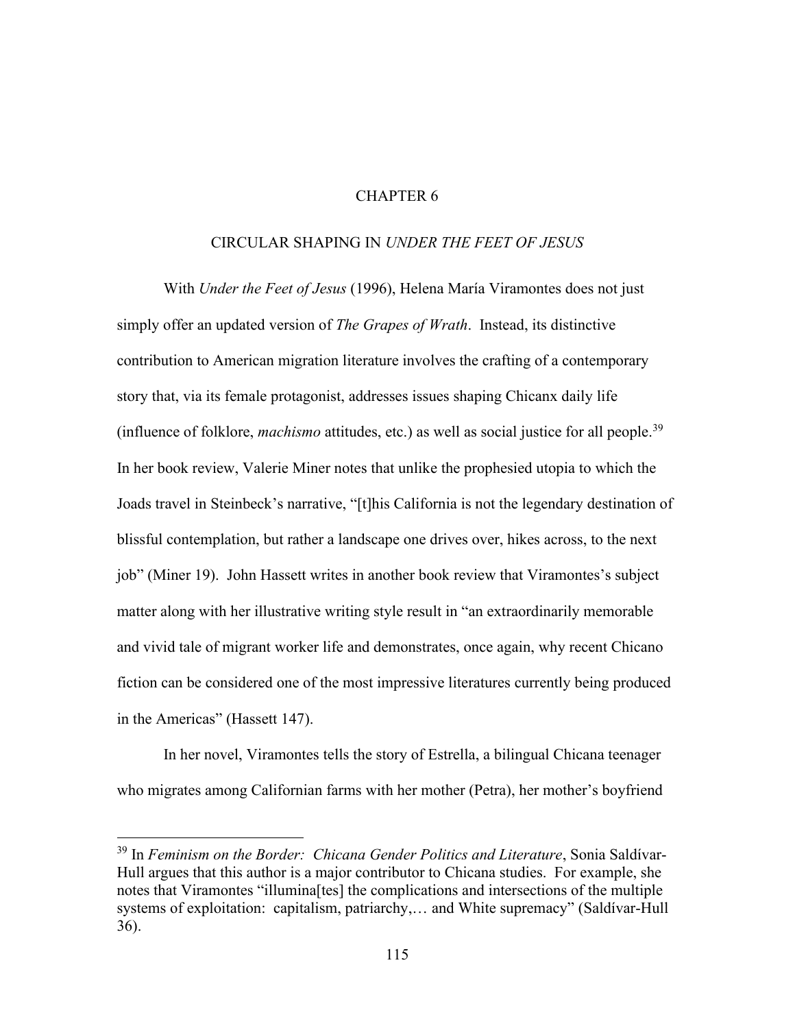# CHAPTER 6

# CIRCULAR SHAPING IN *UNDER THE FEET OF JESUS*

With *Under the Feet of Jesus* (1996), Helena María Viramontes does not just simply offer an updated version of *The Grapes of Wrath*. Instead, its distinctive contribution to American migration literature involves the crafting of a contemporary story that, via its female protagonist, addresses issues shaping Chicanx daily life (influence of folklore, *machismo* attitudes, etc.) as well as social justice for all people.<sup>39</sup> In her book review, Valerie Miner notes that unlike the prophesied utopia to which the Joads travel in Steinbeck's narrative, "[t]his California is not the legendary destination of blissful contemplation, but rather a landscape one drives over, hikes across, to the next job" (Miner 19). John Hassett writes in another book review that Viramontes's subject matter along with her illustrative writing style result in "an extraordinarily memorable and vivid tale of migrant worker life and demonstrates, once again, why recent Chicano fiction can be considered one of the most impressive literatures currently being produced in the Americas" (Hassett 147).

In her novel, Viramontes tells the story of Estrella, a bilingual Chicana teenager who migrates among Californian farms with her mother (Petra), her mother's boyfriend

<sup>&</sup>lt;sup>39</sup> In *Feminism on the Border: Chicana Gender Politics and Literature*, Sonia Saldívar-Hull argues that this author is a major contributor to Chicana studies. For example, she notes that Viramontes "illumina[tes] the complications and intersections of the multiple systems of exploitation: capitalism, patriarchy,… and White supremacy" (Saldívar-Hull 36).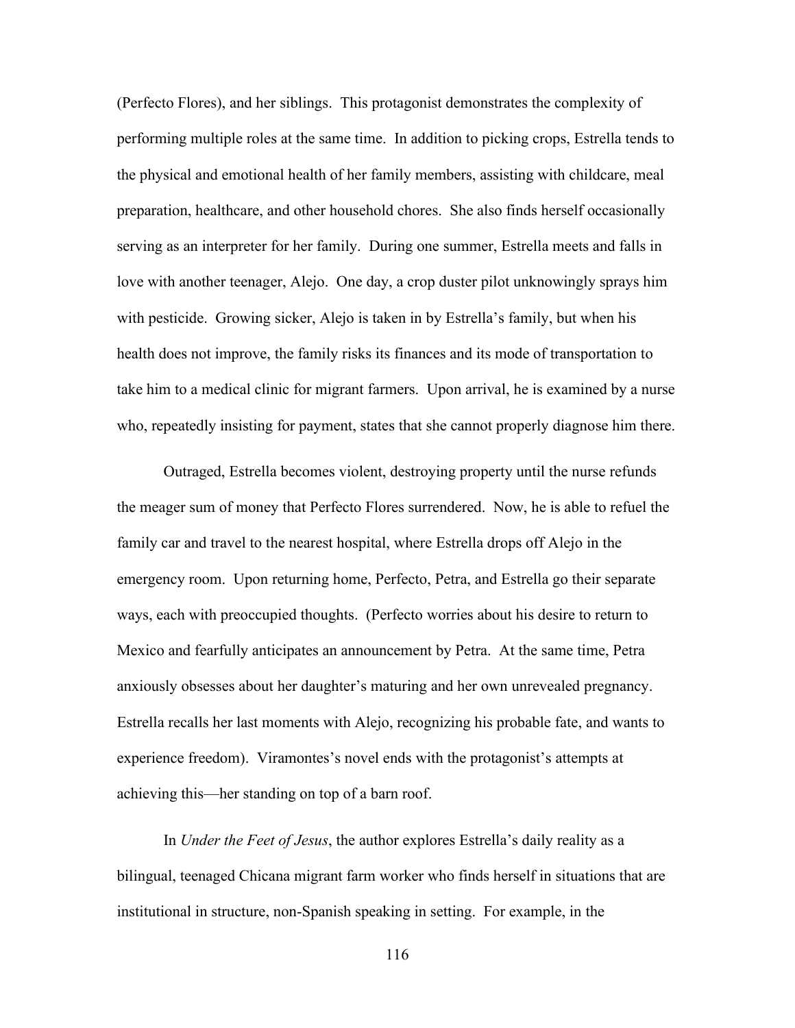(Perfecto Flores), and her siblings. This protagonist demonstrates the complexity of performing multiple roles at the same time. In addition to picking crops, Estrella tends to the physical and emotional health of her family members, assisting with childcare, meal preparation, healthcare, and other household chores. She also finds herself occasionally serving as an interpreter for her family. During one summer, Estrella meets and falls in love with another teenager, Alejo. One day, a crop duster pilot unknowingly sprays him with pesticide. Growing sicker, Alejo is taken in by Estrella's family, but when his health does not improve, the family risks its finances and its mode of transportation to take him to a medical clinic for migrant farmers. Upon arrival, he is examined by a nurse who, repeatedly insisting for payment, states that she cannot properly diagnose him there.

Outraged, Estrella becomes violent, destroying property until the nurse refunds the meager sum of money that Perfecto Flores surrendered. Now, he is able to refuel the family car and travel to the nearest hospital, where Estrella drops off Alejo in the emergency room. Upon returning home, Perfecto, Petra, and Estrella go their separate ways, each with preoccupied thoughts. (Perfecto worries about his desire to return to Mexico and fearfully anticipates an announcement by Petra. At the same time, Petra anxiously obsesses about her daughter's maturing and her own unrevealed pregnancy. Estrella recalls her last moments with Alejo, recognizing his probable fate, and wants to experience freedom). Viramontes's novel ends with the protagonist's attempts at achieving this—her standing on top of a barn roof.

In *Under the Feet of Jesus*, the author explores Estrella's daily reality as a bilingual, teenaged Chicana migrant farm worker who finds herself in situations that are institutional in structure, non-Spanish speaking in setting. For example, in the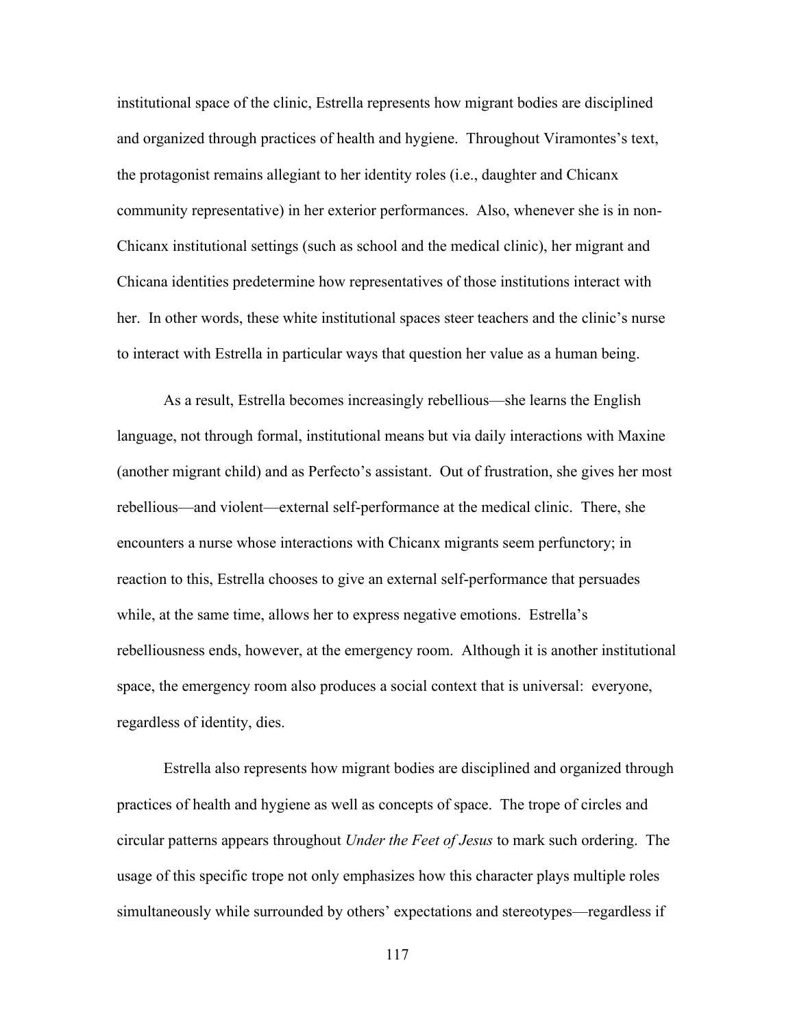institutional space of the clinic, Estrella represents how migrant bodies are disciplined and organized through practices of health and hygiene. Throughout Viramontes's text, the protagonist remains allegiant to her identity roles (i.e., daughter and Chicanx community representative) in her exterior performances. Also, whenever she is in non-Chicanx institutional settings (such as school and the medical clinic), her migrant and Chicana identities predetermine how representatives of those institutions interact with her. In other words, these white institutional spaces steer teachers and the clinic's nurse to interact with Estrella in particular ways that question her value as a human being.

As a result, Estrella becomes increasingly rebellious—she learns the English language, not through formal, institutional means but via daily interactions with Maxine (another migrant child) and as Perfecto's assistant. Out of frustration, she gives her most rebellious—and violent—external self-performance at the medical clinic. There, she encounters a nurse whose interactions with Chicanx migrants seem perfunctory; in reaction to this, Estrella chooses to give an external self-performance that persuades while, at the same time, allows her to express negative emotions. Estrella's rebelliousness ends, however, at the emergency room. Although it is another institutional space, the emergency room also produces a social context that is universal: everyone, regardless of identity, dies.

Estrella also represents how migrant bodies are disciplined and organized through practices of health and hygiene as well as concepts of space. The trope of circles and circular patterns appears throughout *Under the Feet of Jesus* to mark such ordering. The usage of this specific trope not only emphasizes how this character plays multiple roles simultaneously while surrounded by others' expectations and stereotypes—regardless if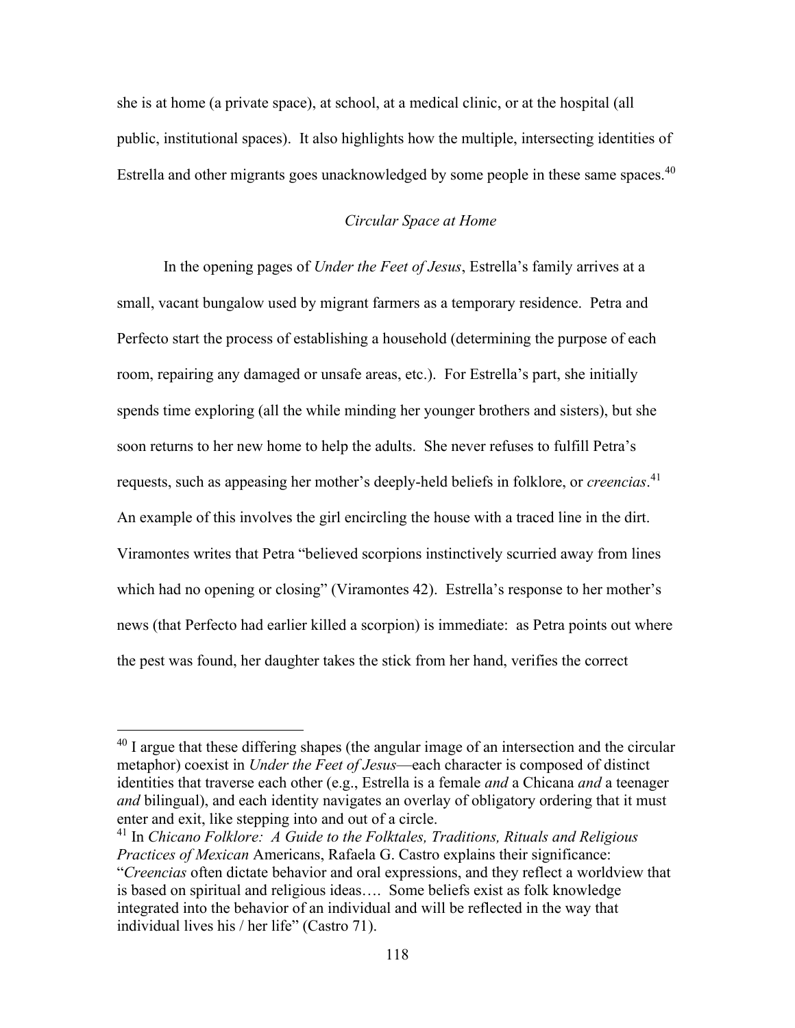she is at home (a private space), at school, at a medical clinic, or at the hospital (all public, institutional spaces). It also highlights how the multiple, intersecting identities of Estrella and other migrants goes unacknowledged by some people in these same spaces.<sup>40</sup>

# *Circular Space at Home*

In the opening pages of *Under the Feet of Jesus*, Estrella's family arrives at a small, vacant bungalow used by migrant farmers as a temporary residence. Petra and Perfecto start the process of establishing a household (determining the purpose of each room, repairing any damaged or unsafe areas, etc.). For Estrella's part, she initially spends time exploring (all the while minding her younger brothers and sisters), but she soon returns to her new home to help the adults. She never refuses to fulfill Petra's requests, such as appeasing her mother's deeply-held beliefs in folklore, or *creencias*. 41 An example of this involves the girl encircling the house with a traced line in the dirt. Viramontes writes that Petra "believed scorpions instinctively scurried away from lines which had no opening or closing" (Viramontes 42). Estrella's response to her mother's news (that Perfecto had earlier killed a scorpion) is immediate: as Petra points out where the pest was found, her daughter takes the stick from her hand, verifies the correct

 $40$  I argue that these differing shapes (the angular image of an intersection and the circular metaphor) coexist in *Under the Feet of Jesus*—each character is composed of distinct identities that traverse each other (e.g., Estrella is a female *and* a Chicana *and* a teenager *and* bilingual), and each identity navigates an overlay of obligatory ordering that it must enter and exit, like stepping into and out of a circle.

<sup>41</sup> In *Chicano Folklore: A Guide to the Folktales, Traditions, Rituals and Religious Practices of Mexican* Americans, Rafaela G. Castro explains their significance: "*Creencias* often dictate behavior and oral expressions, and they reflect a worldview that is based on spiritual and religious ideas…. Some beliefs exist as folk knowledge integrated into the behavior of an individual and will be reflected in the way that individual lives his / her life" (Castro 71).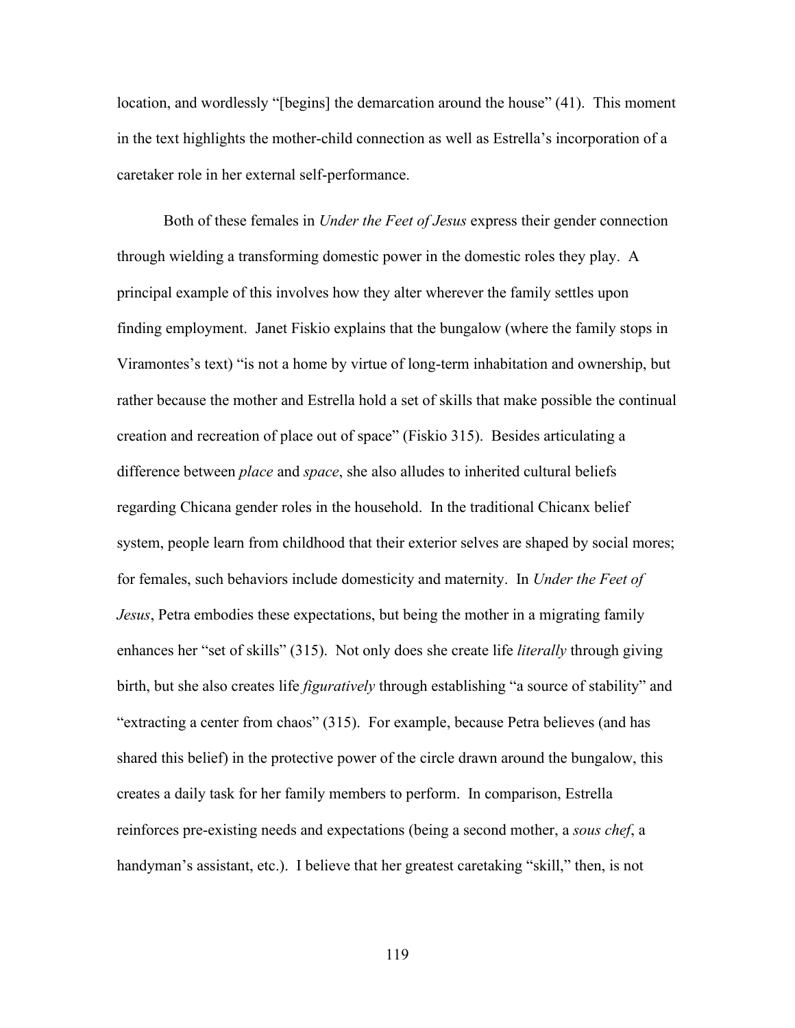location, and wordlessly "[begins] the demarcation around the house" (41). This moment in the text highlights the mother-child connection as well as Estrella's incorporation of a caretaker role in her external self-performance.

Both of these females in *Under the Feet of Jesus* express their gender connection through wielding a transforming domestic power in the domestic roles they play. A principal example of this involves how they alter wherever the family settles upon finding employment. Janet Fiskio explains that the bungalow (where the family stops in Viramontes's text) "is not a home by virtue of long-term inhabitation and ownership, but rather because the mother and Estrella hold a set of skills that make possible the continual creation and recreation of place out of space" (Fiskio 315). Besides articulating a difference between *place* and *space*, she also alludes to inherited cultural beliefs regarding Chicana gender roles in the household. In the traditional Chicanx belief system, people learn from childhood that their exterior selves are shaped by social mores; for females, such behaviors include domesticity and maternity. In *Under the Feet of Jesus*, Petra embodies these expectations, but being the mother in a migrating family enhances her "set of skills" (315). Not only does she create life *literally* through giving birth, but she also creates life *figuratively* through establishing "a source of stability" and "extracting a center from chaos" (315). For example, because Petra believes (and has shared this belief) in the protective power of the circle drawn around the bungalow, this creates a daily task for her family members to perform. In comparison, Estrella reinforces pre-existing needs and expectations (being a second mother, a *sous chef*, a handyman's assistant, etc.). I believe that her greatest caretaking "skill," then, is not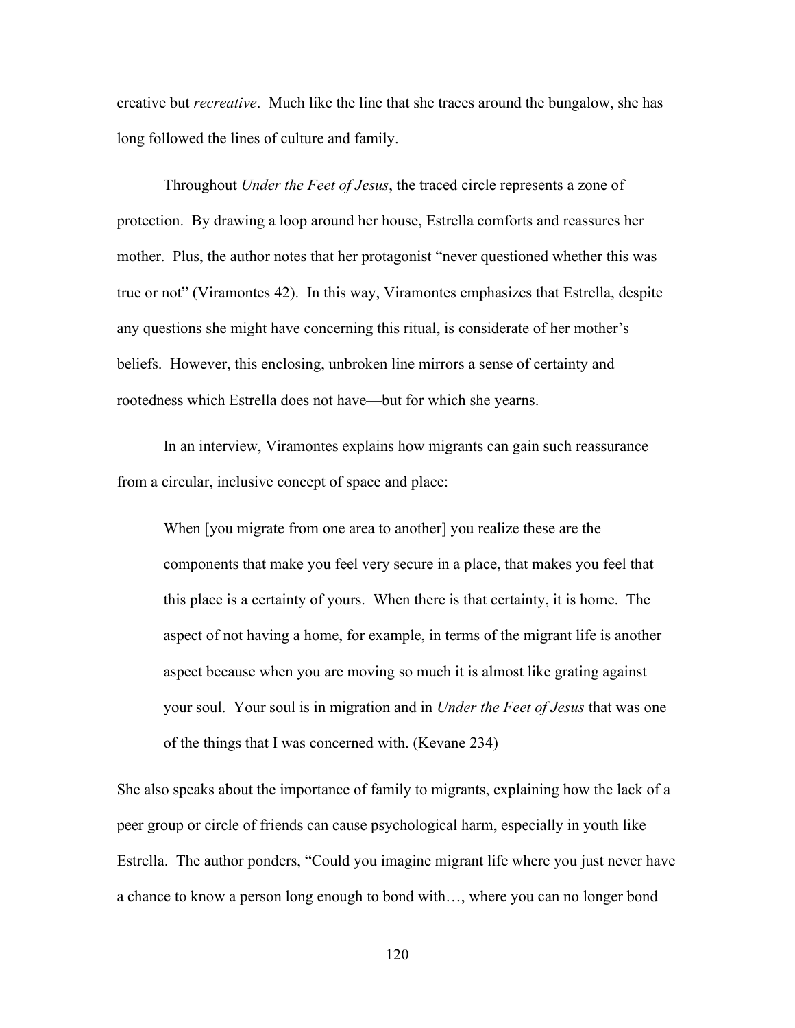creative but *recreative*. Much like the line that she traces around the bungalow, she has long followed the lines of culture and family.

Throughout *Under the Feet of Jesus*, the traced circle represents a zone of protection. By drawing a loop around her house, Estrella comforts and reassures her mother. Plus, the author notes that her protagonist "never questioned whether this was true or not" (Viramontes 42). In this way, Viramontes emphasizes that Estrella, despite any questions she might have concerning this ritual, is considerate of her mother's beliefs. However, this enclosing, unbroken line mirrors a sense of certainty and rootedness which Estrella does not have—but for which she yearns.

In an interview, Viramontes explains how migrants can gain such reassurance from a circular, inclusive concept of space and place:

When [you migrate from one area to another] you realize these are the components that make you feel very secure in a place, that makes you feel that this place is a certainty of yours. When there is that certainty, it is home. The aspect of not having a home, for example, in terms of the migrant life is another aspect because when you are moving so much it is almost like grating against your soul. Your soul is in migration and in *Under the Feet of Jesus* that was one of the things that I was concerned with. (Kevane 234)

She also speaks about the importance of family to migrants, explaining how the lack of a peer group or circle of friends can cause psychological harm, especially in youth like Estrella. The author ponders, "Could you imagine migrant life where you just never have a chance to know a person long enough to bond with…, where you can no longer bond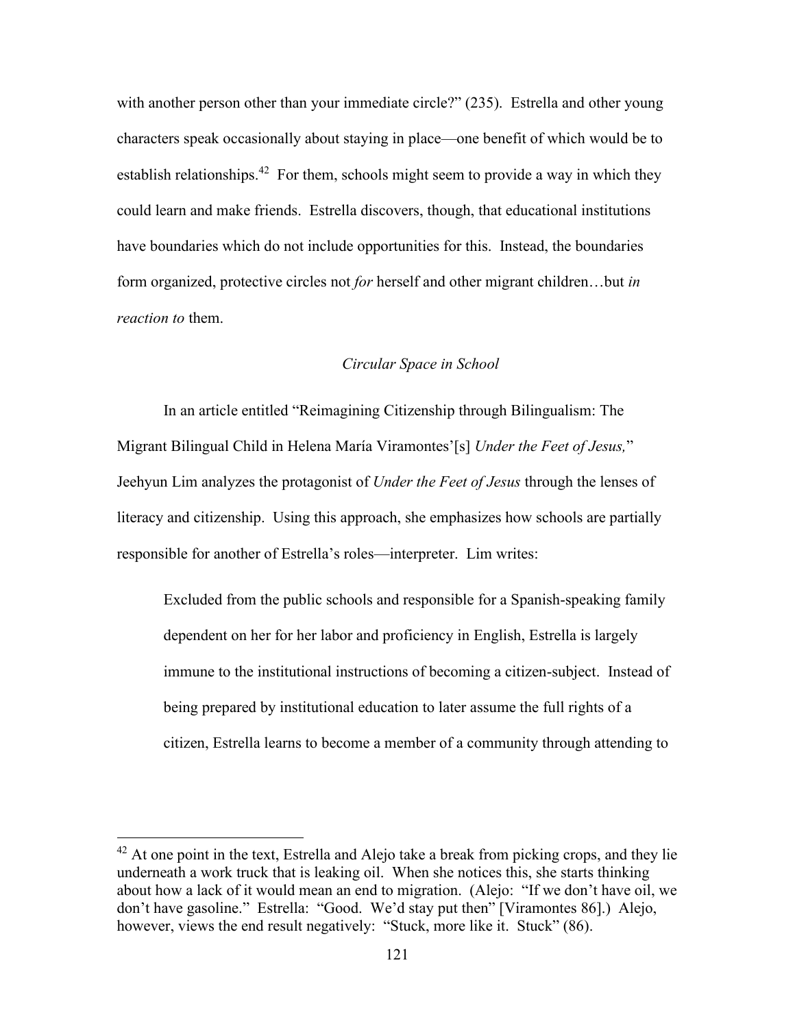with another person other than your immediate circle?" (235). Estrella and other young characters speak occasionally about staying in place—one benefit of which would be to establish relationships.<sup>42</sup> For them, schools might seem to provide a way in which they could learn and make friends. Estrella discovers, though, that educational institutions have boundaries which do not include opportunities for this. Instead, the boundaries form organized, protective circles not *for* herself and other migrant children…but *in reaction to* them.

## *Circular Space in School*

In an article entitled "Reimagining Citizenship through Bilingualism: The Migrant Bilingual Child in Helena María Viramontes'[s] *Under the Feet of Jesus,*" Jeehyun Lim analyzes the protagonist of *Under the Feet of Jesus* through the lenses of literacy and citizenship. Using this approach, she emphasizes how schools are partially responsible for another of Estrella's roles—interpreter. Lim writes:

Excluded from the public schools and responsible for a Spanish-speaking family dependent on her for her labor and proficiency in English, Estrella is largely immune to the institutional instructions of becoming a citizen-subject. Instead of being prepared by institutional education to later assume the full rights of a citizen, Estrella learns to become a member of a community through attending to

 $42$  At one point in the text, Estrella and Alejo take a break from picking crops, and they lie underneath a work truck that is leaking oil. When she notices this, she starts thinking about how a lack of it would mean an end to migration. (Alejo: "If we don't have oil, we don't have gasoline." Estrella: "Good. We'd stay put then" [Viramontes 86].) Alejo, however, views the end result negatively: "Stuck, more like it. Stuck" (86).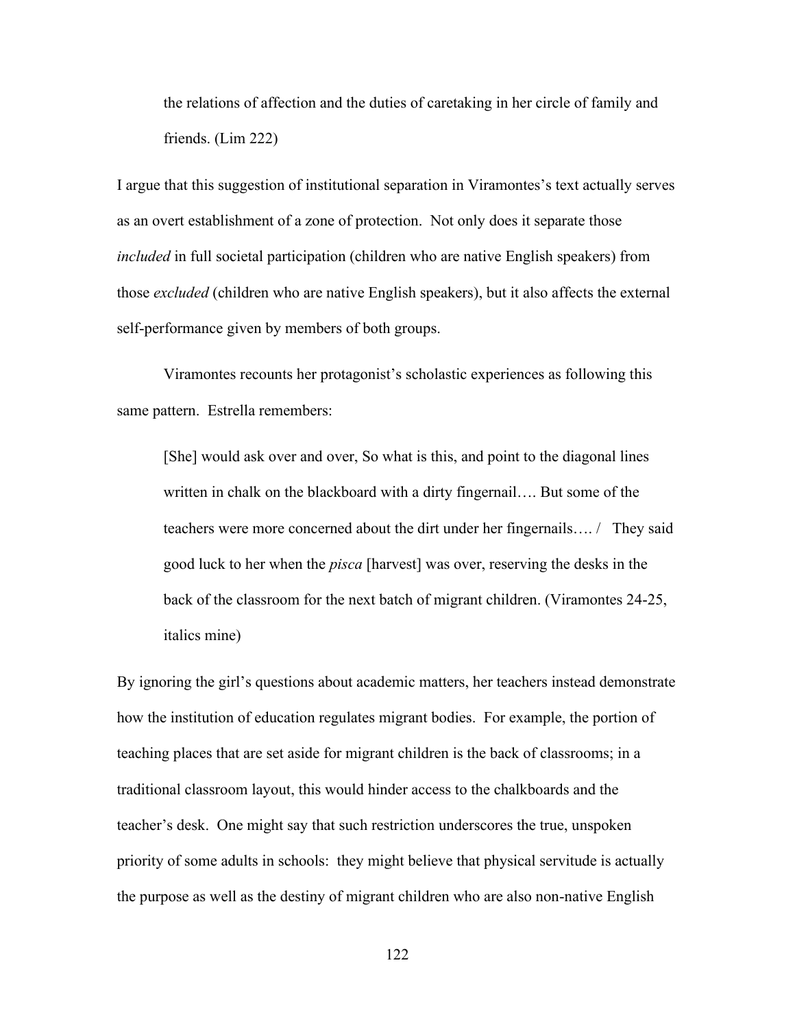the relations of affection and the duties of caretaking in her circle of family and friends. (Lim 222)

I argue that this suggestion of institutional separation in Viramontes's text actually serves as an overt establishment of a zone of protection. Not only does it separate those *included* in full societal participation (children who are native English speakers) from those *excluded* (children who are native English speakers), but it also affects the external self-performance given by members of both groups.

Viramontes recounts her protagonist's scholastic experiences as following this same pattern. Estrella remembers:

[She] would ask over and over, So what is this, and point to the diagonal lines written in chalk on the blackboard with a dirty fingernail…. But some of the teachers were more concerned about the dirt under her fingernails…. / They said good luck to her when the *pisca* [harvest] was over, reserving the desks in the back of the classroom for the next batch of migrant children. (Viramontes 24-25, italics mine)

By ignoring the girl's questions about academic matters, her teachers instead demonstrate how the institution of education regulates migrant bodies. For example, the portion of teaching places that are set aside for migrant children is the back of classrooms; in a traditional classroom layout, this would hinder access to the chalkboards and the teacher's desk. One might say that such restriction underscores the true, unspoken priority of some adults in schools: they might believe that physical servitude is actually the purpose as well as the destiny of migrant children who are also non-native English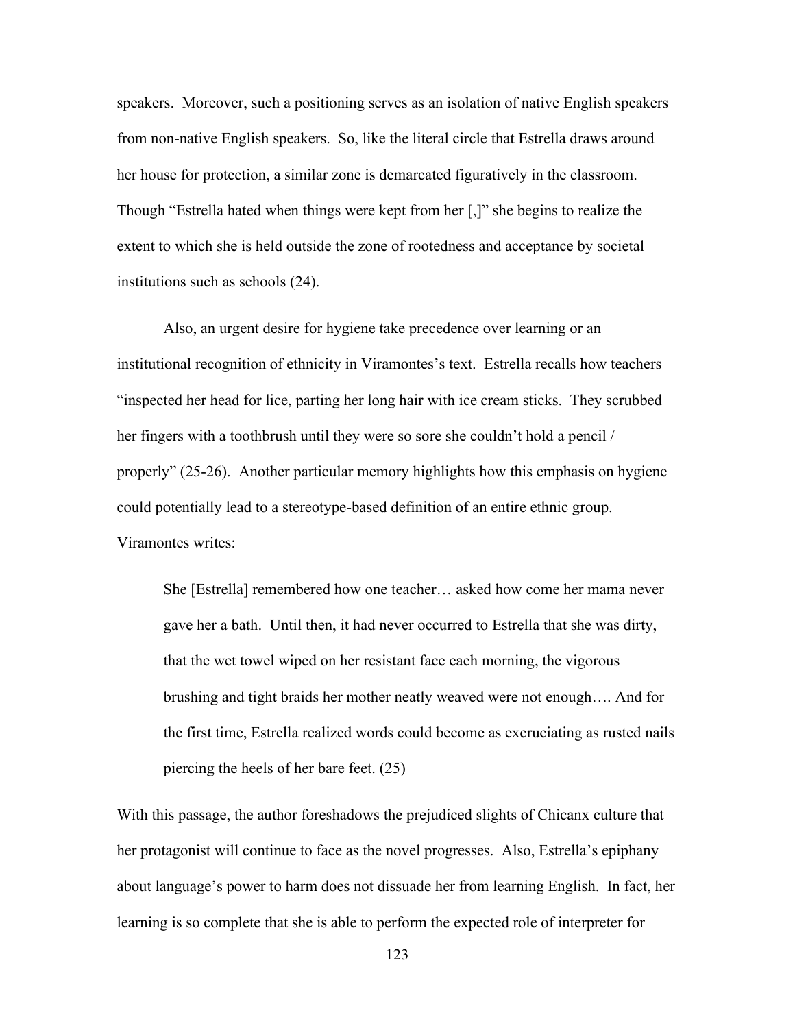speakers. Moreover, such a positioning serves as an isolation of native English speakers from non-native English speakers. So, like the literal circle that Estrella draws around her house for protection, a similar zone is demarcated figuratively in the classroom. Though "Estrella hated when things were kept from her [,]" she begins to realize the extent to which she is held outside the zone of rootedness and acceptance by societal institutions such as schools (24).

Also, an urgent desire for hygiene take precedence over learning or an institutional recognition of ethnicity in Viramontes's text. Estrella recalls how teachers "inspected her head for lice, parting her long hair with ice cream sticks. They scrubbed her fingers with a toothbrush until they were so sore she couldn't hold a pencil / properly" (25-26). Another particular memory highlights how this emphasis on hygiene could potentially lead to a stereotype-based definition of an entire ethnic group. Viramontes writes:

She [Estrella] remembered how one teacher… asked how come her mama never gave her a bath. Until then, it had never occurred to Estrella that she was dirty, that the wet towel wiped on her resistant face each morning, the vigorous brushing and tight braids her mother neatly weaved were not enough…. And for the first time, Estrella realized words could become as excruciating as rusted nails piercing the heels of her bare feet. (25)

With this passage, the author foreshadows the prejudiced slights of Chicanx culture that her protagonist will continue to face as the novel progresses. Also, Estrella's epiphany about language's power to harm does not dissuade her from learning English. In fact, her learning is so complete that she is able to perform the expected role of interpreter for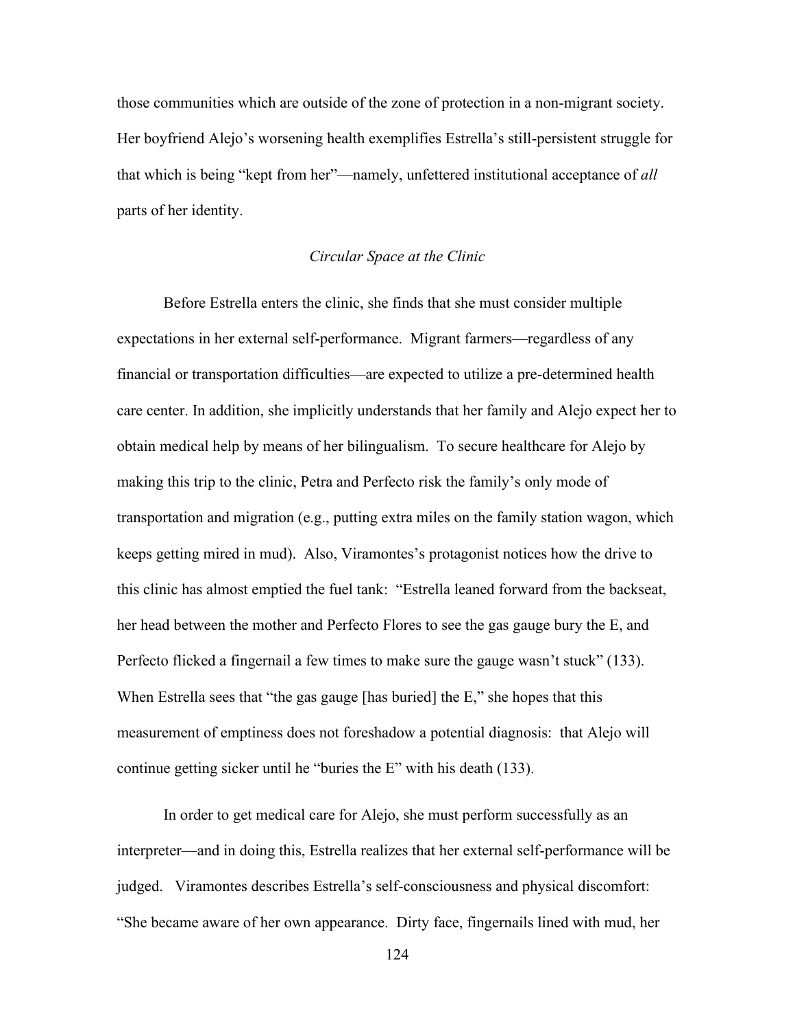those communities which are outside of the zone of protection in a non-migrant society. Her boyfriend Alejo's worsening health exemplifies Estrella's still-persistent struggle for that which is being "kept from her"—namely, unfettered institutional acceptance of *all* parts of her identity.

#### *Circular Space at the Clinic*

Before Estrella enters the clinic, she finds that she must consider multiple expectations in her external self-performance. Migrant farmers—regardless of any financial or transportation difficulties—are expected to utilize a pre-determined health care center. In addition, she implicitly understands that her family and Alejo expect her to obtain medical help by means of her bilingualism. To secure healthcare for Alejo by making this trip to the clinic, Petra and Perfecto risk the family's only mode of transportation and migration (e.g., putting extra miles on the family station wagon, which keeps getting mired in mud). Also, Viramontes's protagonist notices how the drive to this clinic has almost emptied the fuel tank: "Estrella leaned forward from the backseat, her head between the mother and Perfecto Flores to see the gas gauge bury the E, and Perfecto flicked a fingernail a few times to make sure the gauge wasn't stuck" (133). When Estrella sees that "the gas gauge [has buried] the E," she hopes that this measurement of emptiness does not foreshadow a potential diagnosis: that Alejo will continue getting sicker until he "buries the E" with his death (133).

In order to get medical care for Alejo, she must perform successfully as an interpreter—and in doing this, Estrella realizes that her external self-performance will be judged. Viramontes describes Estrella's self-consciousness and physical discomfort: "She became aware of her own appearance. Dirty face, fingernails lined with mud, her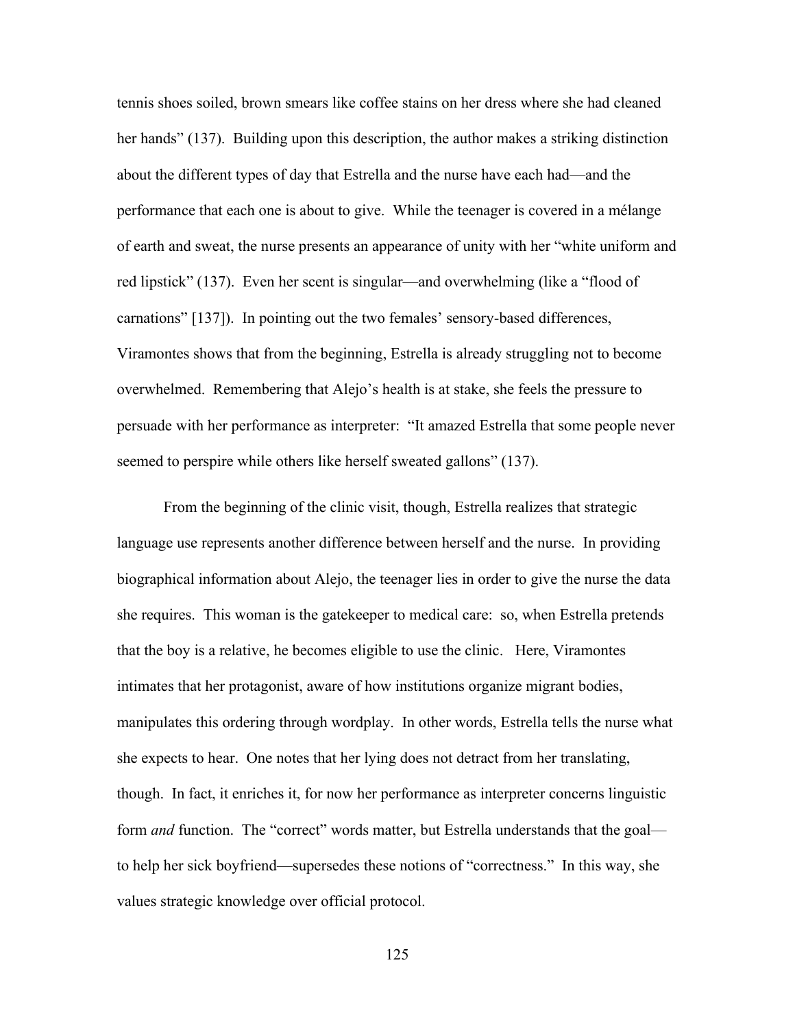tennis shoes soiled, brown smears like coffee stains on her dress where she had cleaned her hands" (137). Building upon this description, the author makes a striking distinction about the different types of day that Estrella and the nurse have each had—and the performance that each one is about to give. While the teenager is covered in a mélange of earth and sweat, the nurse presents an appearance of unity with her "white uniform and red lipstick" (137). Even her scent is singular—and overwhelming (like a "flood of carnations" [137]). In pointing out the two females' sensory-based differences, Viramontes shows that from the beginning, Estrella is already struggling not to become overwhelmed. Remembering that Alejo's health is at stake, she feels the pressure to persuade with her performance as interpreter: "It amazed Estrella that some people never seemed to perspire while others like herself sweated gallons" (137).

From the beginning of the clinic visit, though, Estrella realizes that strategic language use represents another difference between herself and the nurse. In providing biographical information about Alejo, the teenager lies in order to give the nurse the data she requires. This woman is the gatekeeper to medical care: so, when Estrella pretends that the boy is a relative, he becomes eligible to use the clinic. Here, Viramontes intimates that her protagonist, aware of how institutions organize migrant bodies, manipulates this ordering through wordplay. In other words, Estrella tells the nurse what she expects to hear. One notes that her lying does not detract from her translating, though. In fact, it enriches it, for now her performance as interpreter concerns linguistic form *and* function. The "correct" words matter, but Estrella understands that the goal to help her sick boyfriend—supersedes these notions of "correctness." In this way, she values strategic knowledge over official protocol.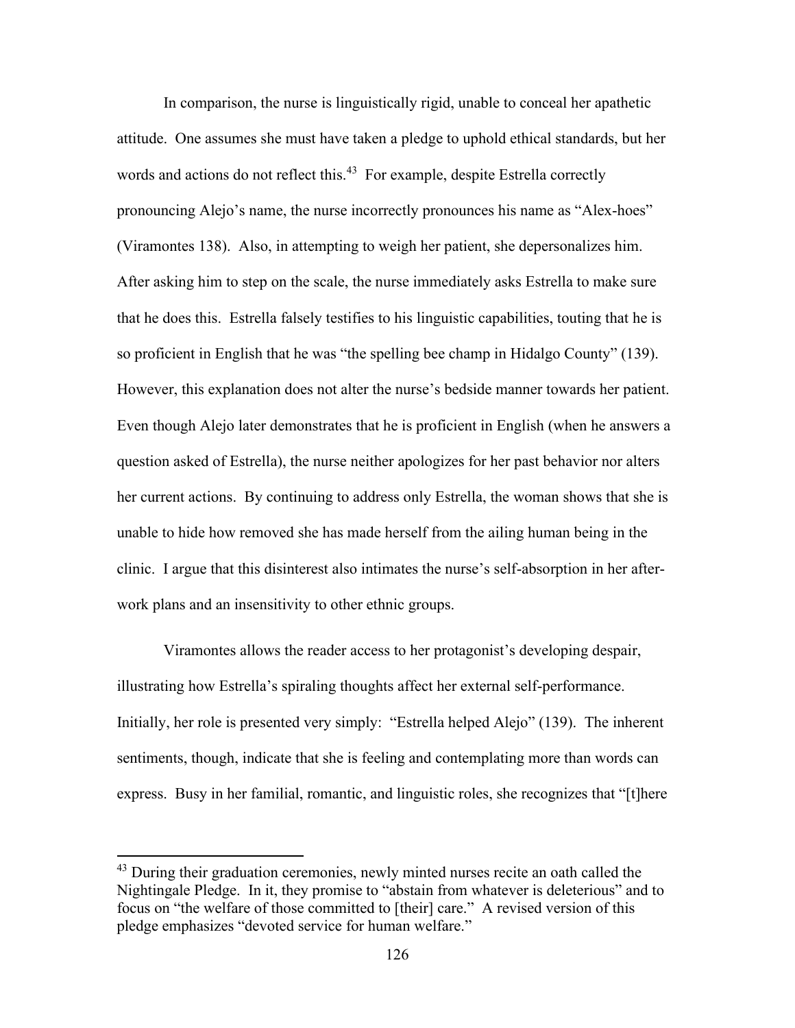In comparison, the nurse is linguistically rigid, unable to conceal her apathetic attitude. One assumes she must have taken a pledge to uphold ethical standards, but her words and actions do not reflect this.<sup>43</sup> For example, despite Estrella correctly pronouncing Alejo's name, the nurse incorrectly pronounces his name as "Alex-hoes" (Viramontes 138). Also, in attempting to weigh her patient, she depersonalizes him. After asking him to step on the scale, the nurse immediately asks Estrella to make sure that he does this. Estrella falsely testifies to his linguistic capabilities, touting that he is so proficient in English that he was "the spelling bee champ in Hidalgo County" (139). However, this explanation does not alter the nurse's bedside manner towards her patient. Even though Alejo later demonstrates that he is proficient in English (when he answers a question asked of Estrella), the nurse neither apologizes for her past behavior nor alters her current actions. By continuing to address only Estrella, the woman shows that she is unable to hide how removed she has made herself from the ailing human being in the clinic. I argue that this disinterest also intimates the nurse's self-absorption in her afterwork plans and an insensitivity to other ethnic groups.

Viramontes allows the reader access to her protagonist's developing despair, illustrating how Estrella's spiraling thoughts affect her external self-performance. Initially, her role is presented very simply: "Estrella helped Alejo" (139). The inherent sentiments, though, indicate that she is feeling and contemplating more than words can express. Busy in her familial, romantic, and linguistic roles, she recognizes that "[t]here

<sup>&</sup>lt;sup>43</sup> During their graduation ceremonies, newly minted nurses recite an oath called the Nightingale Pledge. In it, they promise to "abstain from whatever is deleterious" and to focus on "the welfare of those committed to [their] care." A revised version of this pledge emphasizes "devoted service for human welfare."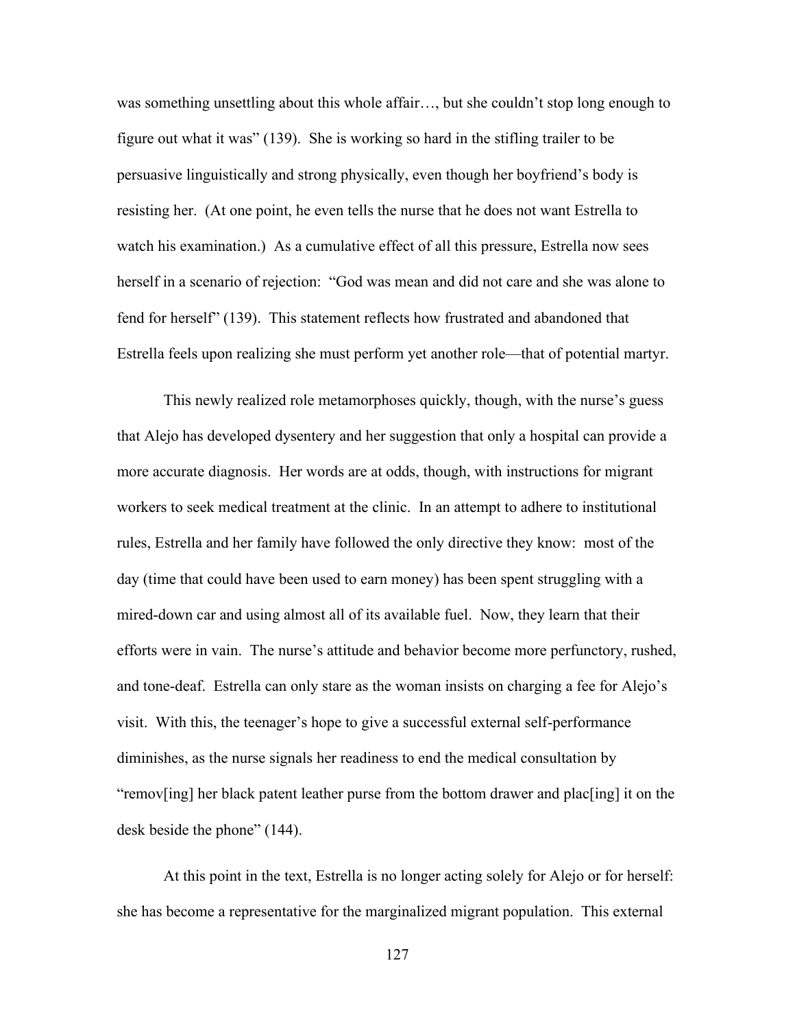was something unsettling about this whole affair…, but she couldn't stop long enough to figure out what it was" (139). She is working so hard in the stifling trailer to be persuasive linguistically and strong physically, even though her boyfriend's body is resisting her. (At one point, he even tells the nurse that he does not want Estrella to watch his examination.) As a cumulative effect of all this pressure, Estrella now sees herself in a scenario of rejection: "God was mean and did not care and she was alone to fend for herself" (139). This statement reflects how frustrated and abandoned that Estrella feels upon realizing she must perform yet another role—that of potential martyr.

This newly realized role metamorphoses quickly, though, with the nurse's guess that Alejo has developed dysentery and her suggestion that only a hospital can provide a more accurate diagnosis. Her words are at odds, though, with instructions for migrant workers to seek medical treatment at the clinic. In an attempt to adhere to institutional rules, Estrella and her family have followed the only directive they know: most of the day (time that could have been used to earn money) has been spent struggling with a mired-down car and using almost all of its available fuel. Now, they learn that their efforts were in vain. The nurse's attitude and behavior become more perfunctory, rushed, and tone-deaf. Estrella can only stare as the woman insists on charging a fee for Alejo's visit. With this, the teenager's hope to give a successful external self-performance diminishes, as the nurse signals her readiness to end the medical consultation by "remov[ing] her black patent leather purse from the bottom drawer and plac[ing] it on the desk beside the phone" (144).

At this point in the text, Estrella is no longer acting solely for Alejo or for herself: she has become a representative for the marginalized migrant population. This external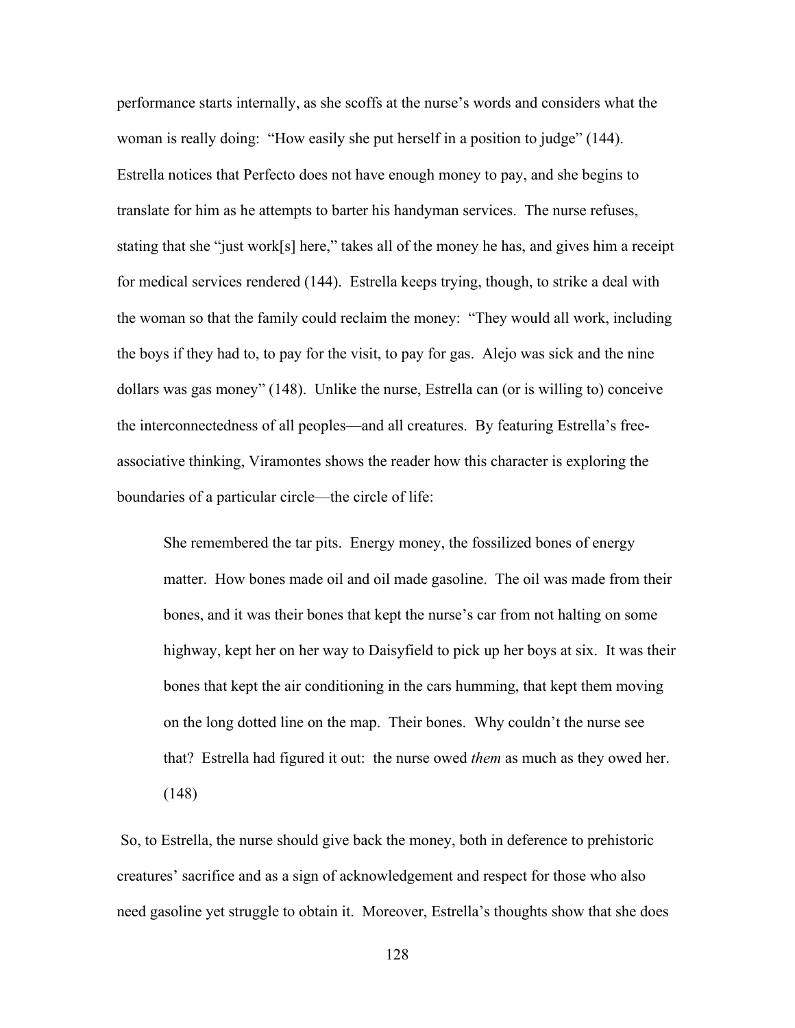performance starts internally, as she scoffs at the nurse's words and considers what the woman is really doing: "How easily she put herself in a position to judge" (144). Estrella notices that Perfecto does not have enough money to pay, and she begins to translate for him as he attempts to barter his handyman services. The nurse refuses, stating that she "just work[s] here," takes all of the money he has, and gives him a receipt for medical services rendered (144). Estrella keeps trying, though, to strike a deal with the woman so that the family could reclaim the money: "They would all work, including the boys if they had to, to pay for the visit, to pay for gas. Alejo was sick and the nine dollars was gas money" (148). Unlike the nurse, Estrella can (or is willing to) conceive the interconnectedness of all peoples—and all creatures. By featuring Estrella's freeassociative thinking, Viramontes shows the reader how this character is exploring the boundaries of a particular circle—the circle of life:

She remembered the tar pits. Energy money, the fossilized bones of energy matter. How bones made oil and oil made gasoline. The oil was made from their bones, and it was their bones that kept the nurse's car from not halting on some highway, kept her on her way to Daisyfield to pick up her boys at six. It was their bones that kept the air conditioning in the cars humming, that kept them moving on the long dotted line on the map. Their bones. Why couldn't the nurse see that? Estrella had figured it out: the nurse owed *them* as much as they owed her. (148)

So, to Estrella, the nurse should give back the money, both in deference to prehistoric creatures' sacrifice and as a sign of acknowledgement and respect for those who also need gasoline yet struggle to obtain it. Moreover, Estrella's thoughts show that she does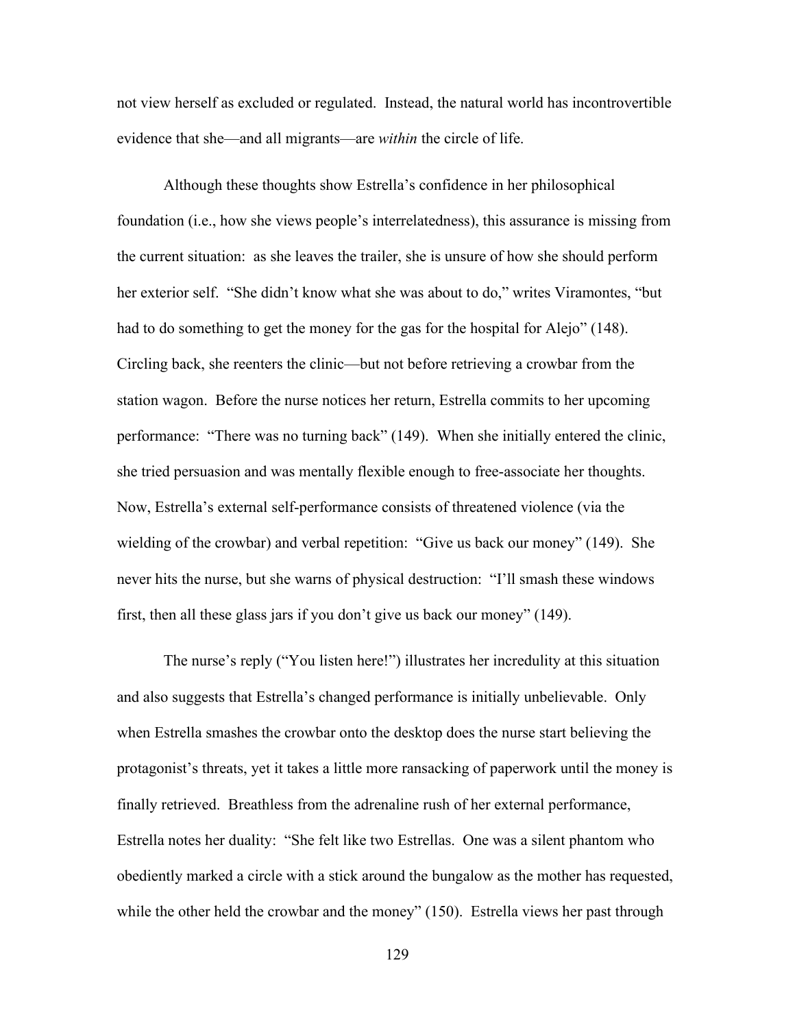not view herself as excluded or regulated. Instead, the natural world has incontrovertible evidence that she—and all migrants—are *within* the circle of life.

Although these thoughts show Estrella's confidence in her philosophical foundation (i.e., how she views people's interrelatedness), this assurance is missing from the current situation: as she leaves the trailer, she is unsure of how she should perform her exterior self. "She didn't know what she was about to do," writes Viramontes, "but had to do something to get the money for the gas for the hospital for Alejo" (148). Circling back, she reenters the clinic—but not before retrieving a crowbar from the station wagon. Before the nurse notices her return, Estrella commits to her upcoming performance: "There was no turning back" (149). When she initially entered the clinic, she tried persuasion and was mentally flexible enough to free-associate her thoughts. Now, Estrella's external self-performance consists of threatened violence (via the wielding of the crowbar) and verbal repetition: "Give us back our money" (149). She never hits the nurse, but she warns of physical destruction: "I'll smash these windows first, then all these glass jars if you don't give us back our money" (149).

The nurse's reply ("You listen here!") illustrates her incredulity at this situation and also suggests that Estrella's changed performance is initially unbelievable. Only when Estrella smashes the crowbar onto the desktop does the nurse start believing the protagonist's threats, yet it takes a little more ransacking of paperwork until the money is finally retrieved. Breathless from the adrenaline rush of her external performance, Estrella notes her duality: "She felt like two Estrellas. One was a silent phantom who obediently marked a circle with a stick around the bungalow as the mother has requested, while the other held the crowbar and the money" (150). Estrella views her past through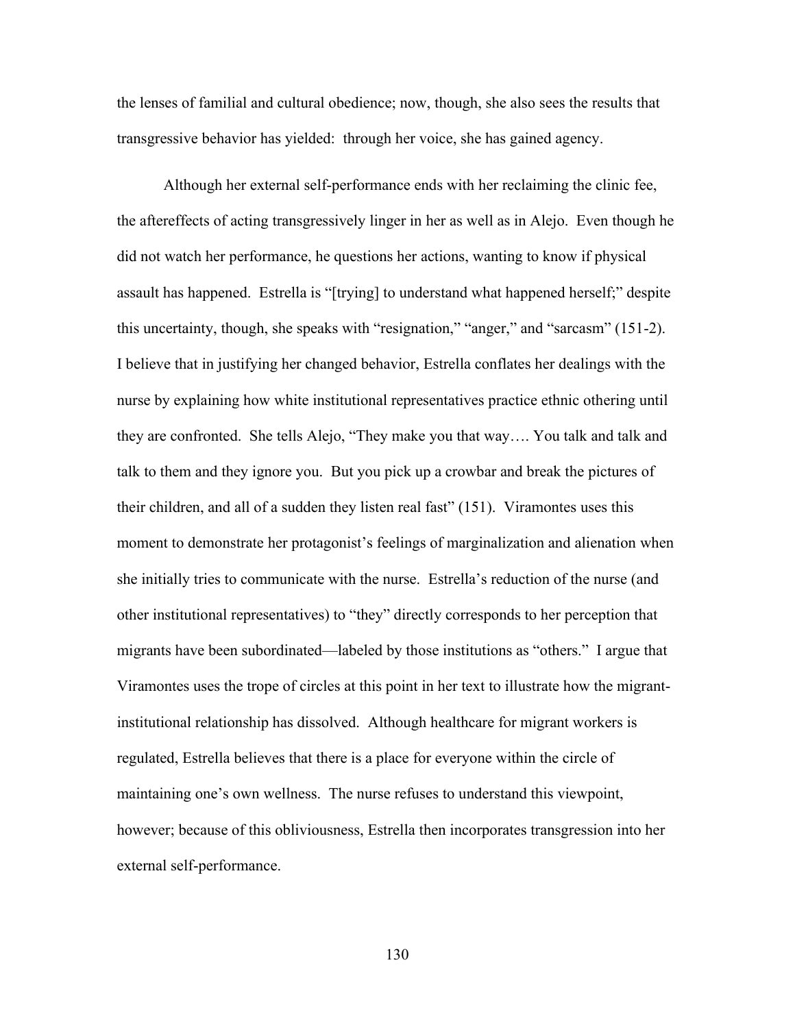the lenses of familial and cultural obedience; now, though, she also sees the results that transgressive behavior has yielded: through her voice, she has gained agency.

Although her external self-performance ends with her reclaiming the clinic fee, the aftereffects of acting transgressively linger in her as well as in Alejo. Even though he did not watch her performance, he questions her actions, wanting to know if physical assault has happened. Estrella is "[trying] to understand what happened herself;" despite this uncertainty, though, she speaks with "resignation," "anger," and "sarcasm" (151-2). I believe that in justifying her changed behavior, Estrella conflates her dealings with the nurse by explaining how white institutional representatives practice ethnic othering until they are confronted. She tells Alejo, "They make you that way…. You talk and talk and talk to them and they ignore you. But you pick up a crowbar and break the pictures of their children, and all of a sudden they listen real fast" (151). Viramontes uses this moment to demonstrate her protagonist's feelings of marginalization and alienation when she initially tries to communicate with the nurse. Estrella's reduction of the nurse (and other institutional representatives) to "they" directly corresponds to her perception that migrants have been subordinated—labeled by those institutions as "others." I argue that Viramontes uses the trope of circles at this point in her text to illustrate how the migrantinstitutional relationship has dissolved. Although healthcare for migrant workers is regulated, Estrella believes that there is a place for everyone within the circle of maintaining one's own wellness. The nurse refuses to understand this viewpoint, however; because of this obliviousness, Estrella then incorporates transgression into her external self-performance.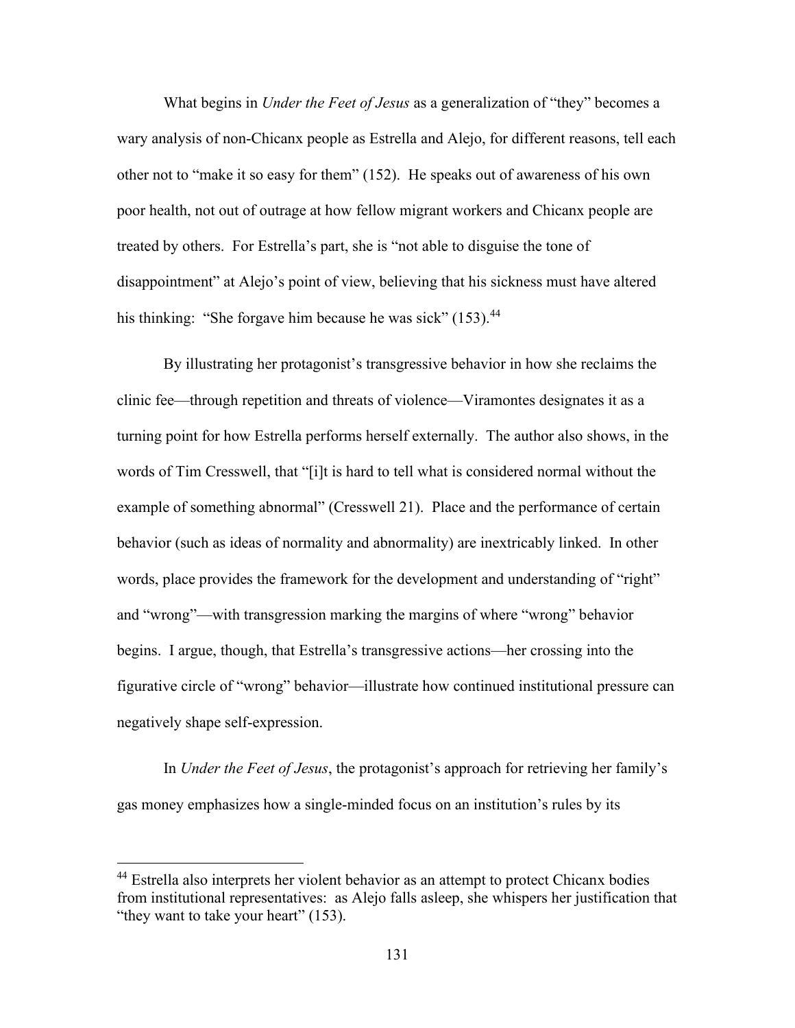What begins in *Under the Feet of Jesus* as a generalization of "they" becomes a wary analysis of non-Chicanx people as Estrella and Alejo, for different reasons, tell each other not to "make it so easy for them" (152). He speaks out of awareness of his own poor health, not out of outrage at how fellow migrant workers and Chicanx people are treated by others. For Estrella's part, she is "not able to disguise the tone of disappointment" at Alejo's point of view, believing that his sickness must have altered his thinking: "She forgave him because he was sick" (153).<sup>44</sup>

By illustrating her protagonist's transgressive behavior in how she reclaims the clinic fee—through repetition and threats of violence—Viramontes designates it as a turning point for how Estrella performs herself externally. The author also shows, in the words of Tim Cresswell, that "[i]t is hard to tell what is considered normal without the example of something abnormal" (Cresswell 21). Place and the performance of certain behavior (such as ideas of normality and abnormality) are inextricably linked. In other words, place provides the framework for the development and understanding of "right" and "wrong"—with transgression marking the margins of where "wrong" behavior begins. I argue, though, that Estrella's transgressive actions—her crossing into the figurative circle of "wrong" behavior—illustrate how continued institutional pressure can negatively shape self-expression.

In *Under the Feet of Jesus*, the protagonist's approach for retrieving her family's gas money emphasizes how a single-minded focus on an institution's rules by its

<sup>&</sup>lt;sup>44</sup> Estrella also interprets her violent behavior as an attempt to protect Chicanx bodies from institutional representatives: as Alejo falls asleep, she whispers her justification that "they want to take your heart" (153).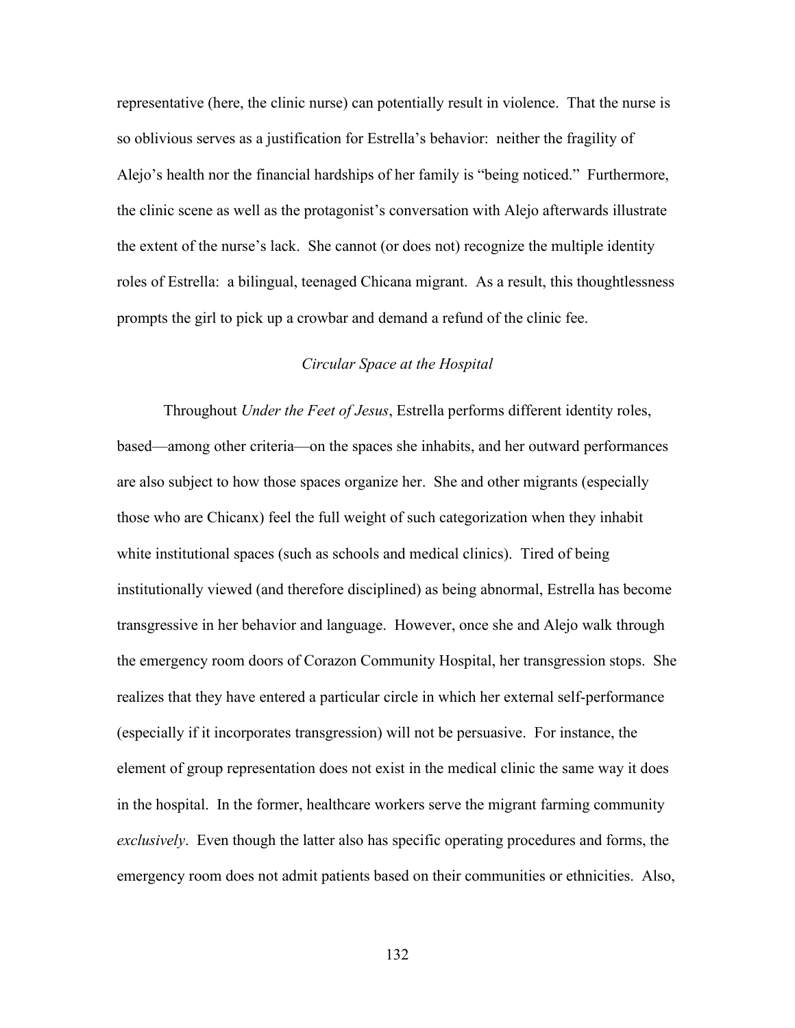representative (here, the clinic nurse) can potentially result in violence. That the nurse is so oblivious serves as a justification for Estrella's behavior: neither the fragility of Alejo's health nor the financial hardships of her family is "being noticed." Furthermore, the clinic scene as well as the protagonist's conversation with Alejo afterwards illustrate the extent of the nurse's lack. She cannot (or does not) recognize the multiple identity roles of Estrella: a bilingual, teenaged Chicana migrant. As a result, this thoughtlessness prompts the girl to pick up a crowbar and demand a refund of the clinic fee.

## *Circular Space at the Hospital*

Throughout *Under the Feet of Jesus*, Estrella performs different identity roles, based—among other criteria—on the spaces she inhabits, and her outward performances are also subject to how those spaces organize her. She and other migrants (especially those who are Chicanx) feel the full weight of such categorization when they inhabit white institutional spaces (such as schools and medical clinics). Tired of being institutionally viewed (and therefore disciplined) as being abnormal, Estrella has become transgressive in her behavior and language. However, once she and Alejo walk through the emergency room doors of Corazon Community Hospital, her transgression stops. She realizes that they have entered a particular circle in which her external self-performance (especially if it incorporates transgression) will not be persuasive. For instance, the element of group representation does not exist in the medical clinic the same way it does in the hospital. In the former, healthcare workers serve the migrant farming community *exclusively*. Even though the latter also has specific operating procedures and forms, the emergency room does not admit patients based on their communities or ethnicities. Also,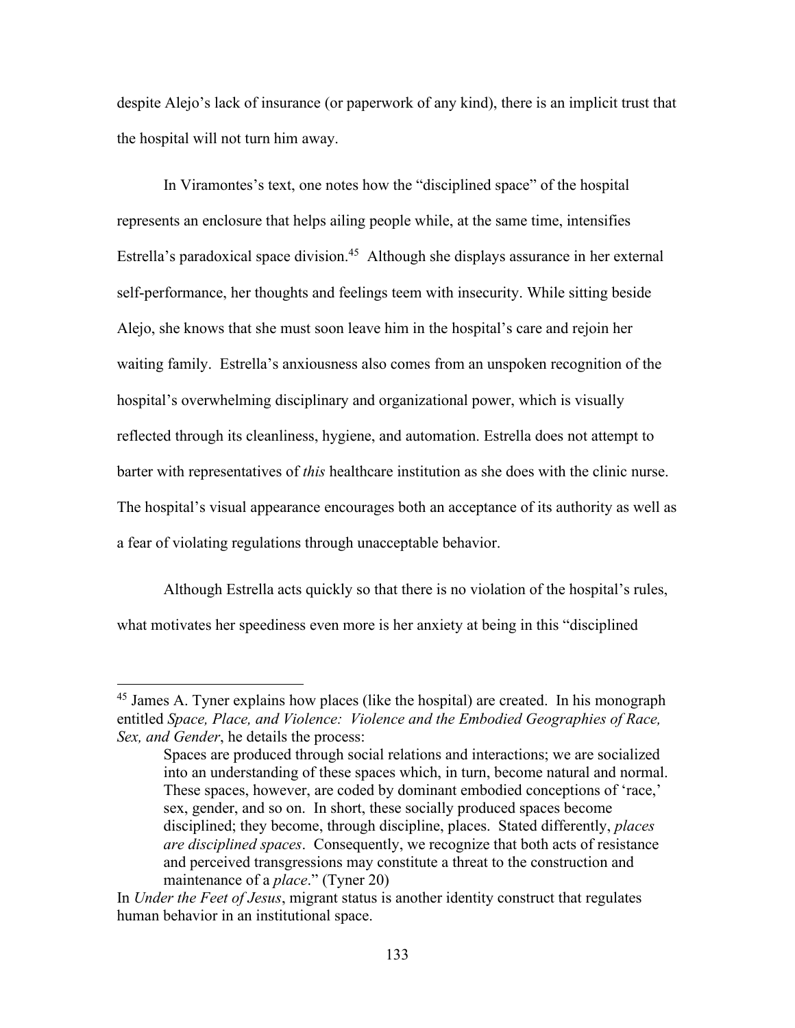despite Alejo's lack of insurance (or paperwork of any kind), there is an implicit trust that the hospital will not turn him away.

In Viramontes's text, one notes how the "disciplined space" of the hospital represents an enclosure that helps ailing people while, at the same time, intensifies Estrella's paradoxical space division.<sup>45</sup> Although she displays assurance in her external self-performance, her thoughts and feelings teem with insecurity. While sitting beside Alejo, she knows that she must soon leave him in the hospital's care and rejoin her waiting family. Estrella's anxiousness also comes from an unspoken recognition of the hospital's overwhelming disciplinary and organizational power, which is visually reflected through its cleanliness, hygiene, and automation. Estrella does not attempt to barter with representatives of *this* healthcare institution as she does with the clinic nurse. The hospital's visual appearance encourages both an acceptance of its authority as well as a fear of violating regulations through unacceptable behavior.

Although Estrella acts quickly so that there is no violation of the hospital's rules, what motivates her speediness even more is her anxiety at being in this "disciplined

<sup>&</sup>lt;sup>45</sup> James A. Tyner explains how places (like the hospital) are created. In his monograph entitled *Space, Place, and Violence: Violence and the Embodied Geographies of Race, Sex, and Gender*, he details the process:

Spaces are produced through social relations and interactions; we are socialized into an understanding of these spaces which, in turn, become natural and normal. These spaces, however, are coded by dominant embodied conceptions of 'race,' sex, gender, and so on. In short, these socially produced spaces become disciplined; they become, through discipline, places. Stated differently, *places are disciplined spaces*. Consequently, we recognize that both acts of resistance and perceived transgressions may constitute a threat to the construction and maintenance of a *place*." (Tyner 20)

In *Under the Feet of Jesus*, migrant status is another identity construct that regulates human behavior in an institutional space.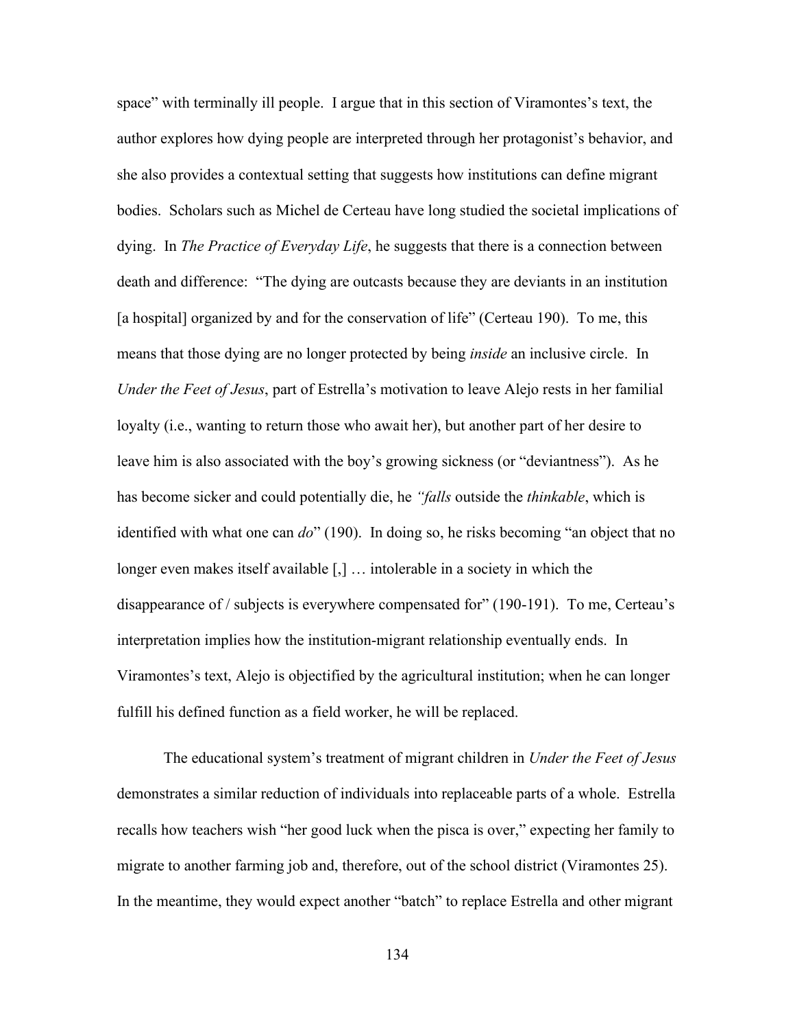space" with terminally ill people. I argue that in this section of Viramontes's text, the author explores how dying people are interpreted through her protagonist's behavior, and she also provides a contextual setting that suggests how institutions can define migrant bodies. Scholars such as Michel de Certeau have long studied the societal implications of dying. In *The Practice of Everyday Life*, he suggests that there is a connection between death and difference: "The dying are outcasts because they are deviants in an institution [a hospital] organized by and for the conservation of life" (Certeau 190). To me, this means that those dying are no longer protected by being *inside* an inclusive circle. In *Under the Feet of Jesus*, part of Estrella's motivation to leave Alejo rests in her familial loyalty (i.e., wanting to return those who await her), but another part of her desire to leave him is also associated with the boy's growing sickness (or "deviantness"). As he has become sicker and could potentially die, he *"falls* outside the *thinkable*, which is identified with what one can *do*" (190). In doing so, he risks becoming "an object that no longer even makes itself available [,] … intolerable in a society in which the disappearance of / subjects is everywhere compensated for" (190-191). To me, Certeau's interpretation implies how the institution-migrant relationship eventually ends. In Viramontes's text, Alejo is objectified by the agricultural institution; when he can longer fulfill his defined function as a field worker, he will be replaced.

The educational system's treatment of migrant children in *Under the Feet of Jesus* demonstrates a similar reduction of individuals into replaceable parts of a whole. Estrella recalls how teachers wish "her good luck when the pisca is over," expecting her family to migrate to another farming job and, therefore, out of the school district (Viramontes 25). In the meantime, they would expect another "batch" to replace Estrella and other migrant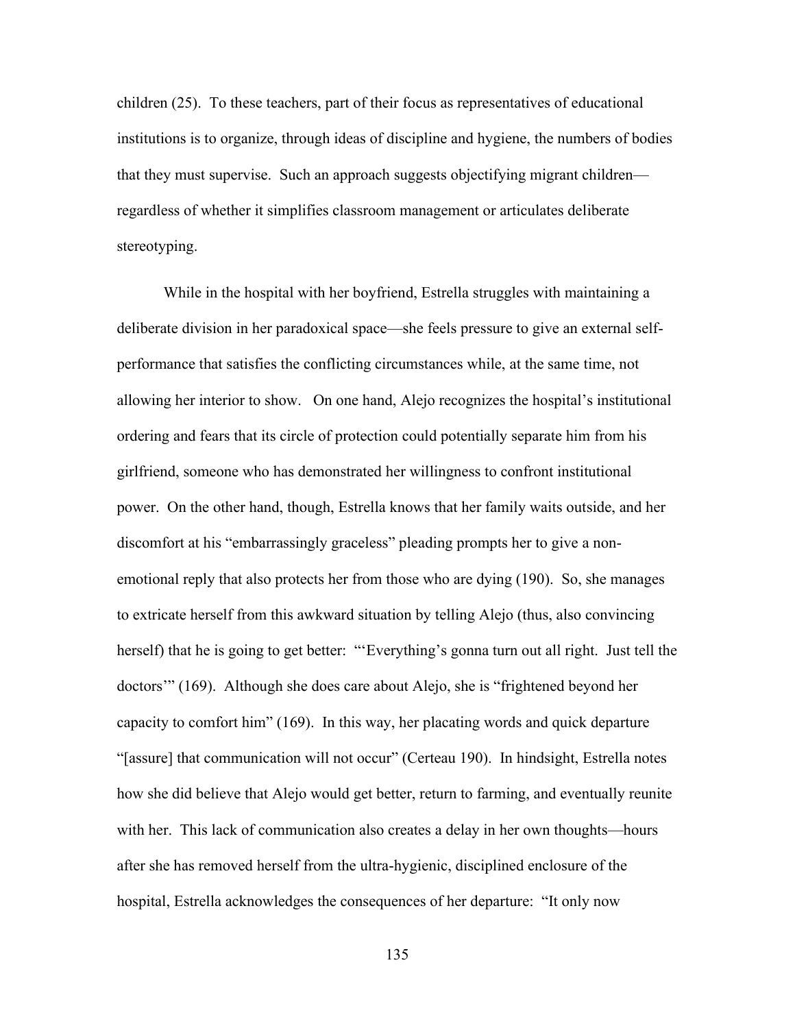children (25). To these teachers, part of their focus as representatives of educational institutions is to organize, through ideas of discipline and hygiene, the numbers of bodies that they must supervise. Such an approach suggests objectifying migrant children regardless of whether it simplifies classroom management or articulates deliberate stereotyping.

While in the hospital with her boyfriend, Estrella struggles with maintaining a deliberate division in her paradoxical space—she feels pressure to give an external selfperformance that satisfies the conflicting circumstances while, at the same time, not allowing her interior to show. On one hand, Alejo recognizes the hospital's institutional ordering and fears that its circle of protection could potentially separate him from his girlfriend, someone who has demonstrated her willingness to confront institutional power. On the other hand, though, Estrella knows that her family waits outside, and her discomfort at his "embarrassingly graceless" pleading prompts her to give a nonemotional reply that also protects her from those who are dying (190). So, she manages to extricate herself from this awkward situation by telling Alejo (thus, also convincing herself) that he is going to get better: "'Everything's gonna turn out all right. Just tell the doctors'" (169). Although she does care about Alejo, she is "frightened beyond her capacity to comfort him" (169). In this way, her placating words and quick departure "[assure] that communication will not occur" (Certeau 190). In hindsight, Estrella notes how she did believe that Alejo would get better, return to farming, and eventually reunite with her. This lack of communication also creates a delay in her own thoughts—hours after she has removed herself from the ultra-hygienic, disciplined enclosure of the hospital, Estrella acknowledges the consequences of her departure: "It only now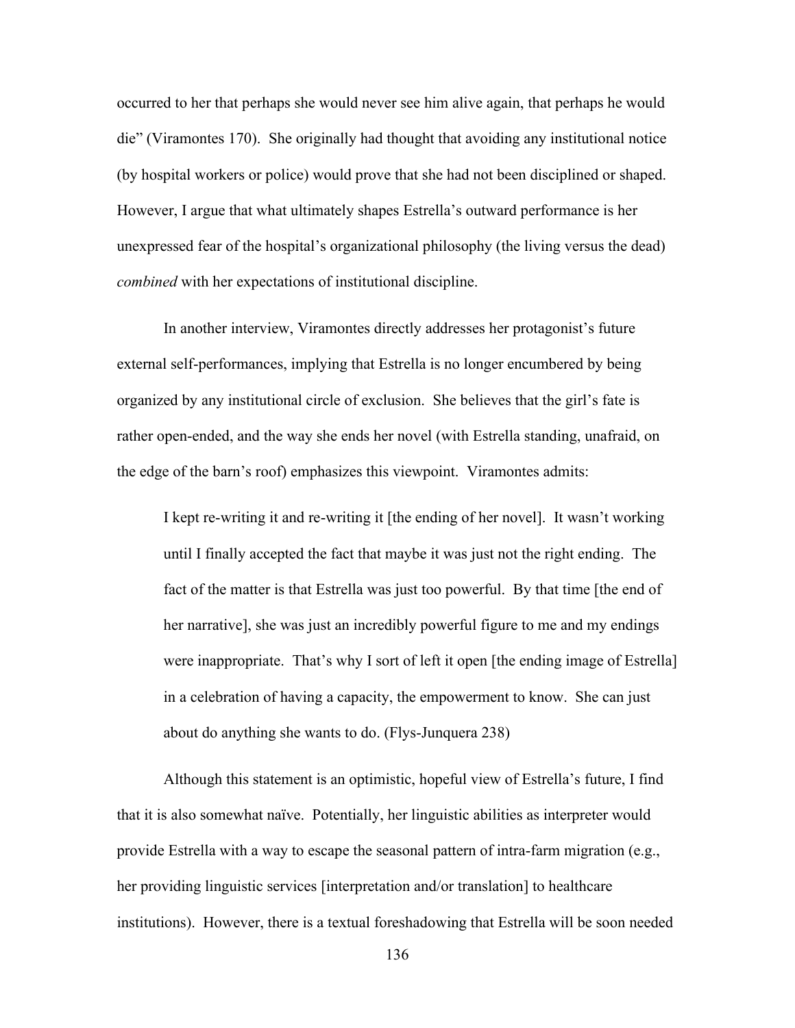occurred to her that perhaps she would never see him alive again, that perhaps he would die" (Viramontes 170). She originally had thought that avoiding any institutional notice (by hospital workers or police) would prove that she had not been disciplined or shaped. However, I argue that what ultimately shapes Estrella's outward performance is her unexpressed fear of the hospital's organizational philosophy (the living versus the dead) *combined* with her expectations of institutional discipline.

In another interview, Viramontes directly addresses her protagonist's future external self-performances, implying that Estrella is no longer encumbered by being organized by any institutional circle of exclusion. She believes that the girl's fate is rather open-ended, and the way she ends her novel (with Estrella standing, unafraid, on the edge of the barn's roof) emphasizes this viewpoint. Viramontes admits:

I kept re-writing it and re-writing it [the ending of her novel]. It wasn't working until I finally accepted the fact that maybe it was just not the right ending. The fact of the matter is that Estrella was just too powerful. By that time [the end of her narrative], she was just an incredibly powerful figure to me and my endings were inappropriate. That's why I sort of left it open [the ending image of Estrella] in a celebration of having a capacity, the empowerment to know. She can just about do anything she wants to do. (Flys-Junquera 238)

Although this statement is an optimistic, hopeful view of Estrella's future, I find that it is also somewhat naïve. Potentially, her linguistic abilities as interpreter would provide Estrella with a way to escape the seasonal pattern of intra-farm migration (e.g., her providing linguistic services [interpretation and/or translation] to healthcare institutions). However, there is a textual foreshadowing that Estrella will be soon needed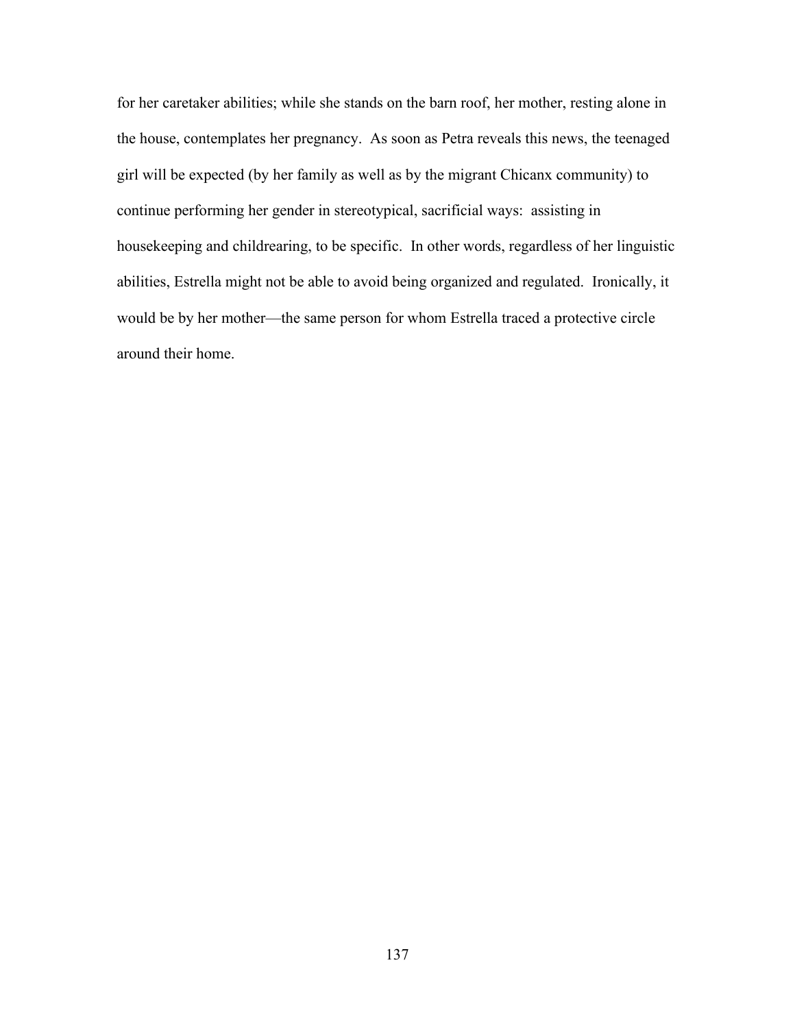for her caretaker abilities; while she stands on the barn roof, her mother, resting alone in the house, contemplates her pregnancy. As soon as Petra reveals this news, the teenaged girl will be expected (by her family as well as by the migrant Chicanx community) to continue performing her gender in stereotypical, sacrificial ways: assisting in housekeeping and childrearing, to be specific. In other words, regardless of her linguistic abilities, Estrella might not be able to avoid being organized and regulated. Ironically, it would be by her mother—the same person for whom Estrella traced a protective circle around their home.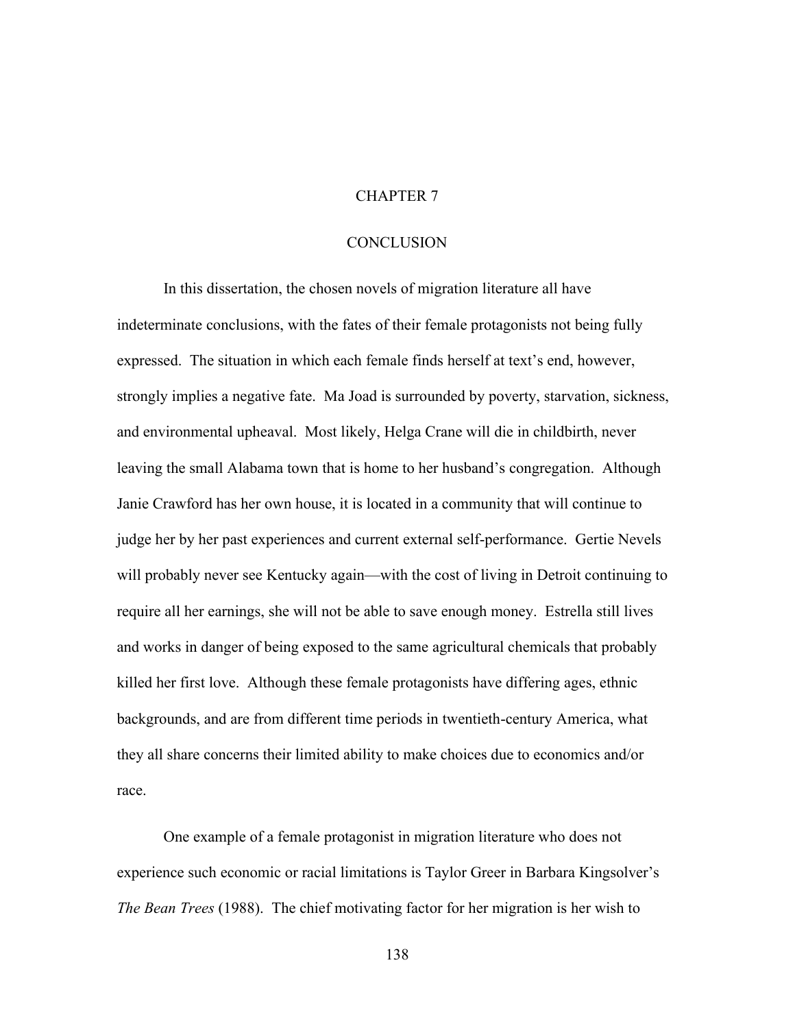## CHAPTER 7

## **CONCLUSION**

In this dissertation, the chosen novels of migration literature all have indeterminate conclusions, with the fates of their female protagonists not being fully expressed. The situation in which each female finds herself at text's end, however, strongly implies a negative fate. Ma Joad is surrounded by poverty, starvation, sickness, and environmental upheaval. Most likely, Helga Crane will die in childbirth, never leaving the small Alabama town that is home to her husband's congregation. Although Janie Crawford has her own house, it is located in a community that will continue to judge her by her past experiences and current external self-performance. Gertie Nevels will probably never see Kentucky again—with the cost of living in Detroit continuing to require all her earnings, she will not be able to save enough money. Estrella still lives and works in danger of being exposed to the same agricultural chemicals that probably killed her first love. Although these female protagonists have differing ages, ethnic backgrounds, and are from different time periods in twentieth-century America, what they all share concerns their limited ability to make choices due to economics and/or race.

One example of a female protagonist in migration literature who does not experience such economic or racial limitations is Taylor Greer in Barbara Kingsolver's *The Bean Trees* (1988). The chief motivating factor for her migration is her wish to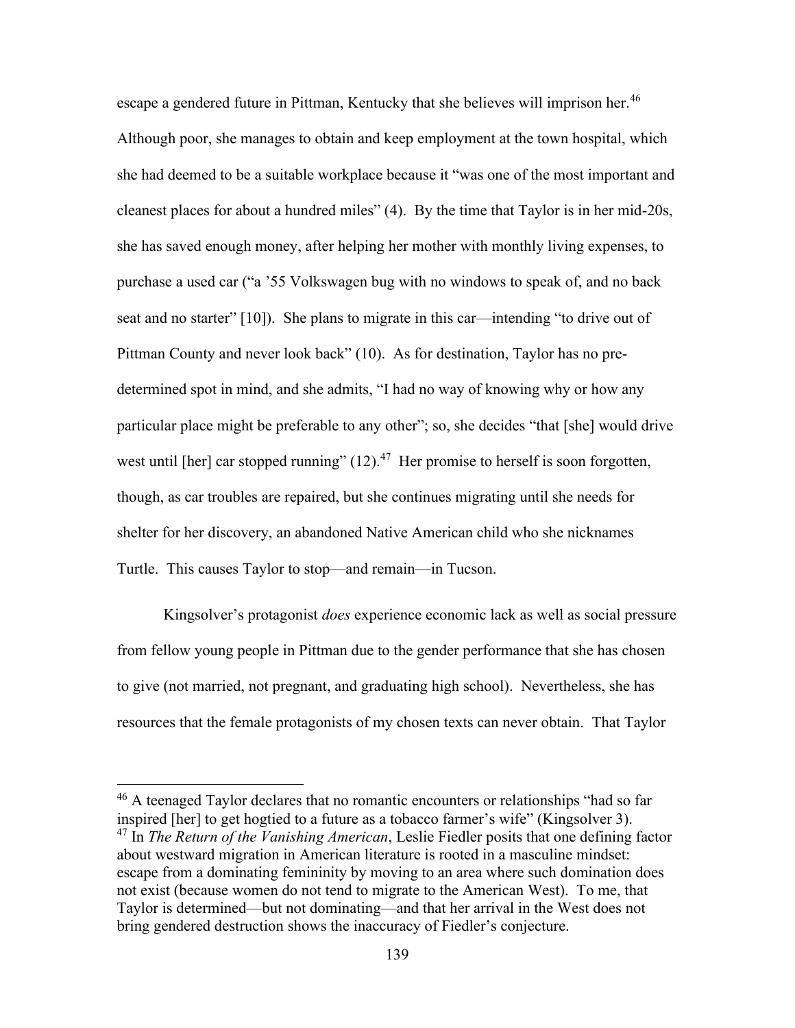escape a gendered future in Pittman, Kentucky that she believes will imprison her.<sup>46</sup> Although poor, she manages to obtain and keep employment at the town hospital, which she had deemed to be a suitable workplace because it "was one of the most important and cleanest places for about a hundred miles" (4). By the time that Taylor is in her mid-20s, she has saved enough money, after helping her mother with monthly living expenses, to purchase a used car ("a '55 Volkswagen bug with no windows to speak of, and no back seat and no starter" [10]). She plans to migrate in this car—intending "to drive out of Pittman County and never look back" (10). As for destination, Taylor has no predetermined spot in mind, and she admits, "I had no way of knowing why or how any particular place might be preferable to any other"; so, she decides "that [she] would drive west until [her] car stopped running"  $(12).<sup>47</sup>$  Her promise to herself is soon forgotten, though, as car troubles are repaired, but she continues migrating until she needs for shelter for her discovery, an abandoned Native American child who she nicknames Turtle. This causes Taylor to stop—and remain—in Tucson.

Kingsolver's protagonist *does* experience economic lack as well as social pressure from fellow young people in Pittman due to the gender performance that she has chosen to give (not married, not pregnant, and graduating high school). Nevertheless, she has resources that the female protagonists of my chosen texts can never obtain. That Taylor

 $46$  A teenaged Taylor declares that no romantic encounters or relationships "had so far inspired [her] to get hogtied to a future as a tobacco farmer's wife" (Kingsolver 3). <sup>47</sup> In *The Return of the Vanishing American*, Leslie Fiedler posits that one defining factor about westward migration in American literature is rooted in a masculine mindset: escape from a dominating femininity by moving to an area where such domination does not exist (because women do not tend to migrate to the American West). To me, that Taylor is determined—but not dominating—and that her arrival in the West does not bring gendered destruction shows the inaccuracy of Fiedler's conjecture.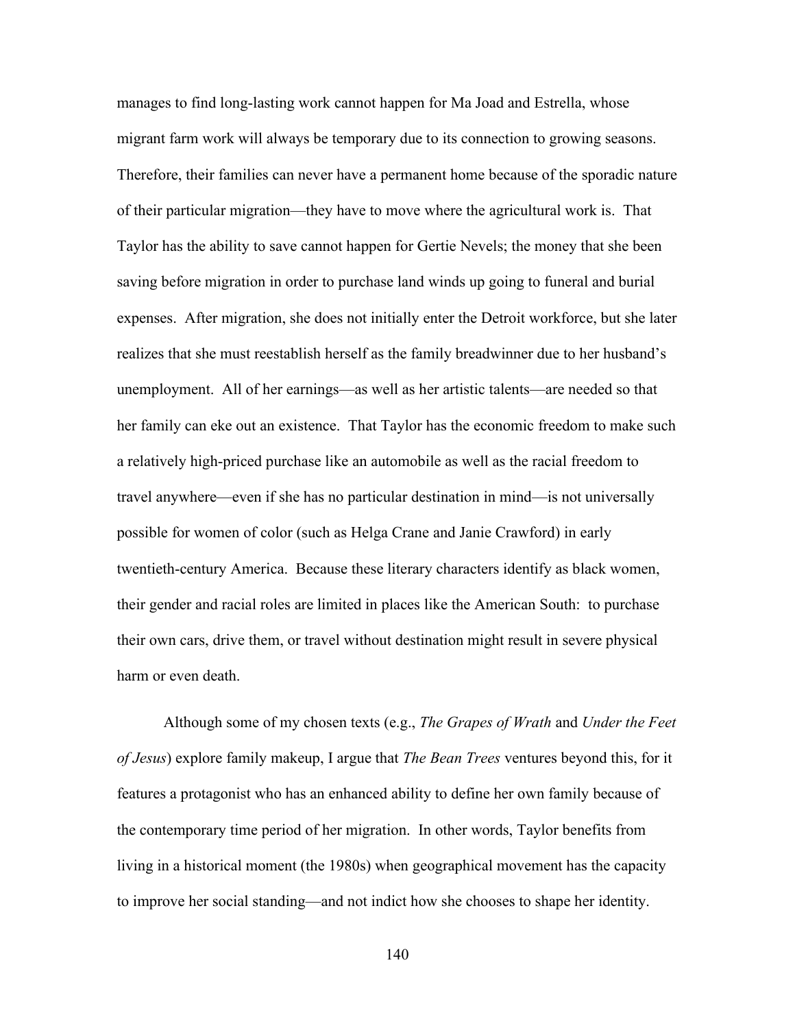manages to find long-lasting work cannot happen for Ma Joad and Estrella, whose migrant farm work will always be temporary due to its connection to growing seasons. Therefore, their families can never have a permanent home because of the sporadic nature of their particular migration—they have to move where the agricultural work is. That Taylor has the ability to save cannot happen for Gertie Nevels; the money that she been saving before migration in order to purchase land winds up going to funeral and burial expenses. After migration, she does not initially enter the Detroit workforce, but she later realizes that she must reestablish herself as the family breadwinner due to her husband's unemployment. All of her earnings—as well as her artistic talents—are needed so that her family can eke out an existence. That Taylor has the economic freedom to make such a relatively high-priced purchase like an automobile as well as the racial freedom to travel anywhere—even if she has no particular destination in mind—is not universally possible for women of color (such as Helga Crane and Janie Crawford) in early twentieth-century America. Because these literary characters identify as black women, their gender and racial roles are limited in places like the American South: to purchase their own cars, drive them, or travel without destination might result in severe physical harm or even death.

Although some of my chosen texts (e.g., *The Grapes of Wrath* and *Under the Feet of Jesus*) explore family makeup, I argue that *The Bean Trees* ventures beyond this, for it features a protagonist who has an enhanced ability to define her own family because of the contemporary time period of her migration. In other words, Taylor benefits from living in a historical moment (the 1980s) when geographical movement has the capacity to improve her social standing—and not indict how she chooses to shape her identity.

140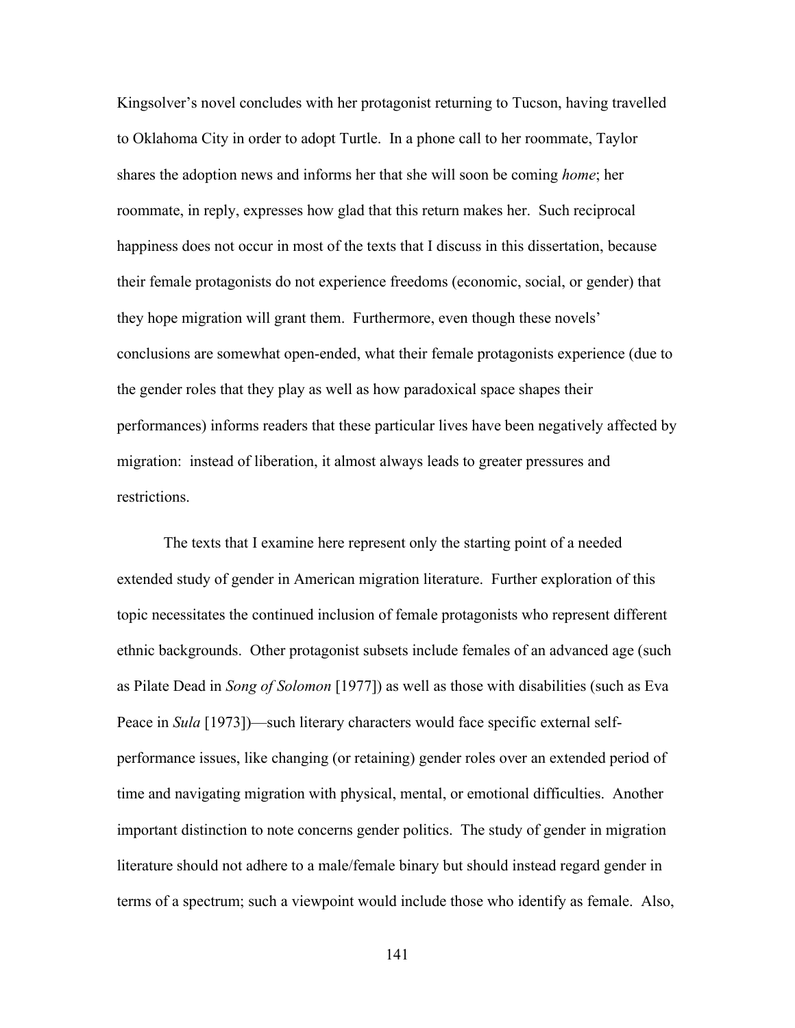Kingsolver's novel concludes with her protagonist returning to Tucson, having travelled to Oklahoma City in order to adopt Turtle. In a phone call to her roommate, Taylor shares the adoption news and informs her that she will soon be coming *home*; her roommate, in reply, expresses how glad that this return makes her. Such reciprocal happiness does not occur in most of the texts that I discuss in this dissertation, because their female protagonists do not experience freedoms (economic, social, or gender) that they hope migration will grant them. Furthermore, even though these novels' conclusions are somewhat open-ended, what their female protagonists experience (due to the gender roles that they play as well as how paradoxical space shapes their performances) informs readers that these particular lives have been negatively affected by migration: instead of liberation, it almost always leads to greater pressures and restrictions.

The texts that I examine here represent only the starting point of a needed extended study of gender in American migration literature. Further exploration of this topic necessitates the continued inclusion of female protagonists who represent different ethnic backgrounds. Other protagonist subsets include females of an advanced age (such as Pilate Dead in *Song of Solomon* [1977]) as well as those with disabilities (such as Eva Peace in *Sula* [1973])—such literary characters would face specific external selfperformance issues, like changing (or retaining) gender roles over an extended period of time and navigating migration with physical, mental, or emotional difficulties. Another important distinction to note concerns gender politics. The study of gender in migration literature should not adhere to a male/female binary but should instead regard gender in terms of a spectrum; such a viewpoint would include those who identify as female. Also,

141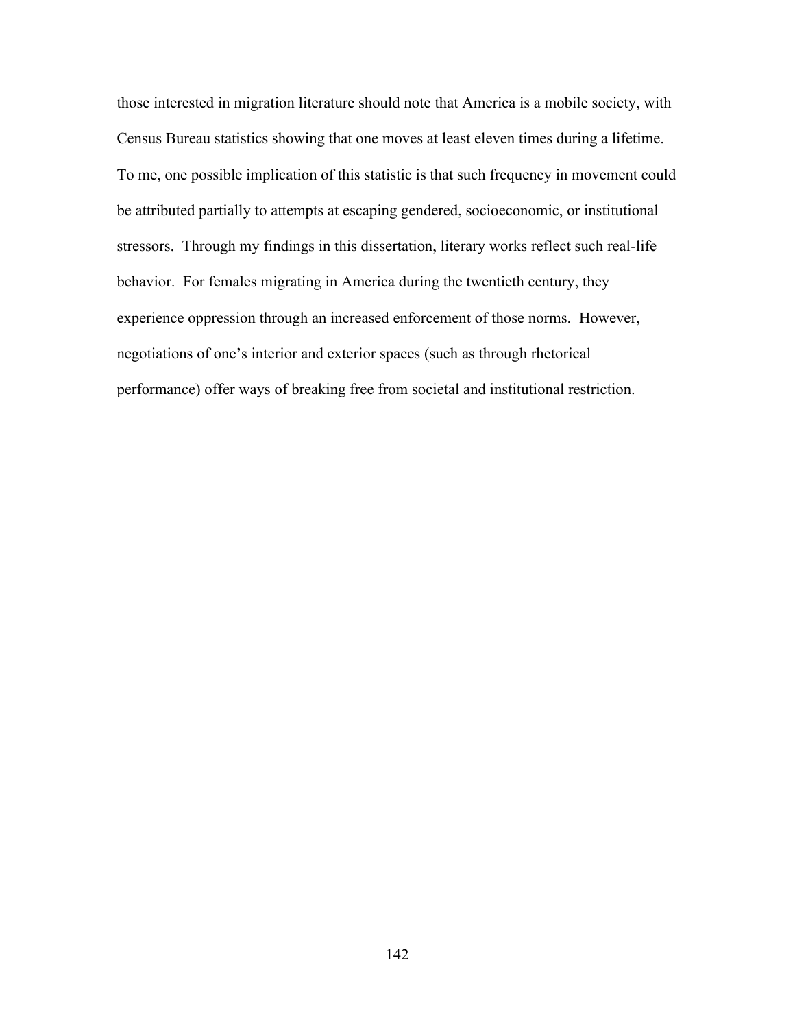those interested in migration literature should note that America is a mobile society, with Census Bureau statistics showing that one moves at least eleven times during a lifetime. To me, one possible implication of this statistic is that such frequency in movement could be attributed partially to attempts at escaping gendered, socioeconomic, or institutional stressors. Through my findings in this dissertation, literary works reflect such real-life behavior. For females migrating in America during the twentieth century, they experience oppression through an increased enforcement of those norms. However, negotiations of one's interior and exterior spaces (such as through rhetorical performance) offer ways of breaking free from societal and institutional restriction.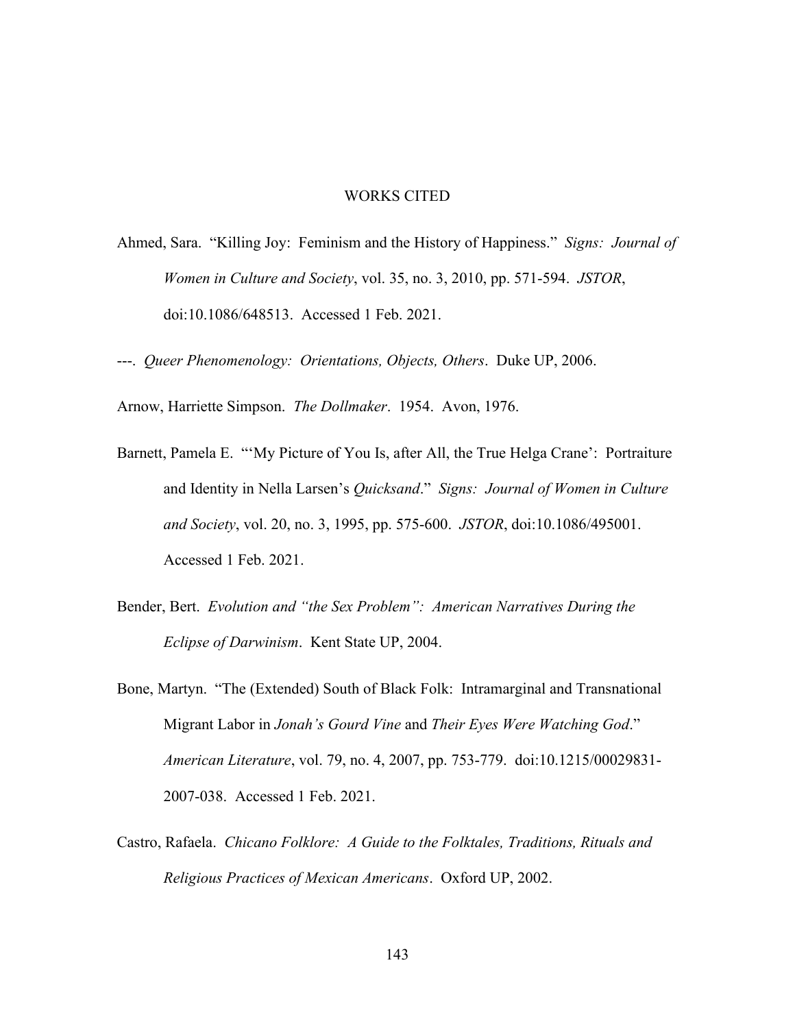## WORKS CITED

- Ahmed, Sara. "Killing Joy: Feminism and the History of Happiness." *Signs: Journal of Women in Culture and Society*, vol. 35, no. 3, 2010, pp. 571-594. *JSTOR*, doi:10.1086/648513. Accessed 1 Feb. 2021.
- ---. *Queer Phenomenology: Orientations, Objects, Others*. Duke UP, 2006.

Arnow, Harriette Simpson. *The Dollmaker*. 1954. Avon, 1976.

- Barnett, Pamela E. "'My Picture of You Is, after All, the True Helga Crane': Portraiture and Identity in Nella Larsen's *Quicksand*." *Signs: Journal of Women in Culture and Society*, vol. 20, no. 3, 1995, pp. 575-600. *JSTOR*, doi:10.1086/495001. Accessed 1 Feb. 2021.
- Bender, Bert. *Evolution and "the Sex Problem": American Narratives During the Eclipse of Darwinism*. Kent State UP, 2004.
- Bone, Martyn. "The (Extended) South of Black Folk: Intramarginal and Transnational Migrant Labor in *Jonah's Gourd Vine* and *Their Eyes Were Watching God*." *American Literature*, vol. 79, no. 4, 2007, pp. 753-779. doi:10.1215/00029831- 2007-038. Accessed 1 Feb. 2021.
- Castro, Rafaela. *Chicano Folklore: A Guide to the Folktales, Traditions, Rituals and Religious Practices of Mexican Americans*. Oxford UP, 2002.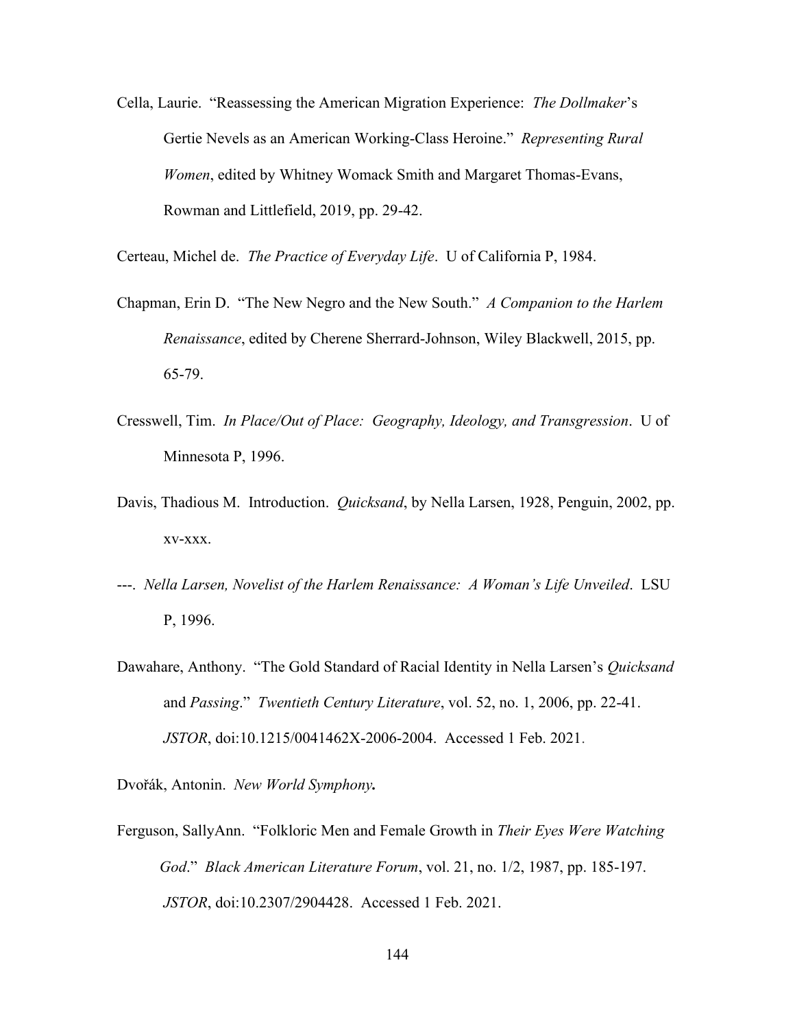Cella, Laurie. "Reassessing the American Migration Experience: *The Dollmaker*'s Gertie Nevels as an American Working-Class Heroine." *Representing Rural Women*, edited by Whitney Womack Smith and Margaret Thomas-Evans, Rowman and Littlefield, 2019, pp. 29-42.

Certeau, Michel de. *The Practice of Everyday Life*. U of California P, 1984.

- Chapman, Erin D. "The New Negro and the New South." *A Companion to the Harlem Renaissance*, edited by Cherene Sherrard-Johnson, Wiley Blackwell, 2015, pp. 65-79.
- Cresswell, Tim. *In Place/Out of Place: Geography, Ideology, and Transgression*. U of Minnesota P, 1996.
- Davis, Thadious M. Introduction. *Quicksand*, by Nella Larsen, 1928, Penguin, 2002, pp. xv-xxx.
- ---. *Nella Larsen, Novelist of the Harlem Renaissance: A Woman's Life Unveiled*. LSU P, 1996.
- Dawahare, Anthony. "The Gold Standard of Racial Identity in Nella Larsen's *Quicksand* and *Passing*." *Twentieth Century Literature*, vol. 52, no. 1, 2006, pp. 22-41. *JSTOR*, doi:10.1215/0041462X-2006-2004. Accessed 1 Feb. 2021.

Dvořák, Antonin. *New World Symphony.*

Ferguson, SallyAnn. "Folkloric Men and Female Growth in *Their Eyes Were Watching God*." *Black American Literature Forum*, vol. 21, no. 1/2, 1987, pp. 185-197. *JSTOR*, doi:10.2307/2904428. Accessed 1 Feb. 2021.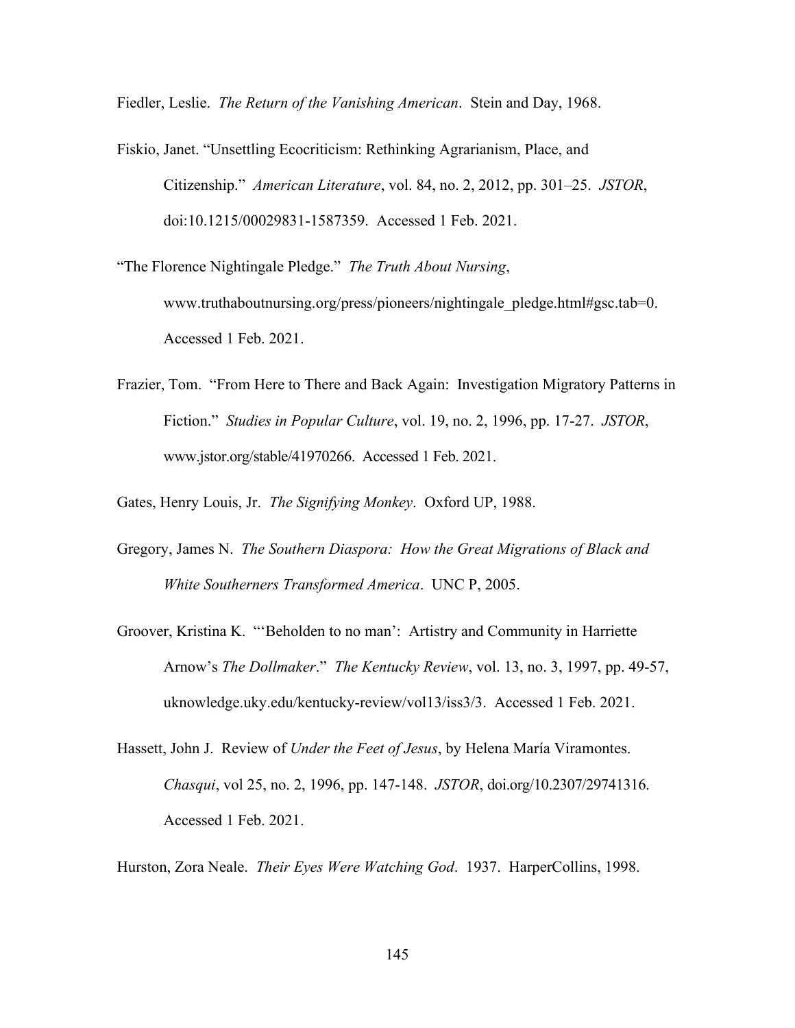Fiedler, Leslie. *The Return of the Vanishing American*. Stein and Day, 1968.

Fiskio, Janet. "Unsettling Ecocriticism: Rethinking Agrarianism, Place, and Citizenship." *American Literature*, vol. 84, no. 2, 2012, pp. 301–25. *JSTOR*, doi:10.1215/00029831-1587359. Accessed 1 Feb. 2021.

"The Florence Nightingale Pledge." *The Truth About Nursing*, www.truthaboutnursing.org/press/pioneers/nightingale\_pledge.html#gsc.tab=0. Accessed 1 Feb. 2021.

Frazier, Tom. "From Here to There and Back Again: Investigation Migratory Patterns in Fiction." *Studies in Popular Culture*, vol. 19, no. 2, 1996, pp. 17-27. *JSTOR*, www.jstor.org/stable/41970266. Accessed 1 Feb. 2021.

Gates, Henry Louis, Jr. *The Signifying Monkey*. Oxford UP, 1988.

- Gregory, James N. *The Southern Diaspora: How the Great Migrations of Black and White Southerners Transformed America*. UNC P, 2005.
- Groover, Kristina K. "'Beholden to no man': Artistry and Community in Harriette Arnow's *The Dollmaker*." *The Kentucky Review*, vol. 13, no. 3, 1997, pp. 49-57, uknowledge.uky.edu/kentucky-review/vol13/iss3/3. Accessed 1 Feb. 2021.
- Hassett, John J. Review of *Under the Feet of Jesus*, by Helena María Viramontes. *Chasqui*, vol 25, no. 2, 1996, pp. 147-148. *JSTOR*, doi.org/10.2307/29741316. Accessed 1 Feb. 2021.

Hurston, Zora Neale. *Their Eyes Were Watching God*. 1937. HarperCollins, 1998.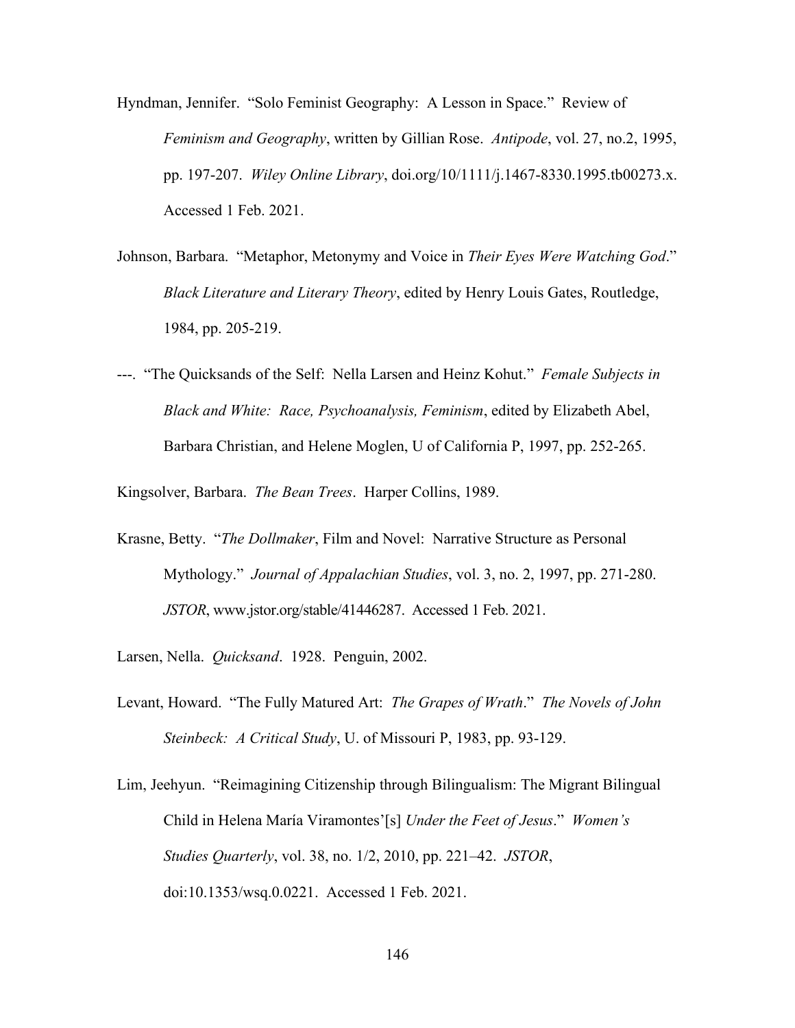- Hyndman, Jennifer. "Solo Feminist Geography: A Lesson in Space." Review of *Feminism and Geography*, written by Gillian Rose. *Antipode*, vol. 27, no.2, 1995, pp. 197-207. *Wiley Online Library*, doi.org/10/1111/j.1467-8330.1995.tb00273.x. Accessed 1 Feb. 2021.
- Johnson, Barbara. "Metaphor, Metonymy and Voice in *Their Eyes Were Watching God*." *Black Literature and Literary Theory*, edited by Henry Louis Gates, Routledge, 1984, pp. 205-219.
- ---. "The Quicksands of the Self: Nella Larsen and Heinz Kohut." *Female Subjects in Black and White: Race, Psychoanalysis, Feminism*, edited by Elizabeth Abel, Barbara Christian, and Helene Moglen, U of California P, 1997, pp. 252-265.

Kingsolver, Barbara. *The Bean Trees*. Harper Collins, 1989.

- Krasne, Betty. "*The Dollmaker*, Film and Novel: Narrative Structure as Personal Mythology." *Journal of Appalachian Studies*, vol. 3, no. 2, 1997, pp. 271-280. *JSTOR*, www.jstor.org/stable/41446287. Accessed 1 Feb. 2021.
- Larsen, Nella. *Quicksand*. 1928. Penguin, 2002.
- Levant, Howard. "The Fully Matured Art: *The Grapes of Wrath*." *The Novels of John Steinbeck: A Critical Study*, U. of Missouri P, 1983, pp. 93-129.
- Lim, Jeehyun. "Reimagining Citizenship through Bilingualism: The Migrant Bilingual Child in Helena María Viramontes'[s] *Under the Feet of Jesus*." *Women's Studies Quarterly*, vol. 38, no. 1/2, 2010, pp. 221–42. *JSTOR*, doi:10.1353/wsq.0.0221. Accessed 1 Feb. 2021.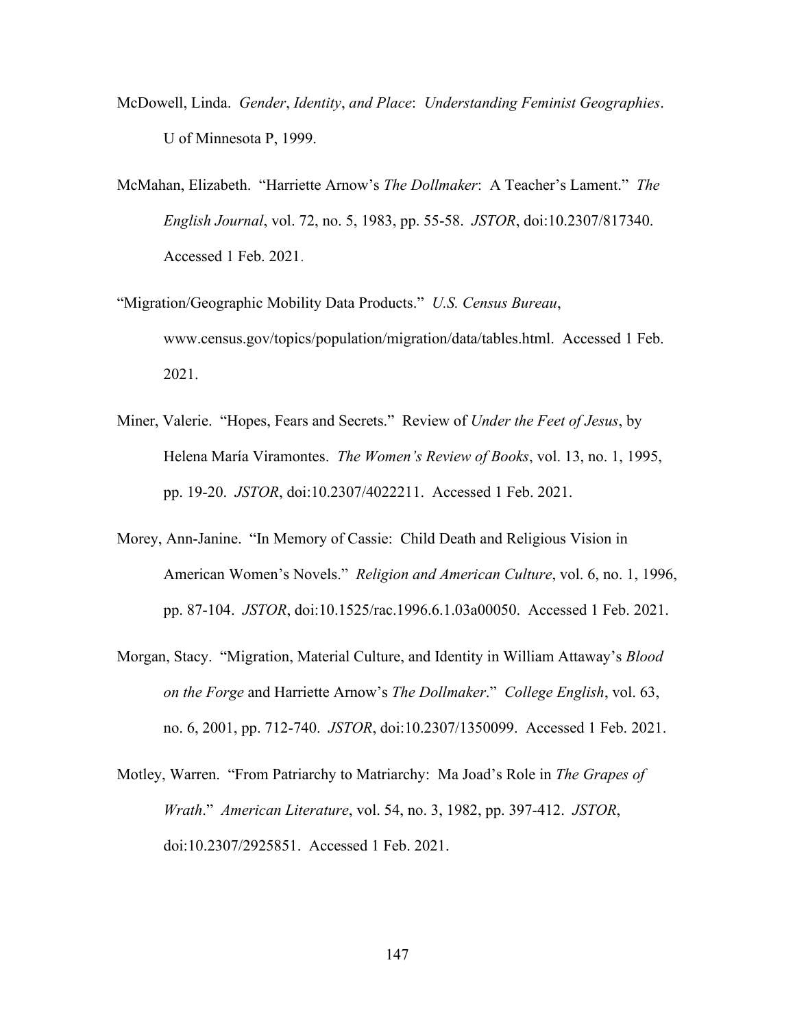- McDowell, Linda. *Gender*, *Identity*, *and Place*: *Understanding Feminist Geographies*. U of Minnesota P, 1999.
- McMahan, Elizabeth. "Harriette Arnow's *The Dollmaker*: A Teacher's Lament." *The English Journal*, vol. 72, no. 5, 1983, pp. 55-58. *JSTOR*, doi:10.2307/817340. Accessed 1 Feb. 2021.
- "Migration/Geographic Mobility Data Products." *U.S. Census Bureau*, www.census.gov/topics/population/migration/data/tables.html. Accessed 1 Feb. 2021.
- Miner, Valerie. "Hopes, Fears and Secrets." Review of *Under the Feet of Jesus*, by Helena María Viramontes. *The Women's Review of Books*, vol. 13, no. 1, 1995, pp. 19-20. *JSTOR*, doi:10.2307/4022211. Accessed 1 Feb. 2021.
- Morey, Ann-Janine. "In Memory of Cassie: Child Death and Religious Vision in American Women's Novels." *Religion and American Culture*, vol. 6, no. 1, 1996, pp. 87-104. *JSTOR*, doi:10.1525/rac.1996.6.1.03a00050. Accessed 1 Feb. 2021.
- Morgan, Stacy. "Migration, Material Culture, and Identity in William Attaway's *Blood on the Forge* and Harriette Arnow's *The Dollmaker*." *College English*, vol. 63, no. 6, 2001, pp. 712-740. *JSTOR*, doi:10.2307/1350099. Accessed 1 Feb. 2021.
- Motley, Warren. "From Patriarchy to Matriarchy: Ma Joad's Role in *The Grapes of Wrath*." *American Literature*, vol. 54, no. 3, 1982, pp. 397-412. *JSTOR*, doi:10.2307/2925851. Accessed 1 Feb. 2021.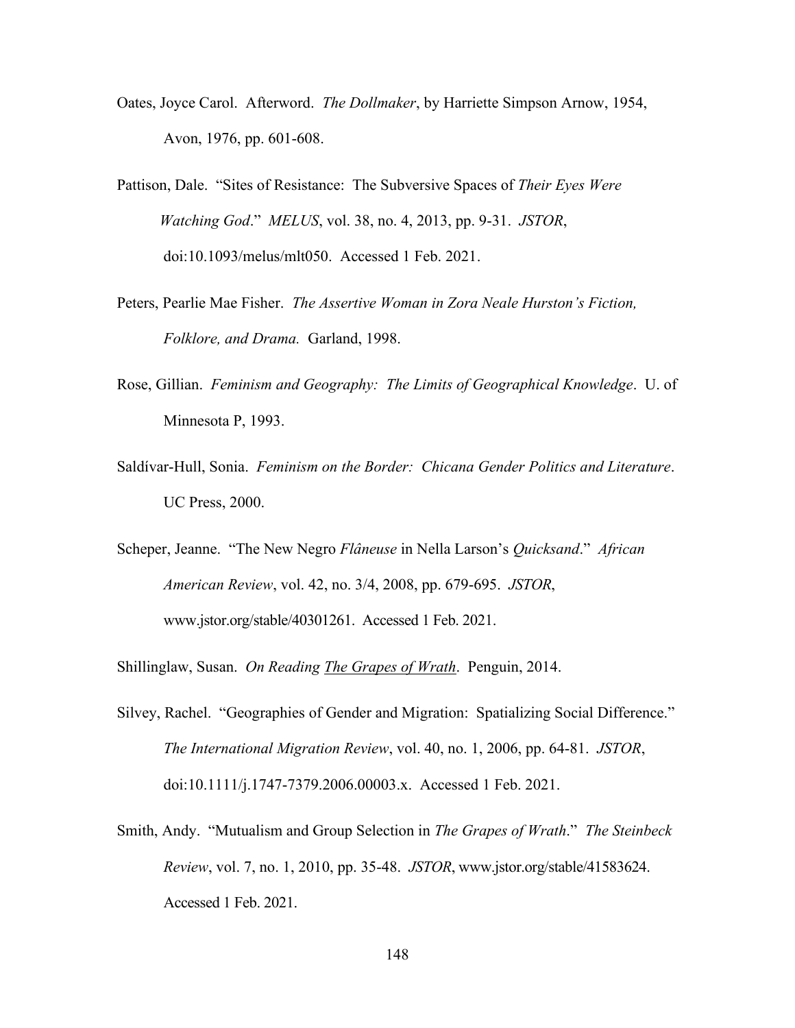- Oates, Joyce Carol. Afterword. *The Dollmaker*, by Harriette Simpson Arnow, 1954, Avon, 1976, pp. 601-608.
- Pattison, Dale. "Sites of Resistance: The Subversive Spaces of *Their Eyes Were Watching God*." *MELUS*, vol. 38, no. 4, 2013, pp. 9-31. *JSTOR*, doi:10.1093/melus/mlt050. Accessed 1 Feb. 2021.
- Peters, Pearlie Mae Fisher. *The Assertive Woman in Zora Neale Hurston's Fiction, Folklore, and Drama.* Garland, 1998.
- Rose, Gillian. *Feminism and Geography: The Limits of Geographical Knowledge*. U. of Minnesota P, 1993.
- Saldívar-Hull, Sonia. *Feminism on the Border: Chicana Gender Politics and Literature*. UC Press, 2000.
- Scheper, Jeanne. "The New Negro *Flâneuse* in Nella Larson's *Quicksand*." *African American Review*, vol. 42, no. 3/4, 2008, pp. 679-695. *JSTOR*, www.jstor.org/stable/40301261. Accessed 1 Feb. 2021.
- Shillinglaw, Susan. *On Reading The Grapes of Wrath*. Penguin, 2014.
- Silvey, Rachel. "Geographies of Gender and Migration: Spatializing Social Difference." *The International Migration Review*, vol. 40, no. 1, 2006, pp. 64-81. *JSTOR*, doi:10.1111/j.1747-7379.2006.00003.x. Accessed 1 Feb. 2021.
- Smith, Andy. "Mutualism and Group Selection in *The Grapes of Wrath*." *The Steinbeck Review*, vol. 7, no. 1, 2010, pp. 35-48. *JSTOR*, www.jstor.org/stable/41583624. Accessed 1 Feb. 2021.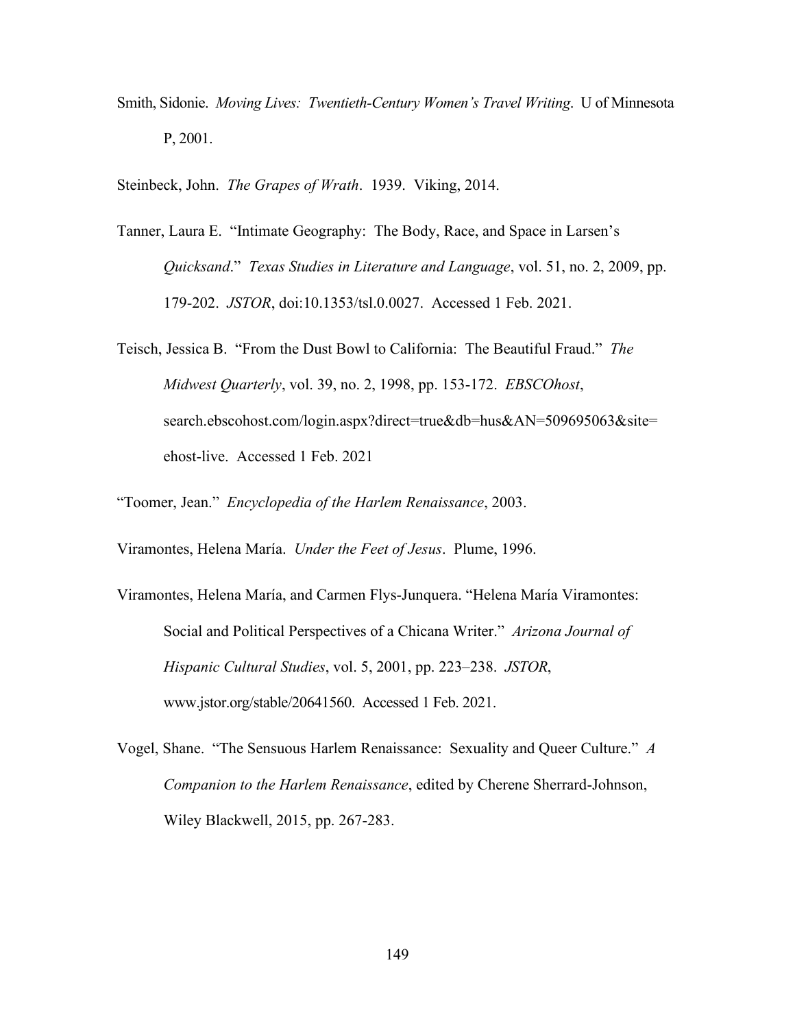- Smith, Sidonie. *Moving Lives: Twentieth-Century Women's Travel Writing*. U of Minnesota P, 2001.
- Steinbeck, John. *The Grapes of Wrath*. 1939. Viking, 2014.
- Tanner, Laura E. "Intimate Geography: The Body, Race, and Space in Larsen's *Quicksand*." *Texas Studies in Literature and Language*, vol. 51, no. 2, 2009, pp. 179-202. *JSTOR*, doi:10.1353/tsl.0.0027. Accessed 1 Feb. 2021.
- Teisch, Jessica B. "From the Dust Bowl to California: The Beautiful Fraud." *The Midwest Quarterly*, vol. 39, no. 2, 1998, pp. 153-172. *EBSCOhost*, search.ebscohost.com/login.aspx?direct=true&db=hus&AN=509695063&site= ehost-live. Accessed 1 Feb. 2021

"Toomer, Jean." *Encyclopedia of the Harlem Renaissance*, 2003.

Viramontes, Helena María. *Under the Feet of Jesus*. Plume, 1996.

- Viramontes, Helena María, and Carmen Flys-Junquera. "Helena María Viramontes: Social and Political Perspectives of a Chicana Writer." *Arizona Journal of Hispanic Cultural Studies*, vol. 5, 2001, pp. 223–238. *JSTOR*, www.jstor.org/stable/20641560. Accessed 1 Feb. 2021.
- Vogel, Shane. "The Sensuous Harlem Renaissance: Sexuality and Queer Culture." *A Companion to the Harlem Renaissance*, edited by Cherene Sherrard-Johnson, Wiley Blackwell, 2015, pp. 267-283.